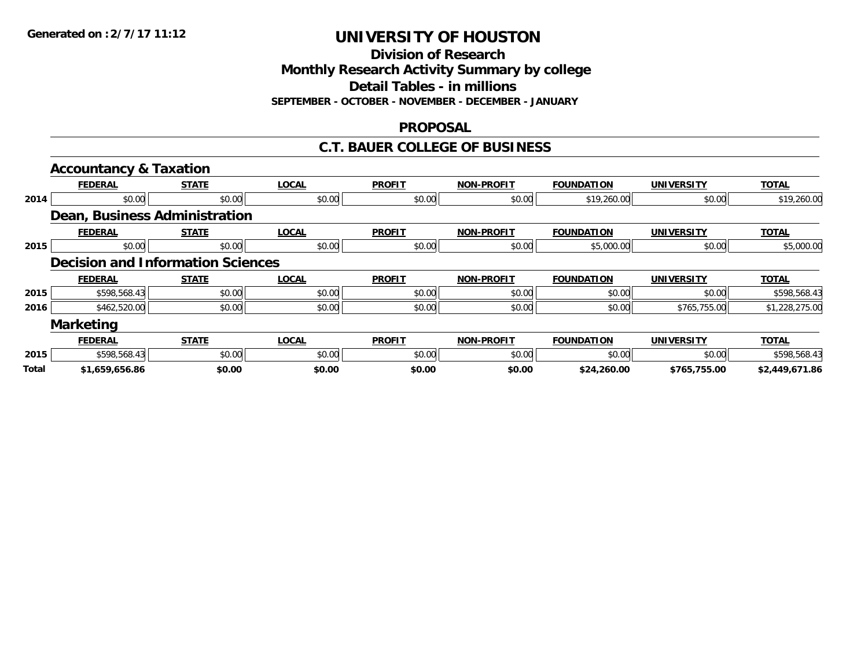**Division of Research**

**Monthly Research Activity Summary by college**

**Detail Tables - in millions**

**SEPTEMBER - OCTOBER - NOVEMBER - DECEMBER - JANUARY**

### **PROPOSAL**

### **C.T. BAUER COLLEGE OF BUSINESS**

|              | <b>Accountancy &amp; Taxation</b>        |              |              |               |                   |                   |                   |                |
|--------------|------------------------------------------|--------------|--------------|---------------|-------------------|-------------------|-------------------|----------------|
|              | <b>FEDERAL</b>                           | <b>STATE</b> | <b>LOCAL</b> | <b>PROFIT</b> | <b>NON-PROFIT</b> | <b>FOUNDATION</b> | <b>UNIVERSITY</b> | <b>TOTAL</b>   |
| 2014         | \$0.00                                   | \$0.00       | \$0.00       | \$0.00        | \$0.00            | \$19,260.00       | \$0.00            | \$19,260.00    |
|              | Dean, Business Administration            |              |              |               |                   |                   |                   |                |
|              | <b>FEDERAL</b>                           | <b>STATE</b> | <b>LOCAL</b> | <b>PROFIT</b> | <b>NON-PROFIT</b> | <b>FOUNDATION</b> | <b>UNIVERSITY</b> | <b>TOTAL</b>   |
| 2015         | \$0.00                                   | \$0.00       | \$0.00       | \$0.00        | \$0.00            | \$5,000.00        | \$0.00            | \$5,000.00     |
|              | <b>Decision and Information Sciences</b> |              |              |               |                   |                   |                   |                |
|              | <b>FEDERAL</b>                           | <b>STATE</b> | <b>LOCAL</b> | <b>PROFIT</b> | <b>NON-PROFIT</b> | <b>FOUNDATION</b> | <b>UNIVERSITY</b> | <b>TOTAL</b>   |
| 2015         | \$598,568.43                             | \$0.00       | \$0.00       | \$0.00        | \$0.00            | \$0.00            | \$0.00            | \$598,568.43   |
| 2016         | \$462,520.00                             | \$0.00       | \$0.00       | \$0.00        | \$0.00            | \$0.00            | \$765,755.00      | \$1,228,275.00 |
|              | <b>Marketing</b>                         |              |              |               |                   |                   |                   |                |
|              | <b>FEDERAL</b>                           | <b>STATE</b> | <b>LOCAL</b> | <b>PROFIT</b> | <b>NON-PROFIT</b> | <b>FOUNDATION</b> | <b>UNIVERSITY</b> | <b>TOTAL</b>   |
| 2015         | \$598,568.43                             | \$0.00       | \$0.00       | \$0.00        | \$0.00            | \$0.00            | \$0.00            | \$598,568.43   |
| <b>Total</b> | \$1,659,656.86                           | \$0.00       | \$0.00       | \$0.00        | \$0.00            | \$24,260.00       | \$765,755.00      | \$2,449,671.86 |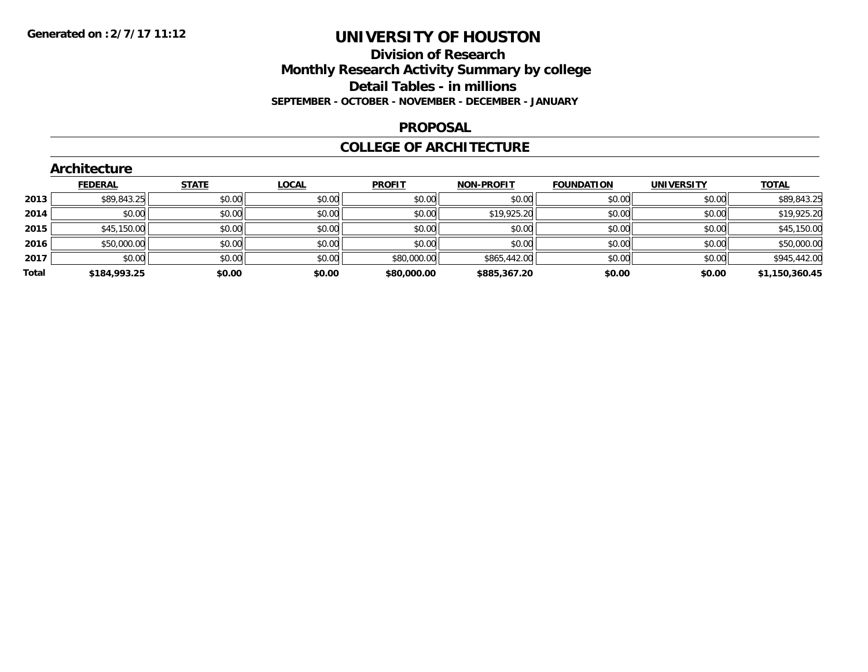## **Division of Research Monthly Research Activity Summary by college Detail Tables - in millions SEPTEMBER - OCTOBER - NOVEMBER - DECEMBER - JANUARY**

#### **PROPOSAL**

### **COLLEGE OF ARCHITECTURE**

|       | Architecture   |              |              |               |                   |                   |                   |                |  |  |  |  |  |
|-------|----------------|--------------|--------------|---------------|-------------------|-------------------|-------------------|----------------|--|--|--|--|--|
|       | <b>FEDERAL</b> | <b>STATE</b> | <b>LOCAL</b> | <b>PROFIT</b> | <b>NON-PROFIT</b> | <b>FOUNDATION</b> | <b>UNIVERSITY</b> | <b>TOTAL</b>   |  |  |  |  |  |
| 2013  | \$89,843.25    | \$0.00       | \$0.00       | \$0.00        | \$0.00            | \$0.00            | \$0.00            | \$89,843.25    |  |  |  |  |  |
| 2014  | \$0.00         | \$0.00       | \$0.00       | \$0.00        | \$19,925.20       | \$0.00            | \$0.00            | \$19,925.20    |  |  |  |  |  |
| 2015  | \$45,150.00    | \$0.00       | \$0.00       | \$0.00        | \$0.00            | \$0.00            | \$0.00            | \$45,150.00    |  |  |  |  |  |
| 2016  | \$50,000.00    | \$0.00       | \$0.00       | \$0.00        | \$0.00            | \$0.00            | \$0.00            | \$50,000.00    |  |  |  |  |  |
| 2017  | \$0.00         | \$0.00       | \$0.00       | \$80,000.00   | \$865,442.00      | \$0.00            | \$0.00            | \$945,442.00   |  |  |  |  |  |
| Total | \$184,993.25   | \$0.00       | \$0.00       | \$80,000.00   | \$885,367.20      | \$0.00            | \$0.00            | \$1,150,360.45 |  |  |  |  |  |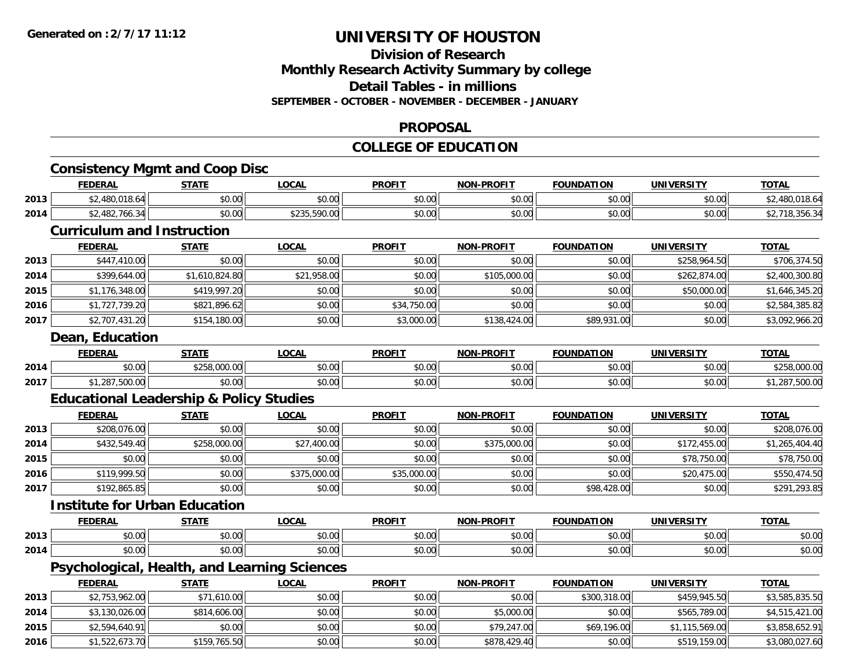## **Division of ResearchMonthly Research Activity Summary by college Detail Tables - in millions SEPTEMBER - OCTOBER - NOVEMBER - DECEMBER - JANUARY**

#### **PROPOSAL**

## **COLLEGE OF EDUCATION**

|      |                                   | <b>Consistency Mgmt and Coop Disc</b>              |                                              |               |                   |                   |                   |                |
|------|-----------------------------------|----------------------------------------------------|----------------------------------------------|---------------|-------------------|-------------------|-------------------|----------------|
|      | <b>FEDERAL</b>                    | <b>STATE</b>                                       | <b>LOCAL</b>                                 | <b>PROFIT</b> | <b>NON-PROFIT</b> | <b>FOUNDATION</b> | <b>UNIVERSITY</b> | <b>TOTAL</b>   |
| 2013 | \$2,480,018.64                    | \$0.00                                             | \$0.00                                       | \$0.00        | \$0.00            | \$0.00            | \$0.00            | \$2,480,018.64 |
| 2014 | \$2,482,766.34                    | \$0.00                                             | \$235,590.00                                 | \$0.00        | \$0.00            | \$0.00            | \$0.00            | \$2,718,356.34 |
|      | <b>Curriculum and Instruction</b> |                                                    |                                              |               |                   |                   |                   |                |
|      | <b>FEDERAL</b>                    | <b>STATE</b>                                       | <b>LOCAL</b>                                 | <b>PROFIT</b> | <b>NON-PROFIT</b> | <b>FOUNDATION</b> | <b>UNIVERSITY</b> | <b>TOTAL</b>   |
| 2013 | \$447,410.00                      | \$0.00                                             | \$0.00                                       | \$0.00        | \$0.00            | \$0.00            | \$258,964.50      | \$706,374.50   |
| 2014 | \$399,644.00                      | \$1,610,824.80                                     | \$21,958.00                                  | \$0.00        | \$105,000.00      | \$0.00            | \$262,874.00      | \$2,400,300.80 |
| 2015 | \$1,176,348.00                    | \$419,997.20                                       | \$0.00                                       | \$0.00        | \$0.00            | \$0.00            | \$50,000.00       | \$1,646,345.20 |
| 2016 | \$1,727,739.20                    | \$821,896.62                                       | \$0.00                                       | \$34,750.00   | \$0.00            | \$0.00            | \$0.00            | \$2,584,385.82 |
| 2017 | \$2,707,431.20                    | \$154,180.00                                       | \$0.00                                       | \$3,000.00    | \$138,424.00      | \$89,931.00       | \$0.00            | \$3,092,966.20 |
|      | Dean, Education                   |                                                    |                                              |               |                   |                   |                   |                |
|      | <b>FEDERAL</b>                    | <b>STATE</b>                                       | <b>LOCAL</b>                                 | <b>PROFIT</b> | <b>NON-PROFIT</b> | <b>FOUNDATION</b> | <b>UNIVERSITY</b> | <b>TOTAL</b>   |
| 2014 | \$0.00                            | \$258,000.00                                       | \$0.00                                       | \$0.00        | \$0.00            | \$0.00            | \$0.00            | \$258,000.00   |
| 2017 | \$1,287,500.00                    | \$0.00                                             | \$0.00                                       | \$0.00        | \$0.00            | \$0.00            | \$0.00            | \$1,287,500.00 |
|      |                                   | <b>Educational Leadership &amp; Policy Studies</b> |                                              |               |                   |                   |                   |                |
|      | <b>FEDERAL</b>                    | <b>STATE</b>                                       | <b>LOCAL</b>                                 | <b>PROFIT</b> | <b>NON-PROFIT</b> | <b>FOUNDATION</b> | <b>UNIVERSITY</b> | <b>TOTAL</b>   |
| 2013 | \$208,076.00                      | \$0.00                                             | \$0.00                                       | \$0.00        | \$0.00            | \$0.00            | \$0.00            | \$208,076.00   |
| 2014 | \$432,549.40                      | \$258,000.00                                       | \$27,400.00                                  | \$0.00        | \$375,000.00      | \$0.00            | \$172,455.00      | \$1,265,404.40 |
| 2015 | \$0.00                            | \$0.00                                             | \$0.00                                       | \$0.00        | \$0.00            | \$0.00            | \$78,750.00       | \$78,750.00    |
| 2016 | \$119,999.50                      | \$0.00                                             | \$375,000.00                                 | \$35,000.00   | \$0.00            | \$0.00            | \$20,475.00       | \$550,474.50   |
| 2017 | \$192,865.85                      | \$0.00                                             | \$0.00                                       | \$0.00        | \$0.00            | \$98,428.00       | \$0.00            | \$291,293.85   |
|      |                                   | <b>Institute for Urban Education</b>               |                                              |               |                   |                   |                   |                |
|      | <b>FEDERAL</b>                    | <b>STATE</b>                                       | <b>LOCAL</b>                                 | <b>PROFIT</b> | <b>NON-PROFIT</b> | <b>FOUNDATION</b> | <b>UNIVERSITY</b> | <b>TOTAL</b>   |
| 2013 | \$0.00                            | \$0.00                                             | \$0.00                                       | \$0.00        | \$0.00            | \$0.00            | \$0.00            | \$0.00         |
| 2014 | \$0.00                            | \$0.00                                             | \$0.00                                       | \$0.00        | \$0.00            | \$0.00            | \$0.00            | \$0.00         |
|      |                                   |                                                    | Psychological, Health, and Learning Sciences |               |                   |                   |                   |                |
|      | <b>FEDERAL</b>                    | <b>STATE</b>                                       | <b>LOCAL</b>                                 | <b>PROFIT</b> | <b>NON-PROFIT</b> | <b>FOUNDATION</b> | <b>UNIVERSITY</b> | <b>TOTAL</b>   |
| 2013 | \$2,753,962.00                    | \$71,610.00                                        | \$0.00                                       | \$0.00        | \$0.00            | \$300,318.00      | \$459,945.50      | \$3,585,835.50 |
| 2014 | \$3,130,026.00                    | \$814,606.00                                       | \$0.00                                       | \$0.00        | \$5,000.00        | \$0.00            | \$565,789.00      | \$4,515,421.00 |
| 2015 | \$2,594,640.91                    | \$0.00                                             | \$0.00                                       | \$0.00        | \$79,247.00       | \$69,196.00       | \$1,115,569.00    | \$3,858,652.91 |
| 2016 | \$1,522,673.70                    | \$159,765.50                                       | \$0.00                                       | \$0.00        | \$878,429.40      | \$0.00            | \$519,159.00      | \$3,080,027.60 |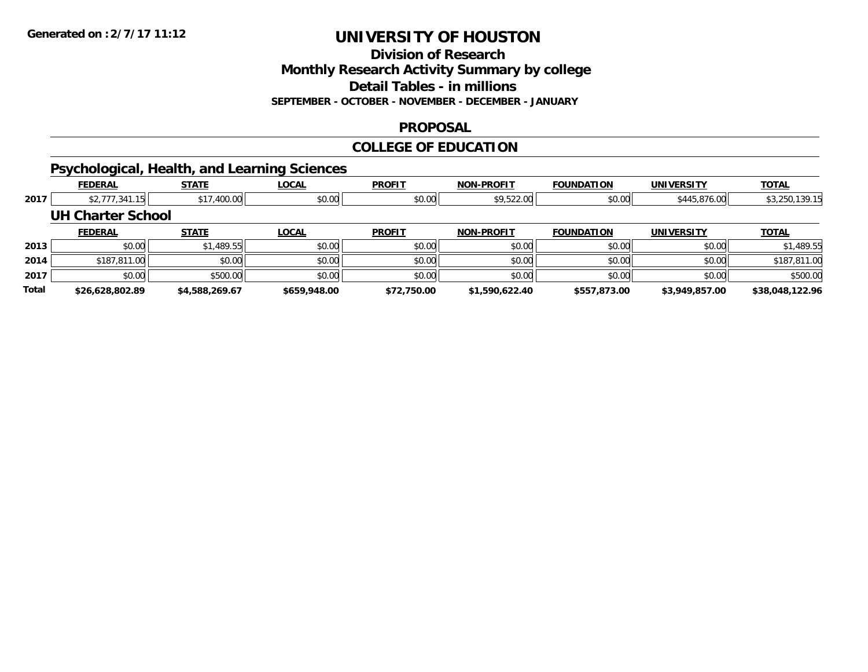**Division of Research**

**Monthly Research Activity Summary by college**

**Detail Tables - in millions**

**SEPTEMBER - OCTOBER - NOVEMBER - DECEMBER - JANUARY**

### **PROPOSAL**

#### **COLLEGE OF EDUCATION**

## **Psychological, Health, and Learning Sciences**

|       | <b>FEDERAL</b>    | <b>STATE</b>   | <b>LOCAL</b> | <b>PROFIT</b> | <b>NON-PROFIT</b> | <b>FOUNDATION</b> | <b>UNIVERSITY</b> | <b>TOTAL</b>    |
|-------|-------------------|----------------|--------------|---------------|-------------------|-------------------|-------------------|-----------------|
| 2017  | \$2,777,341.15    | \$17,400.00    | \$0.00       | \$0.00        | \$9,522.00        | \$0.00            | \$445,876.00      | \$3,250,139.15  |
|       | UH Charter School |                |              |               |                   |                   |                   |                 |
|       | <b>FEDERAL</b>    | <b>STATE</b>   | <b>LOCAL</b> | <b>PROFIT</b> | <b>NON-PROFIT</b> | <b>FOUNDATION</b> | <b>UNIVERSITY</b> | <b>TOTAL</b>    |
| 2013  | \$0.00            | \$1,489.55     | \$0.00       | \$0.00        | \$0.00            | \$0.00            | \$0.00            | \$1,489.55      |
| 2014  | \$187,811.00      | \$0.00         | \$0.00       | \$0.00        | \$0.00            | \$0.00            | \$0.00            | \$187,811.00    |
| 2017  | \$0.00            | \$500.00       | \$0.00       | \$0.00        | \$0.00            | \$0.00            | \$0.00            | \$500.00        |
| Total | \$26,628,802.89   | \$4.588.269.67 | \$659,948.00 | \$72,750.00   | \$1,590,622.40    | \$557,873.00      | \$3,949,857.00    | \$38,048,122.96 |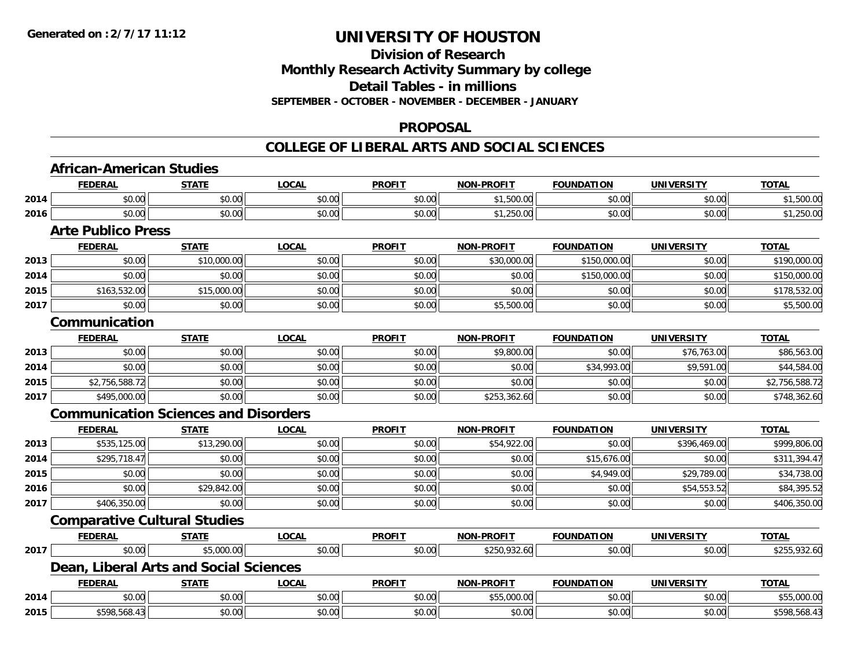**Division of Research**

**Monthly Research Activity Summary by college**

**Detail Tables - in millions**

**SEPTEMBER - OCTOBER - NOVEMBER - DECEMBER - JANUARY**

### **PROPOSAL**

|      | <b>FEDERAL</b>                              | <b>STATE</b> | <b>LOCAL</b> | <b>PROFIT</b> | <b>NON-PROFIT</b> | <b>FOUNDATION</b> | <b>UNIVERSITY</b> | <b>TOTAL</b>   |
|------|---------------------------------------------|--------------|--------------|---------------|-------------------|-------------------|-------------------|----------------|
| 2014 | \$0.00                                      | \$0.00       | \$0.00       | \$0.00        | \$1,500.00        | \$0.00            | \$0.00            | \$1,500.00     |
| 2016 | \$0.00                                      | \$0.00       | \$0.00       | \$0.00        | \$1,250.00        | \$0.00            | \$0.00            | \$1,250.00     |
|      | <b>Arte Publico Press</b>                   |              |              |               |                   |                   |                   |                |
|      | <b>FEDERAL</b>                              | <b>STATE</b> | <b>LOCAL</b> | <b>PROFIT</b> | <b>NON-PROFIT</b> | <b>FOUNDATION</b> | <b>UNIVERSITY</b> | <b>TOTAL</b>   |
| 2013 | \$0.00                                      | \$10,000.00  | \$0.00       | \$0.00        | \$30,000.00       | \$150,000.00      | \$0.00            | \$190,000.00   |
| 2014 | \$0.00                                      | \$0.00       | \$0.00       | \$0.00        | \$0.00            | \$150,000.00      | \$0.00            | \$150,000.00   |
| 2015 | \$163,532.00                                | \$15,000.00  | \$0.00       | \$0.00        | \$0.00            | \$0.00            | \$0.00            | \$178,532.00   |
| 2017 | \$0.00                                      | \$0.00       | \$0.00       | \$0.00        | \$5,500.00        | \$0.00            | \$0.00            | \$5,500.00     |
|      | Communication                               |              |              |               |                   |                   |                   |                |
|      | <b>FEDERAL</b>                              | <b>STATE</b> | <b>LOCAL</b> | <b>PROFIT</b> | <b>NON-PROFIT</b> | <b>FOUNDATION</b> | <b>UNIVERSITY</b> | <b>TOTAL</b>   |
| 2013 | \$0.00                                      | \$0.00       | \$0.00       | \$0.00        | \$9,800.00        | \$0.00            | \$76,763.00       | \$86,563.00    |
| 2014 | \$0.00                                      | \$0.00       | \$0.00       | \$0.00        | \$0.00            | \$34,993.00       | \$9,591.00        | \$44,584.00    |
| 2015 | \$2,756,588.72                              | \$0.00       | \$0.00       | \$0.00        | \$0.00            | \$0.00            | \$0.00            | \$2,756,588.72 |
| 2017 | \$495,000.00                                | \$0.00       | \$0.00       | \$0.00        | \$253,362.60      | \$0.00            | \$0.00            | \$748,362.60   |
|      | <b>Communication Sciences and Disorders</b> |              |              |               |                   |                   |                   |                |
|      | <b>FEDERAL</b>                              | <b>STATE</b> | <b>LOCAL</b> | <b>PROFIT</b> | <b>NON-PROFIT</b> | <b>FOUNDATION</b> | <b>UNIVERSITY</b> | <b>TOTAL</b>   |
| 2013 | \$535,125.00                                | \$13,290.00  | \$0.00       | \$0.00        | \$54,922.00       | \$0.00            | \$396,469.00      | \$999,806.00   |
| 2014 | \$295,718.47                                | \$0.00       | \$0.00       | \$0.00        | \$0.00            | \$15,676.00       | \$0.00            | \$311,394.47   |
| 2015 | \$0.00                                      | \$0.00       | \$0.00       | \$0.00        | \$0.00            | \$4,949.00        | \$29,789.00       | \$34,738.00    |
| 2016 | \$0.00                                      | \$29,842.00  | \$0.00       | \$0.00        | \$0.00            | \$0.00            | \$54,553.52       | \$84,395.52    |
| 2017 | \$406,350.00                                | \$0.00       | \$0.00       | \$0.00        | \$0.00            | \$0.00            | \$0.00            | \$406,350.00   |
|      | <b>Comparative Cultural Studies</b>         |              |              |               |                   |                   |                   |                |
|      | <b>FEDERAL</b>                              | <b>STATE</b> | <b>LOCAL</b> | <b>PROFIT</b> | <b>NON-PROFIT</b> | <b>FOUNDATION</b> | <b>UNIVERSITY</b> | <b>TOTAL</b>   |
| 2017 | \$0.00                                      | \$5,000.00   | \$0.00       | \$0.00        | \$250,932.60      | \$0.00            | \$0.00            | \$255,932.60   |
|      | Dean, Liberal Arts and Social Sciences      |              |              |               |                   |                   |                   |                |
|      | <b>FEDERAL</b>                              | <b>STATE</b> | <b>LOCAL</b> | <b>PROFIT</b> | <b>NON-PROFIT</b> | <b>FOUNDATION</b> | <b>UNIVERSITY</b> | <b>TOTAL</b>   |
| 2014 | \$0.00                                      | \$0.00       | \$0.00       | \$0.00        | \$55,000.00       | \$0.00            | \$0.00            | \$55,000.00    |
| 2015 | \$598,568.43                                | \$0.00       | \$0.00       | \$0.00        | \$0.00            | \$0.00            | \$0.00            | \$598,568.43   |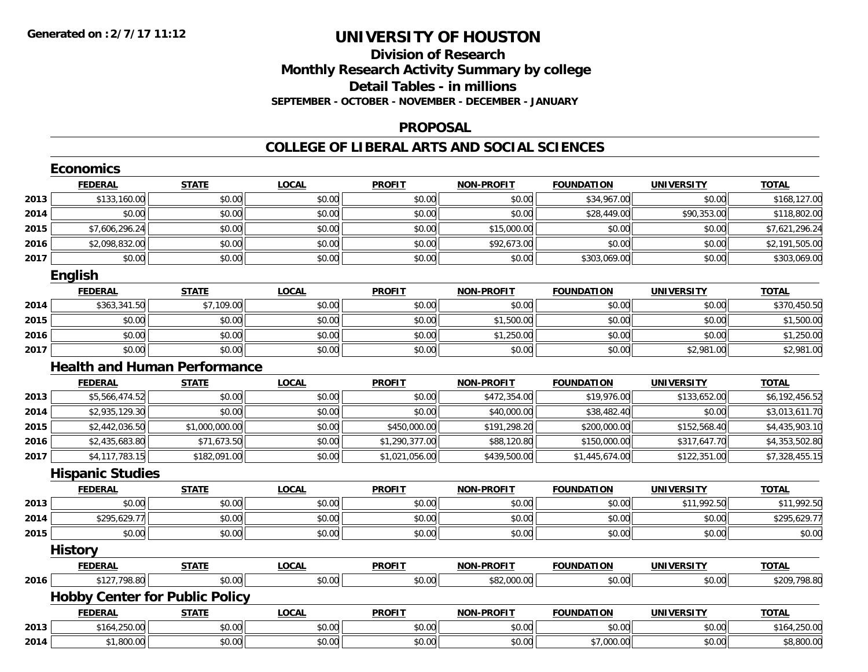## **Division of ResearchMonthly Research Activity Summary by college Detail Tables - in millions SEPTEMBER - OCTOBER - NOVEMBER - DECEMBER - JANUARY**

#### **PROPOSAL**

|      | <b>Economics</b>                      |                |              |                |                   |                   |                   |                |  |  |
|------|---------------------------------------|----------------|--------------|----------------|-------------------|-------------------|-------------------|----------------|--|--|
|      | <b>FEDERAL</b>                        | <b>STATE</b>   | <b>LOCAL</b> | <b>PROFIT</b>  | <b>NON-PROFIT</b> | <b>FOUNDATION</b> | <b>UNIVERSITY</b> | <b>TOTAL</b>   |  |  |
| 2013 | \$133,160.00                          | \$0.00         | \$0.00       | \$0.00         | \$0.00            | \$34,967.00       | \$0.00            | \$168,127.00   |  |  |
| 2014 | \$0.00                                | \$0.00         | \$0.00       | \$0.00         | \$0.00            | \$28,449.00       | \$90,353.00       | \$118,802.00   |  |  |
| 2015 | \$7,606,296.24                        | \$0.00         | \$0.00       | \$0.00         | \$15,000.00       | \$0.00            | \$0.00            | \$7,621,296.24 |  |  |
| 2016 | \$2,098,832.00                        | \$0.00         | \$0.00       | \$0.00         | \$92,673.00       | \$0.00            | \$0.00            | \$2,191,505.00 |  |  |
| 2017 | \$0.00                                | \$0.00         | \$0.00       | \$0.00         | \$0.00            | \$303,069.00      | \$0.00            | \$303,069.00   |  |  |
|      | <b>English</b>                        |                |              |                |                   |                   |                   |                |  |  |
|      | <b>FEDERAL</b>                        | <b>STATE</b>   | <b>LOCAL</b> | <b>PROFIT</b>  | <b>NON-PROFIT</b> | <b>FOUNDATION</b> | <b>UNIVERSITY</b> | <b>TOTAL</b>   |  |  |
| 2014 | \$363,341.50                          | \$7,109.00     | \$0.00       | \$0.00         | \$0.00            | \$0.00            | \$0.00            | \$370,450.50   |  |  |
| 2015 | \$0.00                                | \$0.00         | \$0.00       | \$0.00         | \$1,500.00        | \$0.00            | \$0.00            | \$1,500.00     |  |  |
| 2016 | \$0.00                                | \$0.00         | \$0.00       | \$0.00         | \$1,250.00        | \$0.00            | \$0.00            | \$1,250.00     |  |  |
| 2017 | \$0.00                                | \$0.00         | \$0.00       | \$0.00         | \$0.00            | \$0.00            | \$2,981.00        | \$2,981.00     |  |  |
|      | <b>Health and Human Performance</b>   |                |              |                |                   |                   |                   |                |  |  |
|      | <b>FEDERAL</b>                        | <b>STATE</b>   | <b>LOCAL</b> | <b>PROFIT</b>  | <b>NON-PROFIT</b> | <b>FOUNDATION</b> | <b>UNIVERSITY</b> | <b>TOTAL</b>   |  |  |
| 2013 | \$5,566,474.52                        | \$0.00         | \$0.00       | \$0.00         | \$472,354.00      | \$19,976.00       | \$133,652.00      | \$6,192,456.52 |  |  |
| 2014 | \$2,935,129.30                        | \$0.00         | \$0.00       | \$0.00         | \$40,000.00       | \$38,482.40       | \$0.00            | \$3,013,611.70 |  |  |
| 2015 | \$2,442,036.50                        | \$1,000,000.00 | \$0.00       | \$450,000.00   | \$191,298.20      | \$200,000.00      | \$152,568.40      | \$4,435,903.10 |  |  |
| 2016 | \$2,435,683.80                        | \$71,673.50    | \$0.00       | \$1,290,377.00 | \$88,120.80       | \$150,000.00      | \$317,647.70      | \$4,353,502.80 |  |  |
| 2017 | \$4,117,783.15                        | \$182,091.00   | \$0.00       | \$1,021,056.00 | \$439,500.00      | \$1,445,674.00    | \$122,351.00      | \$7,328,455.15 |  |  |
|      | <b>Hispanic Studies</b>               |                |              |                |                   |                   |                   |                |  |  |
|      | <b>FEDERAL</b>                        | <b>STATE</b>   | <b>LOCAL</b> | <b>PROFIT</b>  | <b>NON-PROFIT</b> | <b>FOUNDATION</b> | <b>UNIVERSITY</b> | <b>TOTAL</b>   |  |  |
| 2013 | \$0.00                                | \$0.00         | \$0.00       | \$0.00         | \$0.00            | \$0.00            | \$11,992.50       | \$11,992.50    |  |  |
| 2014 | \$295,629.77                          | \$0.00         | \$0.00       | \$0.00         | \$0.00            | \$0.00            | \$0.00            | \$295,629.77   |  |  |
| 2015 | \$0.00                                | \$0.00         | \$0.00       | \$0.00         | \$0.00            | \$0.00            | \$0.00            | \$0.00         |  |  |
|      | <b>History</b>                        |                |              |                |                   |                   |                   |                |  |  |
|      | <b>FEDERAL</b>                        | <b>STATE</b>   | <b>LOCAL</b> | <b>PROFIT</b>  | <b>NON-PROFIT</b> | <b>FOUNDATION</b> | <b>UNIVERSITY</b> | <b>TOTAL</b>   |  |  |
| 2016 | \$127,798.80                          | \$0.00         | \$0.00       | \$0.00         | \$82,000.00       | \$0.00            | \$0.00            | \$209,798.80   |  |  |
|      | <b>Hobby Center for Public Policy</b> |                |              |                |                   |                   |                   |                |  |  |
|      | <b>FEDERAL</b>                        | <b>STATE</b>   | <b>LOCAL</b> | <b>PROFIT</b>  | <b>NON-PROFIT</b> | <b>FOUNDATION</b> | <b>UNIVERSITY</b> | <b>TOTAL</b>   |  |  |
| 2013 | \$164,250.00                          | \$0.00         | \$0.00       | \$0.00         | \$0.00            | \$0.00            | \$0.00            | \$164,250.00   |  |  |
| 2014 | \$1,800.00                            | \$0.00         | \$0.00       | \$0.00         | \$0.00            | \$7,000.00        | \$0.00            | \$8,800.00     |  |  |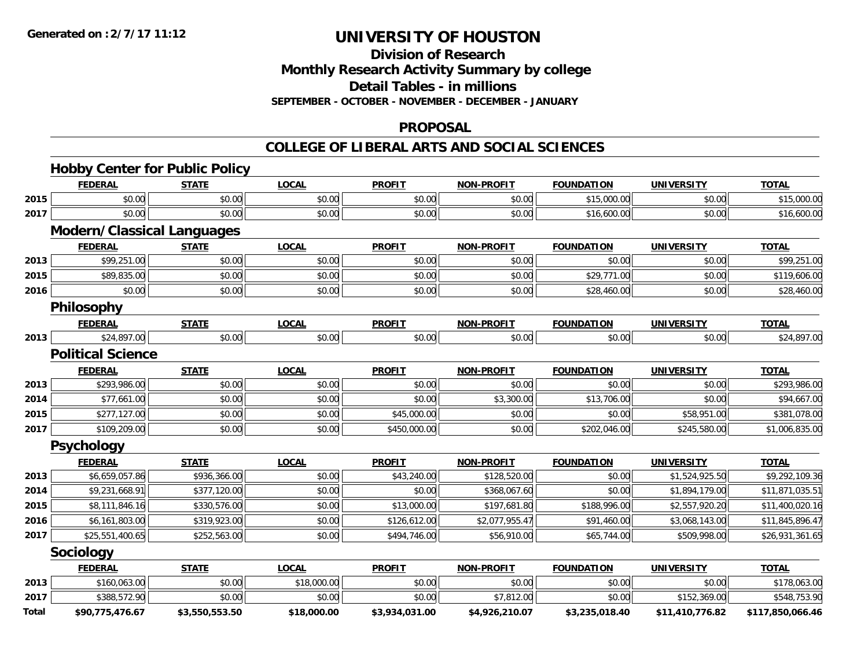**Division of Research**

**Monthly Research Activity Summary by college**

**Detail Tables - in millions**

**SEPTEMBER - OCTOBER - NOVEMBER - DECEMBER - JANUARY**

### **PROPOSAL**

|       | <b>Hobby Center for Public Policy</b> |                |              |                |                   |                   |                   |                  |
|-------|---------------------------------------|----------------|--------------|----------------|-------------------|-------------------|-------------------|------------------|
|       | <b>FEDERAL</b>                        | <b>STATE</b>   | <b>LOCAL</b> | <b>PROFIT</b>  | <b>NON-PROFIT</b> | <b>FOUNDATION</b> | <b>UNIVERSITY</b> | <b>TOTAL</b>     |
| 2015  | \$0.00                                | \$0.00         | \$0.00       | \$0.00         | \$0.00            | \$15,000.00       | \$0.00            | \$15,000.00      |
| 2017  | \$0.00                                | \$0.00         | \$0.00       | \$0.00         | \$0.00            | \$16,600.00       | \$0.00            | \$16,600.00      |
|       | Modern/Classical Languages            |                |              |                |                   |                   |                   |                  |
|       | <b>FEDERAL</b>                        | <b>STATE</b>   | <b>LOCAL</b> | <b>PROFIT</b>  | <b>NON-PROFIT</b> | <b>FOUNDATION</b> | <b>UNIVERSITY</b> | <b>TOTAL</b>     |
| 2013  | \$99,251.00                           | \$0.00         | \$0.00       | \$0.00         | \$0.00            | \$0.00            | \$0.00            | \$99,251.00      |
| 2015  | \$89,835.00                           | \$0.00         | \$0.00       | \$0.00         | \$0.00            | \$29,771.00       | \$0.00            | \$119,606.00     |
| 2016  | \$0.00                                | \$0.00         | \$0.00       | \$0.00         | \$0.00            | \$28,460.00       | \$0.00            | \$28,460.00      |
|       | Philosophy                            |                |              |                |                   |                   |                   |                  |
|       | <b>FEDERAL</b>                        | <b>STATE</b>   | <b>LOCAL</b> | <b>PROFIT</b>  | <b>NON-PROFIT</b> | <b>FOUNDATION</b> | <b>UNIVERSITY</b> | <b>TOTAL</b>     |
| 2013  | \$24,897.00                           | \$0.00         | \$0.00       | \$0.00         | \$0.00            | \$0.00            | \$0.00            | \$24,897.00      |
|       | <b>Political Science</b>              |                |              |                |                   |                   |                   |                  |
|       | <b>FEDERAL</b>                        | <b>STATE</b>   | <b>LOCAL</b> | <b>PROFIT</b>  | <b>NON-PROFIT</b> | <b>FOUNDATION</b> | <b>UNIVERSITY</b> | <b>TOTAL</b>     |
| 2013  | \$293,986.00                          | \$0.00         | \$0.00       | \$0.00         | \$0.00            | \$0.00            | \$0.00            | \$293,986.00     |
| 2014  | \$77,661.00                           | \$0.00         | \$0.00       | \$0.00         | \$3,300.00        | \$13,706.00       | \$0.00            | \$94,667.00      |
| 2015  | \$277,127.00                          | \$0.00         | \$0.00       | \$45,000.00    | \$0.00            | \$0.00            | \$58,951.00       | \$381,078.00     |
| 2017  | \$109,209.00                          | \$0.00         | \$0.00       | \$450,000.00   | \$0.00            | \$202,046.00      | \$245,580.00      | \$1,006,835.00   |
|       | <b>Psychology</b>                     |                |              |                |                   |                   |                   |                  |
|       | <b>FEDERAL</b>                        | <b>STATE</b>   | <b>LOCAL</b> | <b>PROFIT</b>  | <b>NON-PROFIT</b> | <b>FOUNDATION</b> | <b>UNIVERSITY</b> | <b>TOTAL</b>     |
| 2013  | \$6,659,057.86                        | \$936,366.00   | \$0.00       | \$43,240.00    | \$128,520.00      | \$0.00            | \$1,524,925.50    | \$9,292,109.36   |
| 2014  | \$9,231,668.91                        | \$377,120.00   | \$0.00       | \$0.00         | \$368,067.60      | \$0.00            | \$1,894,179.00    | \$11,871,035.51  |
| 2015  | \$8,111,846.16                        | \$330,576.00   | \$0.00       | \$13,000.00    | \$197,681.80      | \$188,996.00      | \$2,557,920.20    | \$11,400,020.16  |
| 2016  | \$6,161,803.00                        | \$319,923.00   | \$0.00       | \$126,612.00   | \$2,077,955.47    | \$91,460.00       | \$3,068,143.00    | \$11,845,896.47  |
| 2017  | \$25,551,400.65                       | \$252,563.00   | \$0.00       | \$494,746.00   | \$56,910.00       | \$65,744.00       | \$509,998.00      | \$26,931,361.65  |
|       | Sociology                             |                |              |                |                   |                   |                   |                  |
|       | <b>FEDERAL</b>                        | <b>STATE</b>   | <b>LOCAL</b> | <b>PROFIT</b>  | <b>NON-PROFIT</b> | <b>FOUNDATION</b> | <b>UNIVERSITY</b> | <b>TOTAL</b>     |
| 2013  | \$160,063.00                          | \$0.00         | \$18,000.00  | \$0.00         | \$0.00            | \$0.00            | \$0.00            | \$178,063.00     |
| 2017  | \$388,572.90                          | \$0.00         | \$0.00       | \$0.00         | \$7,812.00        | \$0.00            | \$152,369.00      | \$548,753.90     |
| Total | \$90,775,476.67                       | \$3,550,553.50 | \$18,000.00  | \$3,934,031.00 | \$4,926,210.07    | \$3,235,018.40    | \$11,410,776.82   | \$117,850,066.46 |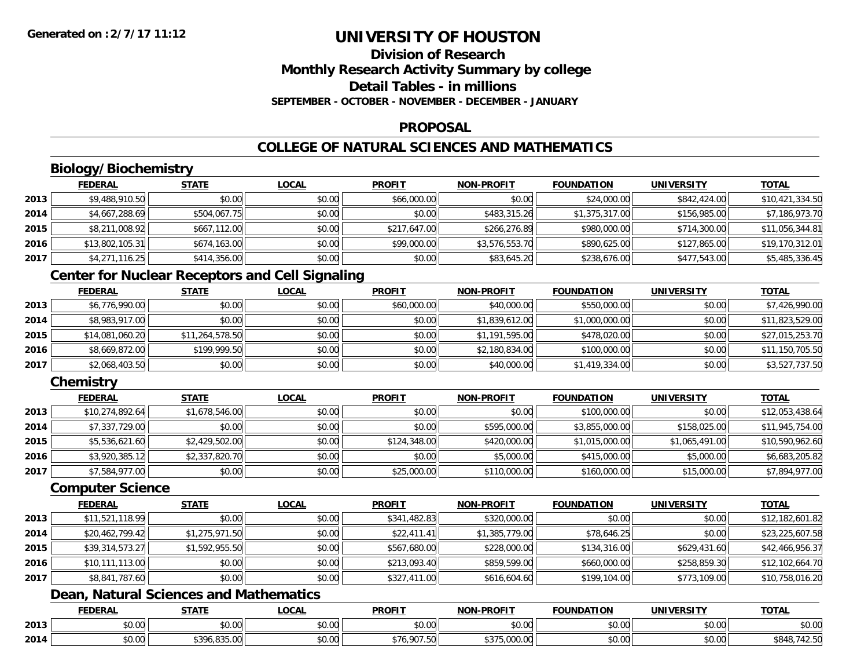## **Division of ResearchMonthly Research Activity Summary by college Detail Tables - in millionsSEPTEMBER - OCTOBER - NOVEMBER - DECEMBER - JANUARY**

### **PROPOSAL**

## **COLLEGE OF NATURAL SCIENCES AND MATHEMATICS**

## **Biology/Biochemistry**

|      | <b>FEDERAL</b>  | <b>STATE</b> | <u>LOCAL</u> | <b>PROFIT</b> | <b>NON-PROFIT</b> | <b>FOUNDATION</b> | UNIVERSITY   | <b>TOTAL</b>    |
|------|-----------------|--------------|--------------|---------------|-------------------|-------------------|--------------|-----------------|
| 2013 | \$9,488,910.50  | \$0.00       | \$0.00       | \$66,000.00   | \$0.00            | \$24,000.00       | \$842,424.00 | \$10,421,334.50 |
| 2014 | \$4,667,288.69  | \$504,067.75 | \$0.00       | \$0.00        | \$483,315.26      | \$1,375,317.00    | \$156,985.00 | \$7,186,973.70  |
| 2015 | \$8,211,008.92  | \$667,112.00 | \$0.00       | \$217,647.00  | \$266,276.89      | \$980,000.00      | \$714,300.00 | \$11,056,344.81 |
| 2016 | \$13,802,105.31 | \$674,163.00 | \$0.00       | \$99,000.00   | \$3,576,553.70    | \$890,625.00      | \$127,865.00 | \$19,170,312.01 |
| 2017 | \$4,271,116.25  | \$414,356.00 | \$0.00       | \$0.00        | \$83,645.20       | \$238,676.00      | \$477,543.00 | \$5,485,336.45  |

## **Center for Nuclear Receptors and Cell Signaling**

|      | <b>FEDERAL</b>  | <b>STATE</b>    | <b>LOCAL</b> | <b>PROFIT</b> | <b>NON-PROFIT</b> | <b>FOUNDATION</b> | <b>UNIVERSITY</b> | <b>TOTAL</b>    |
|------|-----------------|-----------------|--------------|---------------|-------------------|-------------------|-------------------|-----------------|
| 2013 | \$6,776,990.00  | \$0.00          | \$0.00       | \$60,000.00   | \$40,000.00       | \$550,000.00      | \$0.00            | \$7,426,990.00  |
| 2014 | \$8,983,917.00  | \$0.00          | \$0.00       | \$0.00        | \$1,839,612.00    | \$1,000,000.00    | \$0.00            | \$11,823,529.00 |
| 2015 | \$14,081,060.20 | \$11,264,578.50 | \$0.00       | \$0.00        | \$1,191,595.00    | \$478,020.00      | \$0.00            | \$27,015,253.70 |
| 2016 | \$8,669,872.00  | \$199,999.50    | \$0.00       | \$0.00        | \$2,180,834.00    | \$100,000.00      | \$0.00            | \$11,150,705.50 |
| 2017 | \$2,068,403.50  | \$0.00          | \$0.00       | \$0.00        | \$40,000.00       | \$1,419,334.00    | \$0.00            | \$3,527,737.50  |

## **Chemistry**

|      | <b>FEDERAL</b>  | <b>STATE</b>   | <b>LOCAL</b> | <b>PROFIT</b> | <b>NON-PROFIT</b> | <b>FOUNDATION</b> | <b>UNIVERSITY</b> | <b>TOTAL</b>    |
|------|-----------------|----------------|--------------|---------------|-------------------|-------------------|-------------------|-----------------|
| 2013 | \$10,274,892.64 | \$1,678,546.00 | \$0.00       | \$0.00        | \$0.00            | \$100,000.00      | \$0.00            | \$12,053,438.64 |
| 2014 | \$7,337,729.00  | \$0.00         | \$0.00       | \$0.00        | \$595,000.00      | \$3,855,000.00    | \$158,025.00      | \$11,945,754.00 |
| 2015 | \$5,536,621.60  | \$2,429,502.00 | \$0.00       | \$124,348.00  | \$420,000.00      | \$1,015,000.00    | \$1,065,491.00    | \$10,590,962.60 |
| 2016 | \$3,920,385.12  | \$2,337,820.70 | \$0.00       | \$0.00        | \$5,000.00        | \$415,000.00      | \$5,000.00        | \$6,683,205.82  |
| 2017 | \$7,584,977.00  | \$0.00         | \$0.00       | \$25,000.00   | \$110,000.00      | \$160,000.00      | \$15,000.00       | \$7,894,977.00  |

#### **Computer Science**

|      | <b>FEDERAL</b>  | <b>STATE</b>   | <b>LOCAL</b> | <b>PROFIT</b> | <b>NON-PROFIT</b> | <b>FOUNDATION</b> | <b>UNIVERSITY</b> | <u>TOTAL</u>    |
|------|-----------------|----------------|--------------|---------------|-------------------|-------------------|-------------------|-----------------|
| 2013 | \$11,521,118.99 | \$0.00         | \$0.00       | \$341,482.83  | \$320,000.00      | \$0.00            | \$0.00            | \$12,182,601.82 |
| 2014 | \$20,462,799.42 | \$1,275,971.50 | \$0.00       | \$22,411.41   | \$1,385,779.00    | \$78,646.25       | \$0.00            | \$23,225,607.58 |
| 2015 | \$39,314,573.27 | \$1,592,955.50 | \$0.00       | \$567,680.00  | \$228,000.00      | \$134,316.00      | \$629,431.60      | \$42,466,956.37 |
| 2016 | \$10,111,113.00 | \$0.00         | \$0.00       | \$213,093.40  | \$859,599.00      | \$660,000.00      | \$258,859.30      | \$12,102,664.70 |
| 2017 | \$8,841,787.60  | \$0.00         | \$0.00       | \$327,411.00  | \$616,604.60      | \$199,104.00      | \$773,109.00      | \$10,758,016.20 |

## **Dean, Natural Sciences and Mathematics**

|      | <b>FEDERAL</b> | -----             | $\sim$<br>.UCAI        | <b>PROFIT</b>          | <b>LDDOFIT</b><br><b>NON</b>        | TION<br>INDA.                 | JN.                                                   | <b>TOTAL</b>                                          |
|------|----------------|-------------------|------------------------|------------------------|-------------------------------------|-------------------------------|-------------------------------------------------------|-------------------------------------------------------|
| 2013 | $\sim$<br>ט.ט  | $\sim$ 00<br>ט.טע | $\sim$ $\sim$<br>vv.vv | $\sim$ $\sim$<br>DU.UU | 0.00<br>JU.UU                       | $\sim$ $\sim$ $\sim$<br>JU.UU | $\mathfrak{c} \cap \mathfrak{c} \cap$<br><b>DU.UG</b> | $\mathsf{A} \cap \mathsf{A} \cap \mathsf{A}$<br>JU.UU |
| 2014 | pu.uu          | $*20K$<br>. .     | 0000<br>PO.OO          | $F^{n}$                | $\sim$ $\sim$<br>$\cap$<br>a.uuu.uu | JU.UU                         | \$0.00                                                | י ט.⊾⊤                                                |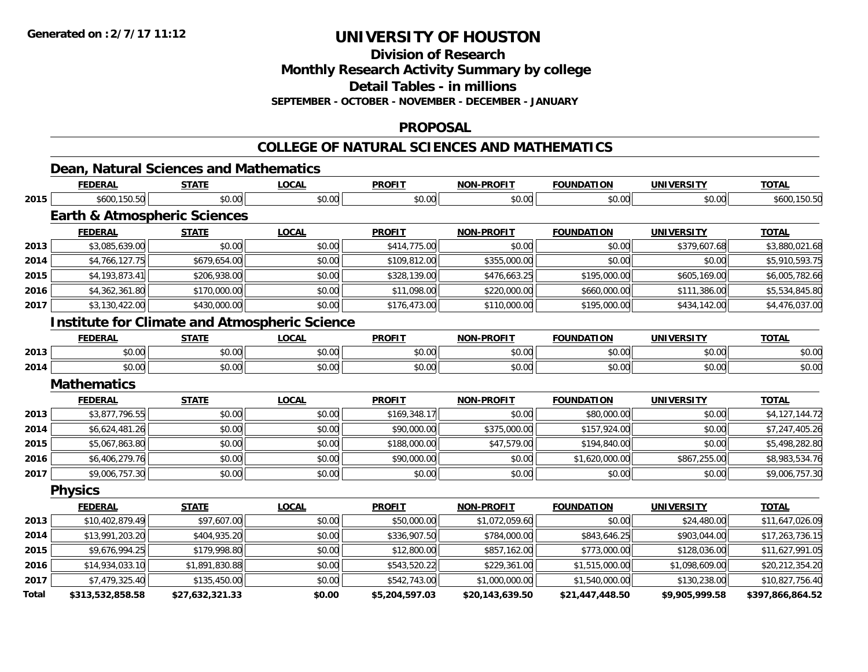**Division of Research**

**Monthly Research Activity Summary by college**

**Detail Tables - in millions**

**SEPTEMBER - OCTOBER - NOVEMBER - DECEMBER - JANUARY**

### **PROPOSAL**

#### **COLLEGE OF NATURAL SCIENCES AND MATHEMATICS**

|--|

|              | <b>FEDERAL</b>                                       | <b>STATE</b>    | <b>LOCAL</b> | <b>PROFIT</b>  | <b>NON-PROFIT</b> | <b>FOUNDATION</b> | <b>UNIVERSITY</b> | <b>TOTAL</b>     |
|--------------|------------------------------------------------------|-----------------|--------------|----------------|-------------------|-------------------|-------------------|------------------|
| 2015         | \$600,150.50                                         | \$0.00          | \$0.00       | \$0.00         | \$0.00            | \$0.00            | \$0.00            | \$600,150.50     |
|              | <b>Earth &amp; Atmospheric Sciences</b>              |                 |              |                |                   |                   |                   |                  |
|              | <b>FEDERAL</b>                                       | <b>STATE</b>    | <b>LOCAL</b> | <b>PROFIT</b>  | <b>NON-PROFIT</b> | <b>FOUNDATION</b> | <b>UNIVERSITY</b> | <b>TOTAL</b>     |
| 2013         | \$3,085,639.00                                       | \$0.00          | \$0.00       | \$414,775.00   | \$0.00            | \$0.00            | \$379,607.68      | \$3,880,021.68   |
| 2014         | \$4,766,127.75                                       | \$679,654.00    | \$0.00       | \$109.812.00   | \$355,000.00      | \$0.00            | \$0.00            | \$5,910,593.75   |
| 2015         | \$4,193,873.41                                       | \$206,938.00    | \$0.00       | \$328,139.00   | \$476,663.25      | \$195,000.00      | \$605,169.00      | \$6,005,782.66   |
| 2016         | \$4,362,361.80                                       | \$170,000.00    | \$0.00       | \$11,098.00    | \$220,000.00      | \$660,000.00      | \$111,386.00      | \$5,534,845.80   |
| 2017         | \$3,130,422.00                                       | \$430,000.00    | \$0.00       | \$176,473.00   | \$110,000.00      | \$195,000.00      | \$434,142.00      | \$4,476,037.00   |
|              | <b>Institute for Climate and Atmospheric Science</b> |                 |              |                |                   |                   |                   |                  |
|              | <b>FEDERAL</b>                                       | <b>STATE</b>    | <b>LOCAL</b> | <b>PROFIT</b>  | <b>NON-PROFIT</b> | <b>FOUNDATION</b> | <b>UNIVERSITY</b> | <b>TOTAL</b>     |
| 2013         | \$0.00                                               | \$0.00          | \$0.00       | \$0.00         | \$0.00            | \$0.00            | \$0.00            | \$0.00           |
| 2014         | \$0.00                                               | \$0.00          | \$0.00       | \$0.00         | \$0.00            | \$0.00            | \$0.00            | \$0.00           |
|              | <b>Mathematics</b>                                   |                 |              |                |                   |                   |                   |                  |
|              | <b>FEDERAL</b>                                       | <b>STATE</b>    | <b>LOCAL</b> | <b>PROFIT</b>  | <b>NON-PROFIT</b> | <b>FOUNDATION</b> | <b>UNIVERSITY</b> | <b>TOTAL</b>     |
| 2013         | \$3,877,796.55                                       | \$0.00          | \$0.00       | \$169,348.17   | \$0.00            | \$80,000.00       | \$0.00            | \$4,127,144.72   |
| 2014         | \$6,624,481.26                                       | \$0.00          | \$0.00       | \$90,000.00    | \$375,000.00      | \$157,924.00      | \$0.00            | \$7,247,405.26   |
| 2015         | \$5,067,863.80                                       | \$0.00          | \$0.00       | \$188,000.00   | \$47,579.00       | \$194,840.00      | \$0.00            | \$5,498,282.80   |
| 2016         | \$6,406,279.76                                       | \$0.00          | \$0.00       | \$90,000.00    | \$0.00            | \$1,620,000.00    | \$867,255.00      | \$8,983,534.76   |
| 2017         | \$9,006,757.30                                       | \$0.00          | \$0.00       | \$0.00         | \$0.00            | \$0.00            | \$0.00            | \$9,006,757.30   |
|              | <b>Physics</b>                                       |                 |              |                |                   |                   |                   |                  |
|              | <b>FEDERAL</b>                                       | <b>STATE</b>    | <b>LOCAL</b> | <b>PROFIT</b>  | <b>NON-PROFIT</b> | <b>FOUNDATION</b> | <b>UNIVERSITY</b> | <b>TOTAL</b>     |
| 2013         | \$10,402,879.49                                      | \$97,607.00     | \$0.00       | \$50,000.00    | \$1,072,059.60    | \$0.00            | \$24,480.00       | \$11,647,026.09  |
| 2014         | \$13,991,203.20                                      | \$404,935.20    | \$0.00       | \$336,907.50   | \$784,000.00      | \$843,646.25      | \$903,044.00      | \$17,263,736.15  |
| 2015         | \$9,676,994.25                                       | \$179,998.80    | \$0.00       | \$12,800.00    | \$857,162.00      | \$773,000.00      | \$128,036.00      | \$11,627,991.05  |
| 2016         | \$14,934,033.10                                      | \$1,891,830.88  | \$0.00       | \$543,520.22   | \$229,361.00      | \$1,515,000.00    | \$1,098,609.00    | \$20,212,354.20  |
| 2017         | \$7,479,325.40                                       | \$135,450.00    | \$0.00       | \$542,743.00   | \$1,000,000.00    | \$1,540,000.00    | \$130,238.00      | \$10,827,756.40  |
| <b>Total</b> | \$313,532,858.58                                     | \$27,632,321.33 | \$0.00       | \$5,204,597.03 | \$20,143,639.50   | \$21,447,448.50   | \$9,905,999.58    | \$397,866,864.52 |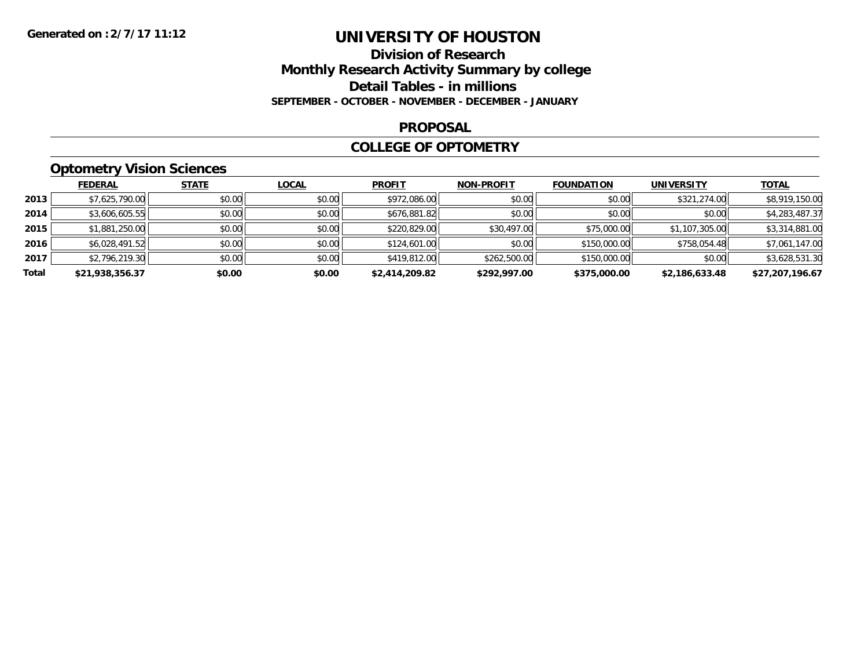## **Division of Research Monthly Research Activity Summary by college Detail Tables - in millions SEPTEMBER - OCTOBER - NOVEMBER - DECEMBER - JANUARY**

#### **PROPOSAL**

### **COLLEGE OF OPTOMETRY**

## **Optometry Vision Sciences**

|       | <b>FEDERAL</b>  | <b>STATE</b> | <b>LOCAL</b> | <b>PROFIT</b>  | <b>NON-PROFIT</b> | <b>FOUNDATION</b> | <b>UNIVERSITY</b> | <b>TOTAL</b>    |
|-------|-----------------|--------------|--------------|----------------|-------------------|-------------------|-------------------|-----------------|
| 2013  | \$7,625,790.00  | \$0.00       | \$0.00       | \$972,086.00   | \$0.00            | \$0.00            | \$321,274.00      | \$8,919,150.00  |
| 2014  | \$3,606,605.55  | \$0.00       | \$0.00       | \$676,881.82   | \$0.00            | \$0.00            | \$0.00            | \$4,283,487.37  |
| 2015  | \$1,881,250.00  | \$0.00       | \$0.00       | \$220,829.00   | \$30,497.00       | \$75,000.00       | \$1,107,305.00    | \$3,314,881.00  |
| 2016  | \$6,028,491.52  | \$0.00       | \$0.00       | \$124,601.00   | \$0.00            | \$150,000.00      | \$758,054.48      | \$7,061,147.00  |
| 2017  | \$2,796,219.30  | \$0.00       | \$0.00       | \$419,812.00   | \$262,500.00      | \$150,000.00      | \$0.00            | \$3,628,531.30  |
| Total | \$21,938,356.37 | \$0.00       | \$0.00       | \$2,414,209.82 | \$292,997.00      | \$375,000.00      | \$2,186,633.48    | \$27,207,196.67 |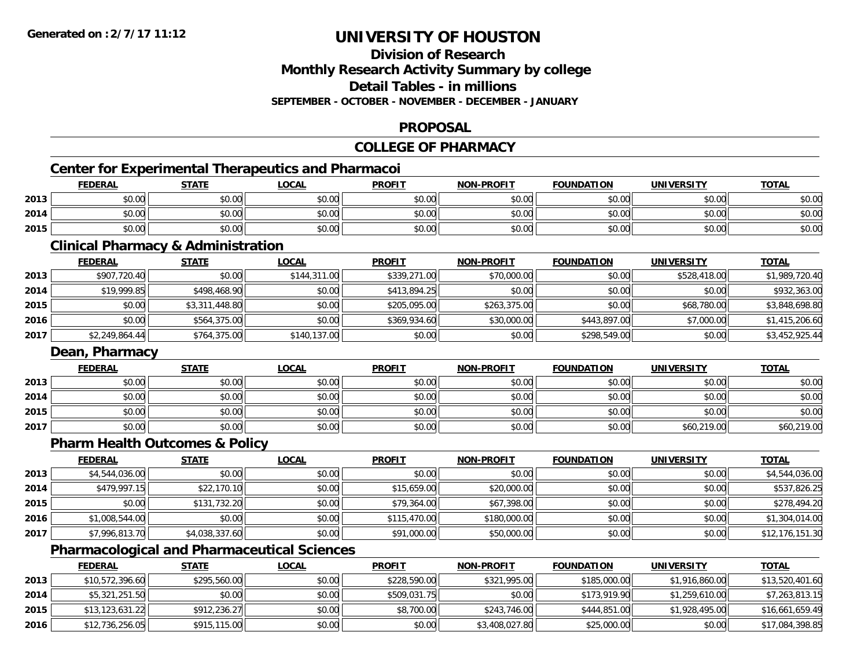### **Division of ResearchMonthly Research Activity Summary by college Detail Tables - in millions**

**SEPTEMBER - OCTOBER - NOVEMBER - DECEMBER - JANUARY**

## **PROPOSAL**

## **COLLEGE OF PHARMACY**

# **Center for Experimental Therapeutics and Pharmacoi**

|      | <b>FEDERAL</b>       | <b>STATE</b> | <b>LOCAL</b> | <b>PROFIT</b> | <b>NON-PROFIT</b> | <b>FOUNDATION</b> | <b>UNIVERSITY</b> | <b>TOTAL</b> |
|------|----------------------|--------------|--------------|---------------|-------------------|-------------------|-------------------|--------------|
| 2013 | 0.00<br>ง∪.∪บ        | \$0.00       | \$0.00       | \$0.00        | \$0.00            | \$0.00            | \$0.00            | \$0.00       |
| 2014 | 0000<br><b>DU.UG</b> | \$0.00       | \$0.00       | \$0.00        | \$0.00            | \$0.00            | \$0.00            | \$0.00       |
| 2015 | \$0.00               | \$0.00       | \$0.00       | \$0.00        | \$0.00            | \$0.00            | \$0.00            | \$0.00       |

<u> 1989 - Johann Barn, mars ann an t-Amhainn an t-Amhainn an t-Amhainn an t-Amhainn an t-Amhainn an t-Amhainn a</u>

## **Clinical Pharmacy & Administration**

|      | <b>FEDERAL</b> | <b>STATE</b>   | <u>LOCAL</u> | <b>PROFIT</b> | <b>NON-PROFIT</b> | <b>FOUNDATION</b> | <b>UNIVERSITY</b> | <b>TOTAL</b>   |
|------|----------------|----------------|--------------|---------------|-------------------|-------------------|-------------------|----------------|
| 2013 | \$907,720.40   | \$0.00         | \$144,311.00 | \$339,271.00  | \$70,000.00       | \$0.00            | \$528,418.00      | \$1,989,720.40 |
| 2014 | \$19,999.85    | \$498,468.90   | \$0.00       | \$413,894.25  | \$0.00            | \$0.00            | \$0.00            | \$932,363.00   |
| 2015 | \$0.00         | \$3,311,448.80 | \$0.00       | \$205,095.00  | \$263,375.00      | \$0.00            | \$68,780.00       | \$3,848,698.80 |
| 2016 | \$0.00         | \$564,375.00   | \$0.00       | \$369,934.60  | \$30,000.00       | \$443,897.00      | \$7,000.00        | \$1,415,206.60 |
| 2017 | \$2,249,864.44 | \$764,375.00   | \$140,137.00 | \$0.00        | \$0.00            | \$298,549.00      | \$0.00            | \$3,452,925.44 |

## **Dean, Pharmacy**

|      | <b>FEDERAL</b> | <b>STATE</b> | <b>LOCAL</b> | <b>PROFIT</b> | <b>NON-PROFIT</b> | <b>FOUNDATION</b> | <b>UNIVERSITY</b> | <b>TOTAL</b> |
|------|----------------|--------------|--------------|---------------|-------------------|-------------------|-------------------|--------------|
| 2013 | \$0.00         | \$0.00       | \$0.00       | \$0.00        | \$0.00            | \$0.00            | \$0.00            | \$0.00       |
| 2014 | \$0.00         | \$0.00       | \$0.00       | \$0.00        | \$0.00            | \$0.00            | \$0.00            | \$0.00       |
| 2015 | \$0.00         | \$0.00       | \$0.00       | \$0.00        | \$0.00            | \$0.00            | \$0.00            | \$0.00       |
| 2017 | \$0.00         | \$0.00       | \$0.00       | \$0.00        | \$0.00            | \$0.00            | \$60,219.00       | \$60,219.00  |

## **Pharm Health Outcomes & Policy**

|      | <b>FEDERAL</b> | <b>STATE</b>   | <b>LOCAL</b> | <b>PROFIT</b> | <b>NON-PROFIT</b> | <b>FOUNDATION</b> | <b>UNIVERSITY</b> | <b>TOTAL</b>    |
|------|----------------|----------------|--------------|---------------|-------------------|-------------------|-------------------|-----------------|
| 2013 | \$4,544,036.00 | \$0.00         | \$0.00       | \$0.00        | \$0.00            | \$0.00            | \$0.00            | \$4,544,036.00  |
| 2014 | \$479,997.15   | \$22,170.10    | \$0.00       | \$15,659.00   | \$20,000.00       | \$0.00            | \$0.00            | \$537,826.25    |
| 2015 | \$0.00         | \$131,732.20   | \$0.00       | \$79,364.00   | \$67,398.00       | \$0.00            | \$0.00            | \$278,494.20    |
| 2016 | \$1,008,544.00 | \$0.00         | \$0.00       | \$115,470.00  | \$180,000.00      | \$0.00            | \$0.00            | \$1,304,014.00  |
| 2017 | \$7,996,813.70 | \$4,038,337.60 | \$0.00       | \$91,000.00   | \$50,000.00       | \$0.00            | \$0.00            | \$12,176,151.30 |

## **Pharmacological and Pharmaceutical Sciences**

|      | <u>FEDERAL</u>  | <b>STATE</b> | <u>LOCAL</u> | <b>PROFIT</b> | <b>NON-PROFIT</b> | <b>FOUNDATION</b> | UNIVERSITY     | <u>TOTAL</u>    |
|------|-----------------|--------------|--------------|---------------|-------------------|-------------------|----------------|-----------------|
| 2013 | \$10,572,396.60 | \$295,560,00 | \$0.00       | \$228,590,00  | \$321,995.00      | \$185,000,00      | \$1,916,860,00 | \$13,520,401.60 |
| 2014 | \$5,321,251.50  | \$0.00       | \$0.00       | \$509,031.75  | \$0.00            | \$173,919.90      | \$1,259,610.00 | \$7,263,813.15  |
| 2015 | \$13,123,631.22 | \$912,236.27 | \$0.00       | \$8,700.00    | \$243,746.00      | \$444,851.00      | \$1,928,495.00 | \$16,661,659.49 |
| 2016 | \$12,736,256.05 | \$915,115,00 | \$0.00       | \$0.00        | \$3,408,027.80    | \$25,000.00       | \$0.00         | \$17,084,398.85 |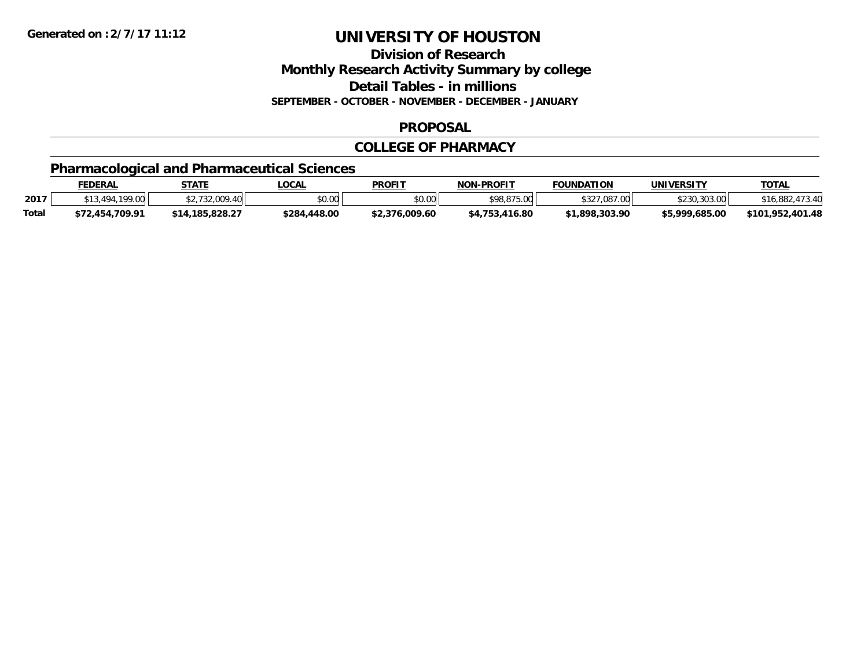**Division of Research**

**Monthly Research Activity Summary by college**

**Detail Tables - in millions**

**SEPTEMBER - OCTOBER - NOVEMBER - DECEMBER - JANUARY**

### **PROPOSAL**

### **COLLEGE OF PHARMACY**

## **Pharmacological and Pharmaceutical Sciences**

|       | <b>FEDERAL</b>                          | `TΔTF           | LOCAL             | <b>PROFIT</b>  | <b>NON-PROFIT</b>  | FOUNDATION        | UNIVERSITY     | <b>TOTAL</b>          |
|-------|-----------------------------------------|-----------------|-------------------|----------------|--------------------|-------------------|----------------|-----------------------|
| 2017  | $\cdot$ 100 nn<br>$\Lambda$ Q $\Lambda$ | 0.00<br>-40     | \$0.00            | ደስ ሰስ<br>vv.vv | \$98,875.00        | $*227021$<br>7.00 | +230 303 001   | 473.40<br>\$16,882    |
| Total | \$72,454,709.91                         | \$14.185.828.27 | 448.00.<br>\$284. | \$2,376,009.60 | .416.80<br>\$4,753 | \$1.898.303.90    | \$5.999.685.00 | .401.48<br>\$101,952, |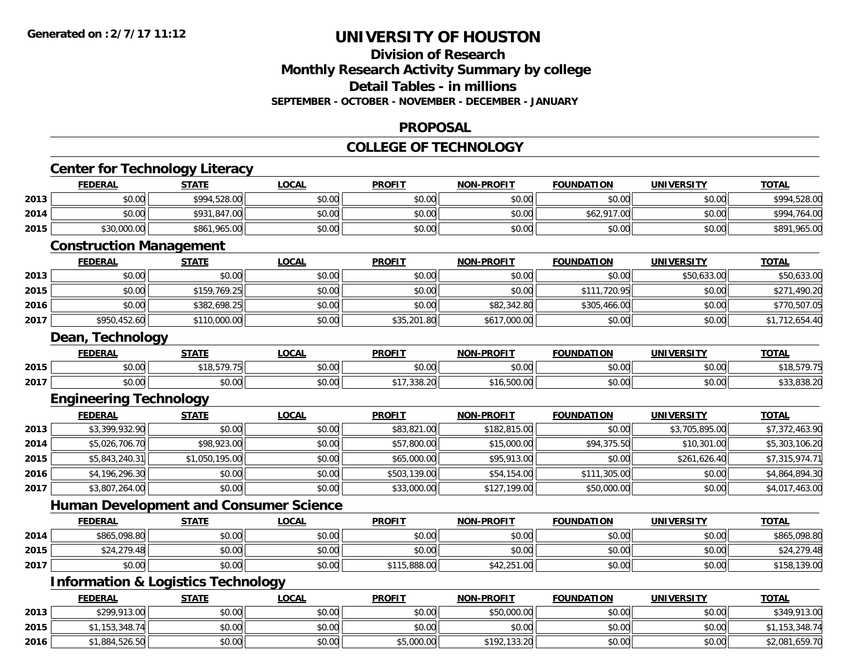## **Division of ResearchMonthly Research Activity Summary by college Detail Tables - in millions SEPTEMBER - OCTOBER - NOVEMBER - DECEMBER - JANUARY**

#### **PROPOSAL**

#### **COLLEGE OF TECHNOLOGY**

|                                      | <b>Center for Technology Literacy</b><br><b>FEDERAL</b> | <b>STATE</b>   | <b>LOCAL</b> | <b>PROFIT</b> | <b>NON-PROFIT</b> | <b>FOUNDATION</b> | <b>UNIVERSITY</b> | <b>TOTAL</b>                  |
|--------------------------------------|---------------------------------------------------------|----------------|--------------|---------------|-------------------|-------------------|-------------------|-------------------------------|
|                                      |                                                         |                |              |               |                   |                   |                   |                               |
| 2013                                 | \$0.00                                                  | \$994,528.00   | \$0.00       | \$0.00        | \$0.00            | \$0.00            | \$0.00            | \$994,528.00                  |
| 2014                                 | \$0.00                                                  | \$931,847.00   | \$0.00       | \$0.00        | \$0.00            | \$62,917.00       | \$0.00            | \$994,764.00                  |
| 2015                                 | \$30,000.00                                             | \$861,965.00   | \$0.00       | \$0.00        | \$0.00            | \$0.00            | \$0.00            | \$891,965.00                  |
|                                      | <b>Construction Management</b>                          |                |              |               |                   |                   |                   |                               |
|                                      | <b>FEDERAL</b>                                          | <b>STATE</b>   | <b>LOCAL</b> | <b>PROFIT</b> | <b>NON-PROFIT</b> | <b>FOUNDATION</b> | <b>UNIVERSITY</b> | <b>TOTAL</b>                  |
| 2013                                 | \$0.00                                                  | \$0.00         | \$0.00       | \$0.00        | \$0.00            | \$0.00            | \$50,633.00       | \$50,633.00                   |
| 2015                                 | \$0.00                                                  | \$159,769.25   | \$0.00       | \$0.00        | \$0.00            | \$111,720.95      | \$0.00            | \$271,490.20                  |
| 2016                                 | \$0.00                                                  | \$382,698.25   | \$0.00       | \$0.00        | \$82,342.80       | \$305,466.00      | \$0.00            | \$770,507.05                  |
| 2017                                 | \$950,452.60                                            | \$110,000.00   | \$0.00       | \$35,201.80   | \$617,000.00      | \$0.00            | \$0.00            | \$1,712,654.40                |
|                                      | Dean, Technology                                        |                |              |               |                   |                   |                   |                               |
|                                      | <b>FEDERAL</b>                                          | <b>STATE</b>   | <b>LOCAL</b> | <b>PROFIT</b> | <b>NON-PROFIT</b> | <b>FOUNDATION</b> | <b>UNIVERSITY</b> | <b>TOTAL</b>                  |
| 2015                                 | \$0.00                                                  | \$18,579.75    | \$0.00       | \$0.00        | \$0.00            | \$0.00            | \$0.00            | \$18,579.75                   |
| 2017                                 | \$0.00                                                  | \$0.00         | \$0.00       | \$17,338.20   | \$16,500.00       | \$0.00            | \$0.00            | \$33,838.20                   |
|                                      | <b>Engineering Technology</b>                           |                |              |               |                   |                   |                   |                               |
|                                      | <b>FEDERAL</b>                                          | <b>STATE</b>   | <b>LOCAL</b> | <b>PROFIT</b> | <b>NON-PROFIT</b> | <b>FOUNDATION</b> | <b>UNIVERSITY</b> | <b>TOTAL</b>                  |
| 2013                                 | \$3,399,932.90                                          | \$0.00         | \$0.00       | \$83,821.00   | \$182,815.00      | \$0.00            | \$3,705,895.00    | \$7,372,463.90                |
| 2014                                 | \$5,026,706.70                                          | \$98,923.00    | \$0.00       | \$57,800.00   | \$15,000.00       | \$94,375.50       | \$10,301.00       | \$5,303,106.20                |
| 2015                                 | \$5,843,240.31                                          | \$1,050,195.00 | \$0.00       | \$65,000.00   | \$95,913.00       | \$0.00            | \$261,626.40      | \$7,315,974.71                |
| 2016                                 | \$4,196,296.30                                          | \$0.00         | \$0.00       | \$503,139.00  | \$54,154.00       | \$111,305.00      | \$0.00            | \$4,864,894.30                |
| 2017                                 | \$3,807,264.00                                          | \$0.00         | \$0.00       | \$33,000.00   | \$127,199.00      | \$50,000.00       | \$0.00            | \$4,017,463.00                |
|                                      | <b>Human Development and Consumer Science</b>           |                |              |               |                   |                   |                   |                               |
|                                      |                                                         |                |              |               | <b>NON-PROFIT</b> | <b>FOUNDATION</b> | <b>UNIVERSITY</b> | <b>TOTAL</b>                  |
|                                      | <b>FEDERAL</b>                                          | <b>STATE</b>   | <b>LOCAL</b> | <b>PROFIT</b> |                   |                   |                   |                               |
|                                      | \$865,098.80                                            | \$0.00         | \$0.00       | \$0.00        | \$0.00            | \$0.00            | \$0.00            | \$865,098.80                  |
|                                      | \$24,279.48                                             | \$0.00         | \$0.00       | \$0.00        | \$0.00            | \$0.00            | \$0.00            |                               |
|                                      | \$0.00                                                  | \$0.00         | \$0.00       | \$115,888.00  | \$42,251.00       | \$0.00            | \$0.00            | \$158,139.00                  |
|                                      | <b>Information &amp; Logistics Technology</b>           |                |              |               |                   |                   |                   |                               |
|                                      | <b>FEDERAL</b>                                          | <b>STATE</b>   | <b>LOCAL</b> | <b>PROFIT</b> | <b>NON-PROFIT</b> | <b>FOUNDATION</b> | <b>UNIVERSITY</b> | <b>TOTAL</b>                  |
|                                      | \$299,913.00                                            | \$0.00         | \$0.00       | \$0.00        | \$50,000.00       | \$0.00            | \$0.00            | \$349,913.00                  |
| 2014<br>2015<br>2017<br>2013<br>2015 | \$1,153,348.74                                          | \$0.00         | \$0.00       | \$0.00        | \$0.00            | \$0.00            | \$0.00            | \$24,279.48<br>\$1,153,348.74 |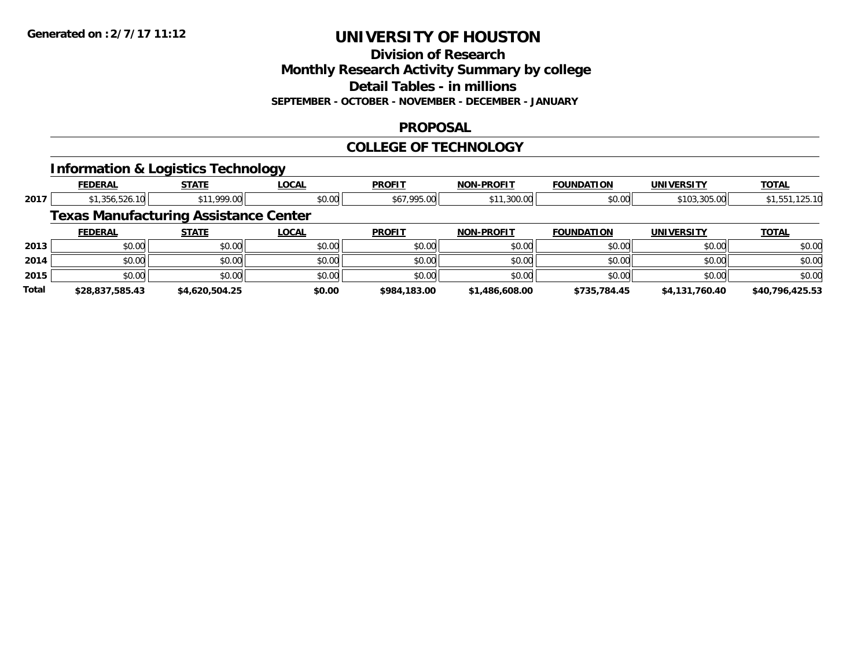**Division of Research**

**Monthly Research Activity Summary by college**

**Detail Tables - in millions**

**SEPTEMBER - OCTOBER - NOVEMBER - DECEMBER - JANUARY**

### **PROPOSAL**

### **COLLEGE OF TECHNOLOGY**

## **Information & Logistics Technology**

|       |                                              |                | --           |               |                   |                   |                   |                 |
|-------|----------------------------------------------|----------------|--------------|---------------|-------------------|-------------------|-------------------|-----------------|
|       | <b>FEDERAL</b>                               | <b>STATE</b>   | <b>LOCAL</b> | <b>PROFIT</b> | <b>NON-PROFIT</b> | <b>FOUNDATION</b> | <b>UNIVERSITY</b> | <b>TOTAL</b>    |
| 2017  | \$1,356,526.10                               | \$11,999.00    | \$0.00       | \$67,995.00   | \$11,300.00       | \$0.00            | \$103,305.00      | \$1,551,125.10  |
|       | <b>Texas Manufacturing Assistance Center</b> |                |              |               |                   |                   |                   |                 |
|       | <b>FEDERAL</b>                               | <b>STATE</b>   | <b>LOCAL</b> | <b>PROFIT</b> | <b>NON-PROFIT</b> | <b>FOUNDATION</b> | <b>UNIVERSITY</b> | <b>TOTAL</b>    |
| 2013  | \$0.00                                       | \$0.00         | \$0.00       | \$0.00        | \$0.00            | \$0.00            | \$0.00            | \$0.00          |
| 2014  | \$0.00                                       | \$0.00         | \$0.00       | \$0.00        | \$0.00            | \$0.00            | \$0.00            | \$0.00          |
| 2015  | \$0.00                                       | \$0.00         | \$0.00       | \$0.00        | \$0.00            | \$0.00            | \$0.00            | \$0.00          |
| Total | \$28,837,585.43                              | \$4,620,504.25 | \$0.00       | \$984,183,00  | \$1,486,608.00    | \$735,784.45      | \$4,131,760.40    | \$40,796,425.53 |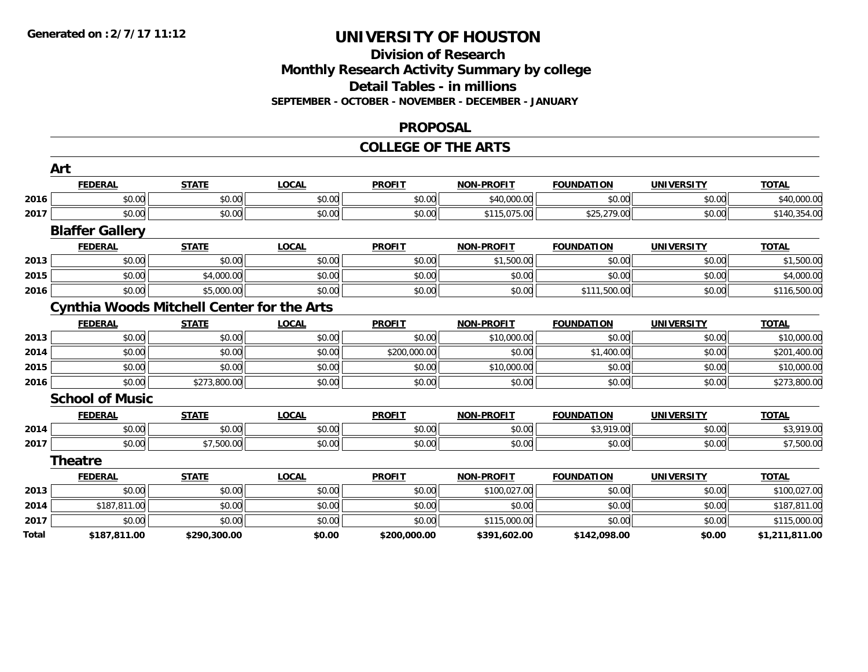### **Division of Research Monthly Research Activity Summary by college Detail Tables - in millions SEPTEMBER - OCTOBER - NOVEMBER - DECEMBER - JANUARY**

#### **PROPOSAL**

#### **COLLEGE OF THE ARTS**

|       | Art                    |                                                   |              |               |                   |                   |                   |                |
|-------|------------------------|---------------------------------------------------|--------------|---------------|-------------------|-------------------|-------------------|----------------|
|       | <b>FEDERAL</b>         | <b>STATE</b>                                      | <b>LOCAL</b> | <b>PROFIT</b> | <b>NON-PROFIT</b> | <b>FOUNDATION</b> | <b>UNIVERSITY</b> | <b>TOTAL</b>   |
| 2016  | \$0.00                 | \$0.00                                            | \$0.00       | \$0.00        | \$40,000.00       | \$0.00            | \$0.00            | \$40,000.00    |
| 2017  | \$0.00                 | \$0.00                                            | \$0.00       | \$0.00        | \$115,075.00      | \$25,279.00       | \$0.00            | \$140,354.00   |
|       | <b>Blaffer Gallery</b> |                                                   |              |               |                   |                   |                   |                |
|       | <b>FEDERAL</b>         | <b>STATE</b>                                      | <b>LOCAL</b> | <b>PROFIT</b> | <b>NON-PROFIT</b> | <b>FOUNDATION</b> | <b>UNIVERSITY</b> | <b>TOTAL</b>   |
| 2013  | \$0.00                 | \$0.00                                            | \$0.00       | \$0.00        | \$1,500.00        | \$0.00            | \$0.00            | \$1,500.00     |
| 2015  | \$0.00                 | \$4,000.00                                        | \$0.00       | \$0.00        | \$0.00            | \$0.00            | \$0.00            | \$4,000.00     |
| 2016  | \$0.00                 | \$5,000.00                                        | \$0.00       | \$0.00        | \$0.00            | \$111,500.00      | \$0.00            | \$116,500.00   |
|       |                        | <b>Cynthia Woods Mitchell Center for the Arts</b> |              |               |                   |                   |                   |                |
|       | <b>FEDERAL</b>         | <b>STATE</b>                                      | <b>LOCAL</b> | <b>PROFIT</b> | <b>NON-PROFIT</b> | <b>FOUNDATION</b> | <b>UNIVERSITY</b> | <b>TOTAL</b>   |
| 2013  | \$0.00                 | \$0.00                                            | \$0.00       | \$0.00        | \$10,000.00       | \$0.00            | \$0.00            | \$10,000.00    |
| 2014  | \$0.00                 | \$0.00                                            | \$0.00       | \$200,000.00  | \$0.00            | \$1,400.00        | \$0.00            | \$201,400.00   |
| 2015  | \$0.00                 | \$0.00                                            | \$0.00       | \$0.00        | \$10,000.00       | \$0.00            | \$0.00            | \$10,000.00    |
| 2016  | \$0.00                 | \$273,800.00                                      | \$0.00       | \$0.00        | \$0.00            | \$0.00            | \$0.00            | \$273,800.00   |
|       | <b>School of Music</b> |                                                   |              |               |                   |                   |                   |                |
|       | <b>FEDERAL</b>         | <b>STATE</b>                                      | <b>LOCAL</b> | <b>PROFIT</b> | <b>NON-PROFIT</b> | <b>FOUNDATION</b> | <b>UNIVERSITY</b> | <b>TOTAL</b>   |
| 2014  | \$0.00                 | \$0.00                                            | \$0.00       | \$0.00        | \$0.00            | \$3,919.00        | \$0.00            | \$3,919.00     |
| 2017  | \$0.00                 | \$7,500.00                                        | \$0.00       | \$0.00        | \$0.00            | \$0.00            | \$0.00            | \$7,500.00     |
|       | <b>Theatre</b>         |                                                   |              |               |                   |                   |                   |                |
|       | <b>FEDERAL</b>         | <b>STATE</b>                                      | <b>LOCAL</b> | <b>PROFIT</b> | <b>NON-PROFIT</b> | <b>FOUNDATION</b> | <b>UNIVERSITY</b> | <b>TOTAL</b>   |
| 2013  | \$0.00                 | \$0.00                                            | \$0.00       | \$0.00        | \$100,027.00      | \$0.00            | \$0.00            | \$100,027.00   |
| 2014  | \$187,811.00           | \$0.00                                            | \$0.00       | \$0.00        | \$0.00            | \$0.00            | \$0.00            | \$187,811.00   |
| 2017  | \$0.00                 | \$0.00                                            | \$0.00       | \$0.00        | \$115,000.00      | \$0.00            | \$0.00            | \$115,000.00   |
| Total | \$187,811.00           | \$290,300.00                                      | \$0.00       | \$200,000.00  | \$391,602.00      | \$142,098.00      | \$0.00            | \$1,211,811.00 |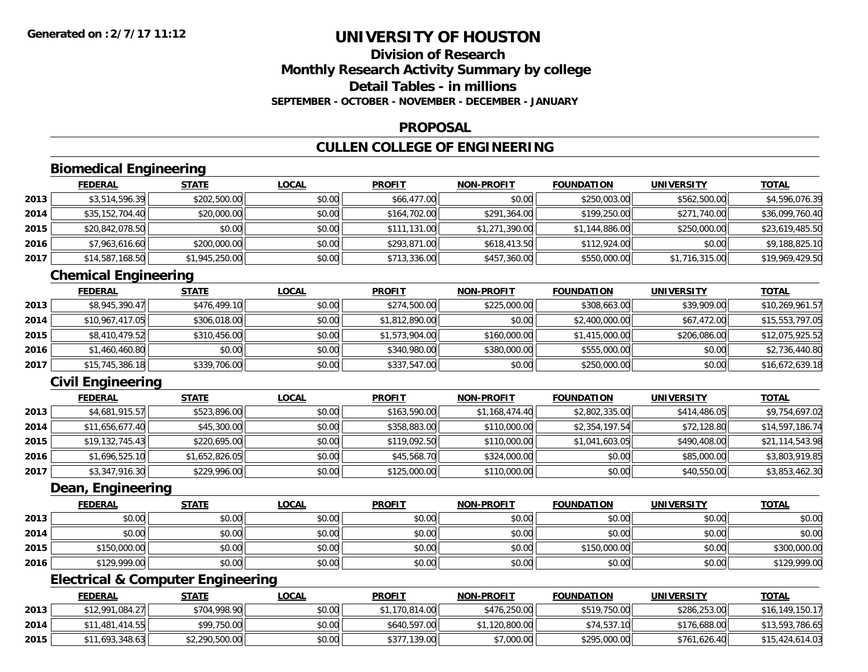## **Division of ResearchMonthly Research Activity Summary by college Detail Tables - in millionsSEPTEMBER - OCTOBER - NOVEMBER - DECEMBER - JANUARY**

#### **PROPOSAL**

## **CULLEN COLLEGE OF ENGINEERING**

## **Biomedical Engineering**

|      | <b>FEDERAL</b>  | <b>STATE</b>   | <b>LOCAL</b> | <b>PROFIT</b> | <b>NON-PROFIT</b> | <b>FOUNDATION</b> | <b>UNIVERSITY</b> | <b>TOTAL</b>    |
|------|-----------------|----------------|--------------|---------------|-------------------|-------------------|-------------------|-----------------|
| 2013 | \$3,514,596.39  | \$202,500.00   | \$0.00       | \$66,477.00   | \$0.00            | \$250,003.00      | \$562,500.00      | \$4,596,076.39  |
| 2014 | \$35,152,704.40 | \$20,000.00    | \$0.00       | \$164,702.00  | \$291,364.00      | \$199,250.00      | \$271,740.00      | \$36,099,760.40 |
| 2015 | \$20,842,078.50 | \$0.00         | \$0.00       | \$111,131.00  | \$1,271,390.00    | \$1,144,886.00    | \$250,000.00      | \$23,619,485.50 |
| 2016 | \$7,963,616.60  | \$200,000.00   | \$0.00       | \$293,871.00  | \$618,413.50      | \$112,924.00      | \$0.00            | \$9,188,825.10  |
| 2017 | \$14,587,168.50 | \$1,945,250.00 | \$0.00       | \$713,336.00  | \$457,360.00      | \$550,000.00      | \$1,716,315.00    | \$19,969,429.50 |

## **Chemical Engineering**

|      | <b>FEDERAL</b>  | <b>STATE</b> | <b>LOCAL</b> | <b>PROFIT</b>  | <b>NON-PROFIT</b> | <b>FOUNDATION</b> | <b>UNIVERSITY</b> | <b>TOTAL</b>    |
|------|-----------------|--------------|--------------|----------------|-------------------|-------------------|-------------------|-----------------|
| 2013 | \$8,945,390.47  | \$476,499.10 | \$0.00       | \$274,500.00   | \$225,000.00      | \$308,663.00      | \$39,909.00       | \$10,269,961.57 |
| 2014 | \$10,967,417.05 | \$306,018.00 | \$0.00       | \$1,812,890.00 | \$0.00            | \$2,400,000.00    | \$67,472.00       | \$15,553,797.05 |
| 2015 | \$8,410,479.52  | \$310,456.00 | \$0.00       | \$1,573,904.00 | \$160,000.00      | \$1,415,000.00    | \$206,086.00      | \$12,075,925.52 |
| 2016 | \$1,460,460.80  | \$0.00       | \$0.00       | \$340,980.00   | \$380,000.00      | \$555,000.00      | \$0.00            | \$2,736,440.80  |
| 2017 | \$15,745,386.18 | \$339,706.00 | \$0.00       | \$337,547.00   | \$0.00            | \$250,000.00      | \$0.00            | \$16,672,639.18 |

## **Civil Engineering**

|      | <b>FEDERAL</b>  | <b>STATE</b>   | <b>LOCAL</b> | <b>PROFIT</b> | <b>NON-PROFIT</b> | <b>FOUNDATION</b> | <b>UNIVERSITY</b> | <b>TOTAL</b>    |
|------|-----------------|----------------|--------------|---------------|-------------------|-------------------|-------------------|-----------------|
| 2013 | \$4,681,915.57  | \$523,896.00   | \$0.00       | \$163,590.00  | \$1,168,474.40    | \$2,802,335.00    | \$414,486.05      | \$9,754,697.02  |
| 2014 | \$11,656,677.40 | \$45,300.00    | \$0.00       | \$358,883.00  | \$110,000.00      | \$2,354,197.54    | \$72,128.80       | \$14,597,186.74 |
| 2015 | \$19,132,745.43 | \$220,695.00   | \$0.00       | \$119,092.50  | \$110,000.00      | \$1,041,603.05    | \$490,408.00      | \$21,114,543.98 |
| 2016 | \$1,696,525.10  | \$1,652,826.05 | \$0.00       | \$45,568.70   | \$324,000.00      | \$0.00            | \$85,000.00       | \$3,803,919.85  |
| 2017 | \$3,347,916.30  | \$229,996.00   | \$0.00       | \$125,000.00  | \$110,000.00      | \$0.00            | \$40,550.00       | \$3,853,462.30  |

### **Dean, Engineering**

|      | <b>FEDERAL</b> | <b>STATE</b> | <u>LOCAL</u> | <b>PROFIT</b> | <b>NON-PROFIT</b> | <b>FOUNDATION</b> | UNIVERSITY | <b>TOTAL</b> |
|------|----------------|--------------|--------------|---------------|-------------------|-------------------|------------|--------------|
| 2013 | \$0.00         | \$0.00       | \$0.00       | \$0.00        | \$0.00            | \$0.00            | \$0.00     | \$0.00       |
| 2014 | \$0.00         | \$0.00       | \$0.00       | \$0.00        | \$0.00            | \$0.00            | \$0.00     | \$0.00       |
| 2015 | \$150,000.00   | \$0.00       | \$0.00       | \$0.00        | \$0.00            | \$150,000.00      | \$0.00     | \$300,000.00 |
| 2016 | \$129,999.00   | \$0.00       | \$0.00       | \$0.00        | \$0.00            | \$0.00            | \$0.00     | \$129,999.00 |

## **Electrical & Computer Engineering**

|      | <b>FEDERAL</b>  | <u>STATE</u>   | <u>LOCAL</u> | <b>PROFIT</b>  | <b>NON-PROFIT</b> | <b>FOUNDATION</b> | <b>UNIVERSITY</b> | <b>TOTAL</b>    |
|------|-----------------|----------------|--------------|----------------|-------------------|-------------------|-------------------|-----------------|
| 2013 | \$12,991,084.27 | \$704,998.90   | \$0.00       | \$1,170,814.00 | \$476,250.00      | \$519,750.00      | \$286,253,00      | \$16,149,150.17 |
| 2014 | \$11,481,414.55 | \$99,750.00    | \$0.00       | \$640,597.00   | \$1,120,800.00    | \$74,537.10       | \$176,688.00      | \$13,593,786.65 |
| 2015 | \$11,693,348.63 | \$2,290,500.00 | \$0.00       | \$377,139.00   | \$7,000.00        | \$295,000.00      | \$761,626.40      | \$15,424,614.03 |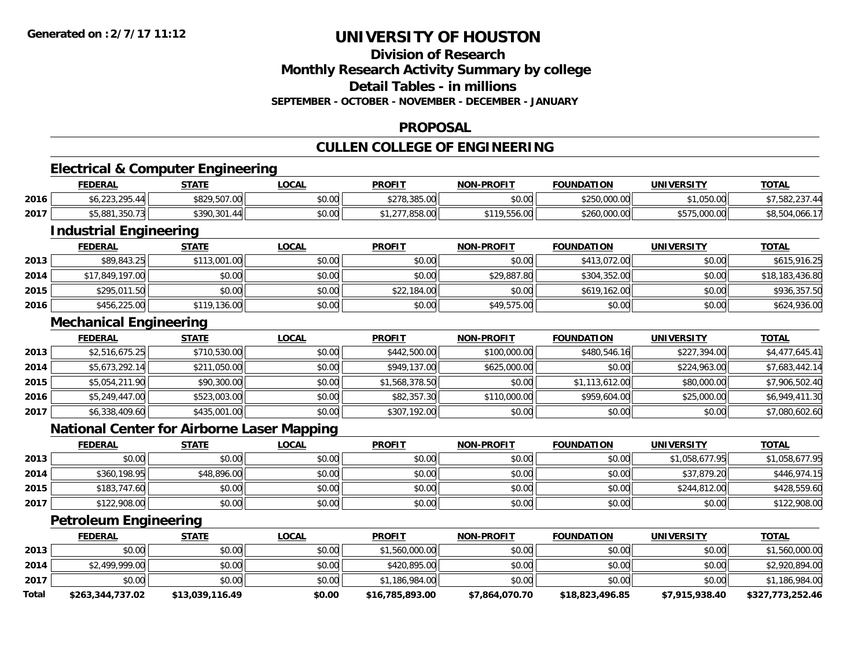### **Division of ResearchMonthly Research Activity Summary by college Detail Tables - in millionsSEPTEMBER - OCTOBER - NOVEMBER - DECEMBER - JANUARY**

### **PROPOSAL**

## **CULLEN COLLEGE OF ENGINEERING**

## **Electrical & Computer Engineering**

|      | <b>FEDERAL</b> | <b>STATE</b> | <u>LOCAL</u> | <b>PROFIT</b>                                  | <b>NON-PROFIT</b> | <b>FOUNDATION</b> | UNIVERSITY   | <b>TOTAL</b>   |
|------|----------------|--------------|--------------|------------------------------------------------|-------------------|-------------------|--------------|----------------|
| 2016 | <b>223 205</b> | \$829,507.00 | \$0.00       | 0.770, 205, 00<br>7270.303.UU                  | \$0.00            | \$250,000.00      | \$1,050.00   | \$7,582,237.   |
| 2017 | \$5,881,350.73 | \$390.301.44 | \$0.00       | $ \sim$ $\sim$ $\sim$ $\sim$ $\sim$<br>,838.UU | $\sim$<br>,556.UU | \$260,000.00      | \$575,000.00 | \$8,504,066.17 |

<u> 1989 - Andrea Barbara, amerikana amerikana amerikana amerikana amerikana amerikana amerikana amerikana amerika</u>

## **Industrial Engineering**

|      | <b>FEDERAL</b>  | <b>STATE</b> | <u>LOCAL</u> | <b>PROFIT</b> | <b>NON-PROFIT</b> | <b>FOUNDATION</b> | UNIVERSITY | <b>TOTAL</b>    |
|------|-----------------|--------------|--------------|---------------|-------------------|-------------------|------------|-----------------|
| 2013 | \$89,843.25     | \$113,001.00 | \$0.00       | \$0.00        | \$0.00            | \$413,072.00      | \$0.00     | \$615,916.25    |
| 2014 | \$17,849,197.00 | \$0.00       | \$0.00       | \$0.00        | \$29,887.80       | \$304,352.00      | \$0.00     | \$18,183,436.80 |
| 2015 | \$295,011.50    | \$0.00       | \$0.00       | \$22,184.00   | \$0.00            | \$619,162.00      | \$0.00     | \$936,357.50    |
| 2016 | \$456,225.00    | \$119,136.00 | \$0.00       | \$0.00        | \$49,575.00       | \$0.00            | \$0.00     | \$624,936.00    |

### **Mechanical Engineering**

|      | <b>FEDERAL</b> | <u>STATE</u> | <b>LOCAL</b> | <b>PROFIT</b>  | <b>NON-PROFIT</b> | <b>FOUNDATION</b> | <b>UNIVERSITY</b> | <b>TOTAL</b>   |
|------|----------------|--------------|--------------|----------------|-------------------|-------------------|-------------------|----------------|
| 2013 | \$2,516,675.25 | \$710,530.00 | \$0.00       | \$442,500.00   | \$100,000,00      | \$480,546.16      | \$227,394.00      | \$4,477,645.41 |
| 2014 | \$5,673,292.14 | \$211,050.00 | \$0.00       | \$949,137,00   | \$625,000.00      | \$0.00            | \$224,963.00      | \$7,683,442.14 |
| 2015 | \$5,054,211.90 | \$90,300.00  | \$0.00       | \$1,568,378.50 | \$0.00            | \$1,113,612.00    | \$80,000.00       | \$7,906,502.40 |
| 2016 | \$5,249,447.00 | \$523,003.00 | \$0.00       | \$82,357.30    | \$110,000.00      | \$959,604.00      | \$25,000.00       | \$6,949,411.30 |
| 2017 | \$6,338,409.60 | \$435,001.00 | \$0.00       | \$307,192.00   | \$0.00            | \$0.00            | \$0.00            | \$7,080,602.60 |

## **National Center for Airborne Laser Mapping**

|      | <b>FEDERAL</b> | <b>STATE</b> | <u>LOCAL</u> | <b>PROFIT</b> | <b>NON-PROFIT</b> | <b>FOUNDATION</b> | <b>UNIVERSITY</b> | <b>TOTAL</b>   |
|------|----------------|--------------|--------------|---------------|-------------------|-------------------|-------------------|----------------|
| 2013 | \$0.00         | \$0.00       | \$0.00       | \$0.00        | \$0.00            | \$0.00            | \$1,058,677.95    | \$1,058,677.95 |
| 2014 | \$360,198.95   | \$48,896.00  | \$0.00       | \$0.00        | \$0.00            | \$0.00            | \$37,879.20       | \$446,974.15   |
| 2015 | \$183,747.60   | \$0.00       | \$0.00       | \$0.00        | \$0.00            | \$0.00            | \$244,812.00      | \$428,559.60   |
| 2017 | \$122,908.00   | \$0.00       | \$0.00       | \$0.00        | \$0.00            | \$0.00            | \$0.00            | \$122,908.00   |

## **Petroleum Engineering**

|       | <b>FEDERAL</b>   | <b>STATE</b>    | <u>LOCAL</u> | <b>PROFIT</b>   | <b>NON-PROFIT</b> | <b>FOUNDATION</b> | UNIVERSITY     | <b>TOTAL</b>     |
|-------|------------------|-----------------|--------------|-----------------|-------------------|-------------------|----------------|------------------|
| 2013  | \$0.00           | \$0.00          | \$0.00       | \$1,560,000.00  | \$0.00            | \$0.00            | \$0.00         | \$1,560,000.00   |
| 2014  | \$2,499,999.00   | \$0.00          | \$0.00       | \$420,895.00    | \$0.00            | \$0.00            | \$0.00         | \$2,920,894.00   |
| 2017  | \$0.00           | \$0.00          | \$0.00       | \$1,186,984.00  | \$0.00            | \$0.00            | \$0.00         | \$1,186,984.00   |
| Total | \$263,344,737.02 | \$13,039,116.49 | \$0.00       | \$16,785,893.00 | \$7,864,070.70    | \$18,823,496.85   | \$7,915,938.40 | \$327,773,252.46 |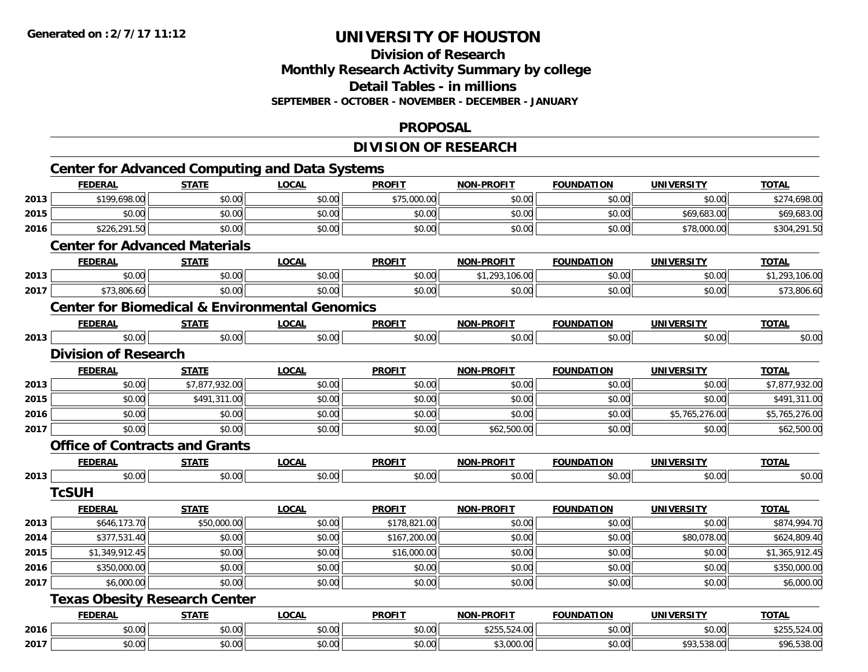## **Division of ResearchMonthly Research Activity Summary by college Detail Tables - in millions SEPTEMBER - OCTOBER - NOVEMBER - DECEMBER - JANUARY**

#### **PROPOSAL**

## **DIVISION OF RESEARCH**

|      | <b>FEDERAL</b>              | <b>STATE</b>                          | <b>LOCAL</b>                                              | <b>PROFIT</b> | <b>NON-PROFIT</b> | <b>FOUNDATION</b> | <b>UNIVERSITY</b> | <b>TOTAL</b>   |
|------|-----------------------------|---------------------------------------|-----------------------------------------------------------|---------------|-------------------|-------------------|-------------------|----------------|
| 2013 | \$199,698.00                | \$0.00                                | \$0.00                                                    | \$75,000.00   | \$0.00            | \$0.00            | \$0.00            | \$274,698.00   |
| 2015 | \$0.00                      | \$0.00                                | \$0.00                                                    | \$0.00        | \$0.00            | \$0.00            | \$69,683.00       | \$69,683.00    |
| 2016 | \$226,291.50                | \$0.00                                | \$0.00                                                    | \$0.00        | \$0.00            | \$0.00            | \$78,000.00       | \$304,291.50   |
|      |                             | <b>Center for Advanced Materials</b>  |                                                           |               |                   |                   |                   |                |
|      | <b>FEDERAL</b>              | <b>STATE</b>                          | <b>LOCAL</b>                                              | <b>PROFIT</b> | <b>NON-PROFIT</b> | <b>FOUNDATION</b> | <b>UNIVERSITY</b> | <b>TOTAL</b>   |
| 2013 | \$0.00                      | \$0.00                                | \$0.00                                                    | \$0.00        | \$1,293,106.00    | \$0.00            | \$0.00            | \$1,293,106.00 |
| 2017 | \$73,806.60                 | \$0.00                                | \$0.00                                                    | \$0.00        | \$0.00            | \$0.00            | \$0.00            | \$73,806.60    |
|      |                             |                                       | <b>Center for Biomedical &amp; Environmental Genomics</b> |               |                   |                   |                   |                |
|      | <b>FEDERAL</b>              | <b>STATE</b>                          | <b>LOCAL</b>                                              | <b>PROFIT</b> | <b>NON-PROFIT</b> | <b>FOUNDATION</b> | UNIVERSITY        | <b>TOTAL</b>   |
| 2013 | \$0.00                      | \$0.00                                | \$0.00                                                    | \$0.00        | \$0.00            | \$0.00            | \$0.00            | \$0.00         |
|      | <b>Division of Research</b> |                                       |                                                           |               |                   |                   |                   |                |
|      | <b>FEDERAL</b>              | <b>STATE</b>                          | <b>LOCAL</b>                                              | <b>PROFIT</b> | <b>NON-PROFIT</b> | <b>FOUNDATION</b> | <b>UNIVERSITY</b> | <b>TOTAL</b>   |
| 2013 | \$0.00                      | \$7,877,932.00                        | \$0.00                                                    | \$0.00        | \$0.00            | \$0.00            | \$0.00            | \$7,877,932.00 |
| 2015 | \$0.00                      | \$491,311.00                          | \$0.00                                                    | \$0.00        | \$0.00            | \$0.00            | \$0.00            | \$491,311.00   |
| 2016 | \$0.00                      | \$0.00                                | \$0.00                                                    | \$0.00        | \$0.00            | \$0.00            | \$5,765,276.00    | \$5,765,276.00 |
| 2017 | \$0.00                      | \$0.00                                | \$0.00                                                    | \$0.00        | \$62,500.00       | \$0.00            | \$0.00            | \$62,500.00    |
|      |                             | <b>Office of Contracts and Grants</b> |                                                           |               |                   |                   |                   |                |
|      | <b>FEDERAL</b>              | <b>STATE</b>                          | <b>LOCAL</b>                                              | <b>PROFIT</b> | <b>NON-PROFIT</b> | <b>FOUNDATION</b> | UNIVERSITY        | <b>TOTAL</b>   |
| 2013 | \$0.00                      | \$0.00                                | \$0.00                                                    | \$0.00        | \$0.00            | \$0.00            | \$0.00            | \$0.00         |
|      | <b>TcSUH</b>                |                                       |                                                           |               |                   |                   |                   |                |
|      | <b>FEDERAL</b>              | <b>STATE</b>                          | <b>LOCAL</b>                                              | <b>PROFIT</b> | <b>NON-PROFIT</b> | <b>FOUNDATION</b> | <b>UNIVERSITY</b> | <b>TOTAL</b>   |
| 2013 | \$646,173.70                | \$50,000.00                           | \$0.00                                                    | \$178,821.00  | \$0.00            | \$0.00            | \$0.00            | \$874,994.70   |
| 2014 | \$377,531.40                | \$0.00                                | \$0.00                                                    | \$167,200.00  | \$0.00            | \$0.00            | \$80,078.00       | \$624,809.40   |
| 2015 | \$1,349,912.45              | \$0.00                                | \$0.00                                                    | \$16,000.00   | \$0.00            | \$0.00            | \$0.00            | \$1,365,912.45 |
| 2016 | \$350,000.00                | \$0.00                                | \$0.00                                                    | \$0.00        | \$0.00            | \$0.00            | \$0.00            | \$350,000.00   |
| 2017 | \$6,000.00                  | \$0.00                                | \$0.00                                                    | \$0.00        | \$0.00            | \$0.00            | \$0.00            | \$6,000.00     |
|      |                             | <b>Texas Obesity Research Center</b>  |                                                           |               |                   |                   |                   |                |
|      | <b>FEDERAL</b>              | <b>STATE</b>                          | <b>LOCAL</b>                                              | <b>PROFIT</b> | <b>NON-PROFIT</b> | <b>FOUNDATION</b> | <b>UNIVERSITY</b> | <b>TOTAL</b>   |
| 2016 | \$0.00                      | \$0.00                                | \$0.00                                                    | \$0.00        | \$255,524.00      | \$0.00            | \$0.00            | \$255,524.00   |
| 2017 | \$0.00                      | \$0.00                                | \$0.00                                                    | \$0.00        | \$3,000.00        | \$0.00            | \$93,538.00       | \$96,538.00    |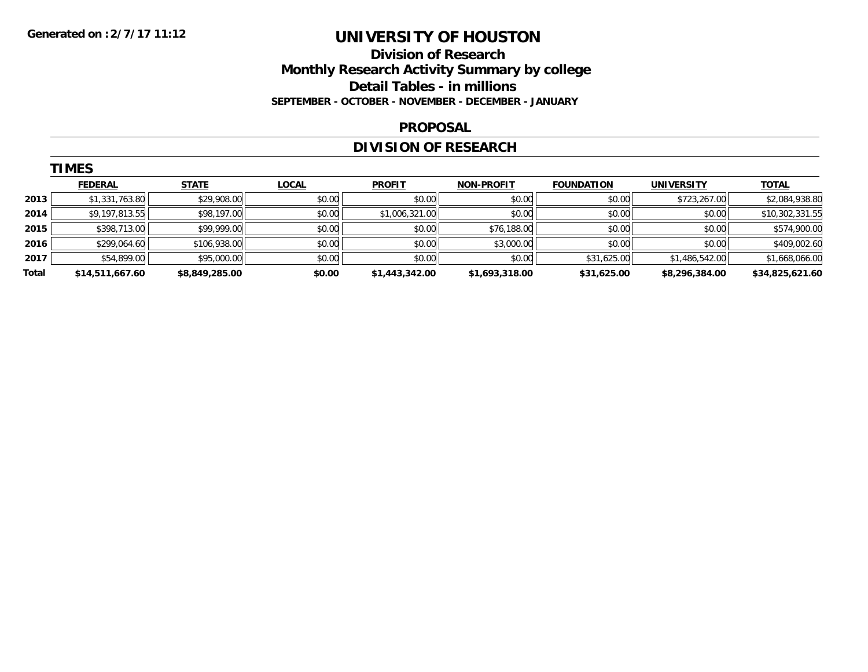## **Division of Research Monthly Research Activity Summary by college Detail Tables - in millions SEPTEMBER - OCTOBER - NOVEMBER - DECEMBER - JANUARY**

#### **PROPOSAL**

## **DIVISION OF RESEARCH**

|       | <b>TIMES</b>    |                |              |                |                   |                   |                   |                 |
|-------|-----------------|----------------|--------------|----------------|-------------------|-------------------|-------------------|-----------------|
|       | <b>FEDERAL</b>  | <b>STATE</b>   | <b>LOCAL</b> | <b>PROFIT</b>  | <b>NON-PROFIT</b> | <b>FOUNDATION</b> | <b>UNIVERSITY</b> | <b>TOTAL</b>    |
| 2013  | \$1,331,763.80  | \$29,908.00    | \$0.00       | \$0.00         | \$0.00            | \$0.00            | \$723,267.00      | \$2,084,938.80  |
| 2014  | \$9,197,813.55  | \$98,197.00    | \$0.00       | \$1,006,321.00 | \$0.00            | \$0.00            | \$0.00            | \$10,302,331.55 |
| 2015  | \$398,713.00    | \$99,999.00    | \$0.00       | \$0.00         | \$76,188.00       | \$0.00            | \$0.00            | \$574,900.00    |
| 2016  | \$299,064.60    | \$106,938.00   | \$0.00       | \$0.00         | \$3,000.00        | \$0.00            | \$0.00            | \$409,002.60    |
| 2017  | \$54,899.00     | \$95,000.00    | \$0.00       | \$0.00         | \$0.00            | \$31,625.00       | \$1,486,542.00    | \$1,668,066.00  |
| Total | \$14,511,667.60 | \$8,849,285.00 | \$0.00       | \$1,443,342.00 | \$1,693,318.00    | \$31,625.00       | \$8,296,384.00    | \$34,825,621.60 |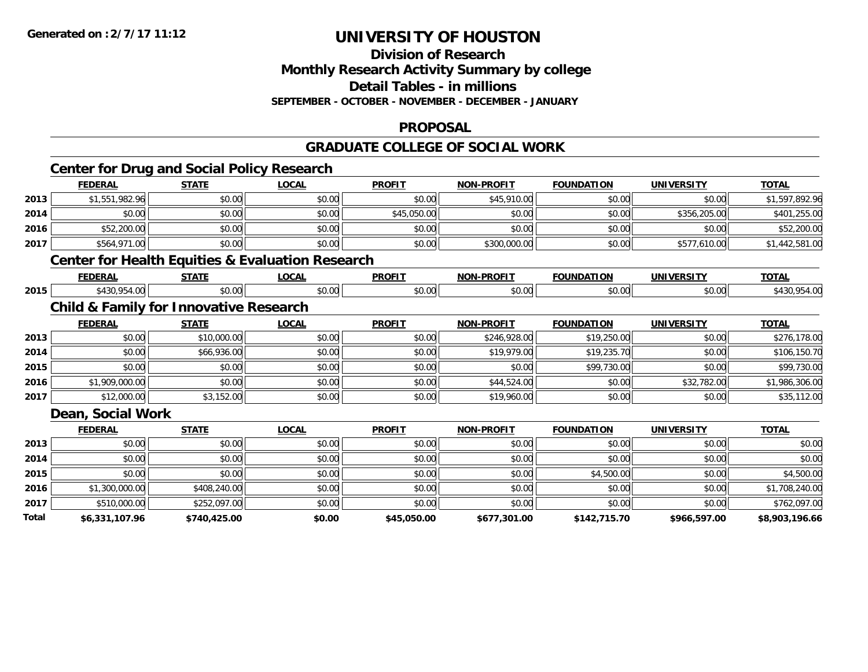#### **Division of Research Monthly Research Activity Summary by college**

**Detail Tables - in millions**

**SEPTEMBER - OCTOBER - NOVEMBER - DECEMBER - JANUARY**

## **PROPOSAL**

## **GRADUATE COLLEGE OF SOCIAL WORK**

|       | <b>Center for Drug and Social Policy Research</b>           |              |              |               |                   |                   |                   |                |
|-------|-------------------------------------------------------------|--------------|--------------|---------------|-------------------|-------------------|-------------------|----------------|
|       | <b>FEDERAL</b>                                              | <b>STATE</b> | <b>LOCAL</b> | <b>PROFIT</b> | <b>NON-PROFIT</b> | <b>FOUNDATION</b> | <b>UNIVERSITY</b> | <b>TOTAL</b>   |
| 2013  | \$1,551,982.96                                              | \$0.00       | \$0.00       | \$0.00        | \$45,910.00       | \$0.00            | \$0.00            | \$1,597,892.96 |
| 2014  | \$0.00                                                      | \$0.00       | \$0.00       | \$45,050.00   | \$0.00            | \$0.00            | \$356,205.00      | \$401,255.00   |
| 2016  | \$52,200.00                                                 | \$0.00       | \$0.00       | \$0.00        | \$0.00            | \$0.00            | \$0.00            | \$52,200.00    |
| 2017  | \$564,971.00                                                | \$0.00       | \$0.00       | \$0.00        | \$300,000.00      | \$0.00            | \$577,610.00      | \$1,442,581.00 |
|       | <b>Center for Health Equities &amp; Evaluation Research</b> |              |              |               |                   |                   |                   |                |
|       | <b>FEDERAL</b>                                              | <b>STATE</b> | <b>LOCAL</b> | <b>PROFIT</b> | <b>NON-PROFIT</b> | <b>FOUNDATION</b> | <b>UNIVERSITY</b> | <b>TOTAL</b>   |
| 2015  | \$430,954.00                                                | \$0.00       | \$0.00       | \$0.00        | \$0.00            | \$0.00            | \$0.00            | \$430,954.00   |
|       | <b>Child &amp; Family for Innovative Research</b>           |              |              |               |                   |                   |                   |                |
|       | <b>FEDERAL</b>                                              | <b>STATE</b> | <b>LOCAL</b> | <b>PROFIT</b> | <b>NON-PROFIT</b> | <b>FOUNDATION</b> | <b>UNIVERSITY</b> | <b>TOTAL</b>   |
| 2013  | \$0.00                                                      | \$10,000.00  | \$0.00       | \$0.00        | \$246,928.00      | \$19,250.00       | \$0.00            | \$276,178.00   |
| 2014  | \$0.00                                                      | \$66,936.00  | \$0.00       | \$0.00        | \$19,979.00       | \$19,235.70       | \$0.00            | \$106,150.70   |
| 2015  | \$0.00                                                      | \$0.00       | \$0.00       | \$0.00        | \$0.00            | \$99,730.00       | \$0.00            | \$99,730.00    |
| 2016  | \$1,909,000.00                                              | \$0.00       | \$0.00       | \$0.00        | \$44,524.00       | \$0.00            | \$32,782.00       | \$1,986,306.00 |
| 2017  | \$12,000.00                                                 | \$3,152.00   | \$0.00       | \$0.00        | \$19,960.00       | \$0.00            | \$0.00            | \$35,112.00    |
|       | Dean, Social Work                                           |              |              |               |                   |                   |                   |                |
|       | <b>FEDERAL</b>                                              | <b>STATE</b> | <b>LOCAL</b> | <b>PROFIT</b> | <b>NON-PROFIT</b> | <b>FOUNDATION</b> | <b>UNIVERSITY</b> | <b>TOTAL</b>   |
| 2013  | \$0.00                                                      | \$0.00       | \$0.00       | \$0.00        | \$0.00            | \$0.00            | \$0.00            | \$0.00         |
| 2014  | \$0.00                                                      | \$0.00       | \$0.00       | \$0.00        | \$0.00            | \$0.00            | \$0.00            | \$0.00         |
| 2015  | \$0.00                                                      | \$0.00       | \$0.00       | \$0.00        | \$0.00            | \$4,500.00        | \$0.00            | \$4,500.00     |
| 2016  | \$1,300,000.00                                              | \$408,240.00 | \$0.00       | \$0.00        | \$0.00            | \$0.00            | \$0.00            | \$1,708,240.00 |
| 2017  | \$510,000.00                                                | \$252,097.00 | \$0.00       | \$0.00        | \$0.00            | \$0.00            | \$0.00            | \$762,097.00   |
| Total | \$6,331,107.96                                              | \$740,425.00 | \$0.00       | \$45,050.00   | \$677,301.00      | \$142,715.70      | \$966,597.00      | \$8,903,196.66 |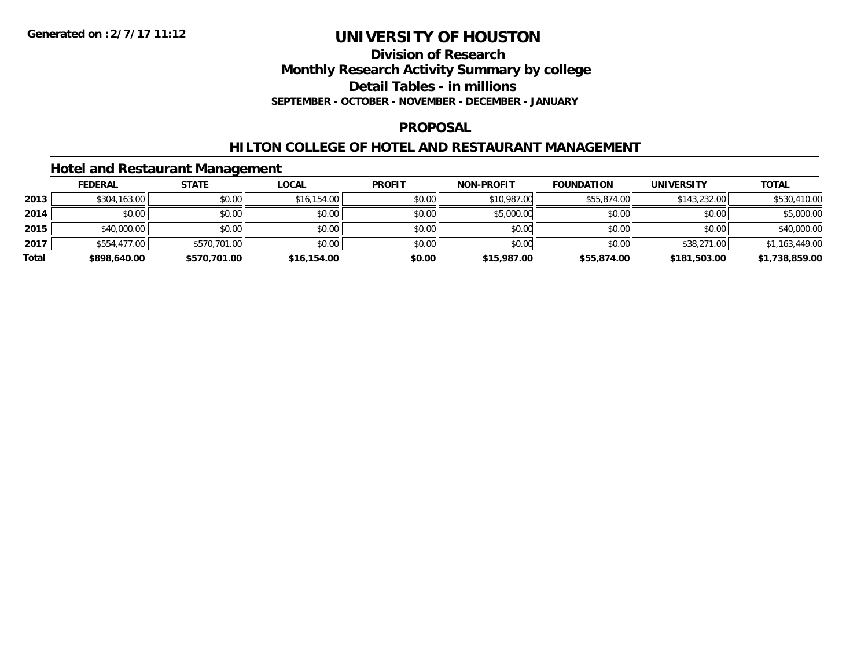**Division of Research**

**Monthly Research Activity Summary by college**

**Detail Tables - in millions**

**SEPTEMBER - OCTOBER - NOVEMBER - DECEMBER - JANUARY**

### **PROPOSAL**

## **HILTON COLLEGE OF HOTEL AND RESTAURANT MANAGEMENT**

## **Hotel and Restaurant Management**

|       | <b>FEDERAL</b> | <b>STATE</b> | <u>LOCAL</u> | <b>PROFIT</b> | <b>NON-PROFIT</b> | <b>FOUNDATION</b> | <b>UNIVERSITY</b> | <b>TOTAL</b>   |
|-------|----------------|--------------|--------------|---------------|-------------------|-------------------|-------------------|----------------|
| 2013  | \$304,163.00   | \$0.00       | \$16,154.00  | \$0.00        | \$10,987.00       | \$55,874.00       | \$143,232.00      | \$530,410.00   |
| 2014  | \$0.00         | \$0.00       | \$0.00       | \$0.00        | \$5,000.00        | \$0.00            | \$0.00            | \$5,000.00     |
| 2015  | \$40,000.00    | \$0.00       | \$0.00       | \$0.00        | \$0.00            | \$0.00            | \$0.00            | \$40,000.00    |
| 2017  | \$554,477.00   | \$570,701.00 | \$0.00       | \$0.00        | \$0.00            | \$0.00            | \$38,271.00       | \$1,163,449.00 |
| Total | \$898,640.00   | \$570,701.00 | \$16,154.00  | \$0.00        | \$15,987.00       | \$55,874.00       | \$181,503.00      | \$1,738,859.00 |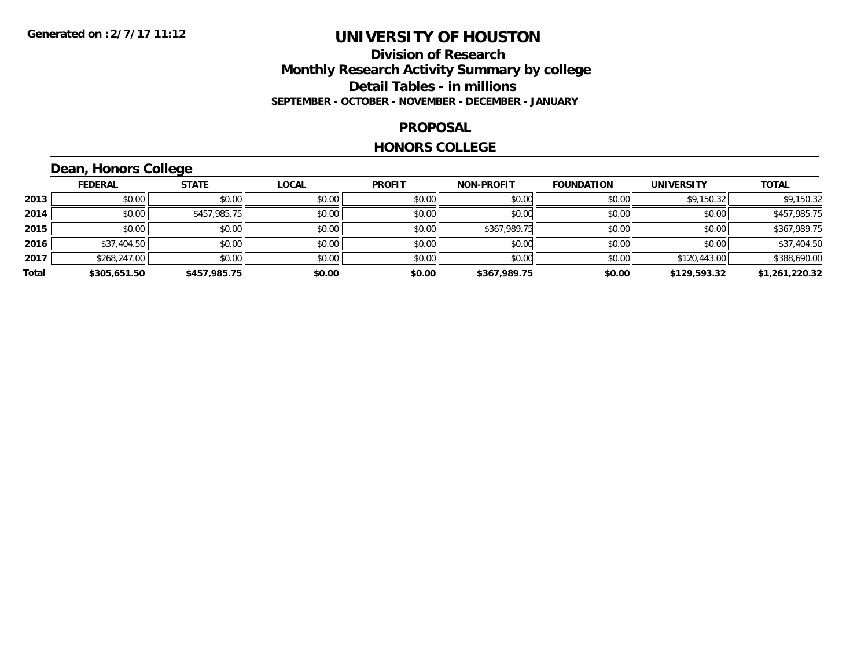## **Division of Research Monthly Research Activity Summary by college Detail Tables - in millions SEPTEMBER - OCTOBER - NOVEMBER - DECEMBER - JANUARY**

#### **PROPOSAL**

#### **HONORS COLLEGE**

## **Dean, Honors College**

|       | <b>FEDERAL</b> | <b>STATE</b> | <b>LOCAL</b> | <b>PROFIT</b> | <b>NON-PROFIT</b> | <b>FOUNDATION</b> | <b>UNIVERSITY</b> | <b>TOTAL</b>   |
|-------|----------------|--------------|--------------|---------------|-------------------|-------------------|-------------------|----------------|
| 2013  | \$0.00         | \$0.00       | \$0.00       | \$0.00        | \$0.00            | \$0.00            | \$9,150.32        | \$9,150.32     |
| 2014  | \$0.00         | \$457,985.75 | \$0.00       | \$0.00        | \$0.00            | \$0.00            | \$0.00            | \$457,985.75   |
| 2015  | \$0.00         | \$0.00       | \$0.00       | \$0.00        | \$367,989.75      | \$0.00            | \$0.00            | \$367,989.75   |
| 2016  | \$37,404.50    | \$0.00       | \$0.00       | \$0.00        | \$0.00            | \$0.00            | \$0.00            | \$37,404.50    |
| 2017  | \$268,247.00   | \$0.00       | \$0.00       | \$0.00        | \$0.00            | \$0.00            | \$120,443.00      | \$388,690.00   |
| Total | \$305,651.50   | \$457,985.75 | \$0.00       | \$0.00        | \$367.989.75      | \$0.00            | \$129,593.32      | \$1,261,220.32 |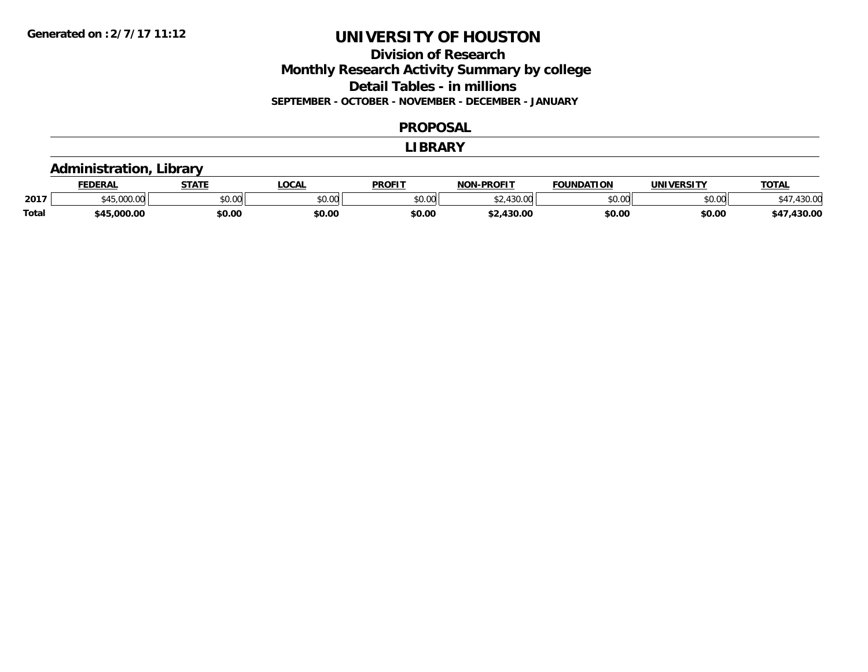## **Division of Research Monthly Research Activity Summary by college Detail Tables - in millions SEPTEMBER - OCTOBER - NOVEMBER - DECEMBER - JANUARY**

#### **PROPOSAL**

#### **LIBRARY**

## **Administration, Library**

|              | <b>FEDERAL</b> | 678TF<br>. . | .OCAL                | <b>PROFIT</b> | <b>NON-PROFIT</b>              | <b>FOUNDATION</b> | <b>UNIVERSITY</b> | TOTA.  |
|--------------|----------------|--------------|----------------------|---------------|--------------------------------|-------------------|-------------------|--------|
| 2017         | uu.uu          | \$0.00       | 0000<br><b>DU.UU</b> | \$0.00        | $\sqrt{2}$<br>$\sim$<br>tJU.UU | \$0.00            | \$0.00            | 70.UC  |
| <b>Total</b> | \$45.000.00    | \$0.00       | \$0.00               | \$0.00        | 430.00                         | \$0.00            | \$0.00            | 430.00 |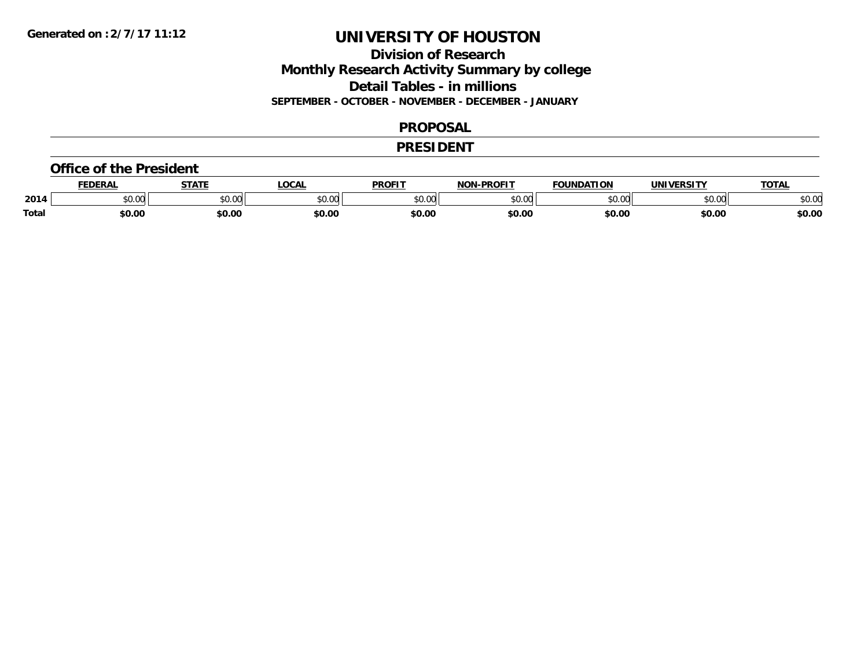## **Division of Research Monthly Research Activity Summary by college Detail Tables - in millions SEPTEMBER - OCTOBER - NOVEMBER - DECEMBER - JANUARY**

#### **PROPOSAL**

#### **PRESIDENT**

#### **Office of the President**

|              | <b>EDERAI</b>                       | <b>CTATE</b>         | <b>OCAL</b>                                          | <b>PROFIT</b>  | -PROFIT<br><b>NON</b> | <b>FOUNDATION</b> | <b><i>UNIVERSITY</i></b> | TOTA.         |
|--------------|-------------------------------------|----------------------|------------------------------------------------------|----------------|-----------------------|-------------------|--------------------------|---------------|
| 2014         | $\theta$ $\theta$ $\theta$<br>JU.UU | 0000<br><b>JU.UU</b> | $\uparrow$ $\uparrow$ $\uparrow$ $\uparrow$<br>vv.vv | 40.00<br>JU.UU | $\sim$ 00<br>vu.uu    | \$0.00            | 0000<br>pu.uu            | 0000<br>JU.UU |
| <b>Total</b> | \$0.00                              | \$0.00               | \$0.00                                               | \$0.00         | \$0.00                | \$0.00            | \$0.00                   | \$0.00        |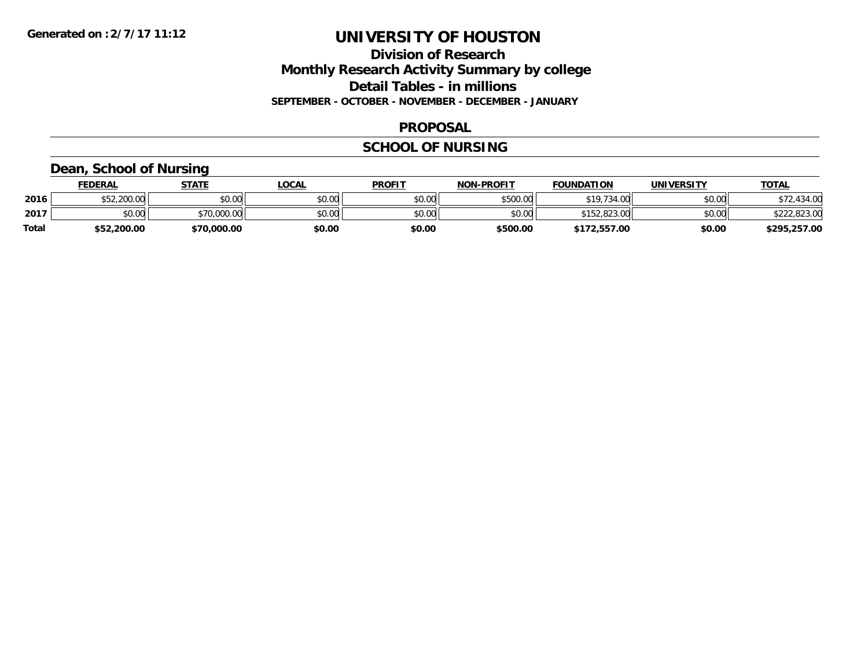## **Division of Research Monthly Research Activity Summary by college Detail Tables - in millions SEPTEMBER - OCTOBER - NOVEMBER - DECEMBER - JANUARY**

#### **PROPOSAL**

#### **SCHOOL OF NURSING**

## **Dean, School of Nursing**

|       | <b>FEDERAL</b> | STATE       | <u>LOCAL</u> | <b>PROFIT</b> | <b>NON-PROFIT</b> | <b>FOUNDATION</b> | <b>UNIVERSITY</b> | <b>TOTAL</b> |
|-------|----------------|-------------|--------------|---------------|-------------------|-------------------|-------------------|--------------|
| 2016  | \$52,200.00    | \$0.00      | \$0.00       | \$0.00        | \$500.00          | \$19,734.00       | \$0.00            | \$72,434.00  |
| 2017  | \$0.00         | \$70,000.00 | \$0.00       | \$0.00        | \$0.00            | \$152,823.00      | \$0.00            | \$222,823.00 |
| Total | \$52,200.00    | \$70,000.00 | \$0.00       | \$0.00        | \$500.00          | \$172,557.00      | \$0.00            | \$295,257.00 |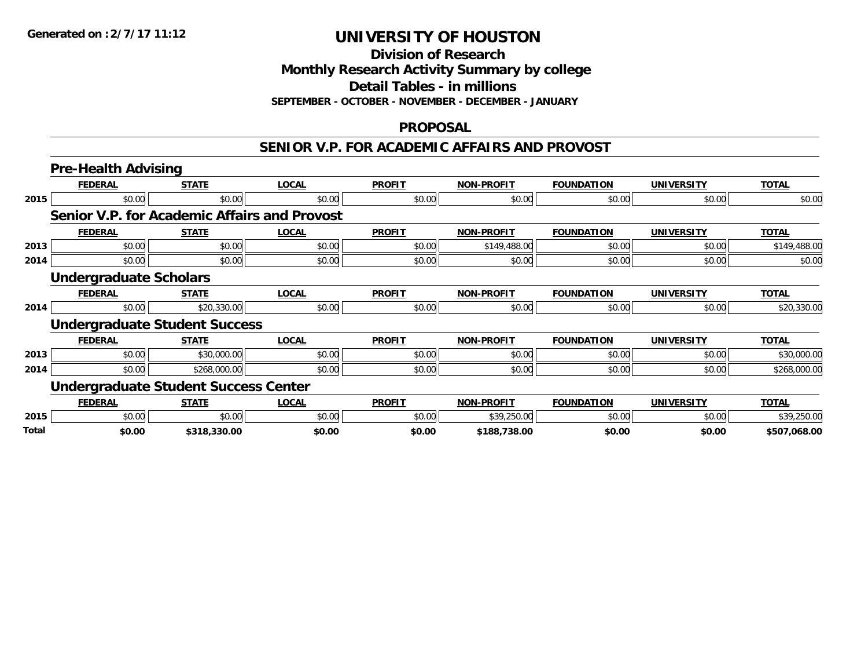**Division of Research**

**Monthly Research Activity Summary by college**

**Detail Tables - in millions**

**SEPTEMBER - OCTOBER - NOVEMBER - DECEMBER - JANUARY**

### **PROPOSAL**

#### **SENIOR V.P. FOR ACADEMIC AFFAIRS AND PROVOST**

|              | <b>Pre-Health Advising</b>                          |              |              |               |                   |                   |                   |              |  |  |
|--------------|-----------------------------------------------------|--------------|--------------|---------------|-------------------|-------------------|-------------------|--------------|--|--|
|              | <b>FEDERAL</b>                                      | <b>STATE</b> | <b>LOCAL</b> | <b>PROFIT</b> | <b>NON-PROFIT</b> | <b>FOUNDATION</b> | <b>UNIVERSITY</b> | <b>TOTAL</b> |  |  |
| 2015         | \$0.00                                              | \$0.00       | \$0.00       | \$0.00        | \$0.00            | \$0.00            | \$0.00            | \$0.00       |  |  |
|              | <b>Senior V.P. for Academic Affairs and Provost</b> |              |              |               |                   |                   |                   |              |  |  |
|              | <b>FEDERAL</b>                                      | <b>STATE</b> | <b>LOCAL</b> | <b>PROFIT</b> | <b>NON-PROFIT</b> | <b>FOUNDATION</b> | <b>UNIVERSITY</b> | <b>TOTAL</b> |  |  |
| 2013         | \$0.00                                              | \$0.00       | \$0.00       | \$0.00        | \$149,488.00      | \$0.00            | \$0.00            | \$149,488.00 |  |  |
| 2014         | \$0.00                                              | \$0.00       | \$0.00       | \$0.00        | \$0.00            | \$0.00            | \$0.00            | \$0.00       |  |  |
|              | <b>Undergraduate Scholars</b>                       |              |              |               |                   |                   |                   |              |  |  |
|              | <b>FEDERAL</b>                                      | <b>STATE</b> | <b>LOCAL</b> | <b>PROFIT</b> | <b>NON-PROFIT</b> | <b>FOUNDATION</b> | <b>UNIVERSITY</b> | <b>TOTAL</b> |  |  |
| 2014         | \$0.00                                              | \$20,330.00  | \$0.00       | \$0.00        | \$0.00            | \$0.00            | \$0.00            | \$20,330.00  |  |  |
|              | <b>Undergraduate Student Success</b>                |              |              |               |                   |                   |                   |              |  |  |
|              | <b>FEDERAL</b>                                      | <b>STATE</b> | <b>LOCAL</b> | <b>PROFIT</b> | <b>NON-PROFIT</b> | <b>FOUNDATION</b> | <b>UNIVERSITY</b> | <b>TOTAL</b> |  |  |
| 2013         | \$0.00                                              | \$30,000.00  | \$0.00       | \$0.00        | \$0.00            | \$0.00            | \$0.00            | \$30,000.00  |  |  |
| 2014         | \$0.00                                              | \$268,000.00 | \$0.00       | \$0.00        | \$0.00            | \$0.00            | \$0.00            | \$268,000.00 |  |  |
|              | <b>Undergraduate Student Success Center</b>         |              |              |               |                   |                   |                   |              |  |  |
|              | <b>FEDERAL</b>                                      | <b>STATE</b> | <b>LOCAL</b> | <b>PROFIT</b> | <b>NON-PROFIT</b> | <b>FOUNDATION</b> | <b>UNIVERSITY</b> | <b>TOTAL</b> |  |  |
| 2015         | \$0.00                                              | \$0.00       | \$0.00       | \$0.00        | \$39,250.00       | \$0.00            | \$0.00            | \$39,250.00  |  |  |
| <b>Total</b> | \$0.00                                              | \$318,330.00 | \$0.00       | \$0.00        | \$188,738.00      | \$0.00            | \$0.00            | \$507,068.00 |  |  |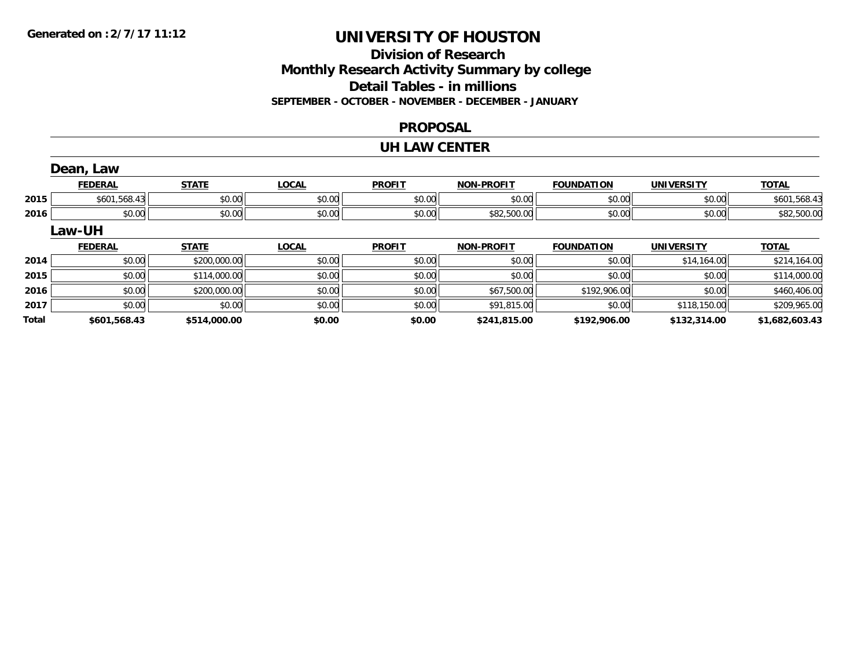## **Division of ResearchMonthly Research Activity Summary by college Detail Tables - in millions SEPTEMBER - OCTOBER - NOVEMBER - DECEMBER - JANUARY**

#### **PROPOSAL**

#### **UH LAW CENTER**

|              | Dean, Law      |              |              |               |                   |                   |                   |                |
|--------------|----------------|--------------|--------------|---------------|-------------------|-------------------|-------------------|----------------|
|              | <b>FEDERAL</b> | <b>STATE</b> | <b>LOCAL</b> | <b>PROFIT</b> | <b>NON-PROFIT</b> | <b>FOUNDATION</b> | <b>UNIVERSITY</b> | <b>TOTAL</b>   |
| 2015         | \$601,568.43   | \$0.00       | \$0.00       | \$0.00        | \$0.00            | \$0.00            | \$0.00            | \$601,568.43   |
| 2016         | \$0.00         | \$0.00       | \$0.00       | \$0.00        | \$82,500.00       | \$0.00            | \$0.00            | \$82,500.00    |
|              | Law-UH         |              |              |               |                   |                   |                   |                |
|              | <b>FEDERAL</b> | <b>STATE</b> | <b>LOCAL</b> | <b>PROFIT</b> | <b>NON-PROFIT</b> | <b>FOUNDATION</b> | <b>UNIVERSITY</b> | <b>TOTAL</b>   |
| 2014         | \$0.00         | \$200,000.00 | \$0.00       | \$0.00        | \$0.00            | \$0.00            | \$14,164.00       | \$214,164.00   |
| 2015         | \$0.00         | \$114,000.00 | \$0.00       | \$0.00        | \$0.00            | \$0.00            | \$0.00            | \$114,000.00   |
| 2016         | \$0.00         | \$200,000.00 | \$0.00       | \$0.00        | \$67,500.00       | \$192,906.00      | \$0.00            | \$460,406.00   |
| 2017         | \$0.00         | \$0.00       | \$0.00       | \$0.00        | \$91,815.00       | \$0.00            | \$118,150.00      | \$209,965.00   |
| <b>Total</b> | \$601,568.43   | \$514,000.00 | \$0.00       | \$0.00        | \$241,815.00      | \$192,906.00      | \$132,314.00      | \$1,682,603.43 |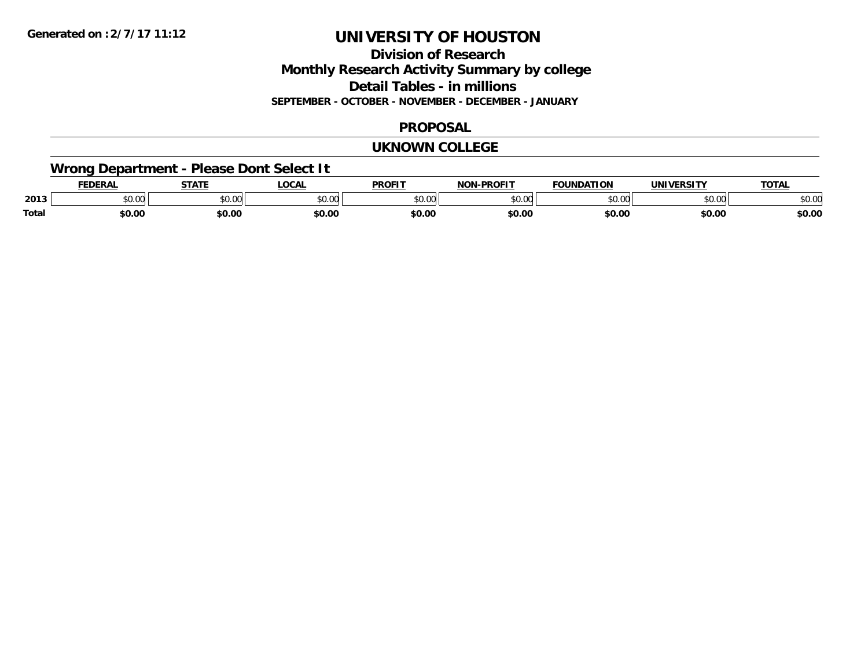## **Division of ResearchMonthly Research Activity Summary by college Detail Tables - in millions SEPTEMBER - OCTOBER - NOVEMBER - DECEMBER - JANUARY**

### **PROPOSAL**

#### **UKNOWN COLLEGE**

## **Wrong Department - Please Dont Select It**

|              | <b>EDERAL</b> | <b>STATE</b>                 | <b>LOCAI</b>  | <b>PROFIT</b>   | <b>DDOEIT</b><br>NAN | <b>FOUNDATION</b> | UNIVERSITY      | <b>TAT</b>           |
|--------------|---------------|------------------------------|---------------|-----------------|----------------------|-------------------|-----------------|----------------------|
| 2013         | JU.UU         | $\uparrow$ $\wedge$<br>JU.UU | 0000<br>JU.UU | $\sim$<br>JU.UU | $\sim$ 00<br>וטטוע   | 0000<br>,u.uu     | to ool<br>DU.UU | 0000<br><b>JU.UU</b> |
| <b>Total</b> | \$0.00        | \$0.00                       | \$0.00        | \$0.00          | \$0.00               | \$0.00            | \$0.00          | \$0.00               |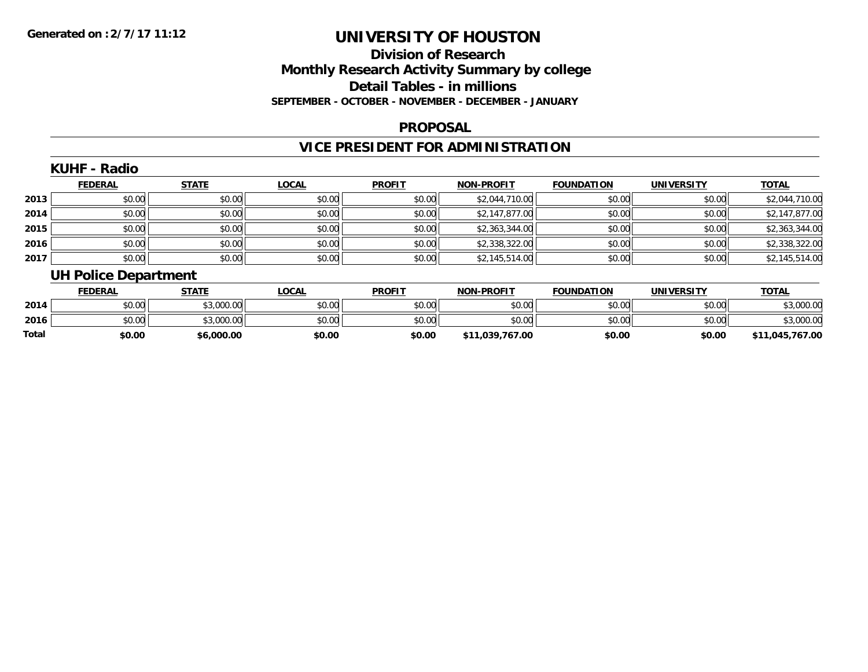## **Division of ResearchMonthly Research Activity Summary by college Detail Tables - in millions SEPTEMBER - OCTOBER - NOVEMBER - DECEMBER - JANUARY**

#### **PROPOSAL**

## **VICE PRESIDENT FOR ADMINISTRATION**

### **KUHF - Radio**

|      | <b>FEDERAL</b> | <b>STATE</b> | <u>LOCAL</u> | <b>PROFIT</b> | <b>NON-PROFIT</b> | <b>FOUNDATION</b> | <b>UNIVERSITY</b> | <b>TOTAL</b>   |
|------|----------------|--------------|--------------|---------------|-------------------|-------------------|-------------------|----------------|
| 2013 | \$0.00         | \$0.00       | \$0.00       | \$0.00        | \$2,044,710.00    | \$0.00            | \$0.00            | \$2,044,710.00 |
| 2014 | \$0.00         | \$0.00       | \$0.00       | \$0.00        | \$2,147,877.00    | \$0.00            | \$0.00            | \$2,147,877.00 |
| 2015 | \$0.00         | \$0.00       | \$0.00       | \$0.00        | \$2,363,344.00    | \$0.00            | \$0.00            | \$2,363,344.00 |
| 2016 | \$0.00         | \$0.00       | \$0.00       | \$0.00        | \$2,338,322.00    | \$0.00            | \$0.00            | \$2,338,322.00 |
| 2017 | \$0.00         | \$0.00       | \$0.00       | \$0.00        | \$2,145,514.00    | \$0.00            | \$0.00            | \$2,145,514.00 |

# **UH Police Department**

|       | <b>FEDERAL</b> | STATE      | <b>LOCAL</b> | <b>PROFIT</b> | <b>NON-PROFIT</b> | <b>FOUNDATION</b> | <b>UNIVERSITY</b> | <b>TOTAL</b>      |
|-------|----------------|------------|--------------|---------------|-------------------|-------------------|-------------------|-------------------|
| 2014  | \$0.00         | \$3,000.00 | \$0.00       | \$0.00        | \$0.00            | \$0.00            | \$0.00            | \$3,000.00        |
| 2016  | \$0.00         | \$3,000.00 | \$0.00       | \$0.00        | \$0.00            | \$0.00            | \$0.00            | \$3,000.00        |
| Total | \$0.00         | \$6,000.00 | \$0.00       | \$0.00        | \$11,039,767.00   | \$0.00            | \$0.00            | ,045,767.00<br>¢1 |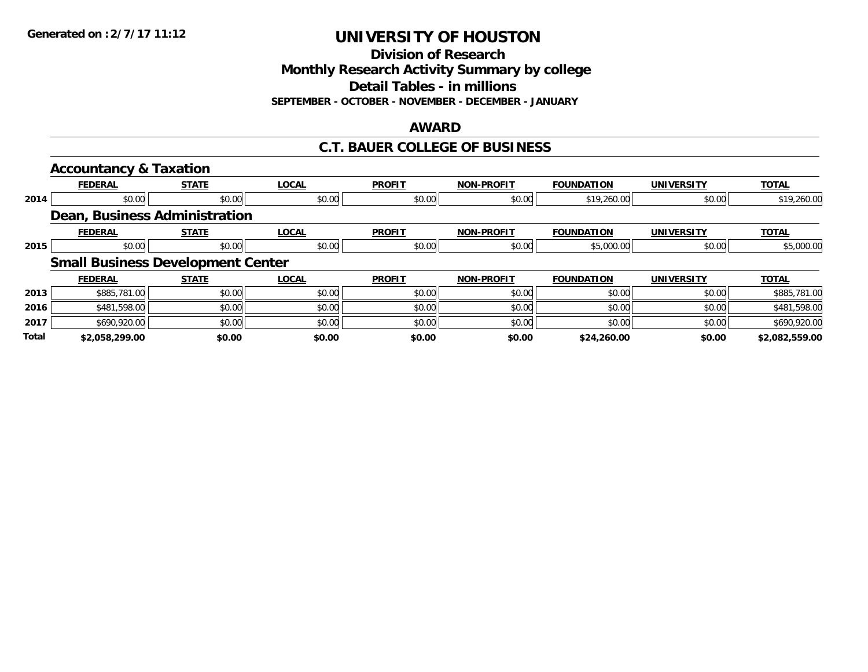**Division of Research**

**Monthly Research Activity Summary by college**

**Detail Tables - in millions**

**SEPTEMBER - OCTOBER - NOVEMBER - DECEMBER - JANUARY**

#### **AWARD**

### **C.T. BAUER COLLEGE OF BUSINESS**

|              | <b>Accountancy &amp; Taxation</b>        |              |              |               |                   |                   |                   |                |  |  |  |
|--------------|------------------------------------------|--------------|--------------|---------------|-------------------|-------------------|-------------------|----------------|--|--|--|
|              | <b>FEDERAL</b>                           | <b>STATE</b> | <b>LOCAL</b> | <b>PROFIT</b> | <b>NON-PROFIT</b> | <b>FOUNDATION</b> | <b>UNIVERSITY</b> | <b>TOTAL</b>   |  |  |  |
| 2014         | \$0.00                                   | \$0.00       | \$0.00       | \$0.00        | \$0.00            | \$19,260.00       | \$0.00            | \$19,260.00    |  |  |  |
|              | Dean, Business Administration            |              |              |               |                   |                   |                   |                |  |  |  |
|              | <b>FEDERAL</b>                           | <b>STATE</b> | <b>LOCAL</b> | <b>PROFIT</b> | <b>NON-PROFIT</b> | <b>FOUNDATION</b> | UNIVERSITY        | <b>TOTAL</b>   |  |  |  |
| 2015         | \$0.00                                   | \$0.00       | \$0.00       | \$0.00        | \$0.00            | \$5,000.00        | \$0.00            | \$5,000.00     |  |  |  |
|              | <b>Small Business Development Center</b> |              |              |               |                   |                   |                   |                |  |  |  |
|              | <b>FEDERAL</b>                           | <b>STATE</b> | <b>LOCAL</b> | <b>PROFIT</b> | <b>NON-PROFIT</b> | <b>FOUNDATION</b> | <b>UNIVERSITY</b> | <b>TOTAL</b>   |  |  |  |
| 2013         | \$885,781.00                             | \$0.00       | \$0.00       | \$0.00        | \$0.00            | \$0.00            | \$0.00            | \$885,781.00   |  |  |  |
| 2016         | \$481,598.00                             | \$0.00       | \$0.00       | \$0.00        | \$0.00            | \$0.00            | \$0.00            | \$481,598.00   |  |  |  |
| 2017         | \$690,920.00                             | \$0.00       | \$0.00       | \$0.00        | \$0.00            | \$0.00            | \$0.00            | \$690,920.00   |  |  |  |
| <b>Total</b> | \$2,058,299.00                           | \$0.00       | \$0.00       | \$0.00        | \$0.00            | \$24,260.00       | \$0.00            | \$2,082,559.00 |  |  |  |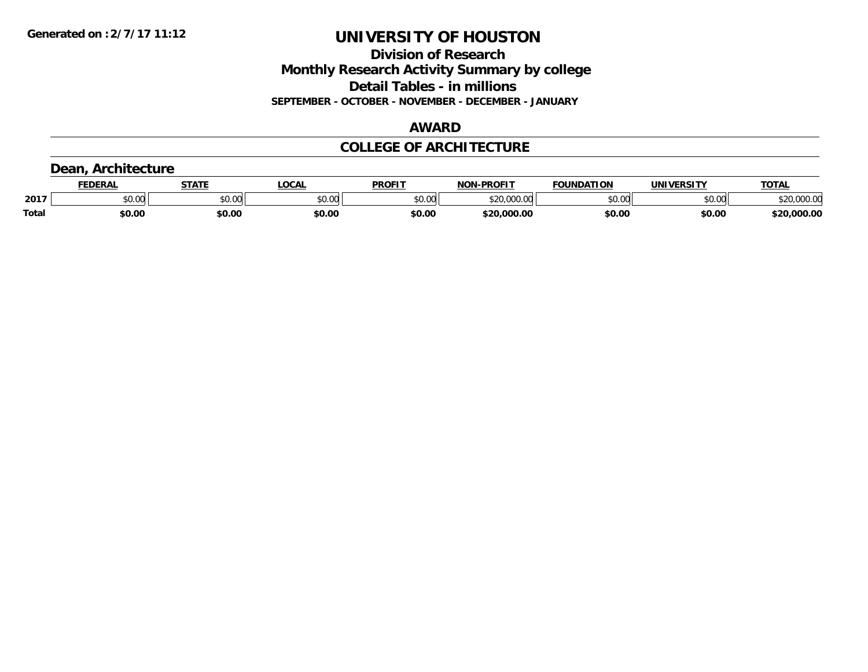**Division of Research Monthly Research Activity Summary by college Detail Tables - in millions SEPTEMBER - OCTOBER - NOVEMBER - DECEMBER - JANUARY**

## **AWARD**

## **COLLEGE OF ARCHITECTURE**

# **Dean, Architecture**

|       | <b>EDERAL</b> | <b>STATE</b>  | <b>.OCAL</b> | <b>PROFIT</b> | <b>-PROFIT</b><br>חחו | <b>FOUNDATION</b> | UNIVERSITY | TOTA.                      |
|-------|---------------|---------------|--------------|---------------|-----------------------|-------------------|------------|----------------------------|
| 2017  | \$0.00        | 0000<br>JU.UU | \$0.00       | \$0.00        | \$20,000.00           | \$0.00            | \$0.00     | $*20.000.00$<br>JZU,UU∪.∪∪ |
| Total | \$0.00        | \$0.00        | \$0.00       | \$0.00        | \$20,000.00           | \$0.00            | \$0.00     | 000.0۲.د                   |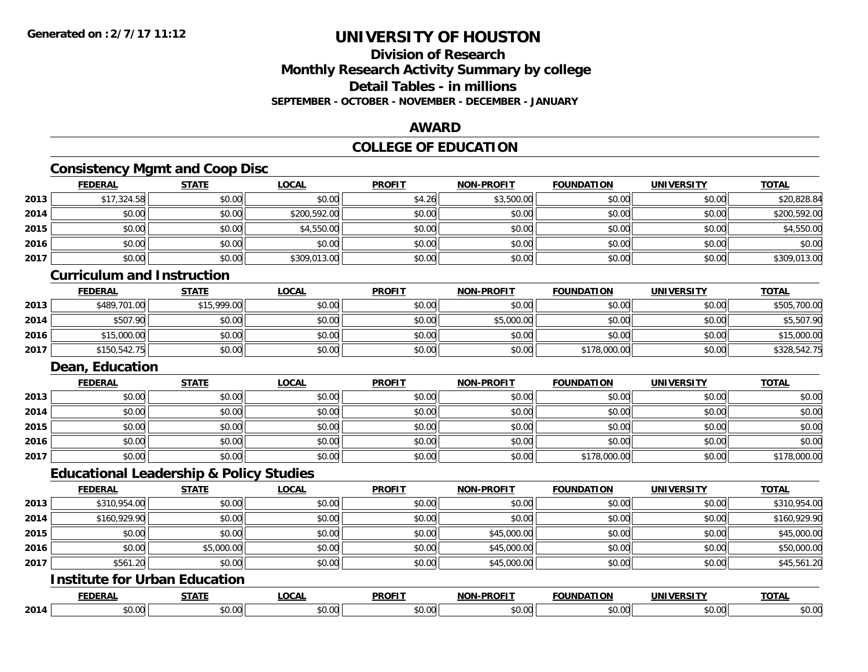## **Division of ResearchMonthly Research Activity Summary by college Detail Tables - in millions SEPTEMBER - OCTOBER - NOVEMBER - DECEMBER - JANUARY**

### **AWARD**

## **COLLEGE OF EDUCATION**

# **Consistency Mgmt and Coop Disc**

|      | <b>FEDERAL</b>                    | <b>STATE</b>                                       | <b>LOCAL</b> | <b>PROFIT</b> | <b>NON-PROFIT</b> | <b>FOUNDATION</b> | <b>UNIVERSITY</b> | <b>TOTAL</b> |
|------|-----------------------------------|----------------------------------------------------|--------------|---------------|-------------------|-------------------|-------------------|--------------|
| 2013 | \$17,324.58                       | \$0.00                                             | \$0.00       | \$4.26        | \$3,500.00        | \$0.00            | \$0.00            | \$20,828.84  |
| 2014 | \$0.00                            | \$0.00                                             | \$200,592.00 | \$0.00        | \$0.00            | \$0.00            | \$0.00            | \$200,592.00 |
| 2015 | \$0.00                            | \$0.00                                             | \$4,550.00   | \$0.00        | \$0.00            | \$0.00            | \$0.00            | \$4,550.00   |
| 2016 | \$0.00                            | \$0.00                                             | \$0.00       | \$0.00        | \$0.00            | \$0.00            | \$0.00            | \$0.00       |
| 2017 | \$0.00                            | \$0.00                                             | \$309,013.00 | \$0.00        | \$0.00            | \$0.00            | \$0.00            | \$309,013.00 |
|      | <b>Curriculum and Instruction</b> |                                                    |              |               |                   |                   |                   |              |
|      | <b>FEDERAL</b>                    | <b>STATE</b>                                       | <b>LOCAL</b> | <b>PROFIT</b> | <b>NON-PROFIT</b> | <b>FOUNDATION</b> | <b>UNIVERSITY</b> | <b>TOTAL</b> |
| 2013 | \$489,701.00                      | \$15,999.00                                        | \$0.00       | \$0.00        | \$0.00            | \$0.00            | \$0.00            | \$505,700.00 |
| 2014 | \$507.90                          | \$0.00                                             | \$0.00       | \$0.00        | \$5,000.00        | \$0.00            | \$0.00            | \$5,507.90   |
| 2016 | \$15,000.00                       | \$0.00                                             | \$0.00       | \$0.00        | \$0.00            | \$0.00            | \$0.00            | \$15,000.00  |
| 2017 | \$150,542.75                      | \$0.00                                             | \$0.00       | \$0.00        | \$0.00            | \$178,000.00      | \$0.00            | \$328,542.75 |
|      | Dean, Education                   |                                                    |              |               |                   |                   |                   |              |
|      | <b>FEDERAL</b>                    | <b>STATE</b>                                       | <b>LOCAL</b> | <b>PROFIT</b> | <b>NON-PROFIT</b> | <b>FOUNDATION</b> | <b>UNIVERSITY</b> | <b>TOTAL</b> |
| 2013 | \$0.00                            | \$0.00                                             | \$0.00       | \$0.00        | \$0.00            | \$0.00            | \$0.00            | \$0.00       |
| 2014 | \$0.00                            | \$0.00                                             | \$0.00       | \$0.00        | \$0.00            | \$0.00            | \$0.00            | \$0.00       |
| 2015 | \$0.00                            | \$0.00                                             | \$0.00       | \$0.00        | \$0.00            | \$0.00            | \$0.00            | \$0.00       |
| 2016 | \$0.00                            | \$0.00                                             | \$0.00       | \$0.00        | \$0.00            | \$0.00            | \$0.00            | \$0.00       |
| 2017 | \$0.00                            | \$0.00                                             | \$0.00       | \$0.00        | \$0.00            | \$178,000.00      | \$0.00            | \$178,000.00 |
|      |                                   | <b>Educational Leadership &amp; Policy Studies</b> |              |               |                   |                   |                   |              |
|      | <b>FEDERAL</b>                    | <b>STATE</b>                                       | <b>LOCAL</b> | <b>PROFIT</b> | <b>NON-PROFIT</b> | <b>FOUNDATION</b> | <b>UNIVERSITY</b> | <b>TOTAL</b> |
| 2013 | \$310,954.00                      | \$0.00                                             | \$0.00       | \$0.00        | \$0.00            | \$0.00            | \$0.00            | \$310,954.00 |
| 2014 | \$160,929.90                      | \$0.00                                             | \$0.00       | \$0.00        | \$0.00            | \$0.00            | \$0.00            | \$160,929.90 |
| 2015 | \$0.00                            | \$0.00                                             | \$0.00       | \$0.00        | \$45,000.00       | \$0.00            | \$0.00            | \$45,000.00  |
| 2016 | \$0.00                            | \$5,000.00                                         | \$0.00       | \$0.00        | \$45,000.00       | \$0.00            | \$0.00            | \$50,000.00  |
| 2017 | \$561.20                          | \$0.00                                             | \$0.00       | \$0.00        | \$45,000.00       | \$0.00            | \$0.00            | \$45,561.20  |
|      |                                   | <b>Institute for Urban Education</b>               |              |               |                   |                   |                   |              |
|      | <b>FEDERAL</b>                    | <b>STATE</b>                                       | <b>LOCAL</b> | <b>PROFIT</b> | <b>NON-PROFIT</b> | <b>FOUNDATION</b> | <b>UNIVERSITY</b> | <b>TOTAL</b> |
| 2014 | \$0.00                            | \$0.00                                             | \$0.00       | \$0.00        | \$0.00            | \$0.00            | \$0.00            | \$0.00       |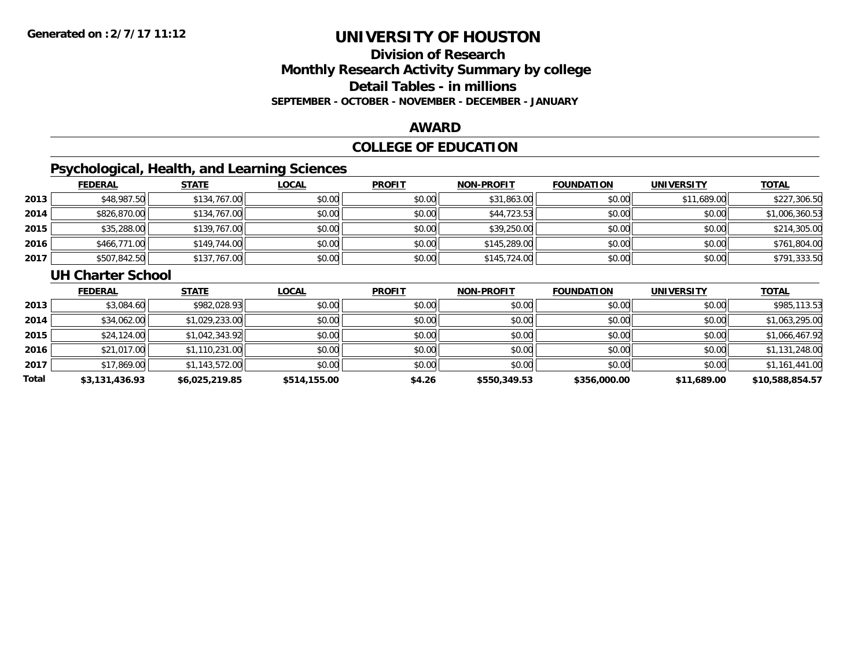## **Division of ResearchMonthly Research Activity Summary by college Detail Tables - in millions SEPTEMBER - OCTOBER - NOVEMBER - DECEMBER - JANUARY**

#### **AWARD**

## **COLLEGE OF EDUCATION**

## **Psychological, Health, and Learning Sciences**

|      | <b>FEDERAL</b> | <b>STATE</b> | <b>LOCAL</b> | <b>PROFIT</b> | <b>NON-PROFIT</b> | <b>FOUNDATION</b> | <b>UNIVERSITY</b> | <b>TOTAL</b>   |
|------|----------------|--------------|--------------|---------------|-------------------|-------------------|-------------------|----------------|
| 2013 | \$48,987.50    | \$134,767.00 | \$0.00       | \$0.00        | \$31,863.00       | \$0.00            | \$11,689.00       | \$227,306.50   |
| 2014 | \$826,870.00   | \$134,767.00 | \$0.00       | \$0.00        | \$44,723.53       | \$0.00            | \$0.00            | \$1,006,360.53 |
| 2015 | \$35,288.00    | \$139,767.00 | \$0.00       | \$0.00        | \$39,250.00       | \$0.00            | \$0.00            | \$214,305.00   |
| 2016 | \$466,771.00   | \$149,744.00 | \$0.00       | \$0.00        | \$145,289.00      | \$0.00            | \$0.00            | \$761,804.00   |
| 2017 | \$507,842.50   | \$137,767.00 | \$0.00       | \$0.00        | \$145,724.00      | \$0.00            | \$0.00            | \$791,333.50   |

#### **UH Charter School**

|       | <b>FEDERAL</b> | <b>STATE</b>   | <b>LOCAL</b> | <b>PROFIT</b> | <b>NON-PROFIT</b> | <b>FOUNDATION</b> | <b>UNIVERSITY</b> | <b>TOTAL</b>    |
|-------|----------------|----------------|--------------|---------------|-------------------|-------------------|-------------------|-----------------|
| 2013  | \$3,084.60     | \$982,028.93   | \$0.00       | \$0.00        | \$0.00            | \$0.00            | \$0.00            | \$985,113.53    |
| 2014  | \$34,062.00    | \$1,029,233.00 | \$0.00       | \$0.00        | \$0.00            | \$0.00            | \$0.00            | \$1,063,295.00  |
| 2015  | \$24,124.00    | \$1,042,343.92 | \$0.00       | \$0.00        | \$0.00            | \$0.00            | \$0.00            | \$1,066,467.92  |
| 2016  | \$21,017.00    | \$1,110,231.00 | \$0.00       | \$0.00        | \$0.00            | \$0.00            | \$0.00            | \$1,131,248.00  |
| 2017  | \$17,869.00    | \$1,143,572.00 | \$0.00       | \$0.00        | \$0.00            | \$0.00            | \$0.00            | \$1,161,441.00  |
| Total | \$3,131,436.93 | \$6,025,219.85 | \$514,155.00 | \$4.26        | \$550,349.53      | \$356,000.00      | \$11,689.00       | \$10,588,854.57 |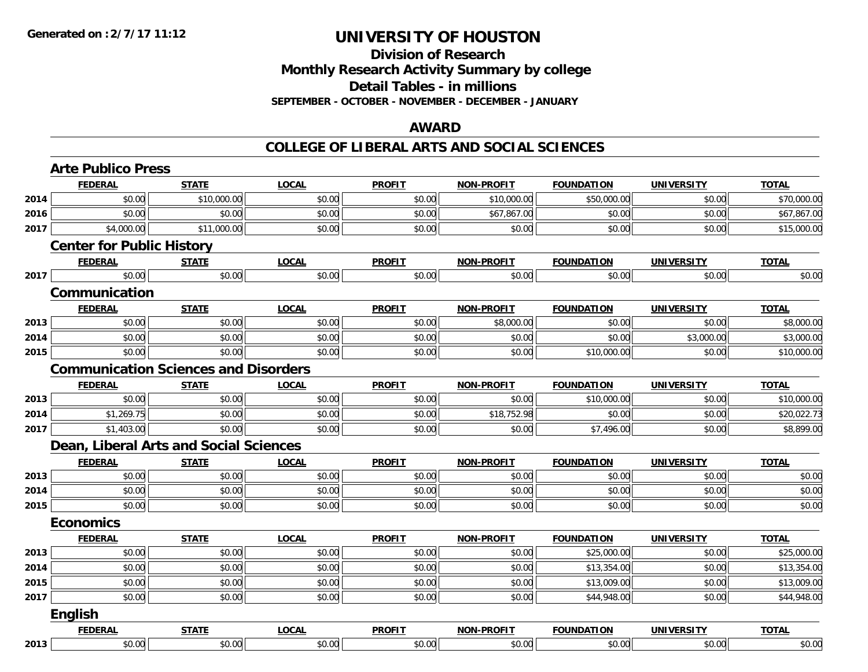## **Division of Research Monthly Research Activity Summary by college Detail Tables - in millions SEPTEMBER - OCTOBER - NOVEMBER - DECEMBER - JANUARY**

### **AWARD**

|      | <b>Arte Publico Press</b>        |                                             |              |               |                   |                   |                   |              |
|------|----------------------------------|---------------------------------------------|--------------|---------------|-------------------|-------------------|-------------------|--------------|
|      | <b>FEDERAL</b>                   | <b>STATE</b>                                | <b>LOCAL</b> | <b>PROFIT</b> | <b>NON-PROFIT</b> | <b>FOUNDATION</b> | <b>UNIVERSITY</b> | <b>TOTAL</b> |
| 2014 | \$0.00                           | \$10,000.00                                 | \$0.00       | \$0.00        | \$10,000.00       | \$50,000.00       | \$0.00            | \$70,000.00  |
| 2016 | \$0.00                           | \$0.00                                      | \$0.00       | \$0.00        | \$67,867.00       | \$0.00            | \$0.00            | \$67,867.00  |
| 2017 | \$4,000.00                       | \$11,000.00                                 | \$0.00       | \$0.00        | \$0.00            | \$0.00            | \$0.00            | \$15,000.00  |
|      | <b>Center for Public History</b> |                                             |              |               |                   |                   |                   |              |
|      | <b>FEDERAL</b>                   | <b>STATE</b>                                | <b>LOCAL</b> | <b>PROFIT</b> | <b>NON-PROFIT</b> | <b>FOUNDATION</b> | <b>UNIVERSITY</b> | <b>TOTAL</b> |
| 2017 | \$0.00                           | \$0.00                                      | \$0.00       | \$0.00        | \$0.00            | \$0.00            | \$0.00            | \$0.00       |
|      | Communication                    |                                             |              |               |                   |                   |                   |              |
|      | <b>FEDERAL</b>                   | <b>STATE</b>                                | <b>LOCAL</b> | <b>PROFIT</b> | <b>NON-PROFIT</b> | <b>FOUNDATION</b> | <b>UNIVERSITY</b> | <b>TOTAL</b> |
| 2013 | \$0.00                           | \$0.00                                      | \$0.00       | \$0.00        | \$8,000.00        | \$0.00            | \$0.00            | \$8,000.00   |
| 2014 | \$0.00                           | \$0.00                                      | \$0.00       | \$0.00        | \$0.00            | \$0.00            | \$3,000.00        | \$3,000.00   |
| 2015 | \$0.00                           | \$0.00                                      | \$0.00       | \$0.00        | \$0.00            | \$10,000.00       | \$0.00            | \$10,000.00  |
|      |                                  | <b>Communication Sciences and Disorders</b> |              |               |                   |                   |                   |              |
|      | <b>FEDERAL</b>                   | <b>STATE</b>                                | <b>LOCAL</b> | <b>PROFIT</b> | <b>NON-PROFIT</b> | <b>FOUNDATION</b> | <b>UNIVERSITY</b> | <b>TOTAL</b> |
| 2013 | \$0.00                           | \$0.00                                      | \$0.00       | \$0.00        | \$0.00            | \$10,000.00       | \$0.00            | \$10,000.00  |
| 2014 | \$1,269.75                       | \$0.00                                      | \$0.00       | \$0.00        | \$18,752.98       | \$0.00            | \$0.00            | \$20,022.73  |
| 2017 | \$1,403.00                       | \$0.00                                      | \$0.00       | \$0.00        | \$0.00            | \$7,496.00        | \$0.00            | \$8,899.00   |
|      |                                  | Dean, Liberal Arts and Social Sciences      |              |               |                   |                   |                   |              |
|      | <b>FEDERAL</b>                   | <b>STATE</b>                                | <b>LOCAL</b> | <b>PROFIT</b> | <b>NON-PROFIT</b> | <b>FOUNDATION</b> | <b>UNIVERSITY</b> | <b>TOTAL</b> |
| 2013 | \$0.00                           | \$0.00                                      | \$0.00       | \$0.00        | \$0.00            | \$0.00            | \$0.00            | \$0.00       |
| 2014 | \$0.00                           | \$0.00                                      | \$0.00       | \$0.00        | \$0.00            | \$0.00            | \$0.00            | \$0.00       |
| 2015 | \$0.00                           | \$0.00                                      | \$0.00       | \$0.00        | \$0.00            | \$0.00            | \$0.00            | \$0.00       |
|      | <b>Economics</b>                 |                                             |              |               |                   |                   |                   |              |
|      | <b>FEDERAL</b>                   | <b>STATE</b>                                | <b>LOCAL</b> | <b>PROFIT</b> | <b>NON-PROFIT</b> | <b>FOUNDATION</b> | <b>UNIVERSITY</b> | <b>TOTAL</b> |
| 2013 | \$0.00                           | \$0.00                                      | \$0.00       | \$0.00        | \$0.00            | \$25,000.00       | \$0.00            | \$25,000.00  |
| 2014 | \$0.00                           | \$0.00                                      | \$0.00       | \$0.00        | \$0.00            | \$13,354.00       | \$0.00            | \$13,354.00  |
| 2015 | \$0.00                           | \$0.00                                      | \$0.00       | \$0.00        | \$0.00            | \$13,009.00       | \$0.00            | \$13,009.00  |
| 2017 | \$0.00                           | \$0.00                                      | \$0.00       | \$0.00        | \$0.00            | \$44,948.00       | \$0.00            | \$44,948.00  |
|      | <b>English</b>                   |                                             |              |               |                   |                   |                   |              |
|      | <b>FEDERAL</b>                   | <b>STATE</b>                                | <b>LOCAL</b> | <b>PROFIT</b> | <b>NON-PROFIT</b> | <b>FOUNDATION</b> | <b>UNIVERSITY</b> | <b>TOTAL</b> |
| 2013 | \$0.00                           | \$0.00                                      | \$0.00       | \$0.00        | \$0.00            | \$0.00            | \$0.00            | \$0.00       |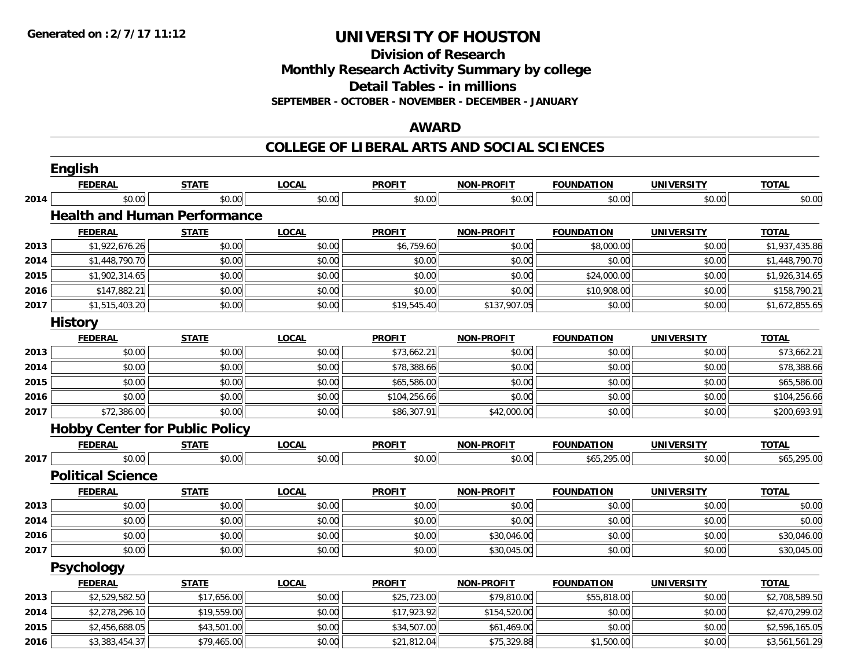**Division of Research**

**Monthly Research Activity Summary by college**

**Detail Tables - in millions**

**SEPTEMBER - OCTOBER - NOVEMBER - DECEMBER - JANUARY**

### **AWARD**

|      | <b>English</b>                        |              |              |               |                   |                   |                   |                |
|------|---------------------------------------|--------------|--------------|---------------|-------------------|-------------------|-------------------|----------------|
|      | <b>FEDERAL</b>                        | <b>STATE</b> | <b>LOCAL</b> | <b>PROFIT</b> | NON-PROFIT        | <b>FOUNDATION</b> | <b>UNIVERSITY</b> | <b>TOTAL</b>   |
| 2014 | \$0.00                                | \$0.00       | \$0.00       | \$0.00        | \$0.00            | \$0.00            | \$0.00            | \$0.00         |
|      | <b>Health and Human Performance</b>   |              |              |               |                   |                   |                   |                |
|      | <b>FEDERAL</b>                        | <b>STATE</b> | <b>LOCAL</b> | <b>PROFIT</b> | <b>NON-PROFIT</b> | <b>FOUNDATION</b> | <b>UNIVERSITY</b> | <b>TOTAL</b>   |
| 2013 | \$1,922,676.26                        | \$0.00       | \$0.00       | \$6,759.60    | \$0.00            | \$8,000.00        | \$0.00            | \$1,937,435.86 |
| 2014 | \$1,448,790.70                        | \$0.00       | \$0.00       | \$0.00        | \$0.00            | \$0.00            | \$0.00            | \$1,448,790.70 |
| 2015 | \$1,902,314.65                        | \$0.00       | \$0.00       | \$0.00        | \$0.00            | \$24,000.00       | \$0.00            | \$1,926,314.65 |
| 2016 | \$147,882.21                          | \$0.00       | \$0.00       | \$0.00        | \$0.00            | \$10,908.00       | \$0.00            | \$158,790.21   |
| 2017 | \$1,515,403.20                        | \$0.00       | \$0.00       | \$19,545.40   | \$137,907.05      | \$0.00            | \$0.00            | \$1,672,855.65 |
|      | <b>History</b>                        |              |              |               |                   |                   |                   |                |
|      | <b>FEDERAL</b>                        | <b>STATE</b> | <b>LOCAL</b> | <b>PROFIT</b> | NON-PROFIT        | <b>FOUNDATION</b> | <b>UNIVERSITY</b> | <b>TOTAL</b>   |
| 2013 | \$0.00                                | \$0.00       | \$0.00       | \$73,662.21   | \$0.00            | \$0.00            | \$0.00            | \$73,662.21    |
| 2014 | \$0.00                                | \$0.00       | \$0.00       | \$78,388.66   | \$0.00            | \$0.00            | \$0.00            | \$78,388.66    |
| 2015 | \$0.00                                | \$0.00       | \$0.00       | \$65,586.00   | \$0.00            | \$0.00            | \$0.00            | \$65,586.00    |
| 2016 | \$0.00                                | \$0.00       | \$0.00       | \$104,256.66  | \$0.00            | \$0.00            | \$0.00            | \$104,256.66   |
| 2017 | \$72,386.00                           | \$0.00       | \$0.00       | \$86,307.91   | \$42,000.00       | \$0.00            | \$0.00            | \$200,693.91   |
|      | <b>Hobby Center for Public Policy</b> |              |              |               |                   |                   |                   |                |
|      | <b>FEDERAL</b>                        | <b>STATE</b> | <b>LOCAL</b> | <b>PROFIT</b> | <b>NON-PROFIT</b> | <b>FOUNDATION</b> | <b>UNIVERSITY</b> | <b>TOTAL</b>   |
| 2017 | \$0.00                                | \$0.00       | \$0.00       | \$0.00        | \$0.00            | \$65,295.00       | \$0.00            | \$65,295.00    |
|      | <b>Political Science</b>              |              |              |               |                   |                   |                   |                |
|      | <b>FEDERAL</b>                        | <b>STATE</b> | <b>LOCAL</b> | <b>PROFIT</b> | <b>NON-PROFIT</b> | <b>FOUNDATION</b> | <b>UNIVERSITY</b> | <b>TOTAL</b>   |
| 2013 | \$0.00                                | \$0.00       | \$0.00       | \$0.00        | \$0.00            | \$0.00            | \$0.00            | \$0.00         |
| 2014 | \$0.00                                | \$0.00       | \$0.00       | \$0.00        | \$0.00            | \$0.00            | \$0.00            | \$0.00         |
| 2016 | \$0.00                                | \$0.00       | \$0.00       | \$0.00        | \$30,046.00       | \$0.00            | \$0.00            | \$30,046.00    |
| 2017 | \$0.00                                | \$0.00       | \$0.00       | \$0.00        | \$30,045.00       | \$0.00            | \$0.00            | \$30,045.00    |
|      | Psychology                            |              |              |               |                   |                   |                   |                |
|      | <b>FEDERAL</b>                        | <b>STATE</b> | <b>LOCAL</b> | <b>PROFIT</b> | <b>NON-PROFIT</b> | <b>FOUNDATION</b> | <b>UNIVERSITY</b> | <b>TOTAL</b>   |
| 2013 | \$2,529,582.50                        | \$17,656.00  | \$0.00       | \$25,723.00   | \$79,810.00       | \$55,818.00       | \$0.00            | \$2,708,589.50 |
| 2014 | \$2,278,296.10                        | \$19,559.00  | \$0.00       | \$17,923.92   | \$154,520.00      | \$0.00            | \$0.00            | \$2,470,299.02 |
| 2015 | \$2,456,688.05                        | \$43,501.00  | \$0.00       | \$34,507.00   | \$61,469.00       | \$0.00            | \$0.00            | \$2,596,165.05 |
| 2016 | \$3,383,454.37                        | \$79,465.00  | \$0.00       | \$21,812.04   | \$75,329.88       | \$1,500.00        | \$0.00            | \$3,561,561.29 |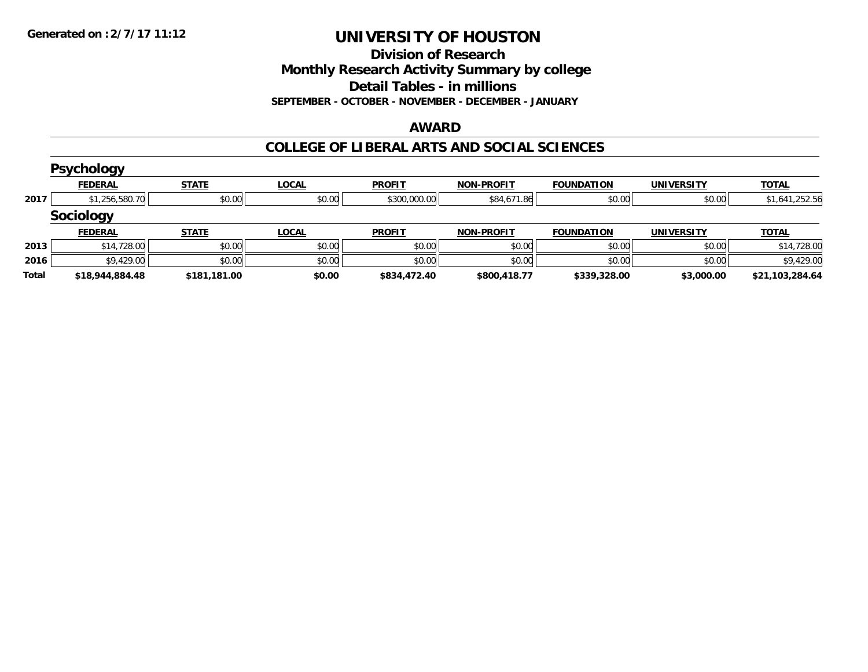**Division of Research**

**Monthly Research Activity Summary by college**

**Detail Tables - in millions**

**SEPTEMBER - OCTOBER - NOVEMBER - DECEMBER - JANUARY**

#### **AWARD**

|       | <b>Psychology</b> |              |              |               |                   |                   |                   |                 |
|-------|-------------------|--------------|--------------|---------------|-------------------|-------------------|-------------------|-----------------|
|       | <b>FEDERAL</b>    | <b>STATE</b> | <u>LOCAL</u> | <b>PROFIT</b> | <b>NON-PROFIT</b> | <b>FOUNDATION</b> | <b>UNIVERSITY</b> | <b>TOTAL</b>    |
| 2017  | \$1,256,580.70    | \$0.00       | \$0.00       | \$300,000.00  | \$84,671.86       | \$0.00            | \$0.00            | \$1,641,252.56  |
|       | <b>Sociology</b>  |              |              |               |                   |                   |                   |                 |
|       | <b>FEDERAL</b>    | <b>STATE</b> | <b>LOCAL</b> | <b>PROFIT</b> | <b>NON-PROFIT</b> | <b>FOUNDATION</b> | <b>UNIVERSITY</b> | <b>TOTAL</b>    |
| 2013  | \$14,728.00       | \$0.00       | \$0.00       | \$0.00        | \$0.00            | \$0.00            | \$0.00            | \$14,728.00     |
| 2016  | \$9,429.00        | \$0.00       | \$0.00       | \$0.00        | \$0.00            | \$0.00            | \$0.00            | \$9,429.00      |
| Total | \$18,944,884.48   | \$181,181.00 | \$0.00       | \$834,472.40  | \$800,418.77      | \$339,328.00      | \$3,000.00        | \$21,103,284.64 |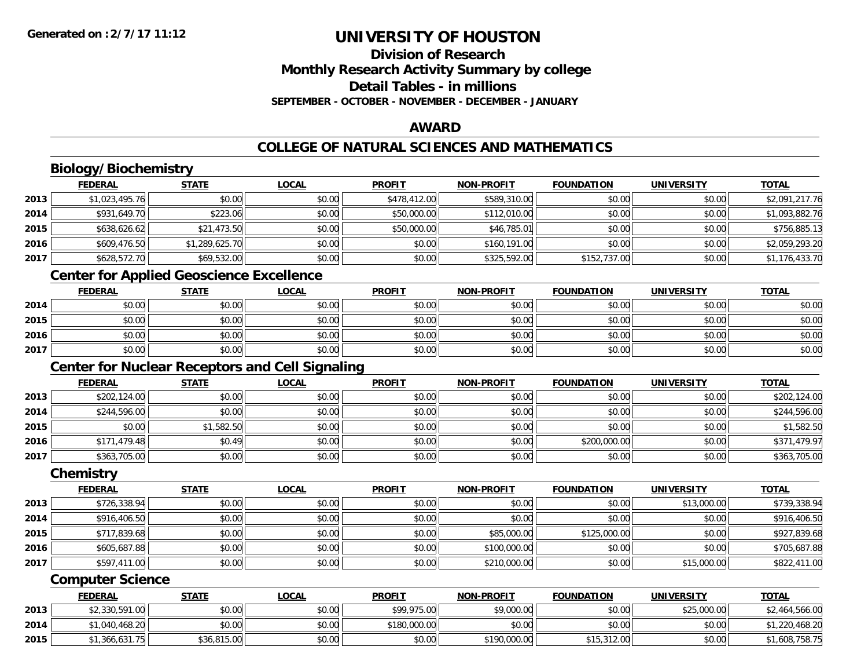# **Division of ResearchMonthly Research Activity Summary by college Detail Tables - in millionsSEPTEMBER - OCTOBER - NOVEMBER - DECEMBER - JANUARY**

### **AWARD**

# **COLLEGE OF NATURAL SCIENCES AND MATHEMATICS**

# **Biology/Biochemistry**

|      | <b>FEDERAL</b> | <b>STATE</b>   | <u>LOCAL</u> | <b>PROFIT</b> | <b>NON-PROFIT</b> | <b>FOUNDATION</b> | <b>UNIVERSITY</b> | <b>TOTAL</b>   |
|------|----------------|----------------|--------------|---------------|-------------------|-------------------|-------------------|----------------|
| 2013 | \$1,023,495.76 | \$0.00         | \$0.00       | \$478,412.00  | \$589,310.00      | \$0.00            | \$0.00            | \$2,091,217.76 |
| 2014 | \$931,649.70   | \$223.06       | \$0.00       | \$50,000.00   | \$112,010.00      | \$0.00            | \$0.00            | \$1,093,882.76 |
| 2015 | \$638,626.62   | \$21,473.50    | \$0.00       | \$50,000.00   | \$46,785.01       | \$0.00            | \$0.00            | \$756,885.13   |
| 2016 | \$609,476.50   | \$1,289,625.70 | \$0.00       | \$0.00        | \$160,191.00      | \$0.00            | \$0.00            | \$2,059,293.20 |
| 2017 | \$628,572.70   | \$69,532.00    | \$0.00       | \$0.00        | \$325,592.00      | \$152,737.00      | \$0.00            | \$1,176,433.70 |

# **Center for Applied Geoscience Excellence**

|      | <u>FEDERAL</u> | <b>STATE</b> | <u>LOCAL</u> | <b>PROFIT</b> | <b>NON-PROFIT</b> | <b>FOUNDATION</b> | <b>UNIVERSITY</b> | <b>TOTAL</b> |
|------|----------------|--------------|--------------|---------------|-------------------|-------------------|-------------------|--------------|
| 2014 | \$0.00         | \$0.00       | \$0.00       | \$0.00        | \$0.00            | \$0.00            | \$0.00            | \$0.00       |
| 2015 | \$0.00         | \$0.00       | \$0.00       | \$0.00        | \$0.00            | \$0.00            | \$0.00            | \$0.00       |
| 2016 | \$0.00         | \$0.00       | \$0.00       | \$0.00        | \$0.00            | \$0.00            | \$0.00            | \$0.00       |
| 2017 | \$0.00         | \$0.00       | \$0.00       | \$0.00        | \$0.00            | \$0.00            | \$0.00            | \$0.00       |

# **Center for Nuclear Receptors and Cell Signaling**

|      | <u>FEDERAL</u> | <b>STATE</b> | <b>LOCAL</b> | <b>PROFIT</b> | <b>NON-PROFIT</b> | <b>FOUNDATION</b> | <b>UNIVERSITY</b> | <b>TOTAL</b> |
|------|----------------|--------------|--------------|---------------|-------------------|-------------------|-------------------|--------------|
| 2013 | \$202,124.00   | \$0.00       | \$0.00       | \$0.00        | \$0.00            | \$0.00            | \$0.00            | \$202,124.00 |
| 2014 | \$244,596.00   | \$0.00       | \$0.00       | \$0.00        | \$0.00            | \$0.00            | \$0.00            | \$244,596.00 |
| 2015 | \$0.00         | \$1,582.50   | \$0.00       | \$0.00        | \$0.00            | \$0.00            | \$0.00            | \$1,582.50   |
| 2016 | \$171,479.48   | \$0.49       | \$0.00       | \$0.00        | \$0.00            | \$200,000.00      | \$0.00            | \$371,479.97 |
| 2017 | \$363,705.00   | \$0.00       | \$0.00       | \$0.00        | \$0.00            | \$0.00            | \$0.00            | \$363,705.00 |

#### **Chemistry**

|      | <u>FEDERAL</u> | <u>STATE</u> | <u>LOCAL</u> | <b>PROFIT</b> | <b>NON-PROFIT</b> | <b>FOUNDATION</b> | <b>UNIVERSITY</b> | <b>TOTAL</b> |
|------|----------------|--------------|--------------|---------------|-------------------|-------------------|-------------------|--------------|
| 2013 | \$726,338.94   | \$0.00       | \$0.00       | \$0.00        | \$0.00            | \$0.00            | \$13,000.00       | \$739,338.94 |
| 2014 | \$916,406.50   | \$0.00       | \$0.00       | \$0.00        | \$0.00            | \$0.00            | \$0.00            | \$916,406.50 |
| 2015 | \$717,839.68   | \$0.00       | \$0.00       | \$0.00        | \$85,000.00       | \$125,000.00      | \$0.00            | \$927,839.68 |
| 2016 | \$605,687.88   | \$0.00       | \$0.00       | \$0.00        | \$100,000.00      | \$0.00            | \$0.00            | \$705,687.88 |
| 2017 | \$597,411.00   | \$0.00       | \$0.00       | \$0.00        | \$210,000.00      | \$0.00            | \$15,000.00       | \$822,411.00 |

#### **Computer Science**

|      | <b>FEDERAL</b> | <b>STATE</b> | <u>LOCAL</u> | <b>PROFIT</b> | <b>NON-PROFIT</b> | <b>FOUNDATION</b> | <b>UNIVERSITY</b> | <b>TOTAL</b>   |
|------|----------------|--------------|--------------|---------------|-------------------|-------------------|-------------------|----------------|
| 2013 | \$2,330,591.00 | \$0.00       | \$0.00       | \$99,975.00   | \$9,000.00        | \$0.00            | \$25,000.00       | \$2,464,566.00 |
| 2014 | \$1,040,468.20 | \$0.00       | \$0.00       | \$180,000.00  | \$0.00            | \$0.00            | \$0.00            | \$1,220,468.20 |
| 2015 | \$1,366,631.75 | \$36,815.00  | \$0.00       | \$0.00        | \$190,000.00      | \$15,312.00       | \$0.00            | \$1,608,758.75 |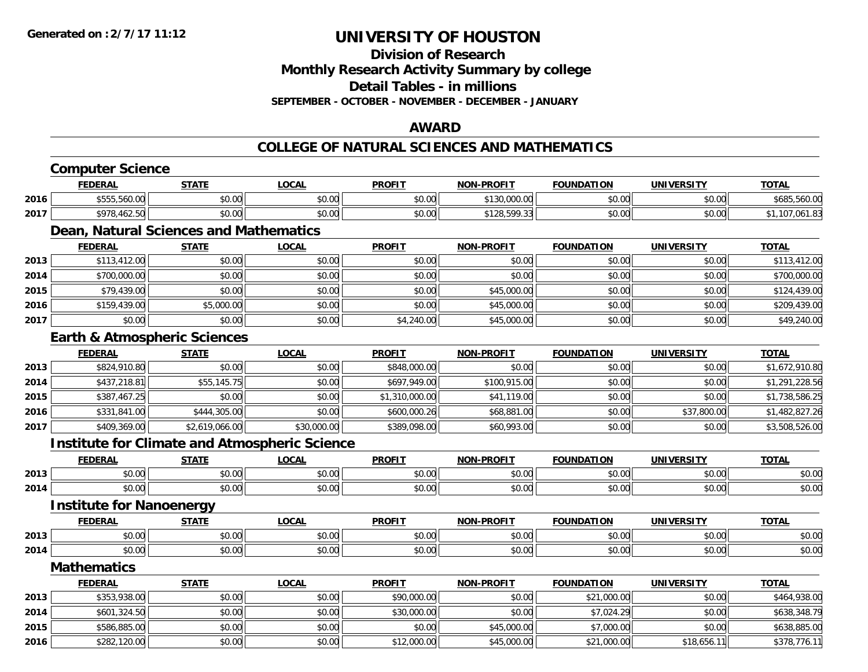**Division of Research**

**Monthly Research Activity Summary by college**

**Detail Tables - in millions**

**SEPTEMBER - OCTOBER - NOVEMBER - DECEMBER - JANUARY**

### **AWARD**

### **COLLEGE OF NATURAL SCIENCES AND MATHEMATICS**

|      | <b>Computer Science</b>                              |                |              |                |                   |                   |                   |                |
|------|------------------------------------------------------|----------------|--------------|----------------|-------------------|-------------------|-------------------|----------------|
|      | <b>FEDERAL</b>                                       | <b>STATE</b>   | <b>LOCAL</b> | <b>PROFIT</b>  | <b>NON-PROFIT</b> | <b>FOUNDATION</b> | <b>UNIVERSITY</b> | <b>TOTAL</b>   |
| 2016 | \$555,560.00                                         | \$0.00         | \$0.00       | \$0.00         | \$130,000.00      | \$0.00            | \$0.00            | \$685,560.00   |
| 2017 | \$978,462.50                                         | \$0.00         | \$0.00       | \$0.00         | \$128,599.33      | \$0.00            | \$0.00            | \$1,107,061.83 |
|      | Dean, Natural Sciences and Mathematics               |                |              |                |                   |                   |                   |                |
|      | <b>FEDERAL</b>                                       | <b>STATE</b>   | <b>LOCAL</b> | <b>PROFIT</b>  | <b>NON-PROFIT</b> | <b>FOUNDATION</b> | <b>UNIVERSITY</b> | <b>TOTAL</b>   |
| 2013 | \$113,412.00                                         | \$0.00         | \$0.00       | \$0.00         | \$0.00            | \$0.00            | \$0.00            | \$113,412.00   |
| 2014 | \$700,000.00                                         | \$0.00         | \$0.00       | \$0.00         | \$0.00            | \$0.00            | \$0.00            | \$700,000.00   |
| 2015 | \$79,439.00                                          | \$0.00         | \$0.00       | \$0.00         | \$45,000.00       | \$0.00            | \$0.00            | \$124,439.00   |
| 2016 | \$159,439.00                                         | \$5,000.00     | \$0.00       | \$0.00         | \$45,000.00       | \$0.00            | \$0.00            | \$209,439.00   |
| 2017 | \$0.00                                               | \$0.00         | \$0.00       | \$4,240.00     | \$45,000.00       | \$0.00            | \$0.00            | \$49,240.00    |
|      | <b>Earth &amp; Atmospheric Sciences</b>              |                |              |                |                   |                   |                   |                |
|      | <b>FEDERAL</b>                                       | <b>STATE</b>   | <b>LOCAL</b> | <b>PROFIT</b>  | <b>NON-PROFIT</b> | <b>FOUNDATION</b> | <b>UNIVERSITY</b> | <b>TOTAL</b>   |
| 2013 | \$824,910.80                                         | \$0.00         | \$0.00       | \$848,000.00   | \$0.00            | \$0.00            | \$0.00            | \$1,672,910.80 |
| 2014 | \$437,218.81                                         | \$55,145.75    | \$0.00       | \$697,949.00   | \$100,915.00      | \$0.00            | \$0.00            | \$1,291,228.56 |
| 2015 | \$387,467.25                                         | \$0.00         | \$0.00       | \$1,310,000.00 | \$41,119.00       | \$0.00            | \$0.00            | \$1,738,586.25 |
| 2016 | \$331,841.00                                         | \$444,305.00   | \$0.00       | \$600,000.26   | \$68,881.00       | \$0.00            | \$37,800.00       | \$1,482,827.26 |
| 2017 | \$409,369.00                                         | \$2,619,066.00 | \$30,000.00  | \$389,098.00   | \$60,993.00       | \$0.00            | \$0.00            | \$3,508,526.00 |
|      | <b>Institute for Climate and Atmospheric Science</b> |                |              |                |                   |                   |                   |                |
|      | <b>FEDERAL</b>                                       | <b>STATE</b>   | <b>LOCAL</b> | <b>PROFIT</b>  | <b>NON-PROFIT</b> | <b>FOUNDATION</b> | <b>UNIVERSITY</b> | <b>TOTAL</b>   |
| 2013 | \$0.00                                               | \$0.00         | \$0.00       | \$0.00         | \$0.00            | \$0.00            | \$0.00            | \$0.00         |
| 2014 | \$0.00                                               | \$0.00         | \$0.00       | \$0.00         | \$0.00            | \$0.00            | \$0.00            | \$0.00         |
|      | <b>Institute for Nanoenergy</b>                      |                |              |                |                   |                   |                   |                |
|      | <b>FEDERAL</b>                                       | <b>STATE</b>   | LOCAL        | <b>PROFIT</b>  | <b>NON-PROFIT</b> | <b>FOUNDATION</b> | <b>UNIVERSITY</b> | <b>TOTAL</b>   |
| 2013 | \$0.00                                               | \$0.00         | \$0.00       | \$0.00         | \$0.00            | \$0.00            | \$0.00            | \$0.00         |
| 2014 | \$0.00                                               | \$0.00         | \$0.00       | \$0.00         | \$0.00            | \$0.00            | \$0.00            | \$0.00         |
|      | <b>Mathematics</b>                                   |                |              |                |                   |                   |                   |                |
|      | <b>FEDERAL</b>                                       | <b>STATE</b>   | <b>LOCAL</b> | <b>PROFIT</b>  | <b>NON-PROFIT</b> | <b>FOUNDATION</b> | <b>UNIVERSITY</b> | <b>TOTAL</b>   |
| 2013 | \$353,938.00                                         | \$0.00         | \$0.00       | \$90,000.00    | \$0.00            | \$21,000.00       | \$0.00            | \$464,938.00   |
| 2014 | \$601,324.50                                         | \$0.00         | \$0.00       | \$30,000.00    | \$0.00            | \$7,024.29        | \$0.00            | \$638,348.79   |
| 2015 | \$586,885.00                                         | \$0.00         | \$0.00       | \$0.00         | \$45,000.00       | \$7,000.00        | \$0.00            | \$638,885.00   |
| 2016 | \$282,120.00                                         | \$0.00         | \$0.00       | \$12,000.00    | \$45,000.00       | \$21,000.00       | \$18,656.11       | \$378,776.11   |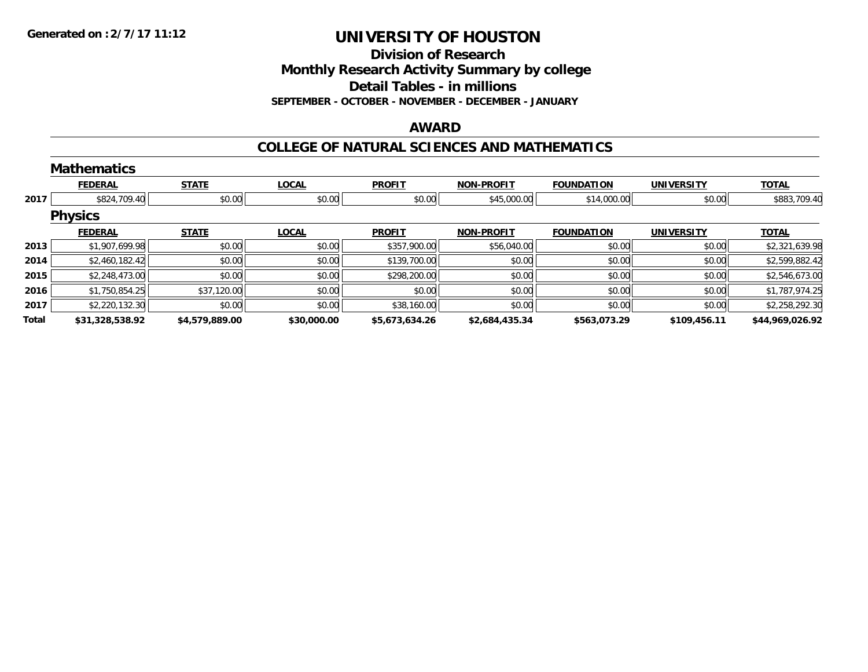**Division of Research**

**Monthly Research Activity Summary by college**

**Detail Tables - in millions**

**SEPTEMBER - OCTOBER - NOVEMBER - DECEMBER - JANUARY**

### **AWARD**

### **COLLEGE OF NATURAL SCIENCES AND MATHEMATICS**

|       | <b>Mathematics</b> |                |              |                |                   |                   |                   |                 |
|-------|--------------------|----------------|--------------|----------------|-------------------|-------------------|-------------------|-----------------|
|       | <b>FEDERAL</b>     | <b>STATE</b>   | <b>LOCAL</b> | <b>PROFIT</b>  | <b>NON-PROFIT</b> | <b>FOUNDATION</b> | <b>UNIVERSITY</b> | <b>TOTAL</b>    |
| 2017  | \$824,709.40       | \$0.00         | \$0.00       | \$0.00         | \$45,000.00       | \$14,000.00       | \$0.00            | \$883,709.40    |
|       | <b>Physics</b>     |                |              |                |                   |                   |                   |                 |
|       | <b>FEDERAL</b>     | <b>STATE</b>   | <b>LOCAL</b> | <b>PROFIT</b>  | <b>NON-PROFIT</b> | <b>FOUNDATION</b> | <b>UNIVERSITY</b> | <b>TOTAL</b>    |
| 2013  | \$1,907,699.98     | \$0.00         | \$0.00       | \$357,900.00   | \$56,040.00       | \$0.00            | \$0.00            | \$2,321,639.98  |
| 2014  | \$2,460,182.42     | \$0.00         | \$0.00       | \$139,700.00   | \$0.00            | \$0.00            | \$0.00            | \$2,599,882.42  |
| 2015  | \$2,248,473.00     | \$0.00         | \$0.00       | \$298,200.00   | \$0.00            | \$0.00            | \$0.00            | \$2,546,673.00  |
| 2016  | \$1,750,854.25     | \$37,120.00    | \$0.00       | \$0.00         | \$0.00            | \$0.00            | \$0.00            | \$1,787,974.25  |
| 2017  | \$2,220,132.30     | \$0.00         | \$0.00       | \$38,160.00    | \$0.00            | \$0.00            | \$0.00            | \$2,258,292.30  |
| Total | \$31,328,538.92    | \$4,579,889.00 | \$30,000.00  | \$5,673,634.26 | \$2,684,435.34    | \$563,073.29      | \$109,456.11      | \$44,969,026.92 |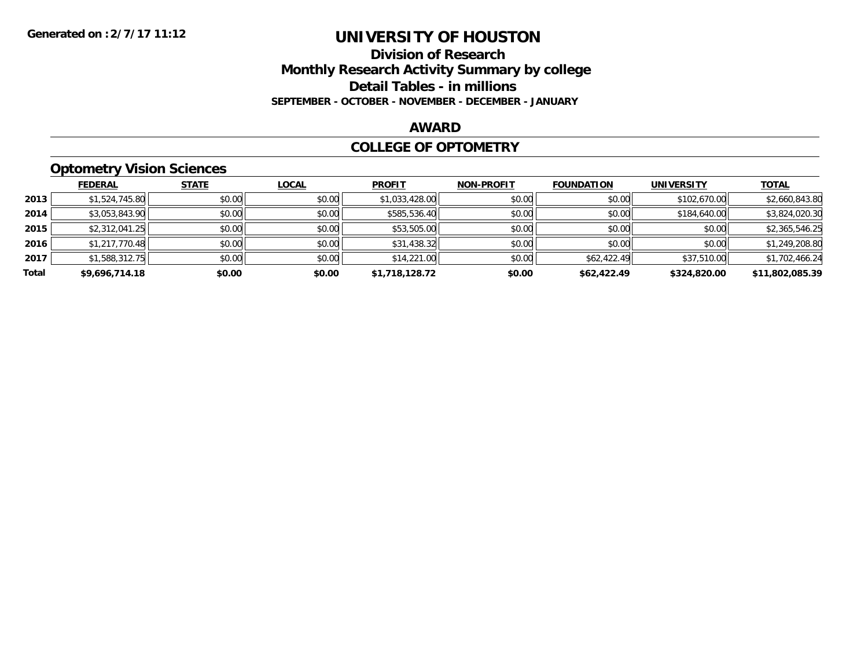### **Division of Research Monthly Research Activity Summary by college Detail Tables - in millions SEPTEMBER - OCTOBER - NOVEMBER - DECEMBER - JANUARY**

### **AWARD**

#### **COLLEGE OF OPTOMETRY**

# **Optometry Vision Sciences**

|       | __             |              |              |                |                   |                   |                   |                 |
|-------|----------------|--------------|--------------|----------------|-------------------|-------------------|-------------------|-----------------|
|       | <b>FEDERAL</b> | <b>STATE</b> | <b>LOCAL</b> | <b>PROFIT</b>  | <b>NON-PROFIT</b> | <b>FOUNDATION</b> | <b>UNIVERSITY</b> | <b>TOTAL</b>    |
| 2013  | \$1,524,745.80 | \$0.00       | \$0.00       | \$1,033,428.00 | \$0.00            | \$0.00            | \$102,670.00      | \$2,660,843.80  |
| 2014  | \$3,053,843.90 | \$0.00       | \$0.00       | \$585,536.40   | \$0.00            | \$0.00            | \$184,640.00      | \$3,824,020.30  |
| 2015  | \$2,312,041.25 | \$0.00       | \$0.00       | \$53,505.00    | \$0.00            | \$0.00            | \$0.00            | \$2,365,546.25  |
| 2016  | \$1,217,770.48 | \$0.00       | \$0.00       | \$31,438.32    | \$0.00            | \$0.00            | \$0.00            | \$1,249,208.80  |
| 2017  | \$1,588,312.75 | \$0.00       | \$0.00       | \$14,221.00    | \$0.00            | \$62,422.49       | \$37,510.00       | \$1,702,466.24  |
| Total | \$9,696,714.18 | \$0.00       | \$0.00       | \$1,718,128.72 | \$0.00            | \$62,422.49       | \$324,820.00      | \$11,802,085.39 |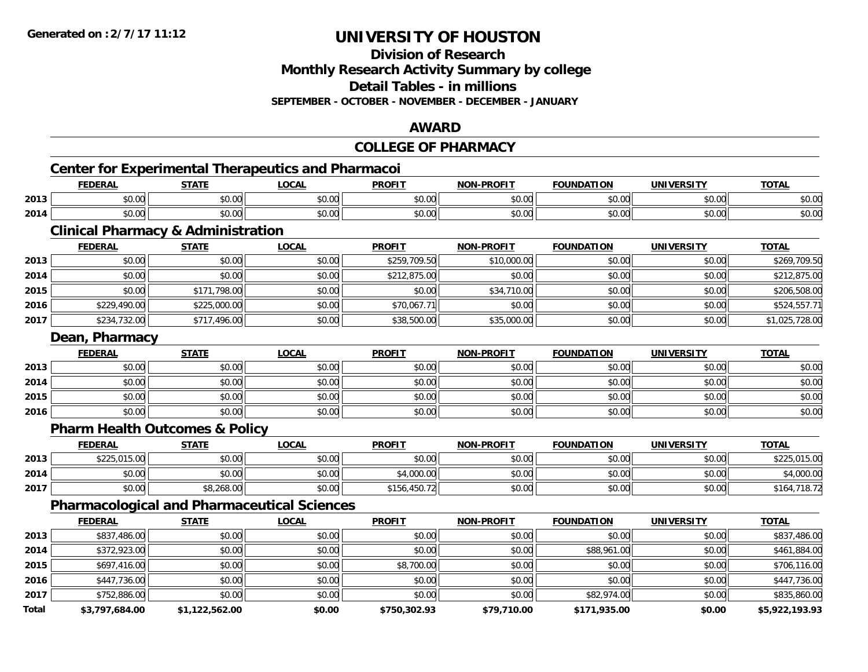**Total**

# **UNIVERSITY OF HOUSTON**

**Division of Research**

**Monthly Research Activity Summary by college**

**Detail Tables - in millions**

**SEPTEMBER - OCTOBER - NOVEMBER - DECEMBER - JANUARY**

#### **AWARD**

#### **COLLEGE OF PHARMACYCenter for Experimental Therapeutics and Pharmacoi FEDERAL STATE LOCAL PROFIT NON-PROFIT FOUNDATION UNIVERSITY TOTALTOTAL 2013** \$0.00 \$0.00 \$0.00 \$0.00 \$0.00 \$0.00 \$0.00 \$0.00 **2014**4 \$0.00 \$0.00 \$0.00 \$0.00 \$0.00 \$0.00 \$0.00 \$0.00 \$0.00 \$0.00 \$0.00 \$0.00 \$0.00 \$0.00 \$0.00 \$0.00 \$0.00 **Clinical Pharmacy & Administration FEDERAL STATE LOCAL PROFIT NON-PROFIT FOUNDATION UNIVERSITY TOTAL2013** \$0.00 \$0.00 \$0.00 \$259,709.50 \$10,000.00 \$0.00 \$0.00 \$269,709.50 **2014**4 \$0.00 \$0.00 \$0.00 \$0.00 \$0.00 \$0.00 \$0.00 \$212,875.00 \$212,875.00 \$212,875.00 \$ **2015** \$0.00 \$171,798.00 \$0.00 \$0.00 \$34,710.00 \$0.00 \$0.00 \$206,508.00 **2016**6 \$229,490.00| \$225,000.00| \$0.00| \$0.00| \$70,067.71|| \$0.00| \$0.00| \$0.00| \$0.00| \$0.00| \$524,557.71 **2017** \$234,732.00 \$717,496.00 \$0.00 \$38,500.00 \$35,000.00 \$0.00 \$0.00 \$1,025,728.00 **Dean, Pharmacy FEDERAL STATE LOCAL PROFIT NON-PROFIT FOUNDATION UNIVERSITY TOTAL2013** \$0.00 \$0.00 \$0.00 \$0.00 \$0.00 \$0.00 \$0.00 \$0.00 **2014**4 \$0.00 \$0.00 \$0.00 \$0.00 \$0.00 \$0.00 \$0.00 \$0.00 \$0.00 \$0.00 \$0.00 \$0.00 \$0.00 \$0.00 \$0.00 \$0.00 \$0.00 **2015** \$0.00 \$0.00 \$0.00 \$0.00 \$0.00 \$0.00 \$0.00 \$0.00 **2016** \$0.00 \$0.00 \$0.00 \$0.00 \$0.00 \$0.00 \$0.00 \$0.00 **Pharm Health Outcomes & Policy FEDERAL STATE LOCAL PROFIT NON-PROFIT FOUNDATION UNIVERSITY TOTALTOTAL 2013** \$225,015.00 \$0.00 \$0.00 \$0.00 \$0.00 \$0.00 \$0.00 \$225,015.00 **2014** \$0.00 \$0.00 \$0.00 \$4,000.00 \$0.00 \$0.00 \$0.00 \$4,000.00 **2017** \$0.00 \$8,268.00 \$0.00 \$156,450.72 \$0.00 \$0.00 \$0.00 \$164,718.72 **Pharmacological and Pharmaceutical Sciences FEDERAL STATE LOCAL PROFIT NON-PROFIT FOUNDATION UNIVERSITY TOTALTOTAL 2013** \$837,486.00 \$0.00 \$0.00 \$0.00 \$0.00 \$0.00 \$0.00 \$837,486.00 **2014**4 \$372,923.00 \$0.00 \$0.00 \$0.00 \$0.00 \$0.00 \$0.00 \$0.00 \$0.00 \$0.00 \$88,961.00 \$0.00 \$161,884.00 **2015** \$697,416.00 \$0.00 \$0.00 \$8,700.00 \$0.00 \$0.00 \$0.00 \$706,116.00 **2016**6 \$447,736.00 \$0.00 \$0.00 \$0.00 \$0.00 \$0.00 \$0.00 \$0.00 \$0.00 \$0.00 \$0.00 \$0.00 \$147,736.00 **2017**7 | \$752,886.00| \$0.00| \$0.00| \$0.00| \$0.00| \$0.00| \$0.00| \$0.00| \$82,974.00| \$0.00| \$0.00| \$835,860.00

**\$3,797,684.00 \$1,122,562.00 \$0.00 \$750,302.93 \$79,710.00 \$171,935.00 \$0.00 \$5,922,193.93**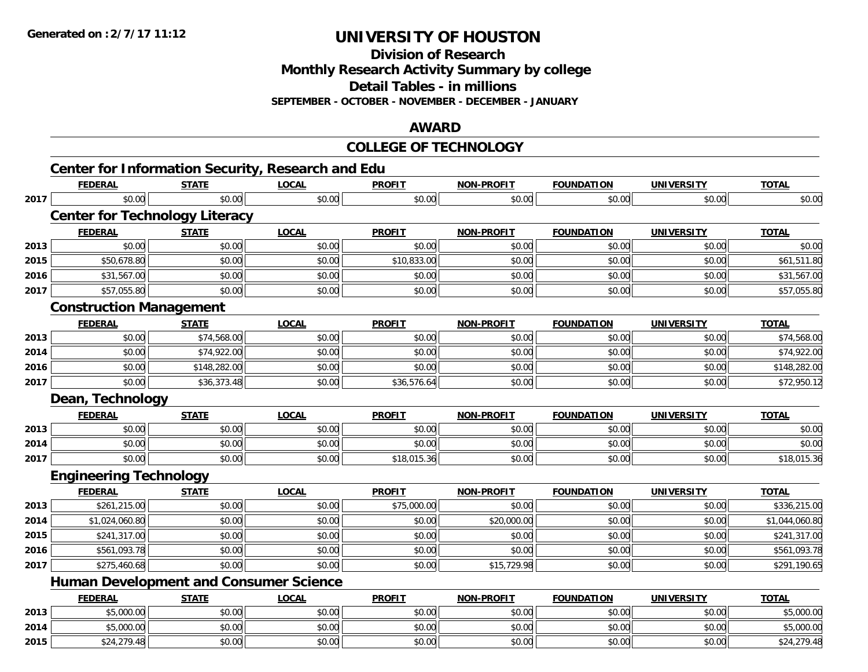**2015**

# **UNIVERSITY OF HOUSTON**

**Division of Research**

**Monthly Research Activity Summary by college**

**Detail Tables - in millions**

**SEPTEMBER - OCTOBER - NOVEMBER - DECEMBER - JANUARY**

### **AWARD**

|      |                                                          |              |              | <b>COLLEGE OF TECHNOLOGY</b> |                   |                   |                   |                |
|------|----------------------------------------------------------|--------------|--------------|------------------------------|-------------------|-------------------|-------------------|----------------|
|      | <b>Center for Information Security, Research and Edu</b> |              |              |                              |                   |                   |                   |                |
|      | <b>FEDERAL</b>                                           | <b>STATE</b> | <b>LOCAL</b> | <b>PROFIT</b>                | <b>NON-PROFIT</b> | <b>FOUNDATION</b> | <b>UNIVERSITY</b> | <b>TOTAL</b>   |
| 2017 | \$0.00                                                   | \$0.00       | \$0.00       | \$0.00                       | \$0.00            | \$0.00            | \$0.00            | \$0.00         |
|      | <b>Center for Technology Literacy</b>                    |              |              |                              |                   |                   |                   |                |
|      | <b>FEDERAL</b>                                           | <b>STATE</b> | <b>LOCAL</b> | <b>PROFIT</b>                | <b>NON-PROFIT</b> | <b>FOUNDATION</b> | <b>UNIVERSITY</b> | <b>TOTAL</b>   |
| 2013 | \$0.00                                                   | \$0.00       | \$0.00       | \$0.00                       | \$0.00            | \$0.00            | \$0.00            | \$0.00         |
| 2015 | \$50,678.80                                              | \$0.00       | \$0.00       | \$10,833.00                  | \$0.00            | \$0.00            | \$0.00            | \$61,511.80    |
| 2016 | \$31,567.00                                              | \$0.00       | \$0.00       | \$0.00                       | \$0.00            | \$0.00            | \$0.00            | \$31,567.00    |
| 2017 | \$57,055.80                                              | \$0.00       | \$0.00       | \$0.00                       | \$0.00            | \$0.00            | \$0.00            | \$57,055.80    |
|      | <b>Construction Management</b>                           |              |              |                              |                   |                   |                   |                |
|      | <b>FEDERAL</b>                                           | <b>STATE</b> | <b>LOCAL</b> | <b>PROFIT</b>                | <b>NON-PROFIT</b> | <b>FOUNDATION</b> | <b>UNIVERSITY</b> | <b>TOTAL</b>   |
| 2013 | \$0.00                                                   | \$74,568.00  | \$0.00       | \$0.00                       | \$0.00            | \$0.00            | \$0.00            | \$74,568.00    |
| 2014 | \$0.00                                                   | \$74,922.00  | \$0.00       | \$0.00                       | \$0.00            | \$0.00            | \$0.00            | \$74,922.00    |
| 2016 | \$0.00                                                   | \$148,282.00 | \$0.00       | \$0.00                       | \$0.00            | \$0.00            | \$0.00            | \$148,282.00   |
| 2017 | \$0.00                                                   | \$36,373.48  | \$0.00       | \$36,576.64                  | \$0.00            | \$0.00            | \$0.00            | \$72,950.12    |
|      | Dean, Technology                                         |              |              |                              |                   |                   |                   |                |
|      | <b>FEDERAL</b>                                           | <b>STATE</b> | <b>LOCAL</b> | <b>PROFIT</b>                | <b>NON-PROFIT</b> | <b>FOUNDATION</b> | <b>UNIVERSITY</b> | <b>TOTAL</b>   |
| 2013 | \$0.00                                                   | \$0.00       | \$0.00       | \$0.00                       | \$0.00            | \$0.00            | \$0.00            | \$0.00         |
| 2014 | \$0.00                                                   | \$0.00       | \$0.00       | \$0.00                       | \$0.00            | \$0.00            | \$0.00            | \$0.00         |
| 2017 | \$0.00                                                   | \$0.00       | \$0.00       | \$18,015.36                  | \$0.00            | \$0.00            | \$0.00            | \$18,015.36    |
|      | <b>Engineering Technology</b>                            |              |              |                              |                   |                   |                   |                |
|      | <b>FEDERAL</b>                                           | <b>STATE</b> | <b>LOCAL</b> | <b>PROFIT</b>                | <b>NON-PROFIT</b> | <b>FOUNDATION</b> | <b>UNIVERSITY</b> | <b>TOTAL</b>   |
| 2013 | \$261,215.00                                             | \$0.00       | \$0.00       | \$75,000.00                  | \$0.00            | \$0.00            | \$0.00            | \$336,215.00   |
| 2014 | \$1,024,060.80                                           | \$0.00       | \$0.00       | \$0.00                       | \$20,000.00       | \$0.00            | \$0.00            | \$1,044,060.80 |
| 2015 | \$241,317.00                                             | \$0.00       | \$0.00       | \$0.00                       | \$0.00            | \$0.00            | \$0.00            | \$241,317.00   |
| 2016 | \$561,093.78                                             | \$0.00       | \$0.00       | \$0.00                       | \$0.00            | \$0.00            | \$0.00            | \$561,093.78   |
| 2017 | \$275,460.68                                             | \$0.00       | \$0.00       | \$0.00                       | \$15,729.98       | \$0.00            | \$0.00            | \$291,190.65   |
|      | <b>Human Development and Consumer Science</b>            |              |              |                              |                   |                   |                   |                |
|      | <b>FEDERAL</b>                                           | <b>STATE</b> | <b>LOCAL</b> | <b>PROFIT</b>                | <b>NON-PROFIT</b> | <b>FOUNDATION</b> | <b>UNIVERSITY</b> | <b>TOTAL</b>   |
| 2013 | \$5,000.00                                               | \$0.00       | \$0.00       | \$0.00                       | \$0.00            | \$0.00            | \$0.00            | \$5,000.00     |
| 2014 | \$5,000.00                                               | \$0.00       | \$0.00       | \$0.00                       | \$0.00            | \$0.00            | \$0.00            | \$5,000.00     |

\$24,279.48 \$0.00 \$0.00 \$0.00 \$0.00 \$0.00 \$0.00 \$24,279.48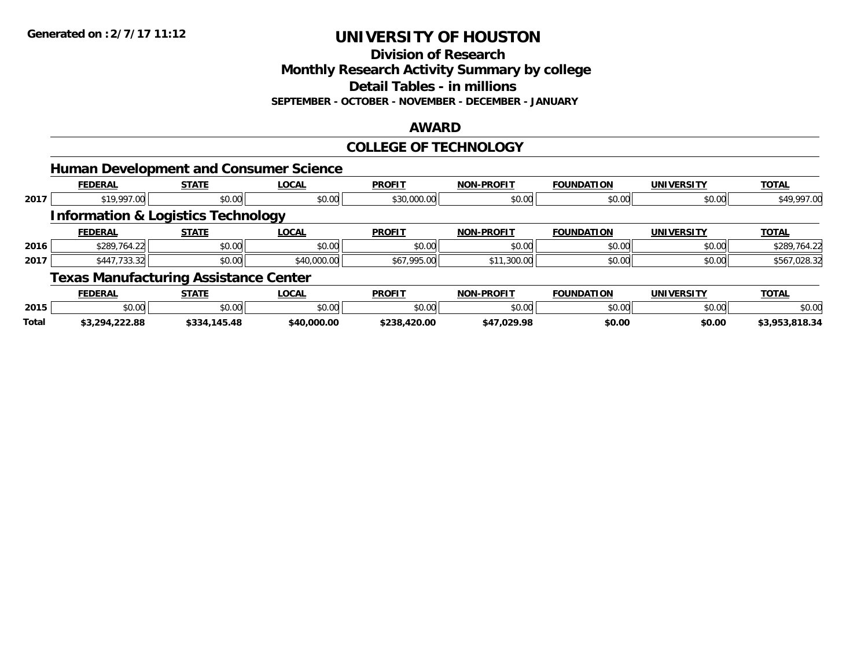**Division of Research**

**Monthly Research Activity Summary by college**

**Detail Tables - in millions**

**SEPTEMBER - OCTOBER - NOVEMBER - DECEMBER - JANUARY**

### **AWARD**

### **COLLEGE OF TECHNOLOGY**

|      | <b>Human Development and Consumer Science</b> |              |              |               |                   |                   |                   |              |
|------|-----------------------------------------------|--------------|--------------|---------------|-------------------|-------------------|-------------------|--------------|
|      | <b>FEDERAL</b>                                | <b>STATE</b> | <b>LOCAL</b> | <b>PROFIT</b> | <b>NON-PROFIT</b> | <b>FOUNDATION</b> | <b>UNIVERSITY</b> | <b>TOTAL</b> |
| 2017 | \$19,997.00                                   | \$0.00       | \$0.00       | \$30,000.00   | \$0.00            | \$0.00            | \$0.00            | \$49,997.00  |
|      | <b>Information &amp; Logistics Technology</b> |              |              |               |                   |                   |                   |              |
|      | <b>FEDERAL</b>                                | <b>STATE</b> | <b>LOCAL</b> | <b>PROFIT</b> | <b>NON-PROFIT</b> | <b>FOUNDATION</b> | <b>UNIVERSITY</b> | <b>TOTAL</b> |
| 2016 | \$289,764.22                                  | \$0.00       | \$0.00       | \$0.00        | \$0.00            | \$0.00            | \$0.00            | \$289,764.22 |
| 2017 | \$447,733.32                                  | \$0.00       | \$40,000.00  | \$67,995.00   | \$11,300.00       | \$0.00            | \$0.00            | \$567,028.32 |
|      | <b>Texas Manufacturing Assistance Center</b>  |              |              |               |                   |                   |                   |              |
|      | <b>FEDERAL</b>                                | <b>STATE</b> | <b>LOCAL</b> | <b>PROFIT</b> | <b>NON-PROFIT</b> | <b>FOUNDATION</b> | UNIVERSITY        | <b>TOTAL</b> |

|              | FEDERAL        | SIAIE            | LUUAL       | PRUFI        | NUN-PRUFI   | <b>FUUNDATIUN</b> | UNIVERSIIY | IUIAL          |
|--------------|----------------|------------------|-------------|--------------|-------------|-------------------|------------|----------------|
| 2015         | \$0.00         | \$0.00           | \$0.00      | \$0.00       | \$0.00      | \$0.00            | \$0.00     | \$0.00         |
| <b>Total</b> | \$3,294,222.88 | 145.48<br>\$334. | \$40,000.00 | \$238,420.00 | \$47,029.98 | \$0.00            | \$0.00     | \$3,953,818.34 |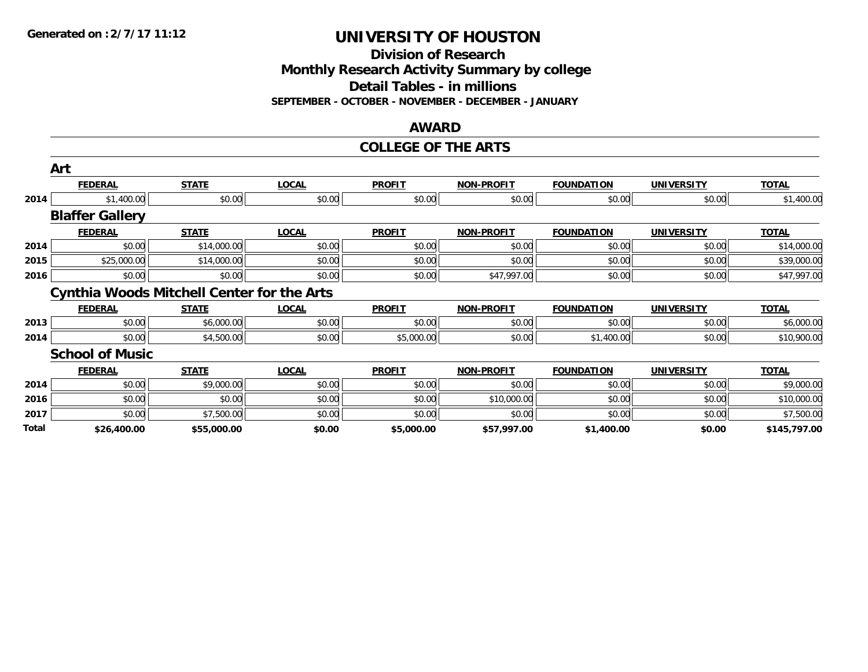**Division of Research Monthly Research Activity Summary by college Detail Tables - in millions SEPTEMBER - OCTOBER - NOVEMBER - DECEMBER - JANUARY**

#### **AWARD**

#### **COLLEGE OF THE ARTS**

|       | Art                                               |              |              |               |                   |                   |                   |              |
|-------|---------------------------------------------------|--------------|--------------|---------------|-------------------|-------------------|-------------------|--------------|
|       | <b>FEDERAL</b>                                    | <b>STATE</b> | <b>LOCAL</b> | <b>PROFIT</b> | <b>NON-PROFIT</b> | <b>FOUNDATION</b> | <b>UNIVERSITY</b> | <b>TOTAL</b> |
| 2014  | \$1,400.00                                        | \$0.00       | \$0.00       | \$0.00        | \$0.00            | \$0.00            | \$0.00            | \$1,400.00   |
|       | <b>Blaffer Gallery</b>                            |              |              |               |                   |                   |                   |              |
|       | <b>FEDERAL</b>                                    | <b>STATE</b> | <b>LOCAL</b> | <b>PROFIT</b> | <b>NON-PROFIT</b> | <b>FOUNDATION</b> | <b>UNIVERSITY</b> | <b>TOTAL</b> |
| 2014  | \$0.00                                            | \$14,000.00  | \$0.00       | \$0.00        | \$0.00            | \$0.00            | \$0.00            | \$14,000.00  |
| 2015  | \$25,000.00                                       | \$14,000.00  | \$0.00       | \$0.00        | \$0.00            | \$0.00            | \$0.00            | \$39,000.00  |
| 2016  | \$0.00                                            | \$0.00       | \$0.00       | \$0.00        | \$47,997.00       | \$0.00            | \$0.00            | \$47,997.00  |
|       | <b>Cynthia Woods Mitchell Center for the Arts</b> |              |              |               |                   |                   |                   |              |
|       | <b>FEDERAL</b>                                    | <b>STATE</b> | <b>LOCAL</b> | <b>PROFIT</b> | <b>NON-PROFIT</b> | <b>FOUNDATION</b> | <b>UNIVERSITY</b> | <b>TOTAL</b> |
| 2013  | \$0.00                                            | \$6,000.00   | \$0.00       | \$0.00        | \$0.00            | \$0.00            | \$0.00            | \$6,000.00   |
| 2014  | \$0.00                                            | \$4,500.00   | \$0.00       | \$5,000.00    | \$0.00            | \$1,400.00        | \$0.00            | \$10,900.00  |
|       | <b>School of Music</b>                            |              |              |               |                   |                   |                   |              |
|       | <b>FEDERAL</b>                                    | <b>STATE</b> | <b>LOCAL</b> | <b>PROFIT</b> | <b>NON-PROFIT</b> | <b>FOUNDATION</b> | <b>UNIVERSITY</b> | <b>TOTAL</b> |
| 2014  | \$0.00                                            | \$9,000.00   | \$0.00       | \$0.00        | \$0.00            | \$0.00            | \$0.00            | \$9,000.00   |
| 2016  | \$0.00                                            | \$0.00       | \$0.00       | \$0.00        | \$10,000.00       | \$0.00            | \$0.00            | \$10,000.00  |
| 2017  | \$0.00                                            | \$7,500.00   | \$0.00       | \$0.00        | \$0.00            | \$0.00            | \$0.00            | \$7,500.00   |
| Total | \$26,400.00                                       | \$55,000.00  | \$0.00       | \$5,000.00    | \$57,997.00       | \$1,400.00        | \$0.00            | \$145,797.00 |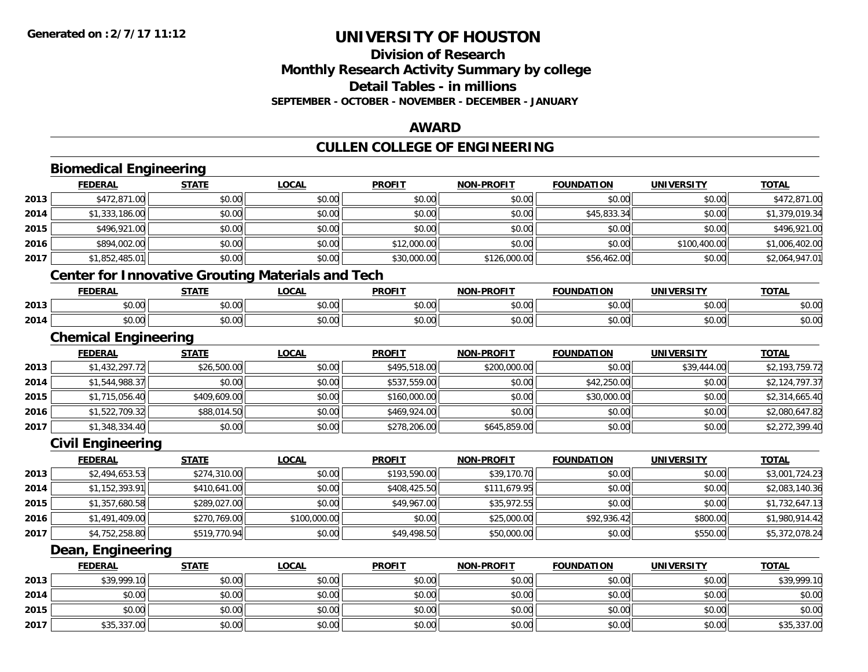# **Division of ResearchMonthly Research Activity Summary by college Detail Tables - in millions SEPTEMBER - OCTOBER - NOVEMBER - DECEMBER - JANUARY**

### **AWARD**

# **CULLEN COLLEGE OF ENGINEERING**

|      | <b>FEDERAL</b>                                           | <b>STATE</b> | <b>LOCAL</b> | <b>PROFIT</b> | <b>NON-PROFIT</b> | <b>FOUNDATION</b> | <b>UNIVERSITY</b> | <b>TOTAL</b>   |
|------|----------------------------------------------------------|--------------|--------------|---------------|-------------------|-------------------|-------------------|----------------|
| 2013 | \$472,871.00                                             | \$0.00       | \$0.00       | \$0.00        | \$0.00            | \$0.00            | \$0.00            | \$472,871.00   |
| 2014 | \$1,333,186.00                                           | \$0.00       | \$0.00       | \$0.00        | \$0.00            | \$45,833.34       | \$0.00            | \$1,379,019.34 |
| 2015 | \$496,921.00                                             | \$0.00       | \$0.00       | \$0.00        | \$0.00            | \$0.00            | \$0.00            | \$496,921.00   |
| 2016 | \$894,002.00                                             | \$0.00       | \$0.00       | \$12,000.00   | \$0.00            | \$0.00            | \$100,400.00      | \$1,006,402.00 |
| 2017 | \$1,852,485.01                                           | \$0.00       | \$0.00       | \$30,000.00   | \$126,000.00      | \$56,462.00       | \$0.00            | \$2,064,947.01 |
|      | <b>Center for Innovative Grouting Materials and Tech</b> |              |              |               |                   |                   |                   |                |
|      | <b>FEDERAL</b>                                           | <b>STATE</b> | <b>LOCAL</b> | <b>PROFIT</b> | <b>NON-PROFIT</b> | <b>FOUNDATION</b> | <b>UNIVERSITY</b> | <b>TOTAL</b>   |
| 2013 | \$0.00                                                   | \$0.00       | \$0.00       | \$0.00        | \$0.00            | \$0.00            | \$0.00            | \$0.00         |
| 2014 | \$0.00                                                   | \$0.00       | \$0.00       | \$0.00        | \$0.00            | \$0.00            | \$0.00            | \$0.00         |
|      | <b>Chemical Engineering</b>                              |              |              |               |                   |                   |                   |                |
|      | <b>FEDERAL</b>                                           | <b>STATE</b> | <b>LOCAL</b> | <b>PROFIT</b> | <b>NON-PROFIT</b> | <b>FOUNDATION</b> | <b>UNIVERSITY</b> | <b>TOTAL</b>   |
| 2013 | \$1,432,297.72                                           | \$26,500.00  | \$0.00       | \$495,518.00  | \$200,000.00      | \$0.00            | \$39,444.00       | \$2,193,759.72 |
| 2014 | \$1,544,988.37                                           | \$0.00       | \$0.00       | \$537,559.00  | \$0.00            | \$42,250.00       | \$0.00            | \$2,124,797.37 |
| 2015 | \$1,715,056.40                                           | \$409,609.00 | \$0.00       | \$160,000.00  | \$0.00            | \$30,000.00       | \$0.00            | \$2,314,665.40 |
| 2016 | \$1,522,709.32                                           | \$88,014.50  | \$0.00       | \$469,924.00  | \$0.00            | \$0.00            | \$0.00            | \$2,080,647.82 |
| 2017 | \$1,348,334.40                                           | \$0.00       | \$0.00       | \$278,206.00  | \$645,859.00      | \$0.00            | \$0.00            | \$2,272,399.40 |
|      | <b>Civil Engineering</b>                                 |              |              |               |                   |                   |                   |                |
|      | <b>FEDERAL</b>                                           | <b>STATE</b> | <b>LOCAL</b> | <b>PROFIT</b> | NON-PROFIT        | <b>FOUNDATION</b> | <b>UNIVERSITY</b> | <b>TOTAL</b>   |
| 2013 | \$2,494,653.53                                           | \$274,310.00 | \$0.00       | \$193,590.00  | \$39,170.70       | \$0.00            | \$0.00            | \$3,001,724.23 |
| 2014 | \$1,152,393.91                                           | \$410,641.00 | \$0.00       | \$408,425.50  | \$111,679.95      | \$0.00            | \$0.00            | \$2,083,140.36 |
| 2015 | \$1,357,680.58                                           | \$289,027.00 | \$0.00       | \$49,967.00   | \$35,972.55       | \$0.00            | \$0.00            | \$1,732,647.13 |
| 2016 | \$1,491,409.00                                           | \$270,769.00 | \$100,000.00 | \$0.00        | \$25,000.00       | \$92,936.42       | \$800.00          | \$1,980,914.42 |
| 2017 | \$4,752,258.80                                           | \$519,770.94 | \$0.00       | \$49,498.50   | \$50,000.00       | \$0.00            | \$550.00          | \$5,372,078.24 |
|      | Dean, Engineering                                        |              |              |               |                   |                   |                   |                |
|      | <b>FEDERAL</b>                                           | <b>STATE</b> | <b>LOCAL</b> | <b>PROFIT</b> | <b>NON-PROFIT</b> | <b>FOUNDATION</b> | <b>UNIVERSITY</b> | <b>TOTAL</b>   |
| 2013 | \$39,999.10                                              | \$0.00       | \$0.00       | \$0.00        | \$0.00            | \$0.00            | \$0.00            | \$39,999.10    |
| 2014 | \$0.00                                                   | \$0.00       | \$0.00       | \$0.00        | \$0.00            | \$0.00            | \$0.00            | \$0.00         |
| 2015 | \$0.00                                                   | \$0.00       | \$0.00       | \$0.00        | \$0.00            | \$0.00            | \$0.00            | \$0.00         |
| 2017 | \$35,337.00                                              | \$0.00       | \$0.00       | \$0.00        | \$0.00            | \$0.00            | \$0.00            | \$35,337.00    |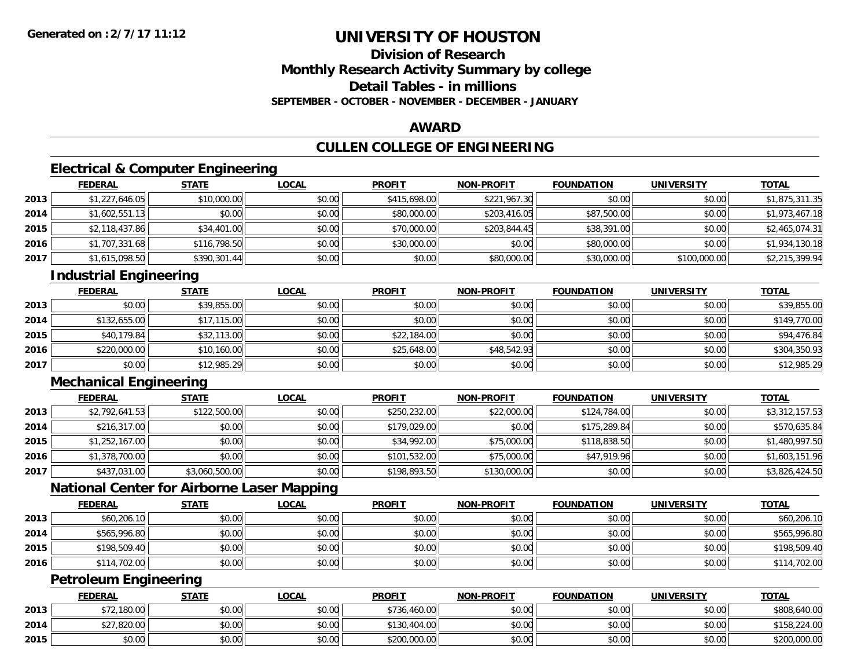# **Division of ResearchMonthly Research Activity Summary by college Detail Tables - in millionsSEPTEMBER - OCTOBER - NOVEMBER - DECEMBER - JANUARY**

### **AWARD**

# **CULLEN COLLEGE OF ENGINEERING**

# **Electrical & Computer Engineering**

|      | <b>FEDERAL</b> | <b>STATE</b> | <u>LOCAL</u> | <b>PROFIT</b> | <b>NON-PROFIT</b> | <b>FOUNDATION</b> | <b>UNIVERSITY</b> | <b>TOTAL</b>   |
|------|----------------|--------------|--------------|---------------|-------------------|-------------------|-------------------|----------------|
| 2013 | \$1,227,646.05 | \$10,000.00  | \$0.00       | \$415,698.00  | \$221,967.30      | \$0.00            | \$0.00            | \$1,875,311.35 |
| 2014 | \$1,602,551.13 | \$0.00       | \$0.00       | \$80,000.00   | \$203,416.05      | \$87,500.00       | \$0.00            | \$1,973,467.18 |
| 2015 | \$2,118,437.86 | \$34,401.00  | \$0.00       | \$70,000.00   | \$203,844.45      | \$38,391.00       | \$0.00            | \$2,465,074.31 |
| 2016 | \$1,707,331.68 | \$116,798.50 | \$0.00       | \$30,000.00   | \$0.00            | \$80,000.00       | \$0.00            | \$1,934,130.18 |
| 2017 | \$1,615,098.50 | \$390,301.44 | \$0.00       | \$0.00        | \$80,000.00       | \$30,000.00       | \$100,000.00      | \$2,215,399.94 |

# **Industrial Engineering**

|      | <b>FEDERAL</b> | <b>STATE</b> | <u>LOCAL</u> | <b>PROFIT</b> | <b>NON-PROFIT</b> | <b>FOUNDATION</b> | <b>UNIVERSITY</b> | <b>TOTAL</b> |
|------|----------------|--------------|--------------|---------------|-------------------|-------------------|-------------------|--------------|
| 2013 | \$0.00         | \$39,855.00  | \$0.00       | \$0.00        | \$0.00            | \$0.00            | \$0.00            | \$39,855.00  |
| 2014 | \$132,655.00   | \$17,115.00  | \$0.00       | \$0.00        | \$0.00            | \$0.00            | \$0.00            | \$149,770.00 |
| 2015 | \$40,179.84    | \$32,113.00  | \$0.00       | \$22,184.00   | \$0.00            | \$0.00            | \$0.00            | \$94,476.84  |
| 2016 | \$220,000.00   | \$10,160.00  | \$0.00       | \$25,648.00   | \$48,542.93       | \$0.00            | \$0.00            | \$304,350.93 |
| 2017 | \$0.00         | \$12,985.29  | \$0.00       | \$0.00        | \$0.00            | \$0.00            | \$0.00            | \$12,985.29  |

# **Mechanical Engineering**

|      | <b>FEDERAL</b> | <b>STATE</b>   | <u>LOCAL</u> | <b>PROFIT</b> | <b>NON-PROFIT</b> | <b>FOUNDATION</b> | <b>UNIVERSITY</b> | <b>TOTAL</b>   |
|------|----------------|----------------|--------------|---------------|-------------------|-------------------|-------------------|----------------|
| 2013 | \$2,792,641.53 | \$122,500.00   | \$0.00       | \$250,232.00  | \$22,000.00       | \$124,784.00      | \$0.00            | \$3,312,157.53 |
| 2014 | \$216,317.00   | \$0.00         | \$0.00       | \$179,029,00  | \$0.00            | \$175,289.84      | \$0.00            | \$570,635.84   |
| 2015 | \$1,252,167.00 | \$0.00         | \$0.00       | \$34,992.00   | \$75,000.00       | \$118,838.50      | \$0.00            | \$1,480,997.50 |
| 2016 | \$1,378,700.00 | \$0.00         | \$0.00       | \$101,532.00  | \$75,000.00       | \$47,919.96       | \$0.00            | \$1,603,151.96 |
| 2017 | \$437,031.00   | \$3,060,500.00 | \$0.00       | \$198,893.50  | \$130,000.00      | \$0.00            | \$0.00            | \$3,826,424.50 |

# **National Center for Airborne Laser Mapping**

|      | <b>FEDERAL</b> | <u>STATE</u> | <u>LOCAL</u> | <b>PROFIT</b> | <b>NON-PROFIT</b> | <b>FOUNDATION</b> | <b>UNIVERSITY</b> | <b>TOTAL</b> |
|------|----------------|--------------|--------------|---------------|-------------------|-------------------|-------------------|--------------|
| 2013 | \$60,206.10    | \$0.00       | \$0.00       | \$0.00        | \$0.00            | \$0.00            | \$0.00            | \$60,206.10  |
| 2014 | \$565,996.80   | \$0.00       | \$0.00       | \$0.00        | \$0.00            | \$0.00            | \$0.00            | \$565,996.80 |
| 2015 | \$198,509.40   | \$0.00       | \$0.00       | \$0.00        | \$0.00            | \$0.00            | \$0.00            | \$198,509.40 |
| 2016 | \$114,702.00   | \$0.00       | \$0.00       | \$0.00        | \$0.00            | \$0.00            | \$0.00            | \$114,702.00 |

# **Petroleum Engineering**

|      | <b>FEDERAL</b> | <b>STATE</b> | <u>LOCAL</u> | <b>PROFIT</b> | <b>NON-PROFIT</b> | <b>FOUNDATION</b> | <b>UNIVERSITY</b> | <b>TOTAL</b>              |
|------|----------------|--------------|--------------|---------------|-------------------|-------------------|-------------------|---------------------------|
| 2013 | 72.180.00      | \$0.00       | \$0.00       | \$736,460.00  | \$0.00            | \$0.00            | \$0.00            | \$808,640.00              |
| 2014 | \$27,820.00    | \$0.00       | \$0.00       | \$130,404.00  | \$0.00            | \$0.00            | \$0.00            | 158,224.00<br><b>4159</b> |
| 2015 | \$0.00         | \$0.00       | \$0.00       | \$200,000.00  | \$0.00            | \$0.00            | \$0.00            | \$200,000.00              |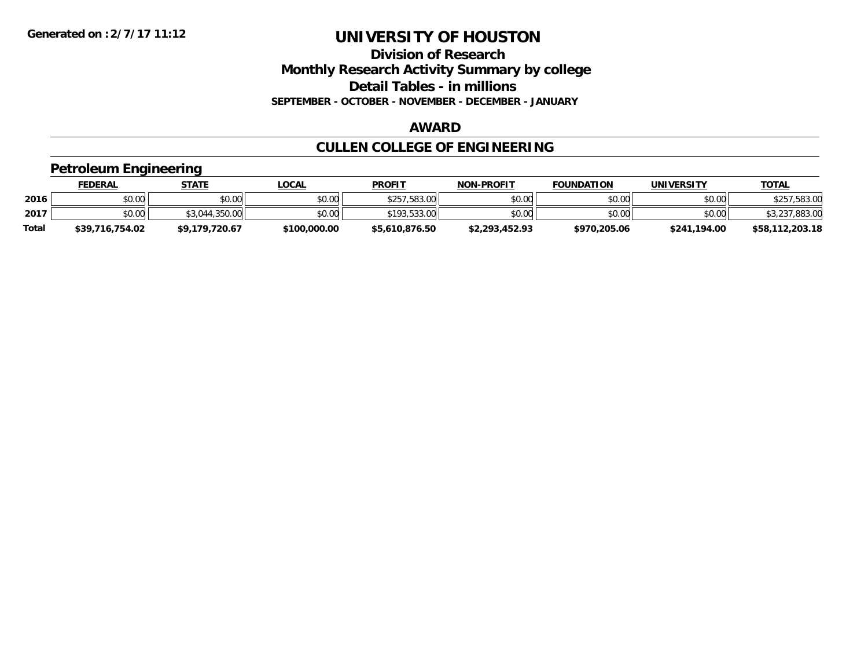**Division of Research Monthly Research Activity Summary by college Detail Tables - in millions SEPTEMBER - OCTOBER - NOVEMBER - DECEMBER - JANUARY**

### **AWARD**

# **CULLEN COLLEGE OF ENGINEERING**

### **Petroleum Engineering**

|              | FEDERAL         | STATE          | <u>LOCAL</u> | <b>PROFIT</b>  | <b>NON-PROFIT</b> | <b>FOUNDATION</b> | <b>UNIVERSITY</b> | <b>TOTAL</b>    |
|--------------|-----------------|----------------|--------------|----------------|-------------------|-------------------|-------------------|-----------------|
| 2016         | \$0.00          | \$0.00         | \$0.00       | \$257,583.00   | \$0.00            | \$0.00            | \$0.00            | \$257,583.00    |
| 2017         | \$0.00          | \$3,044,350,00 | \$0.00       | \$193,533.00   | \$0.00            | \$0.00            | \$0.00            | \$3,237,883.00  |
| <b>Total</b> | \$39,716,754.02 | \$9,179,720.67 | \$100,000.00 | \$5,610,876.50 | \$2,293,452.93    | \$970,205.06      | \$241,194.00      | \$58,112,203.18 |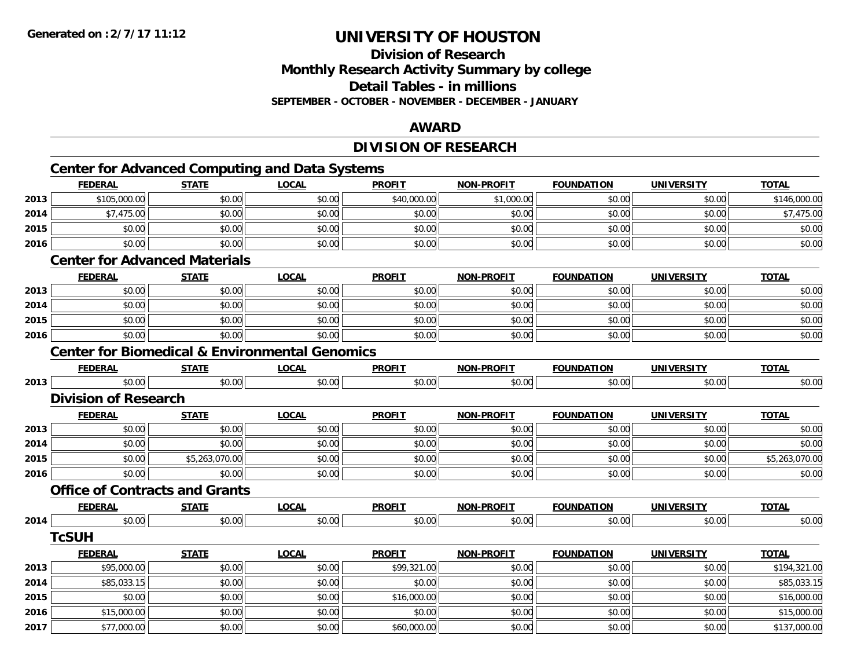**Division of ResearchMonthly Research Activity Summary by college**

**Detail Tables - in millions**

**SEPTEMBER - OCTOBER - NOVEMBER - DECEMBER - JANUARY**

### **AWARD**

# **DIVISION OF RESEARCH**

# **Center for Advanced Computing and Data Systems**

|      | <b>FEDERAL</b>                                            | <b>STATE</b>   | <b>LOCAL</b> | <b>PROFIT</b> | <b>NON-PROFIT</b> | <b>FOUNDATION</b> | <b>UNIVERSITY</b> | <b>TOTAL</b>   |
|------|-----------------------------------------------------------|----------------|--------------|---------------|-------------------|-------------------|-------------------|----------------|
| 2013 | \$105,000.00                                              | \$0.00         | \$0.00       | \$40,000.00   | \$1,000.00        | \$0.00            | \$0.00            | \$146,000.00   |
| 2014 | \$7,475.00                                                | \$0.00         | \$0.00       | \$0.00        | \$0.00            | \$0.00            | \$0.00            | \$7,475.00     |
| 2015 | \$0.00                                                    | \$0.00         | \$0.00       | \$0.00        | \$0.00            | \$0.00            | \$0.00            | \$0.00         |
| 2016 | \$0.00                                                    | \$0.00         | \$0.00       | \$0.00        | \$0.00            | \$0.00            | \$0.00            | \$0.00         |
|      | <b>Center for Advanced Materials</b>                      |                |              |               |                   |                   |                   |                |
|      | <b>FEDERAL</b>                                            | <b>STATE</b>   | <b>LOCAL</b> | <b>PROFIT</b> | <b>NON-PROFIT</b> | <b>FOUNDATION</b> | <b>UNIVERSITY</b> | <b>TOTAL</b>   |
| 2013 | \$0.00                                                    | \$0.00         | \$0.00       | \$0.00        | \$0.00            | \$0.00            | \$0.00            | \$0.00         |
| 2014 | \$0.00                                                    | \$0.00         | \$0.00       | \$0.00        | \$0.00            | \$0.00            | \$0.00            | \$0.00         |
| 2015 | \$0.00                                                    | \$0.00         | \$0.00       | \$0.00        | \$0.00            | \$0.00            | \$0.00            | \$0.00         |
| 2016 | \$0.00                                                    | \$0.00         | \$0.00       | \$0.00        | \$0.00            | \$0.00            | \$0.00            | \$0.00         |
|      | <b>Center for Biomedical &amp; Environmental Genomics</b> |                |              |               |                   |                   |                   |                |
|      | <b>FEDERAL</b>                                            | <b>STATE</b>   | <b>LOCAL</b> | <b>PROFIT</b> | <b>NON-PROFIT</b> | <b>FOUNDATION</b> | <b>UNIVERSITY</b> | <b>TOTAL</b>   |
| 2013 | \$0.00                                                    | \$0.00         | \$0.00       | \$0.00        | \$0.00            | \$0.00            | \$0.00            | \$0.00         |
|      | <b>Division of Research</b>                               |                |              |               |                   |                   |                   |                |
|      | <b>FEDERAL</b>                                            | <b>STATE</b>   | <b>LOCAL</b> | <b>PROFIT</b> | NON-PROFIT        | <b>FOUNDATION</b> | <b>UNIVERSITY</b> | <b>TOTAL</b>   |
| 2013 | \$0.00                                                    | \$0.00         | \$0.00       | \$0.00        | \$0.00            | \$0.00            | \$0.00            | \$0.00         |
| 2014 | \$0.00                                                    | \$0.00         | \$0.00       | \$0.00        | \$0.00            | \$0.00            | \$0.00            | \$0.00         |
| 2015 | \$0.00                                                    | \$5,263,070.00 | \$0.00       | \$0.00        | \$0.00            | \$0.00            | \$0.00            | \$5,263,070.00 |
| 2016 | \$0.00                                                    | \$0.00         | \$0.00       | \$0.00        | \$0.00            | \$0.00            | \$0.00            | \$0.00         |
|      | <b>Office of Contracts and Grants</b>                     |                |              |               |                   |                   |                   |                |
|      | <b>FEDERAL</b>                                            | <b>STATE</b>   | <b>LOCAL</b> | <b>PROFIT</b> | <b>NON-PROFIT</b> | <b>FOUNDATION</b> | <b>UNIVERSITY</b> | <b>TOTAL</b>   |
| 2014 | \$0.00                                                    | \$0.00         | \$0.00       | \$0.00        | \$0.00            | \$0.00            | \$0.00            | \$0.00         |
|      | <b>TcSUH</b>                                              |                |              |               |                   |                   |                   |                |
|      | <b>FEDERAL</b>                                            | <b>STATE</b>   | <b>LOCAL</b> | <b>PROFIT</b> | <b>NON-PROFIT</b> | <b>FOUNDATION</b> | <b>UNIVERSITY</b> | <b>TOTAL</b>   |
| 2013 | \$95,000.00                                               | \$0.00         | \$0.00       | \$99,321.00   | \$0.00            | \$0.00            | \$0.00            | \$194,321.00   |
| 2014 | \$85,033.15                                               | \$0.00         | \$0.00       | \$0.00        | \$0.00            | \$0.00            | \$0.00            | \$85,033.15    |
| 2015 | \$0.00                                                    | \$0.00         | \$0.00       | \$16,000.00   | \$0.00            | \$0.00            | \$0.00            | \$16,000.00    |
| 2016 | \$15,000.00                                               | \$0.00         | \$0.00       | \$0.00        | \$0.00            | \$0.00            | \$0.00            | \$15,000.00    |
| 2017 | \$77,000.00                                               | \$0.00         | \$0.00       | \$60,000.00   | \$0.00            | \$0.00            | \$0.00            | \$137,000.00   |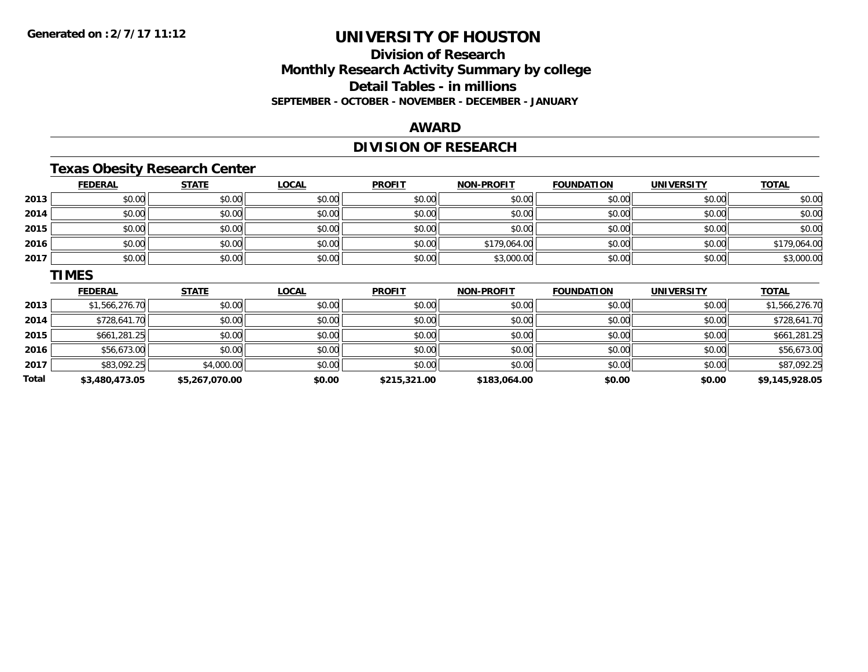**Total**

# **UNIVERSITY OF HOUSTON**

# **Division of ResearchMonthly Research Activity Summary by college Detail Tables - in millions SEPTEMBER - OCTOBER - NOVEMBER - DECEMBER - JANUARY**

### **AWARD**

# **DIVISION OF RESEARCH**

# **Texas Obesity Research Center**

|      | <b>FEDERAL</b> | <b>STATE</b> | <b>LOCAL</b> | <b>PROFIT</b> | <b>NON-PROFIT</b> | <b>FOUNDATION</b> | <b>UNIVERSITY</b> | <b>TOTAL</b>   |
|------|----------------|--------------|--------------|---------------|-------------------|-------------------|-------------------|----------------|
| 2013 | \$0.00         | \$0.00       | \$0.00       | \$0.00        | \$0.00            | \$0.00            | \$0.00            | \$0.00         |
| 2014 | \$0.00         | \$0.00       | \$0.00       | \$0.00        | \$0.00            | \$0.00            | \$0.00            | \$0.00         |
| 2015 | \$0.00         | \$0.00       | \$0.00       | \$0.00        | \$0.00            | \$0.00            | \$0.00            | \$0.00         |
| 2016 | \$0.00         | \$0.00       | \$0.00       | \$0.00        | \$179,064.00      | \$0.00            | \$0.00            | \$179,064.00   |
| 2017 | \$0.00         | \$0.00       | \$0.00       | \$0.00        | \$3,000.00        | \$0.00            | \$0.00            | \$3,000.00     |
|      | <b>TIMES</b>   |              |              |               |                   |                   |                   |                |
|      |                |              |              |               |                   |                   |                   |                |
|      | <b>FEDERAL</b> | <b>STATE</b> | <b>LOCAL</b> | <b>PROFIT</b> | <b>NON-PROFIT</b> | <b>FOUNDATION</b> | <b>UNIVERSITY</b> | <b>TOTAL</b>   |
| 2013 | \$1,566,276.70 | \$0.00       | \$0.00       | \$0.00        | \$0.00            | \$0.00            | \$0.00            | \$1,566,276.70 |
| 2014 | \$728,641.70   | \$0.00       | \$0.00       | \$0.00        | \$0.00            | \$0.00            | \$0.00            | \$728,641.70   |
| 2015 | \$661,281.25   | \$0.00       | \$0.00       | \$0.00        | \$0.00            | \$0.00            | \$0.00            | \$661,281.25   |
| 2016 | \$56,673.00    | \$0.00       | \$0.00       | \$0.00        | \$0.00            | \$0.00            | \$0.00            | \$56,673.00    |

**\$3,480,473.05 \$5,267,070.00 \$0.00 \$215,321.00 \$183,064.00 \$0.00 \$0.00 \$9,145,928.05**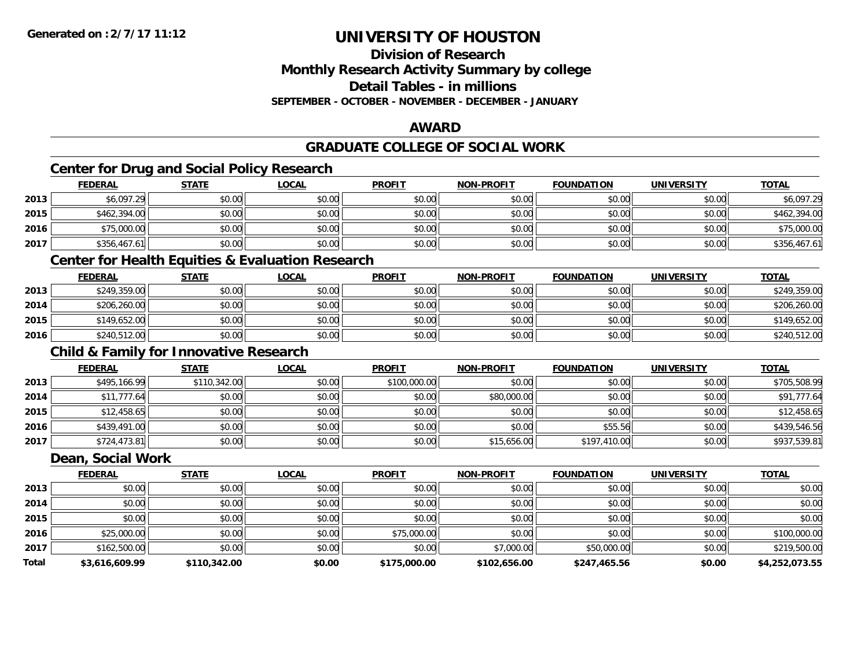**Division of Research**

**Monthly Research Activity Summary by college**

**Detail Tables - in millions**

**SEPTEMBER - OCTOBER - NOVEMBER - DECEMBER - JANUARY**

### **AWARD**

# **GRADUATE COLLEGE OF SOCIAL WORK**

# **Center for Drug and Social Policy Research**

|      | <b>FEDERAL</b> | <b>STATE</b> | <u>LOCAL</u> | <b>PROFIT</b> | <b>NON-PROFIT</b> | <b>FOUNDATION</b> | <b>UNIVERSITY</b> | <b>TOTAL</b> |
|------|----------------|--------------|--------------|---------------|-------------------|-------------------|-------------------|--------------|
| 2013 | \$6,097.29     | \$0.00       | \$0.00       | \$0.00        | \$0.00            | \$0.00            | \$0.00            | \$6,097.29   |
| 2015 | \$462,394.00   | \$0.00       | \$0.00       | \$0.00        | \$0.00            | \$0.00            | \$0.00            | \$462,394.00 |
| 2016 | \$75,000.00    | \$0.00       | \$0.00       | \$0.00        | \$0.00            | \$0.00            | \$0.00            | \$75,000.00  |
| 2017 | \$356,467.61   | \$0.00       | \$0.00       | \$0.00        | \$0.00            | \$0.00            | \$0.00            | \$356,467.61 |

### **Center for Health Equities & Evaluation Research**

|      | <b>FEDERAL</b> | <u>STATE</u> | <u>LOCAL</u> | <b>PROFIT</b> | <b>NON-PROFIT</b> | <b>FOUNDATION</b> | <b>UNIVERSITY</b> | <b>TOTAL</b> |
|------|----------------|--------------|--------------|---------------|-------------------|-------------------|-------------------|--------------|
| 2013 | \$249,359.00   | \$0.00       | \$0.00       | \$0.00        | \$0.00            | \$0.00            | \$0.00            | \$249,359.00 |
| 2014 | \$206,260.00   | \$0.00       | \$0.00       | \$0.00        | \$0.00            | \$0.00            | \$0.00            | \$206,260.00 |
| 2015 | \$149,652.00   | \$0.00       | \$0.00       | \$0.00        | \$0.00            | \$0.00            | \$0.00            | \$149,652.00 |
| 2016 | \$240,512.00   | \$0.00       | \$0.00       | \$0.00        | \$0.00            | \$0.00            | \$0.00            | \$240,512.00 |

# **Child & Family for Innovative Research**

|      | <b>FEDERAL</b> | <b>STATE</b> | <b>LOCAL</b> | <b>PROFIT</b> | <b>NON-PROFIT</b> | <b>FOUNDATION</b> | <b>UNIVERSITY</b> | <b>TOTAL</b> |
|------|----------------|--------------|--------------|---------------|-------------------|-------------------|-------------------|--------------|
| 2013 | \$495,166.99   | \$110,342.00 | \$0.00       | \$100,000.00  | \$0.00            | \$0.00            | \$0.00            | \$705,508.99 |
| 2014 | \$11,777.64    | \$0.00       | \$0.00       | \$0.00        | \$80,000.00       | \$0.00            | \$0.00            | \$91,777.64  |
| 2015 | \$12,458.65    | \$0.00       | \$0.00       | \$0.00        | \$0.00            | \$0.00            | \$0.00            | \$12,458.65  |
| 2016 | \$439,491.00   | \$0.00       | \$0.00       | \$0.00        | \$0.00            | \$55.56           | \$0.00            | \$439,546.56 |
| 2017 | \$724,473.81   | \$0.00       | \$0.00       | \$0.00        | \$15,656.00       | \$197,410.00      | \$0.00            | \$937,539.81 |

#### **Dean, Social Work**

|              | <b>FEDERAL</b> | <b>STATE</b> | <b>LOCAL</b> | <b>PROFIT</b> | <b>NON-PROFIT</b> | <b>FOUNDATION</b> | <b>UNIVERSITY</b> | <b>TOTAL</b>   |
|--------------|----------------|--------------|--------------|---------------|-------------------|-------------------|-------------------|----------------|
| 2013         | \$0.00         | \$0.00       | \$0.00       | \$0.00        | \$0.00            | \$0.00            | \$0.00            | \$0.00         |
| 2014         | \$0.00         | \$0.00       | \$0.00       | \$0.00        | \$0.00            | \$0.00            | \$0.00            | \$0.00         |
| 2015         | \$0.00         | \$0.00       | \$0.00       | \$0.00        | \$0.00            | \$0.00            | \$0.00            | \$0.00         |
| 2016         | \$25,000.00    | \$0.00       | \$0.00       | \$75,000.00   | \$0.00            | \$0.00            | \$0.00            | \$100,000.00   |
| 2017         | \$162,500.00   | \$0.00       | \$0.00       | \$0.00        | \$7,000.00        | \$50,000.00       | \$0.00            | \$219,500.00   |
| <b>Total</b> | \$3,616,609.99 | \$110,342.00 | \$0.00       | \$175,000.00  | \$102,656.00      | \$247,465.56      | \$0.00            | \$4,252,073.55 |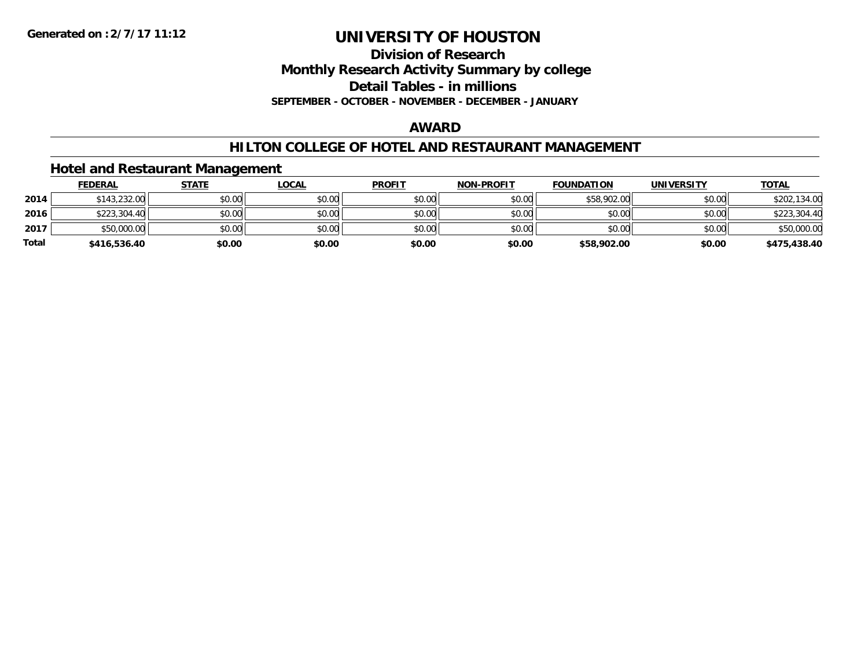**Division of Research**

**Monthly Research Activity Summary by college**

**Detail Tables - in millions**

**SEPTEMBER - OCTOBER - NOVEMBER - DECEMBER - JANUARY**

### **AWARD**

### **HILTON COLLEGE OF HOTEL AND RESTAURANT MANAGEMENT**

### **Hotel and Restaurant Management**

|              | <b>FEDERAL</b> | <u>STATE</u> | <u>LOCAL</u> | <b>PROFIT</b> | <b>NON-PROFIT</b> | <b>FOUNDATION</b> | UNIVERSITY | <b>TOTAL</b> |
|--------------|----------------|--------------|--------------|---------------|-------------------|-------------------|------------|--------------|
| 2014         | \$143,232.00   | \$0.00       | \$0.00       | \$0.00        | \$0.00            | \$58,902.00       | \$0.00     | \$202,134.00 |
| 2016         | \$223,304.40   | \$0.00       | \$0.00       | \$0.00        | \$0.00            | \$0.00            | \$0.00     | \$223,304.40 |
| 2017         | \$50,000.00    | \$0.00       | \$0.00       | \$0.00        | \$0.00            | \$0.00            | \$0.00     | \$50,000.00  |
| <b>Total</b> | \$416,536.40   | \$0.00       | \$0.00       | \$0.00        | \$0.00            | \$58,902.00       | \$0.00     | \$475,438.40 |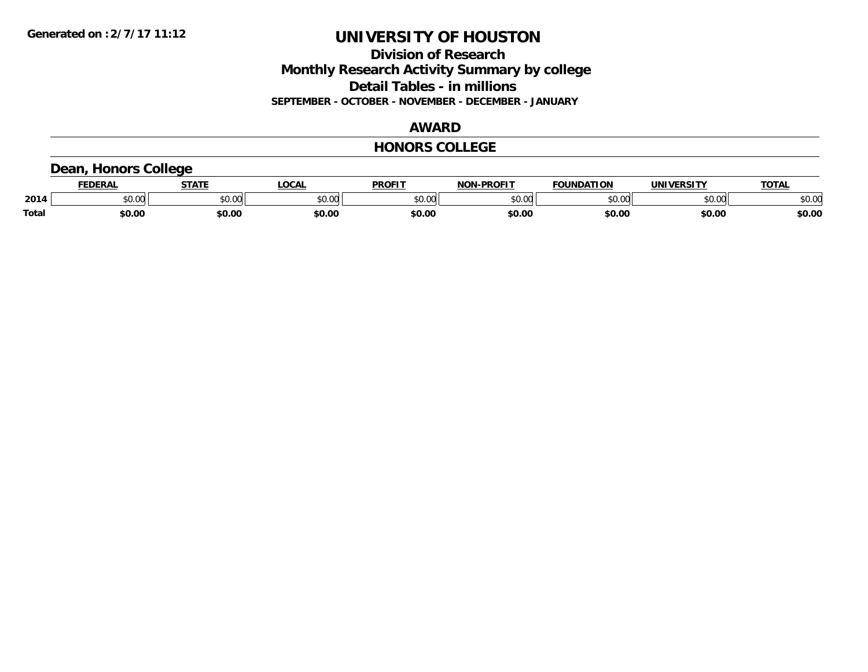**Division of Research Monthly Research Activity Summary by college Detail Tables - in millions SEPTEMBER - OCTOBER - NOVEMBER - DECEMBER - JANUARY**

### **AWARD**

#### **HONORS COLLEGE**

### **Dean, Honors College**

|              |                        | статі                | 00 <sub>n</sub><br>$\mathbf{L}$ | <b>PROFIT</b>           | דוממחם<br><b>NIAR</b>  | ΓΙΩΝ           | <b>INIV</b> | TOTA.          |
|--------------|------------------------|----------------------|---------------------------------|-------------------------|------------------------|----------------|-------------|----------------|
| 2014         | $\sim$ $\sim$<br>JU.UU | 0.00<br><b>JU.UU</b> | en nr<br>יש.ט                   | 0 <sub>n</sub><br>JU.UU | $\sim$ 00<br>. vv<br>` | 0 <sup>n</sup> | \$0.00      | ልስ ስሰ<br>DU.UU |
| <b>Total</b> | \$0.00                 | <b>\$0.00</b>        | \$0.00                          | \$0.OC                  | \$0.00                 | \$0.00         | \$0.00      | \$0.00         |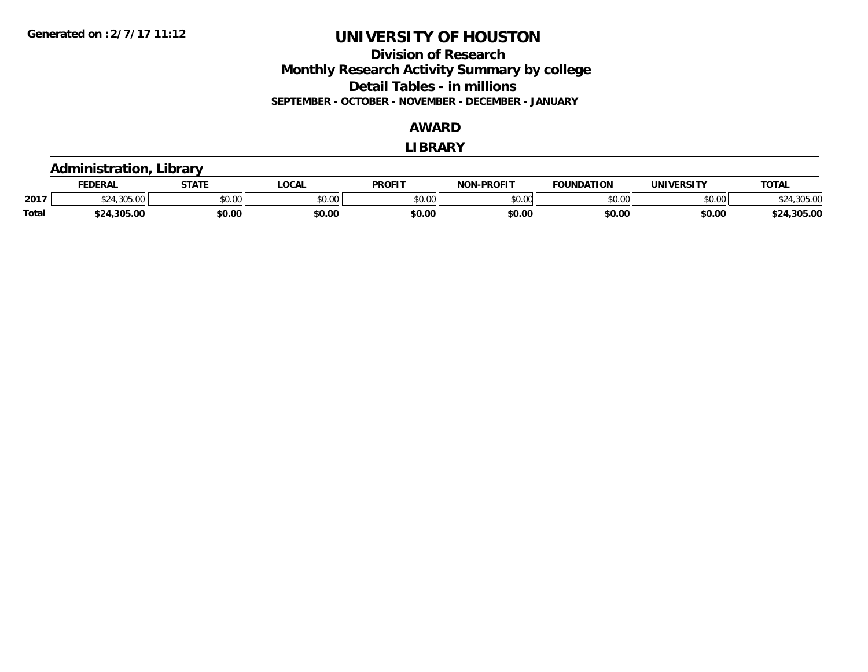**Division of Research Monthly Research Activity Summary by college Detail Tables - in millions SEPTEMBER - OCTOBER - NOVEMBER - DECEMBER - JANUARY**

### **AWARD**

#### **LIBRARY**

### **Administration, Library**

|              | <b>FEDERAI</b>       | <b>CTATL</b>   | LOCAI          | <b>PROFIT</b>           | -PROFIT<br>NON. | <b>FOUNDATION</b> | UNIVERSITY | <b>TOTAL</b>   |
|--------------|----------------------|----------------|----------------|-------------------------|-----------------|-------------------|------------|----------------|
| 2017         | $\sim$<br>.,,,,,,,,, | ልስ ሰሰ<br>DU.UU | 0000<br>JU.UU. | 0 <sub>n</sub><br>JU.UU | 0000<br>PO.OO   | \$0.00            | \$0.00     |                |
| <b>Total</b> | \$24,305.00          | \$0.00         | \$0.00         | \$0.00                  | \$0.OC          | \$0.00            | \$0.00     | .305.00<br>キウル |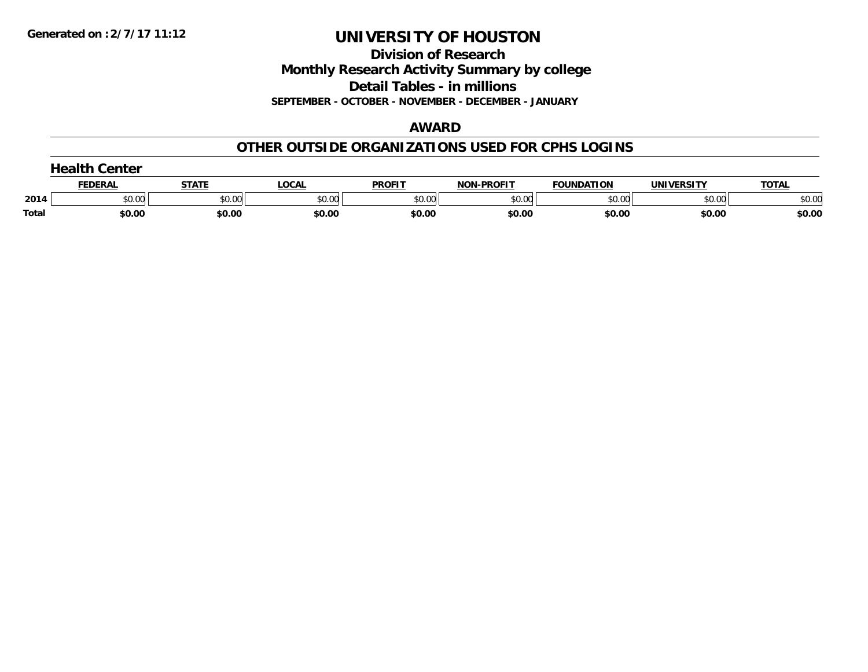**Division of Research**

**Monthly Research Activity Summary by college**

**Detail Tables - in millions**

**SEPTEMBER - OCTOBER - NOVEMBER - DECEMBER - JANUARY**

### **AWARD**

### **OTHER OUTSIDE ORGANIZATIONS USED FOR CPHS LOGINS**

|       | Center         |        |        |               |                   |                   |                   |              |  |  |  |
|-------|----------------|--------|--------|---------------|-------------------|-------------------|-------------------|--------------|--|--|--|
|       | <b>FEDERAL</b> | STATI  | LOCAL  | <b>PROFIT</b> | <b>NON-PROFIT</b> | <b>FOUNDATION</b> | <b>UNIVERSITY</b> | <b>TOTAL</b> |  |  |  |
| 2014  | \$0.00         | \$0.00 | \$0.00 | \$0.00        | \$0.00            | \$0.00            | \$0.00            | \$0.00       |  |  |  |
| Total | \$0.00         | \$0.00 | \$0.00 | \$0.00        | \$0.00            | \$0.00            | \$0.00            | \$0.00       |  |  |  |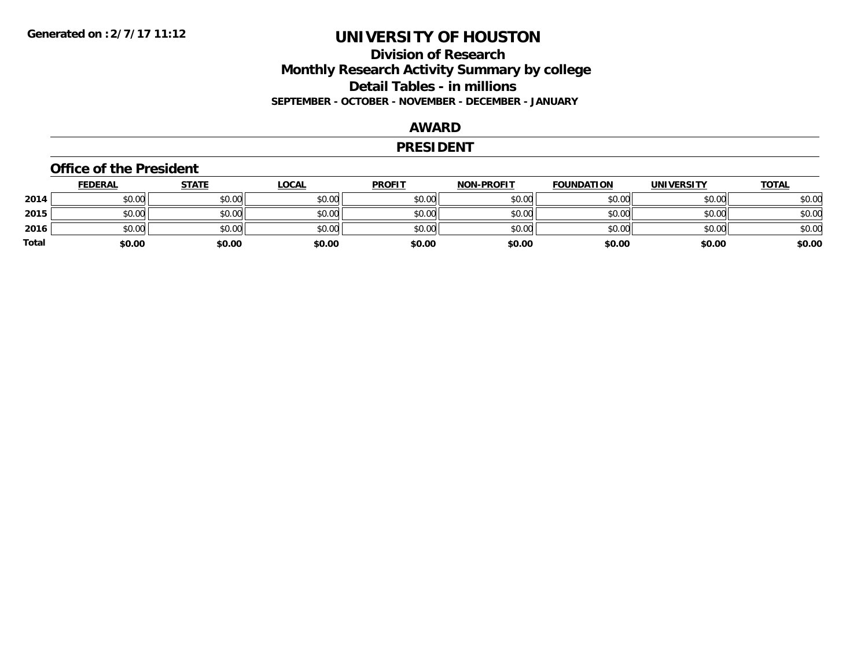### **Division of Research Monthly Research Activity Summary by college Detail Tables - in millions SEPTEMBER - OCTOBER - NOVEMBER - DECEMBER - JANUARY**

### **AWARD**

#### **PRESIDENT**

#### **Office of the President**

|       | <b>FEDERAL</b> | <b>STATE</b> | <b>LOCAL</b> | <b>PROFIT</b> | <b>NON-PROFIT</b> | <b>FOUNDATION</b> | <b>UNIVERSITY</b> | <u>TOTAL</u> |
|-------|----------------|--------------|--------------|---------------|-------------------|-------------------|-------------------|--------------|
| 2014  | \$0.00         | \$0.00       | \$0.00       | \$0.00        | \$0.00            | \$0.00            | \$0.00            | \$0.00       |
| 2015  | \$0.00         | \$0.00       | \$0.00       | \$0.00        | \$0.00            | \$0.00            | \$0.00            | \$0.00       |
| 2016  | \$0.00         | \$0.00       | \$0.00       | \$0.00        | \$0.00            | \$0.00            | \$0.00            | \$0.00       |
| Total | \$0.00         | \$0.00       | \$0.00       | \$0.00        | \$0.00            | \$0.00            | \$0.00            | \$0.00       |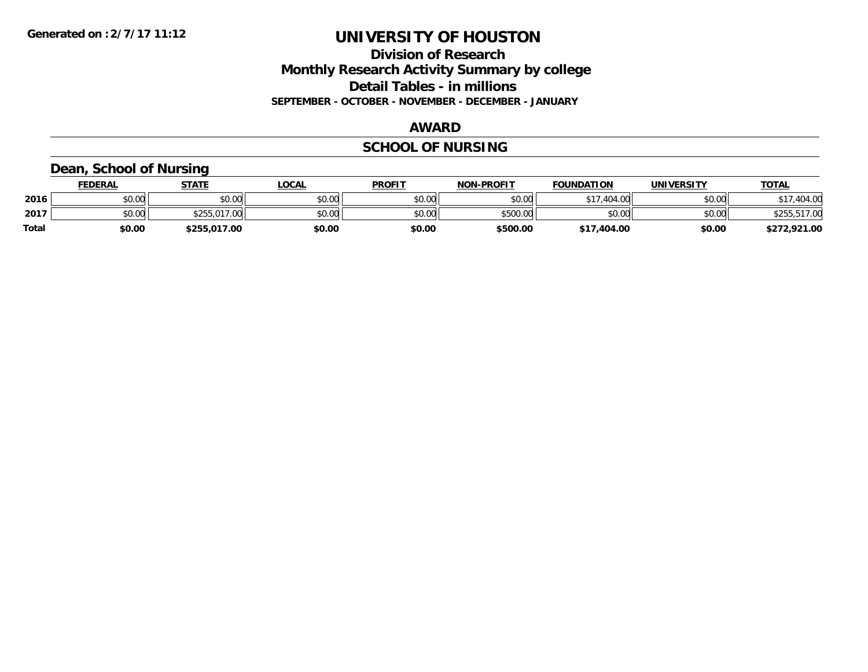**Division of Research Monthly Research Activity Summary by college Detail Tables - in millions SEPTEMBER - OCTOBER - NOVEMBER - DECEMBER - JANUARY**

#### **AWARD**

# **SCHOOL OF NURSING**

### **Dean, School of Nursing**

|              | <b>FEDERAL</b> | STATE        | <u>LOCAL</u> | <b>PROFIT</b> | <b>NON-PROFIT</b> | <b>FOUNDATION</b>     | <b>UNIVERSITY</b> | <b>TOTAL</b> |
|--------------|----------------|--------------|--------------|---------------|-------------------|-----------------------|-------------------|--------------|
| 2016         | \$0.00         | \$0.00       | \$0.00       | \$0.00        | \$0.00            | .404.00<br><b>617</b> | \$0.00            | 404.00       |
| 2017         | \$0.00         | \$255,017.00 | \$0.00       | \$0.00        | \$500.00          | \$0.00                | \$0.00            | \$255,517.00 |
| <b>Total</b> | \$0.00         | \$255,017.00 | \$0.00       | \$0.00        | \$500.00          | \$17,404.00           | \$0.00            | \$272,921.00 |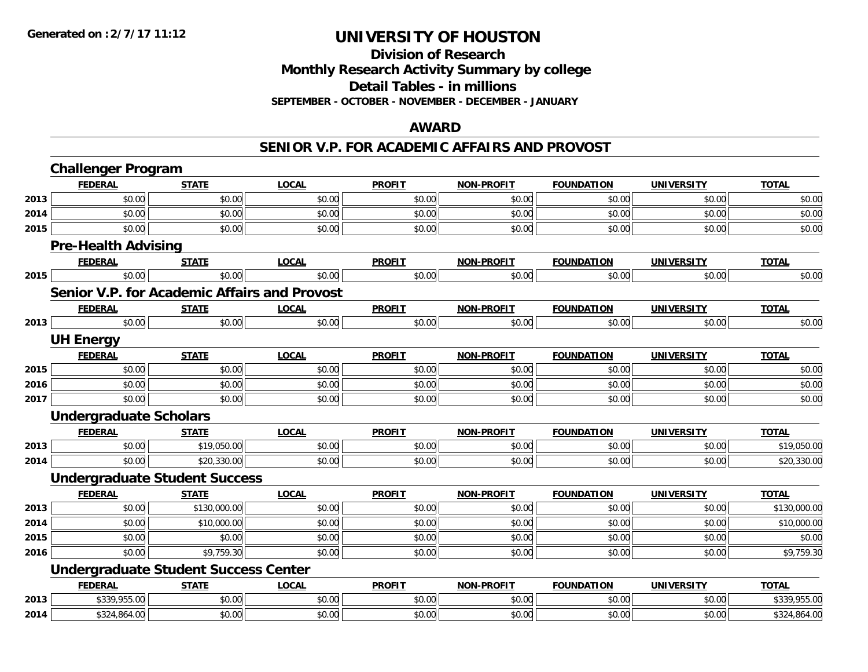### **Division of Research Monthly Research Activity Summary by college Detail Tables - in millions SEPTEMBER - OCTOBER - NOVEMBER - DECEMBER - JANUARY**

#### **AWARD**

#### **SENIOR V.P. FOR ACADEMIC AFFAIRS AND PROVOST**

|      | <b>Challenger Program</b>     |                                             |                                                     |               |                   |                   |                   |              |
|------|-------------------------------|---------------------------------------------|-----------------------------------------------------|---------------|-------------------|-------------------|-------------------|--------------|
|      | <b>FEDERAL</b>                | <b>STATE</b>                                | <b>LOCAL</b>                                        | <b>PROFIT</b> | <b>NON-PROFIT</b> | <b>FOUNDATION</b> | <b>UNIVERSITY</b> | <b>TOTAL</b> |
| 2013 | \$0.00                        | \$0.00                                      | \$0.00                                              | \$0.00        | \$0.00            | \$0.00            | \$0.00            | \$0.00       |
| 2014 | \$0.00                        | \$0.00                                      | \$0.00                                              | \$0.00        | \$0.00            | \$0.00            | \$0.00            | \$0.00       |
| 2015 | \$0.00                        | \$0.00                                      | \$0.00                                              | \$0.00        | \$0.00            | \$0.00            | \$0.00            | \$0.00       |
|      | <b>Pre-Health Advising</b>    |                                             |                                                     |               |                   |                   |                   |              |
|      | <b>FEDERAL</b>                | <b>STATE</b>                                | <b>LOCAL</b>                                        | <b>PROFIT</b> | <b>NON-PROFIT</b> | <b>FOUNDATION</b> | <b>UNIVERSITY</b> | <b>TOTAL</b> |
| 2015 | \$0.00                        | \$0.00                                      | \$0.00                                              | \$0.00        | \$0.00            | \$0.00            | \$0.00            | \$0.00       |
|      |                               |                                             | <b>Senior V.P. for Academic Affairs and Provost</b> |               |                   |                   |                   |              |
|      | <b>FEDERAL</b>                | <b>STATE</b>                                | <b>LOCAL</b>                                        | <b>PROFIT</b> | <b>NON-PROFIT</b> | <b>FOUNDATION</b> | <b>UNIVERSITY</b> | <b>TOTAL</b> |
| 2013 | \$0.00                        | \$0.00                                      | \$0.00                                              | \$0.00        | \$0.00            | \$0.00            | \$0.00            | \$0.00       |
|      | <b>UH Energy</b>              |                                             |                                                     |               |                   |                   |                   |              |
|      | <b>FEDERAL</b>                | <b>STATE</b>                                | <b>LOCAL</b>                                        | <b>PROFIT</b> | <b>NON-PROFIT</b> | <b>FOUNDATION</b> | <b>UNIVERSITY</b> | <b>TOTAL</b> |
| 2015 | \$0.00                        | \$0.00                                      | \$0.00                                              | \$0.00        | \$0.00            | \$0.00            | \$0.00            | \$0.00       |
| 2016 | \$0.00                        | \$0.00                                      | \$0.00                                              | \$0.00        | \$0.00            | \$0.00            | \$0.00            | \$0.00       |
| 2017 | \$0.00                        | \$0.00                                      | \$0.00                                              | \$0.00        | \$0.00            | \$0.00            | \$0.00            | \$0.00       |
|      | <b>Undergraduate Scholars</b> |                                             |                                                     |               |                   |                   |                   |              |
|      | <b>FEDERAL</b>                | <b>STATE</b>                                | <b>LOCAL</b>                                        | <b>PROFIT</b> | <b>NON-PROFIT</b> | <b>FOUNDATION</b> | <b>UNIVERSITY</b> | <b>TOTAL</b> |
| 2013 | \$0.00                        | \$19,050.00                                 | \$0.00                                              | \$0.00        | \$0.00            | \$0.00            | \$0.00            | \$19,050.00  |
| 2014 | \$0.00                        | \$20,330.00                                 | \$0.00                                              | \$0.00        | \$0.00            | \$0.00            | \$0.00            | \$20,330.00  |
|      |                               | <b>Undergraduate Student Success</b>        |                                                     |               |                   |                   |                   |              |
|      | <b>FEDERAL</b>                | <b>STATE</b>                                | <b>LOCAL</b>                                        | <b>PROFIT</b> | <b>NON-PROFIT</b> | <b>FOUNDATION</b> | <b>UNIVERSITY</b> | <b>TOTAL</b> |
| 2013 | \$0.00                        | \$130,000.00                                | \$0.00                                              | \$0.00        | \$0.00            | \$0.00            | \$0.00            | \$130,000.00 |
| 2014 | \$0.00                        | \$10,000.00                                 | \$0.00                                              | \$0.00        | \$0.00            | \$0.00            | \$0.00            | \$10,000.00  |
| 2015 | \$0.00                        | \$0.00                                      | \$0.00                                              | \$0.00        | \$0.00            | \$0.00            | \$0.00            | \$0.00       |
| 2016 | \$0.00                        | \$9,759.30                                  | \$0.00                                              | \$0.00        | \$0.00            | \$0.00            | \$0.00            | \$9,759.30   |
|      |                               | <b>Undergraduate Student Success Center</b> |                                                     |               |                   |                   |                   |              |
|      | <b>FEDERAL</b>                | <b>STATE</b>                                | <b>LOCAL</b>                                        | <b>PROFIT</b> | <b>NON-PROFIT</b> | <b>FOUNDATION</b> | <b>UNIVERSITY</b> | <b>TOTAL</b> |
| 2013 | \$339,955.00                  | \$0.00                                      | \$0.00                                              | \$0.00        | \$0.00            | \$0.00            | \$0.00            | \$339,955.00 |
| 2014 | \$324,864.00                  | \$0.00                                      | \$0.00                                              | \$0.00        | \$0.00            | \$0.00            | \$0.00            | \$324,864.00 |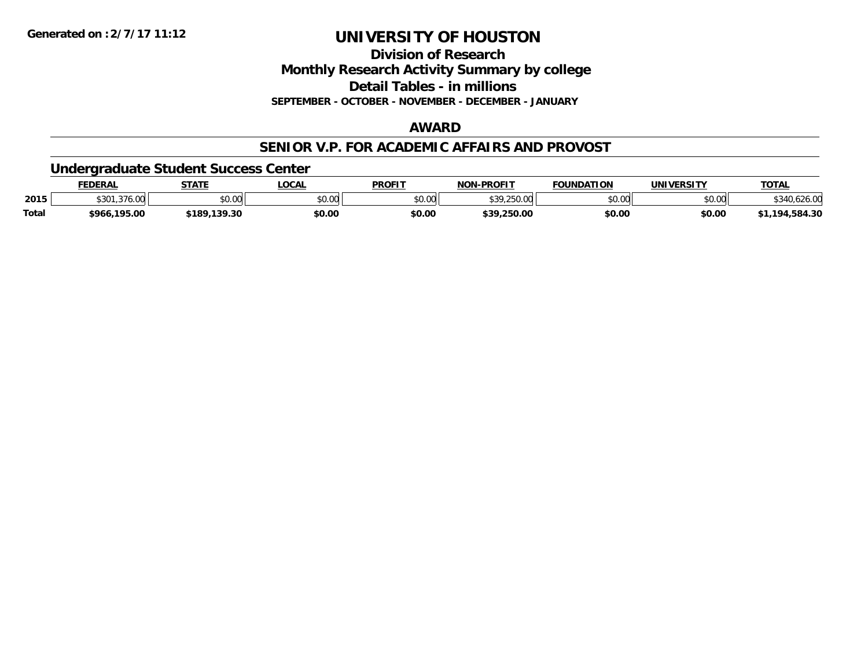**Division of Research**

**Monthly Research Activity Summary by college**

**Detail Tables - in millions**

**SEPTEMBER - OCTOBER - NOVEMBER - DECEMBER - JANUARY**

### **AWARD**

#### **SENIOR V.P. FOR ACADEMIC AFFAIRS AND PROVOST**

### **Undergraduate Student Success Center**

|              | FEDERAL           | <b>STATE</b>  | .OCA.          | <b>PROFIT</b> | <b>I-PROFIT</b><br>៱៲កស | <b>FOUNDATION</b> | UNIVERSITY | <b>TOTAL</b>   |
|--------------|-------------------|---------------|----------------|---------------|-------------------------|-------------------|------------|----------------|
| 2015         | \$301<br>.376.00  | \$0.00        | nn no<br>pu.uu | \$0.00        | <b>430 JEN 00</b>       | ደስ ሰሰ<br>PU.UU    | \$0.00     |                |
| <b>Total</b> | ,195.00<br>\$966. | 189.139.30 \$ | \$0.00         | \$0.00        | \$39,250.00             | \$0.00            | \$0.00     | ,584.30<br>194 |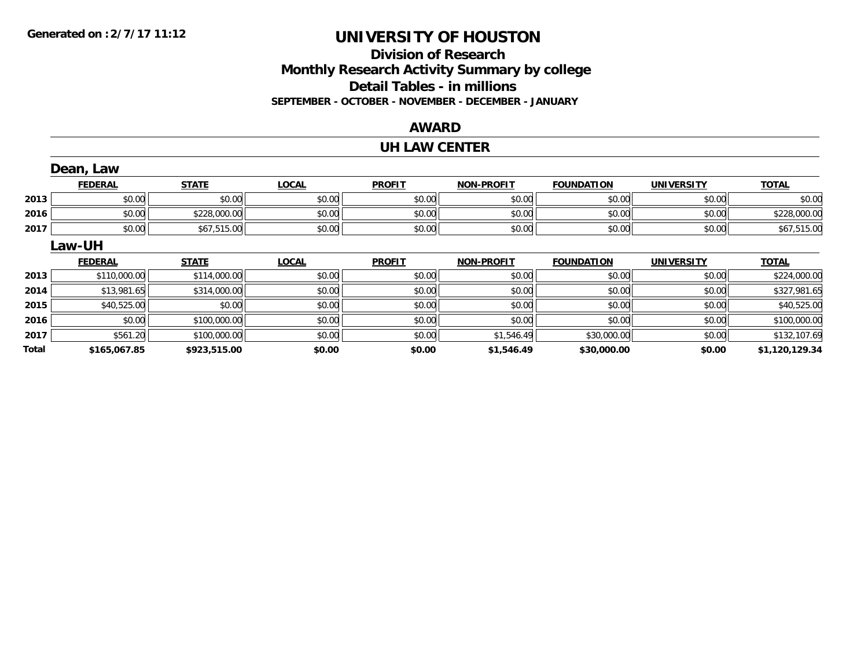# **Division of ResearchMonthly Research Activity Summary by college Detail Tables - in millions SEPTEMBER - OCTOBER - NOVEMBER - DECEMBER - JANUARY**

### **AWARD**

#### **UH LAW CENTER**

|       | Dean, Law      |              |              |               |            |                   |                   |                |
|-------|----------------|--------------|--------------|---------------|------------|-------------------|-------------------|----------------|
|       | <b>FEDERAL</b> | <b>STATE</b> | <b>LOCAL</b> | <b>PROFIT</b> | NON-PROFIT | <b>FOUNDATION</b> | <b>UNIVERSITY</b> | <b>TOTAL</b>   |
| 2013  | \$0.00         | \$0.00       | \$0.00       | \$0.00        | \$0.00     | \$0.00            | \$0.00            | \$0.00         |
| 2016  | \$0.00         | \$228,000.00 | \$0.00       | \$0.00        | \$0.00     | \$0.00            | \$0.00            | \$228,000.00   |
| 2017  | \$0.00         | \$67,515.00  | \$0.00       | \$0.00        | \$0.00     | \$0.00            | \$0.00            | \$67,515.00    |
|       | <b>Law-UH</b>  |              |              |               |            |                   |                   |                |
|       | <b>FEDERAL</b> | <b>STATE</b> | <b>LOCAL</b> | <b>PROFIT</b> | NON-PROFIT | <b>FOUNDATION</b> | <b>UNIVERSITY</b> | <b>TOTAL</b>   |
| 2013  | \$110,000.00   | \$114,000.00 | \$0.00       | \$0.00        | \$0.00     | \$0.00            | \$0.00            | \$224,000.00   |
| 2014  | \$13,981.65    | \$314,000.00 | \$0.00       | \$0.00        | \$0.00     | \$0.00            | \$0.00            | \$327,981.65   |
| 2015  | \$40,525.00    | \$0.00       | \$0.00       | \$0.00        | \$0.00     | \$0.00            | \$0.00            | \$40,525.00    |
| 2016  | \$0.00         | \$100,000.00 | \$0.00       | \$0.00        | \$0.00     | \$0.00            | \$0.00            | \$100,000.00   |
| 2017  | \$561.20       | \$100,000.00 | \$0.00       | \$0.00        | \$1,546.49 | \$30,000.00       | \$0.00            | \$132,107.69   |
| Total | \$165,067.85   | \$923,515.00 | \$0.00       | \$0.00        | \$1,546.49 | \$30,000.00       | \$0.00            | \$1,120,129.34 |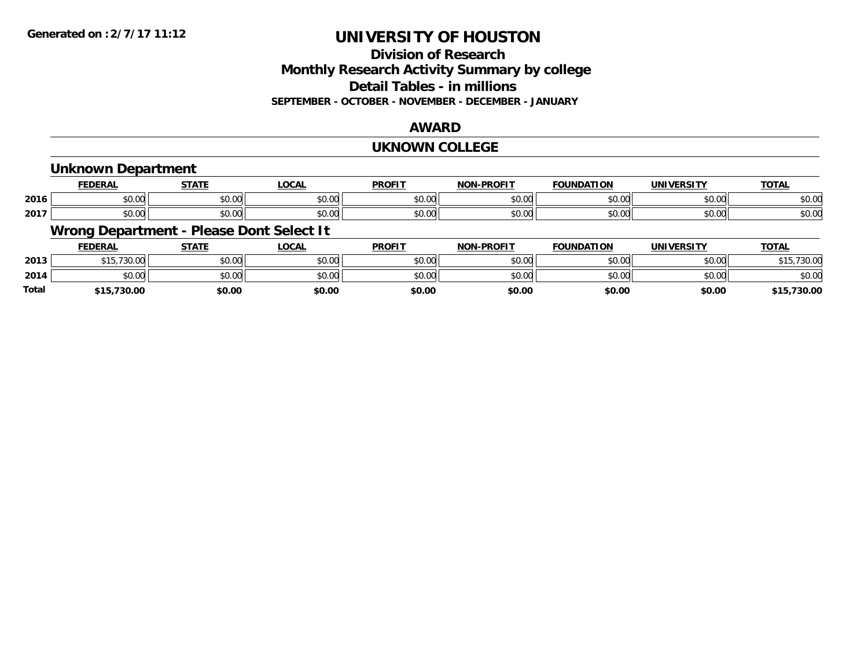# **Division of ResearchMonthly Research Activity Summary by college Detail Tables - in millions SEPTEMBER - OCTOBER - NOVEMBER - DECEMBER - JANUARY**

### **AWARD**

#### **UKNOWN COLLEGE**

### **Unknown Department**

|      | -----<br>LINA      | $C = 1$            | $\sim$<br>.vun | <b>PROFIT</b>                                        | -PROFIT<br><b>NON</b> | <b>FOUNDATION</b>        | <u>urneitu</u><br>JNI) | <b>TOTAL</b> |
|------|--------------------|--------------------|----------------|------------------------------------------------------|-----------------------|--------------------------|------------------------|--------------|
| 2016 | $\sim$ 00<br>וטט.  | $\sim$ 00<br>JU.UU | 0.00<br>JU.UU  | $\mathsf{A} \cap \mathsf{A} \cap \mathsf{A}$<br>vv.v | 0000<br>vv.vv         | 0000<br>וט.טי            | \$0.00                 | \$0.00       |
| 2017 | $\sim$ 00<br>JU.UU | ሶስ ሰሰ<br>JU.UU     | 0.00<br>JU.UU  | JU.UU                                                | 0000<br>JU.UU         | $n \cap \Omega$<br>JU.UU | \$0.00                 | \$0.00       |

# **Wrong Department - Please Dont Select It**

|              | <b>FEDERAL</b>      | <b>STATE</b> | <b>LOCAL</b> | <b>PROFIT</b> | <b>NON-PROFIT</b> | <b>FOUNDATION</b> | UNIVERSITY | <b>TOTAL</b>  |
|--------------|---------------------|--------------|--------------|---------------|-------------------|-------------------|------------|---------------|
| 2013         | 72000<br>30.00<br>. | \$0.00       | \$0.00       | \$0.00        | \$0.00            | \$0.00            | \$0.00     | .15,730.00    |
| 2014         | 0000<br>JU.UU       | \$0.00       | \$0.00       | \$0.00        | \$0.00            | \$0.00            | \$0.00     | \$0.00        |
| <b>Total</b> | \$15,730.00         | \$0.00       | \$0.00       | \$0.00        | \$0.00            | \$0.00            | \$0.00     | ,730.00<br>¢1 |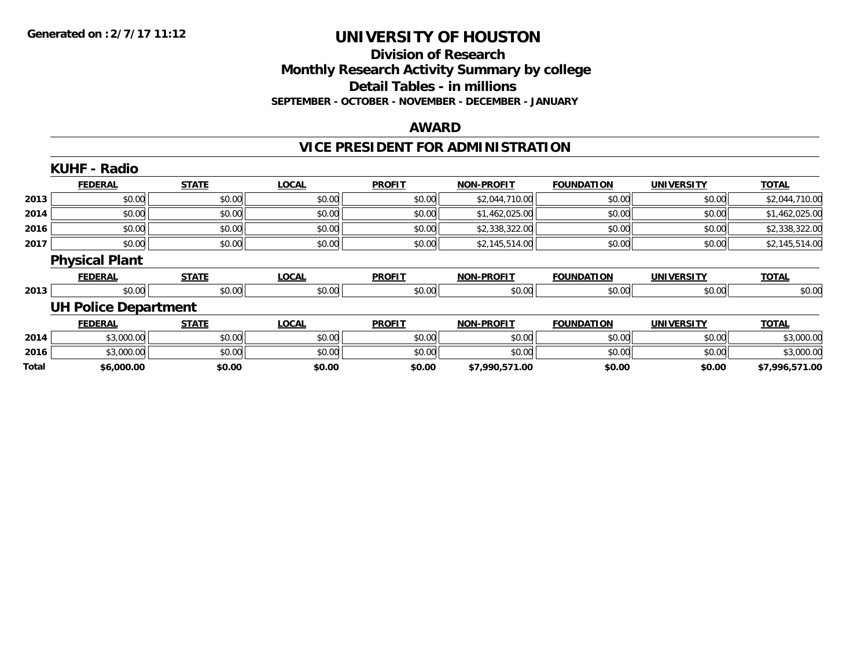# **Division of ResearchMonthly Research Activity Summary by college Detail Tables - in millions SEPTEMBER - OCTOBER - NOVEMBER - DECEMBER - JANUARY**

### **AWARD**

# **VICE PRESIDENT FOR ADMINISTRATION**

|       | <b>KUHF - Radio</b>         |              |              |               |                   |                   |                   |                |
|-------|-----------------------------|--------------|--------------|---------------|-------------------|-------------------|-------------------|----------------|
|       | <b>FEDERAL</b>              | <b>STATE</b> | <b>LOCAL</b> | <b>PROFIT</b> | <b>NON-PROFIT</b> | <b>FOUNDATION</b> | <b>UNIVERSITY</b> | <b>TOTAL</b>   |
| 2013  | \$0.00                      | \$0.00       | \$0.00       | \$0.00        | \$2,044,710.00    | \$0.00            | \$0.00            | \$2,044,710.00 |
| 2014  | \$0.00                      | \$0.00       | \$0.00       | \$0.00        | \$1,462,025.00    | \$0.00            | \$0.00            | \$1,462,025.00 |
| 2016  | \$0.00                      | \$0.00       | \$0.00       | \$0.00        | \$2,338,322.00    | \$0.00            | \$0.00            | \$2,338,322.00 |
| 2017  | \$0.00                      | \$0.00       | \$0.00       | \$0.00        | \$2,145,514.00    | \$0.00            | \$0.00            | \$2,145,514.00 |
|       | <b>Physical Plant</b>       |              |              |               |                   |                   |                   |                |
|       | <b>FEDERAL</b>              | <b>STATE</b> | <b>LOCAL</b> | <b>PROFIT</b> | <b>NON-PROFIT</b> | <b>FOUNDATION</b> | <b>UNIVERSITY</b> | <b>TOTAL</b>   |
| 2013  | \$0.00                      | \$0.00       | \$0.00       | \$0.00        | \$0.00            | \$0.00            | \$0.00            | \$0.00         |
|       | <b>UH Police Department</b> |              |              |               |                   |                   |                   |                |
|       | <b>FEDERAL</b>              | <b>STATE</b> | <b>LOCAL</b> | <b>PROFIT</b> | <b>NON-PROFIT</b> | <b>FOUNDATION</b> | <b>UNIVERSITY</b> | <b>TOTAL</b>   |
| 2014  | \$3,000.00                  | \$0.00       | \$0.00       | \$0.00        | \$0.00            | \$0.00            | \$0.00            | \$3,000.00     |
| 2016  | \$3,000.00                  | \$0.00       | \$0.00       | \$0.00        | \$0.00            | \$0.00            | \$0.00            | \$3,000.00     |
| Total | \$6,000.00                  | \$0.00       | \$0.00       | \$0.00        | \$7,990,571.00    | \$0.00            | \$0.00            | \$7,996,571.00 |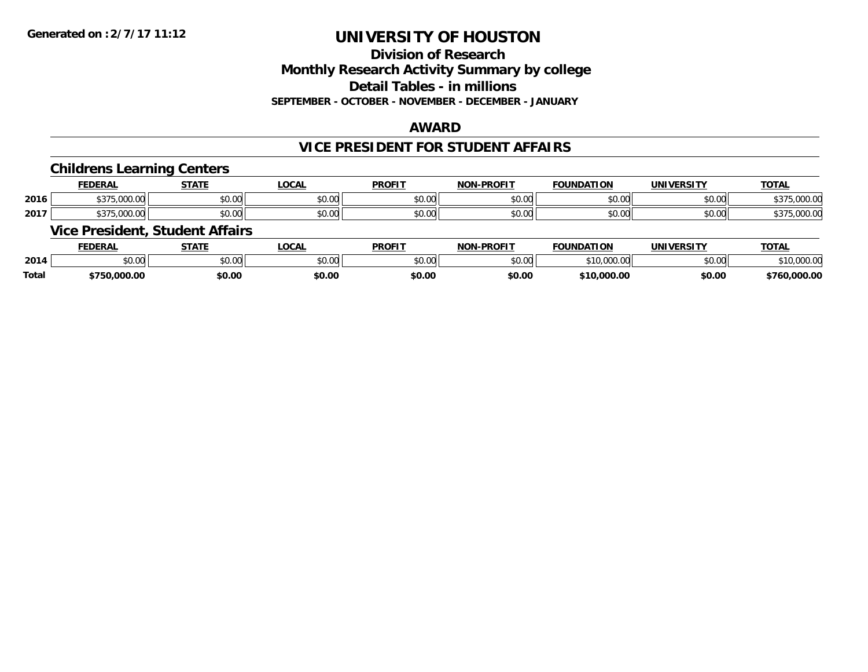# **Division of ResearchMonthly Research Activity Summary by college Detail Tables - in millions**

**SEPTEMBER - OCTOBER - NOVEMBER - DECEMBER - JANUARY**

### **AWARD**

### **VICE PRESIDENT FOR STUDENT AFFAIRS**

#### **Childrens Learning Centers**

|      | <b>DERAI</b>                                     | <b>STATI</b>  | <b>_OCAI</b>   | <b>PROFIT</b>                                                      | <b>.PROFIT</b><br><b>NON</b> | <b>FOUNDAT</b><br>$\cdots$ | HNIVEI<br>ne 1.         | <b>TOTAL</b>     |
|------|--------------------------------------------------|---------------|----------------|--------------------------------------------------------------------|------------------------------|----------------------------|-------------------------|------------------|
| 2016 | $\sim$<br>,,,,<br>. J.UUU.UU                     | ሖጣ<br>וש.טע   | ሶስ ሰሰ<br>DU.UU | 0.00<br>JU.UU                                                      | \$0.00                       | 0 <sup>n</sup><br>JU.UU    | $\sim$ $\sim$<br>vv.vv  | 0000<br>.uu.     |
| 2017 | $\sim$ $\sim$ $\sim$ $\sim$<br>$\sim$<br>.uuu.uu | 0000<br>JU.UL | ტი იი<br>DU.UG | $\mathfrak{g} \cap \mathfrak{g} \cap \mathfrak{g}$<br><b>JU.UU</b> | \$0.00                       | 0 <sub>n</sub><br>JU.UU    | $\sim$ $\sim$<br>\$0.00 | 0.0000<br>,UUU.U |

### **Vice President, Student Affairs**

|              | <b>FEDERAL</b> | <b>STATE</b> | <b>OCAL</b>                  | <b>PROFIT</b> | <b>J-PROFIT</b><br><b>NIOP</b> | <b>FOUNDATION</b>                       | <b>UNIVERSITY</b> | <b>TOTAL</b>     |
|--------------|----------------|--------------|------------------------------|---------------|--------------------------------|-----------------------------------------|-------------------|------------------|
| 2014         | ሶስ ሰሰ<br>JU.UU | \$0.00       | $\sim$ 0.000 $\sim$<br>JU.UU | 0000<br>JU.UU | \$0.00                         | $\sim$ 10.000 00<br>,,,,,,,,,,,,<br>1 U | \$0.00            | 00000<br>.UUU.UI |
| <b>Total</b> | .000.00<br>76C | \$0.00       | \$0.00                       | \$0.00        | \$0.00                         | \$10,000.00                             | \$0.00            | 000.00.          |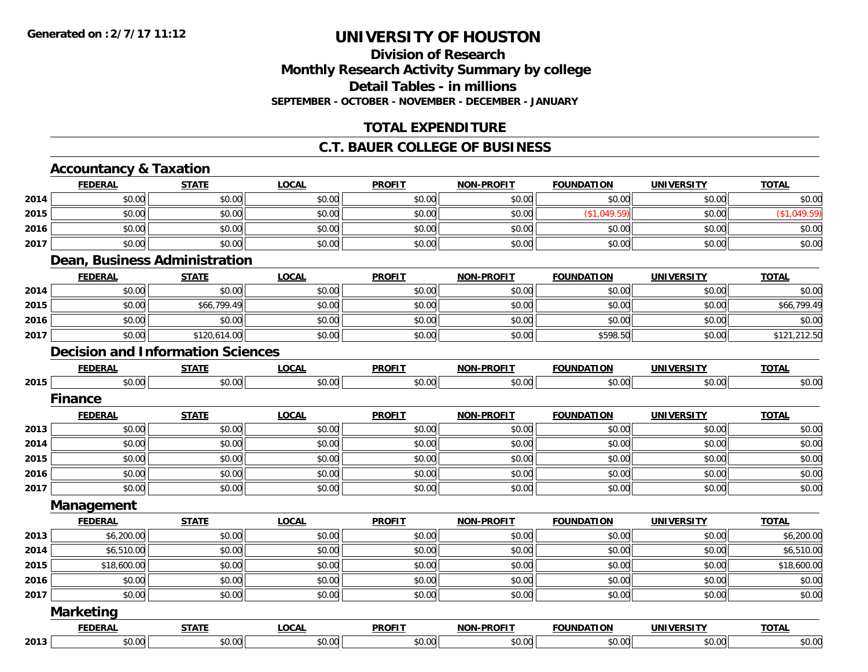### **Division of ResearchMonthly Research Activity Summary by college Detail Tables - in millionsSEPTEMBER - OCTOBER - NOVEMBER - DECEMBER - JANUARY**

### **TOTAL EXPENDITURE**

#### **C.T. BAUER COLLEGE OF BUSINESS**

#### **Accountancy & Taxation FEDERAL STATE LOCAL PROFIT NON-PROFIT FOUNDATION UNIVERSITY TOTALTOTAL 2014**4 \$0.00 \$0.00 \$0.00 \$0.00 \$0.00 \$0.00 \$0.00 \$0.00 \$0.00 \$0.00 \$0.00 \$0.00 \$0.00 \$0.00 \$0.00 \$0.00 \$0.00 **2015** \$0.00 \$0.00 \$0.00 \$0.00 \$0.00 (\$1,049.59) \$0.00 (\$1,049.59) **2016** \$0.00 \$0.00 \$0.00 \$0.00 \$0.00 \$0.00 \$0.00 \$0.00 **2017**7 | \$0.00 \$0.00 \$0.00 \$0.00 \$0.00 \$0.00 \$0.00 \$0.00 \$0.00 \$0.00 \$0.00 \$0.00 \$0.00 \$0.00 \$0.00 \$0.00 \$0.00 **Dean, Business Administration FEDERAL STATE LOCAL PROFIT NON-PROFIT FOUNDATION UNIVERSITY TOTALTOTAL 2014**4 \$0.00 \$0.00 \$0.00 \$0.00 \$0.00 \$0.00 \$0.00 \$0.00 \$0.00 \$0.00 \$0.00 \$0.00 \$0.00 \$0.00 \$0.00 \$0.00 **2015**5 | \$0.00 \$0.00 \$0.00 \$0.00 \$0.00 \$0.00 \$0.00 \$0.00 \$0.00 \$0.00 \$0.00 \$0.00 \$0.00 \$0.00 \$0.00 \$66,799.49 **2016**6 \$0.00 \$0.00 \$0.00 \$0.00 \$0.00 \$0.00 \$0.00 \$0.00 \$0.00 \$0.00 \$0.00 \$0.00 \$0.00 \$0.00 \$0.00 \$0.00 \$0.00 **2017** \$0.00 \$120,614.00 \$0.00 \$0.00 \$0.00 \$598.50 \$0.00 \$121,212.50 **Decision and Information SciencesFEDERAL STATE LOCAL PROFIT NON-PROFIT FOUNDATION UNIVERSITY TOTAL2015** \$0.00 \$0.00 \$0.00 \$0.00 \$0.00 \$0.00 \$0.00 \$0.00 **FinanceFEDERAL STATE LOCAL PROFIT NON-PROFIT FOUNDATION UNIVERSITY TOTAL2013** \$0.00 \$0.00 \$0.00 \$0.00 \$0.00 \$0.00 \$0.00 \$0.00 **2014**4 \$0.00 \$0.00 \$0.00 \$0.00 \$0.00 \$0.00 \$0.00 \$0.00 \$0.00 \$0.00 \$0.00 \$0.00 \$0.00 \$0.00 \$0.00 \$0.00 \$0.00 **2015** \$0.00 \$0.00 \$0.00 \$0.00 \$0.00 \$0.00 \$0.00 \$0.00 **2016** \$0.00 \$0.00 \$0.00 \$0.00 \$0.00 \$0.00 \$0.00 \$0.00 **2017**7 | \$0.00 \$0.00 \$0.00 \$0.00 \$0.00 \$0.00 \$0.00 \$0.00 \$0.00 \$0.00 \$0.00 \$0.00 \$0.00 \$0.00 \$0.00 \$0.00 \$0.00 **Management FEDERAL STATE LOCAL PROFIT NON-PROFIT FOUNDATION UNIVERSITY TOTALTOTAL 2013** \$6,200.00 \$0.00 \$0.00 \$0.00 \$0.00 \$0.00 \$0.00 \$6,200.00 **2014** \$6,510.00 \$0.00 \$0.00 \$0.00 \$0.00 \$0.00 \$0.00 \$6,510.00 **2015** \$18,600.00 \$0.00 \$0.00 \$0.00 \$0.00 \$0.00 \$0.00 \$18,600.00 **2016** \$0.00 \$0.00 \$0.00 \$0.00 \$0.00 \$0.00 \$0.00 \$0.00 **2017**7 | \$0.00 \$0.00 \$0.00 \$0.00 \$0.00 \$0.00 \$0.00 \$0.00 \$0.00 \$0.00 \$0.00 \$0.00 \$0.00 \$0.00 \$0.00 \$0.00 \$0.00 **Marketing FEDERAL STATE LOCAL PROFIT NON-PROFIT FOUNDATION UNIVERSITY TOTAL2013**\$0.00 \$0.00 \$0.00 \$0.00 \$0.00 \$0.00 \$0.00 \$0.00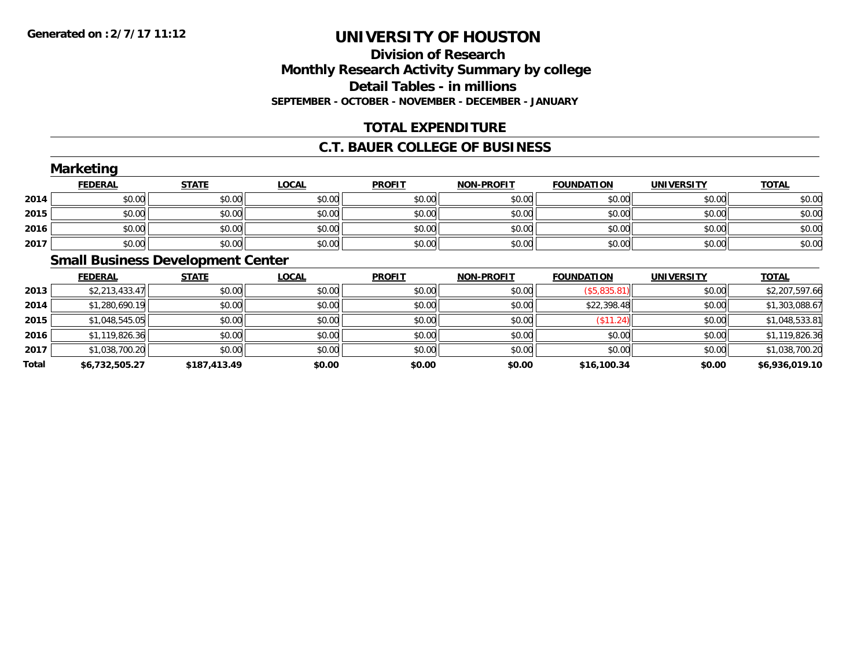# **Division of ResearchMonthly Research Activity Summary by college Detail Tables - in millions SEPTEMBER - OCTOBER - NOVEMBER - DECEMBER - JANUARY**

# **TOTAL EXPENDITURE**

### **C.T. BAUER COLLEGE OF BUSINESS**

|      | <b>Marketing</b> |                                     |              |               |                   |                   |                   |              |
|------|------------------|-------------------------------------|--------------|---------------|-------------------|-------------------|-------------------|--------------|
|      | <b>FEDERAL</b>   | <b>STATE</b>                        | <b>LOCAL</b> | <b>PROFIT</b> | <b>NON-PROFIT</b> | <b>FOUNDATION</b> | <b>UNIVERSITY</b> | <b>TOTAL</b> |
| 2014 | \$0.00           | \$0.00                              | \$0.00       | \$0.00        | \$0.00            | \$0.00            | \$0.00            | \$0.00       |
| 2015 | \$0.00           | \$0.00                              | \$0.00       | \$0.00        | \$0.00            | \$0.00            | \$0.00            | \$0.00       |
| 2016 | \$0.00           | \$0.00                              | \$0.00       | \$0.00        | \$0.00            | \$0.00            | \$0.00            | \$0.00       |
| 2017 | \$0.00           | \$0.00                              | \$0.00       | \$0.00        | \$0.00            | \$0.00            | \$0.00            | \$0.00       |
|      |                  | Coastl Dustasse Development Context |              |               |                   |                   |                   |              |

#### **Small Business Development Center**

|       | <b>FEDERAL</b> | <b>STATE</b> | <b>LOCAL</b> | <b>PROFIT</b> | <b>NON-PROFIT</b> | <b>FOUNDATION</b>   | <b>UNIVERSITY</b> | <b>TOTAL</b>   |
|-------|----------------|--------------|--------------|---------------|-------------------|---------------------|-------------------|----------------|
| 2013  | \$2,213,433.47 | \$0.00       | \$0.00       | \$0.00        | \$0.00            | $($ \$5,835.81) $ $ | \$0.00            | \$2,207,597.66 |
| 2014  | \$1,280,690.19 | \$0.00       | \$0.00       | \$0.00        | \$0.00            | \$22,398.48         | \$0.00            | \$1,303,088.67 |
| 2015  | \$1,048,545.05 | \$0.00       | \$0.00       | \$0.00        | \$0.00            | (\$11.24)           | \$0.00            | \$1,048,533.81 |
| 2016  | \$1,119,826.36 | \$0.00       | \$0.00       | \$0.00        | \$0.00            | \$0.00              | \$0.00            | \$1,119,826.36 |
| 2017  | \$1,038,700.20 | \$0.00       | \$0.00       | \$0.00        | \$0.00            | \$0.00              | \$0.00            | \$1,038,700.20 |
| Total | \$6,732,505.27 | \$187,413.49 | \$0.00       | \$0.00        | \$0.00            | \$16,100.34         | \$0.00            | \$6,936,019.10 |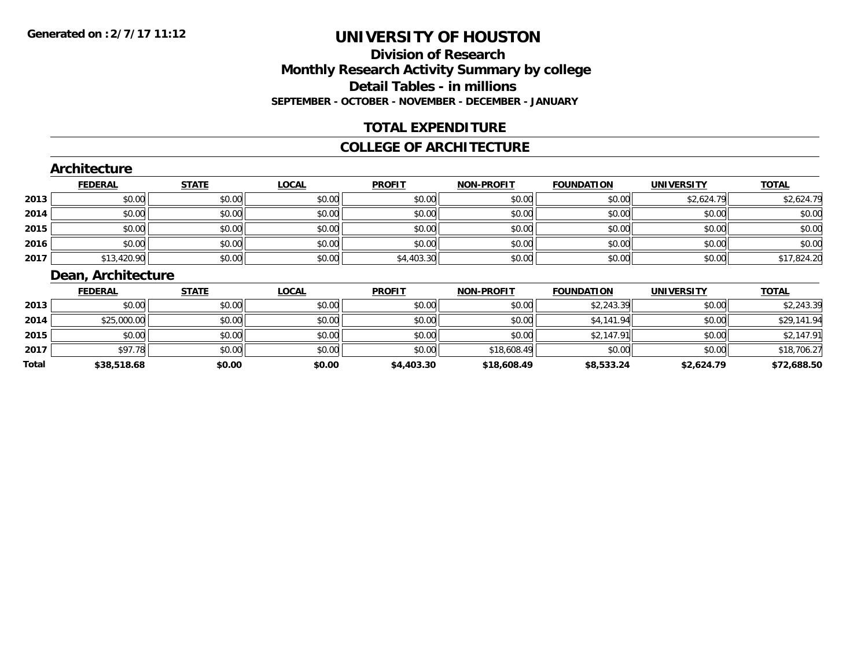# **Division of ResearchMonthly Research Activity Summary by college Detail Tables - in millions SEPTEMBER - OCTOBER - NOVEMBER - DECEMBER - JANUARY**

# **TOTAL EXPENDITURE**

#### **COLLEGE OF ARCHITECTURE**

### **Architecture**

|      | <b>FEDERAL</b> | <b>STATE</b> | <b>LOCAL</b> | <b>PROFIT</b> | <b>NON-PROFIT</b> | <b>FOUNDATION</b> | <b>UNIVERSITY</b> | <b>TOTAL</b> |
|------|----------------|--------------|--------------|---------------|-------------------|-------------------|-------------------|--------------|
| 2013 | \$0.00         | \$0.00       | \$0.00       | \$0.00        | \$0.00            | \$0.00            | \$2,624.79        | \$2,624.79   |
| 2014 | \$0.00         | \$0.00       | \$0.00       | \$0.00        | \$0.00            | \$0.00            | \$0.00            | \$0.00       |
| 2015 | \$0.00         | \$0.00       | \$0.00       | \$0.00        | \$0.00            | \$0.00            | \$0.00            | \$0.00       |
| 2016 | \$0.00         | \$0.00       | \$0.00       | \$0.00        | \$0.00            | \$0.00            | \$0.00            | \$0.00       |
| 2017 | \$13,420.90    | \$0.00       | \$0.00       | \$4,403.30    | \$0.00            | \$0.00            | \$0.00            | \$17,824.20  |

# **Dean, Architecture**

|       | <b>FEDERAL</b> | <b>STATE</b> | <u>LOCAL</u> | <b>PROFIT</b> | <b>NON-PROFIT</b> | <b>FOUNDATION</b> | <b>UNIVERSITY</b> | <b>TOTAL</b> |
|-------|----------------|--------------|--------------|---------------|-------------------|-------------------|-------------------|--------------|
| 2013  | \$0.00         | \$0.00       | \$0.00       | \$0.00        | \$0.00            | \$2,243.39        | \$0.00            | \$2,243.39   |
| 2014  | \$25,000.00    | \$0.00       | \$0.00       | \$0.00        | \$0.00            | \$4,141.94        | \$0.00            | \$29,141.94  |
| 2015  | \$0.00         | \$0.00       | \$0.00       | \$0.00        | \$0.00            | \$2,147.91        | \$0.00            | \$2,147.91   |
| 2017  | \$97.78        | \$0.00       | \$0.00       | \$0.00        | \$18,608.49       | \$0.00            | \$0.00            | \$18,706.27  |
| Total | \$38,518.68    | \$0.00       | \$0.00       | \$4,403.30    | \$18,608.49       | \$8,533.24        | \$2,624.79        | \$72,688.50  |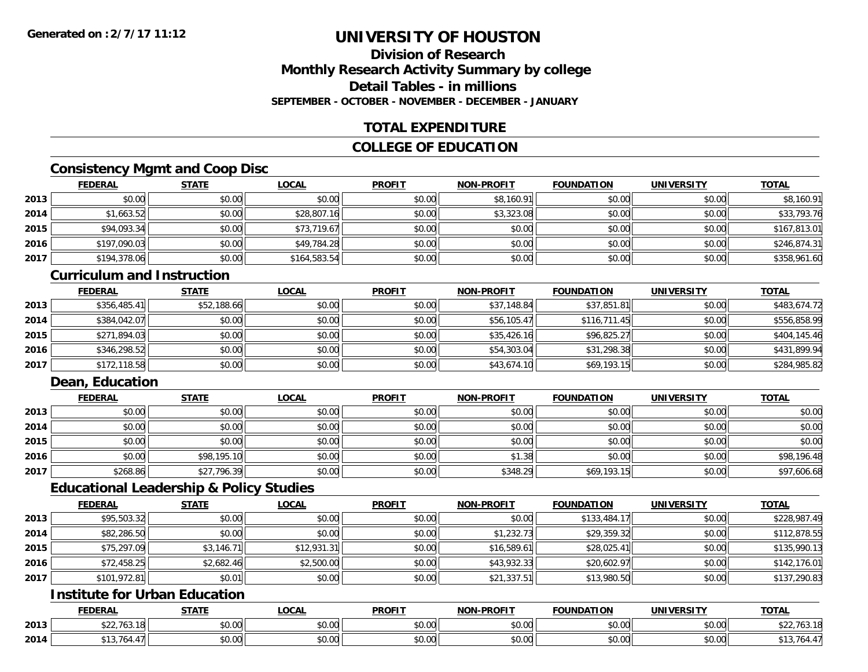# **Division of ResearchMonthly Research Activity Summary by college Detail Tables - in millionsSEPTEMBER - OCTOBER - NOVEMBER - DECEMBER - JANUARY**

# **TOTAL EXPENDITURE**

### **COLLEGE OF EDUCATION**

# **Consistency Mgmt and Coop Disc**

|      | <b>FEDERAL</b> | <b>STATE</b> | <u>LOCAL</u> | <b>PROFIT</b> | <b>NON-PROFIT</b> | <b>FOUNDATION</b> | <b>UNIVERSITY</b> | <b>TOTAL</b> |
|------|----------------|--------------|--------------|---------------|-------------------|-------------------|-------------------|--------------|
| 2013 | \$0.00         | \$0.00       | \$0.00       | \$0.00        | \$8,160.91        | \$0.00            | \$0.00            | \$8,160.91   |
| 2014 | \$1,663.52     | \$0.00       | \$28,807.16  | \$0.00        | \$3,323.08        | \$0.00            | \$0.00            | \$33,793.76  |
| 2015 | \$94,093.34    | \$0.00       | \$73,719.67  | \$0.00        | \$0.00            | \$0.00            | \$0.00            | \$167,813.01 |
| 2016 | \$197,090.03   | \$0.00       | \$49,784.28  | \$0.00        | \$0.00            | \$0.00            | \$0.00            | \$246,874.31 |
| 2017 | \$194,378.06   | \$0.00       | \$164,583.54 | \$0.00        | \$0.00            | \$0.00            | \$0.00            | \$358,961.60 |

#### **Curriculum and Instruction**

|      | <b>FEDERAL</b> | <b>STATE</b> | <b>LOCAL</b> | <b>PROFIT</b> | <b>NON-PROFIT</b> | <b>FOUNDATION</b> | <b>UNIVERSITY</b> | <b>TOTAL</b> |
|------|----------------|--------------|--------------|---------------|-------------------|-------------------|-------------------|--------------|
| 2013 | \$356,485.41   | \$52,188.66  | \$0.00       | \$0.00        | \$37,148.84       | \$37,851.81       | \$0.00            | \$483,674.72 |
| 2014 | \$384,042.07   | \$0.00       | \$0.00       | \$0.00        | \$56,105.47       | \$116,711.45      | \$0.00            | \$556,858.99 |
| 2015 | \$271,894.03   | \$0.00       | \$0.00       | \$0.00        | \$35,426.16       | \$96,825.27       | \$0.00            | \$404,145.46 |
| 2016 | \$346,298.52   | \$0.00       | \$0.00       | \$0.00        | \$54,303.04       | \$31,298.38       | \$0.00            | \$431,899.94 |
| 2017 | \$172,118.58   | \$0.00       | \$0.00       | \$0.00        | \$43,674.10       | \$69,193.15       | \$0.00            | \$284,985.82 |

# **Dean, Education**

|      | <u>FEDERAL</u> | <u>STATE</u> | <u>LOCAL</u> | <b>PROFIT</b> | <b>NON-PROFIT</b> | <b>FOUNDATION</b> | <b>UNIVERSITY</b> | <b>TOTAL</b> |
|------|----------------|--------------|--------------|---------------|-------------------|-------------------|-------------------|--------------|
| 2013 | \$0.00         | \$0.00       | \$0.00       | \$0.00        | \$0.00            | \$0.00            | \$0.00            | \$0.00       |
| 2014 | \$0.00         | \$0.00       | \$0.00       | \$0.00        | \$0.00            | \$0.00            | \$0.00            | \$0.00       |
| 2015 | \$0.00         | \$0.00       | \$0.00       | \$0.00        | \$0.00            | \$0.00            | \$0.00            | \$0.00       |
| 2016 | \$0.00         | \$98,195.10  | \$0.00       | \$0.00        | \$1.38            | \$0.00            | \$0.00            | \$98,196.48  |
| 2017 | \$268.86       | \$27,796.39  | \$0.00       | \$0.00        | \$348.29          | \$69,193.15       | \$0.00            | \$97,606.68  |

### **Educational Leadership & Policy Studies**

|      | <b>FEDERAL</b> | <b>STATE</b> | <u>LOCAL</u> | <b>PROFIT</b> | <b>NON-PROFIT</b> | <b>FOUNDATION</b> | <b>UNIVERSITY</b> | <b>TOTAL</b> |
|------|----------------|--------------|--------------|---------------|-------------------|-------------------|-------------------|--------------|
| 2013 | \$95,503.32    | \$0.00       | \$0.00       | \$0.00        | \$0.00            | \$133,484.17      | \$0.00            | \$228,987.49 |
| 2014 | \$82,286.50    | \$0.00       | \$0.00       | \$0.00        | \$1,232.73        | \$29,359.32       | \$0.00            | \$112,878.55 |
| 2015 | \$75,297.09    | \$3,146.71   | \$12,931.31  | \$0.00        | \$16,589.61       | \$28,025.41       | \$0.00            | \$135,990.13 |
| 2016 | \$72,458.25    | \$2,682.46   | \$2,500.00   | \$0.00        | \$43,932.33       | \$20,602.97       | \$0.00            | \$142,176.01 |
| 2017 | \$101,972.81   | \$0.01       | \$0.00       | \$0.00        | \$21,337.51       | \$13,980.50       | \$0.00            | \$137,290.83 |

# **Institute for Urban Education**

|      | <b>FEDERAL</b>                        | <b>CTATE</b>  | <b>_OCAL</b>          | <b>PROFIT</b>                        | <b>J-PROFIT</b><br><b>BIABI</b> | <b>FOUNDATION</b> | UNIVERSITY           | <b>TOTAL</b> |
|------|---------------------------------------|---------------|-----------------------|--------------------------------------|---------------------------------|-------------------|----------------------|--------------|
| 2013 | $\uparrow$ $\uparrow$<br>\$22.703.181 | 0000<br>DU.UU | $\sim$<br>0 t<br>שט.⊽ | $*$ $\circ$ $\circ$ $\circ$<br>DU.UU | 0.00<br>JU.UU                   | \$0.00            | 0000<br><b>JU.UU</b> | 03.IO        |
| 2014 |                                       | 0000<br>,u.uu | $\sim$ 00<br>vv.vv    | $*$ $\cap$ $\cap$<br>DU.UU           | 0.00<br>JU.UU                   | \$0.00            | 0000<br><b>JU.UU</b> |              |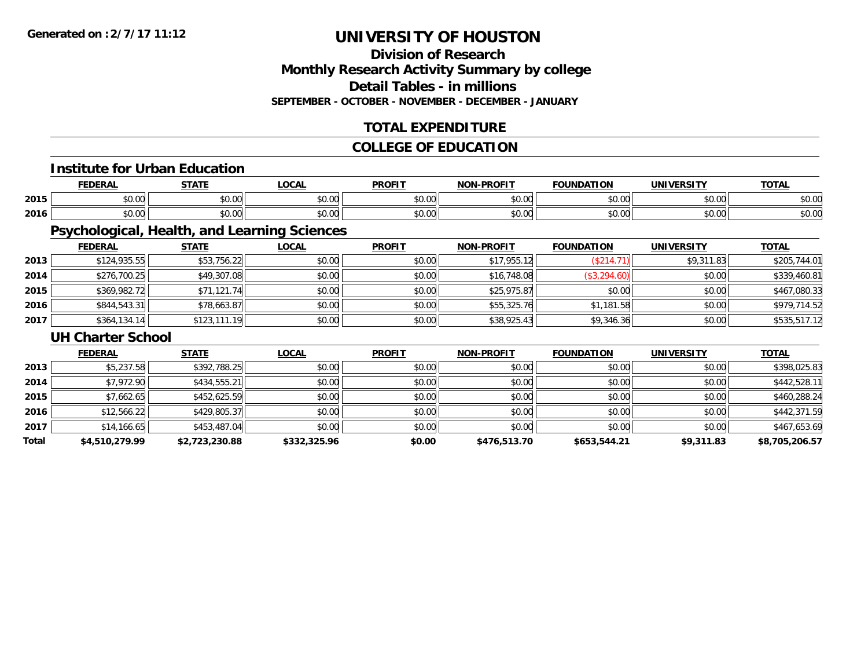# **Division of ResearchMonthly Research Activity Summary by college Detail Tables - in millionsSEPTEMBER - OCTOBER - NOVEMBER - DECEMBER - JANUARY**

# **TOTAL EXPENDITURE**

# **COLLEGE OF EDUCATION**

#### **Institute for Urban Education**

|      |                               | $C = A + I$    | 001<br>uuri                               | <b>DDOEIT</b>                                   | .<br><b>NIAI</b>      | "<br>w                 |                | ---                    |
|------|-------------------------------|----------------|-------------------------------------------|-------------------------------------------------|-----------------------|------------------------|----------------|------------------------|
| 2015 | ት ヘ<br>$\sim$ $\sim$<br>טט.טע | ሐሴ ሰሰ<br>JU.UU | $\uparrow$ $\uparrow$ $\uparrow$<br>JU.UU | $\mathsf{A} \cap \mathsf{A} \mathsf{A}$<br>JU.U | ሐሴ ሰጠ<br>pv.uu        | $\sim$ $\sim$<br>טט.טע | ሐሴ ሰሰ<br>JU.UU | $\sim$<br>DU.UL        |
| 2016 | טע.                           | ሐሴ ሰሰ<br>vv.vv | 0.00<br>pu.uu                             | 0000<br>JU.U                                    | $\sim$ $\sim$<br>ט.טע | $\cdots$<br>,,,        | ሐሴ ሰሰ<br>JU.UU | $\sim$ $\sim$<br>DU.UU |

# **Psychological, Health, and Learning Sciences**

|      | <b>FEDERAL</b> | <u>STATE</u> | <u>LOCAL</u> | <b>PROFIT</b> | <b>NON-PROFIT</b> | <b>FOUNDATION</b> | <b>UNIVERSITY</b> | <b>TOTAL</b> |
|------|----------------|--------------|--------------|---------------|-------------------|-------------------|-------------------|--------------|
| 2013 | \$124,935.55   | \$53,756.22  | \$0.00       | \$0.00        | \$17,955.12       | (\$214            | \$9,311.83        | \$205,744.01 |
| 2014 | \$276,700.25   | \$49,307.08  | \$0.00       | \$0.00        | \$16,748.08       | (\$3,294.60)      | \$0.00            | \$339,460.81 |
| 2015 | \$369,982.72   | \$71,121.74  | \$0.00       | \$0.00        | \$25,975.87       | \$0.00            | \$0.00            | \$467,080.33 |
| 2016 | \$844,543.31   | \$78,663.87  | \$0.00       | \$0.00        | \$55,325.76       | \$1,181.58        | \$0.00            | \$979,714.52 |
| 2017 | \$364,134.14   | \$123,111.19 | \$0.00       | \$0.00        | \$38,925.43       | \$9,346.36        | \$0.00            | \$535,517.12 |

#### **UH Charter School**

|       | <b>FEDERAL</b> | <b>STATE</b>   | <b>LOCAL</b> | <b>PROFIT</b> | <b>NON-PROFIT</b> | <b>FOUNDATION</b> | <b>UNIVERSITY</b> | <b>TOTAL</b>   |
|-------|----------------|----------------|--------------|---------------|-------------------|-------------------|-------------------|----------------|
| 2013  | \$5,237.58     | \$392,788.25   | \$0.00       | \$0.00        | \$0.00            | \$0.00            | \$0.00            | \$398,025.83   |
| 2014  | \$7,972.90     | \$434,555.21   | \$0.00       | \$0.00        | \$0.00            | \$0.00            | \$0.00            | \$442,528.11   |
| 2015  | \$7,662.65     | \$452,625.59   | \$0.00       | \$0.00        | \$0.00            | \$0.00            | \$0.00            | \$460,288.24   |
| 2016  | \$12,566.22    | \$429,805.37   | \$0.00       | \$0.00        | \$0.00            | \$0.00            | \$0.00            | \$442,371.59   |
| 2017  | \$14,166.65    | \$453,487.04   | \$0.00       | \$0.00        | \$0.00            | \$0.00            | \$0.00            | \$467,653.69   |
| Total | \$4,510,279.99 | \$2,723,230.88 | \$332,325.96 | \$0.00        | \$476,513.70      | \$653,544.21      | \$9,311.83        | \$8,705,206.57 |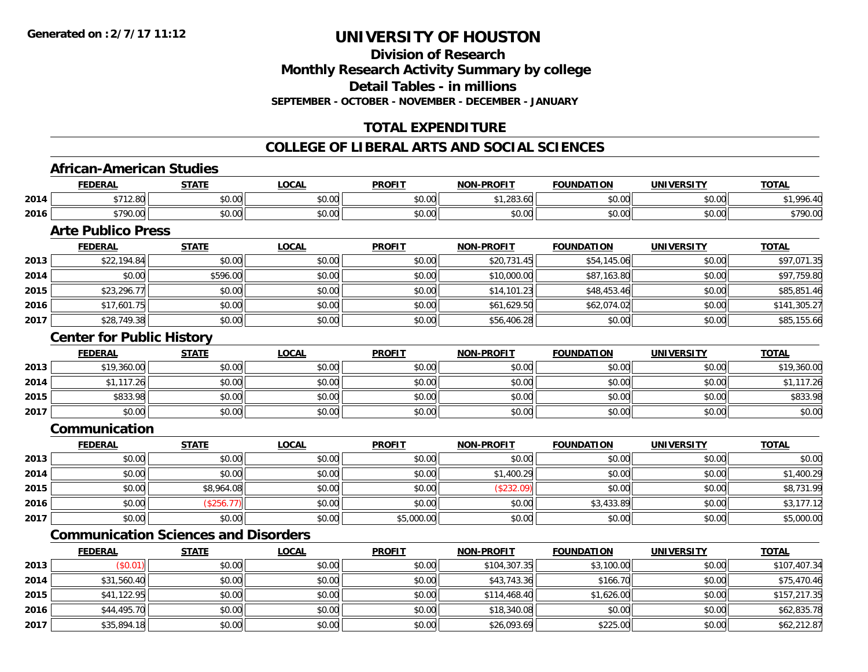**Division of ResearchMonthly Research Activity Summary by college Detail Tables - in millionsSEPTEMBER - OCTOBER - NOVEMBER - DECEMBER - JANUARY**

# **TOTAL EXPENDITURE**

### **COLLEGE OF LIBERAL ARTS AND SOCIAL SCIENCES**

#### **African-American Studies**

|      | <b>FEDERAL</b>          | <b>STATE</b>               | <b>OCAL</b>                                | <b>PROFIT</b>                             | <b>NON-PROFIT</b>              | <b>FOUNDATION</b> | UNIVERSITY | <u>TOTAL</u> |
|------|-------------------------|----------------------------|--------------------------------------------|-------------------------------------------|--------------------------------|-------------------|------------|--------------|
| 2014 | $0.740$ $0.0$           | 0.00<br>DU.UG              | 0.00<br>JU.UU                              | $\uparrow$ $\uparrow$ $\uparrow$<br>vv.vv | $\uparrow$<br>$\sim$<br>283.OU | \$0.00            | \$0.00     | 00A          |
| 2016 | <b>¢700.00</b><br>70.00 | $*$ $\cap$ $\cap$<br>DU.UU | $\theta$ $\theta$ $\theta$<br><b>DU.UU</b> | 0000<br>JU.UU                             | 0000<br>JU.UU                  | \$0.00            | \$0.00     | \$790.00     |

# **Arte Publico Press**

|      | <b>FEDERAL</b> | <b>STATE</b> | <u>LOCAL</u> | <b>PROFIT</b> | <b>NON-PROFIT</b> | <b>FOUNDATION</b> | <b>UNIVERSITY</b> | <b>TOTAL</b> |
|------|----------------|--------------|--------------|---------------|-------------------|-------------------|-------------------|--------------|
| 2013 | \$22,194.84    | \$0.00       | \$0.00       | \$0.00        | \$20,731.45       | \$54,145.06       | \$0.00            | \$97,071.35  |
| 2014 | \$0.00         | \$596.00     | \$0.00       | \$0.00        | \$10,000.00       | \$87,163.80       | \$0.00            | \$97,759.80  |
| 2015 | \$23,296.77    | \$0.00       | \$0.00       | \$0.00        | \$14,101.23       | \$48,453.46       | \$0.00            | \$85,851.46  |
| 2016 | \$17,601.75    | \$0.00       | \$0.00       | \$0.00        | \$61,629.50       | \$62,074.02       | \$0.00            | \$141,305.27 |
| 2017 | \$28,749.38    | \$0.00       | \$0.00       | \$0.00        | \$56,406.28       | \$0.00            | \$0.00            | \$85,155.66  |

### **Center for Public History**

|      | <b>FEDERAL</b> | STATE  | <u>LOCAL</u> | <b>PROFIT</b> | <b>NON-PROFIT</b> | <b>FOUNDATION</b> | <b>UNIVERSITY</b> | <b>TOTAL</b> |
|------|----------------|--------|--------------|---------------|-------------------|-------------------|-------------------|--------------|
| 2013 | \$19,360.00    | \$0.00 | \$0.00       | \$0.00        | \$0.00            | \$0.00            | \$0.00            | \$19,360.00  |
| 2014 | *1 117.26 l    | \$0.00 | \$0.00       | \$0.00        | \$0.00            | \$0.00            | \$0.00            | \$1,117.26   |
| 2015 | \$833.98       | \$0.00 | \$0.00       | \$0.00        | \$0.00            | \$0.00            | \$0.00            | \$833.98     |
| 2017 | \$0.00         | \$0.00 | \$0.00       | \$0.00        | \$0.00            | \$0.00            | \$0.00            | \$0.00       |

### **Communication**

|      | <b>FEDERAL</b> | <b>STATE</b> | <b>LOCAL</b> | <b>PROFIT</b> | <b>NON-PROFIT</b> | <b>FOUNDATION</b> | <b>UNIVERSITY</b> | <b>TOTAL</b> |
|------|----------------|--------------|--------------|---------------|-------------------|-------------------|-------------------|--------------|
| 2013 | \$0.00         | \$0.00       | \$0.00       | \$0.00        | \$0.00            | \$0.00            | \$0.00            | \$0.00       |
| 2014 | \$0.00         | \$0.00       | \$0.00       | \$0.00        | 1,400.29<br>\$1.  | \$0.00            | \$0.00            | \$1,400.29   |
| 2015 | \$0.00         | \$8,964.08   | \$0.00       | \$0.00        | (\$232.09)        | \$0.00            | \$0.00            | \$8,731.99   |
| 2016 | \$0.00         | \$256.7      | \$0.00       | \$0.00        | \$0.00            | \$3,433.89        | \$0.00            | \$3,177.12   |
| 2017 | \$0.00         | \$0.00       | \$0.00       | \$5,000.00    | \$0.00            | \$0.00            | \$0.00            | \$5,000.00   |

# **Communication Sciences and Disorders**

|      | <b>FEDERAL</b> | <b>STATE</b> | <b>LOCAL</b> | <b>PROFIT</b> | <b>NON-PROFIT</b> | <b>FOUNDATION</b> | <b>UNIVERSITY</b> | <b>TOTAL</b> |
|------|----------------|--------------|--------------|---------------|-------------------|-------------------|-------------------|--------------|
| 2013 | \$0.01         | \$0.00       | \$0.00       | \$0.00        | \$104,307.35      | \$3,100.00        | \$0.00            | \$107,407.34 |
| 2014 | \$31,560.40    | \$0.00       | \$0.00       | \$0.00        | \$43,743.36       | \$166.70          | \$0.00            | \$75,470.46  |
| 2015 | \$41,122.95    | \$0.00       | \$0.00       | \$0.00        | \$114,468.40      | \$1,626.00        | \$0.00            | \$157,217.35 |
| 2016 | \$44,495.70    | \$0.00       | \$0.00       | \$0.00        | \$18,340.08       | \$0.00            | \$0.00            | \$62,835.78  |
| 2017 | \$35,894.18    | \$0.00       | \$0.00       | \$0.00        | \$26,093.69       | \$225.00          | \$0.00            | \$62,212.87  |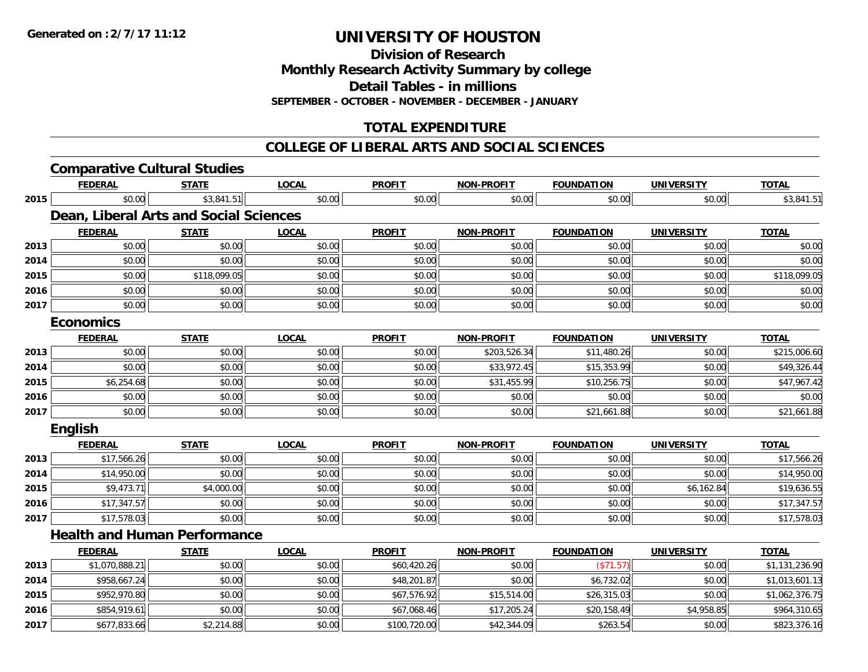**2017**

# **UNIVERSITY OF HOUSTON**

**Division of Research**

**Monthly Research Activity Summary by college**

**Detail Tables - in millions**

**SEPTEMBER - OCTOBER - NOVEMBER - DECEMBER - JANUARY**

# **TOTAL EXPENDITURE**

#### **COLLEGE OF LIBERAL ARTS AND SOCIAL SCIENCES**

|      | <b>Comparative Cultural Studies</b>    |              |              |               |                   |                   |                   |                |
|------|----------------------------------------|--------------|--------------|---------------|-------------------|-------------------|-------------------|----------------|
|      | <b>FEDERAL</b>                         | <b>STATE</b> | <b>LOCAL</b> | <b>PROFIT</b> | NON-PROFIT        | <b>FOUNDATION</b> | <b>UNIVERSITY</b> | <b>TOTAL</b>   |
| 2015 | \$0.00                                 | \$3,841.51   | \$0.00       | \$0.00        | \$0.00            | \$0.00            | \$0.00            | \$3,841.51     |
|      | Dean, Liberal Arts and Social Sciences |              |              |               |                   |                   |                   |                |
|      | <b>FEDERAL</b>                         | <b>STATE</b> | <b>LOCAL</b> | <b>PROFIT</b> | <b>NON-PROFIT</b> | <b>FOUNDATION</b> | <b>UNIVERSITY</b> | <b>TOTAL</b>   |
| 2013 | \$0.00                                 | \$0.00       | \$0.00       | \$0.00        | \$0.00            | \$0.00            | \$0.00            | \$0.00         |
| 2014 | \$0.00                                 | \$0.00       | \$0.00       | \$0.00        | \$0.00            | \$0.00            | \$0.00            | \$0.00         |
| 2015 | \$0.00                                 | \$118,099.05 | \$0.00       | \$0.00        | \$0.00            | \$0.00            | \$0.00            | \$118,099.05   |
| 2016 | \$0.00                                 | \$0.00       | \$0.00       | \$0.00        | \$0.00            | \$0.00            | \$0.00            | \$0.00         |
| 2017 | \$0.00                                 | \$0.00       | \$0.00       | \$0.00        | \$0.00            | \$0.00            | \$0.00            | \$0.00         |
|      | <b>Economics</b>                       |              |              |               |                   |                   |                   |                |
|      | <b>FEDERAL</b>                         | <b>STATE</b> | <b>LOCAL</b> | <b>PROFIT</b> | <b>NON-PROFIT</b> | <b>FOUNDATION</b> | <b>UNIVERSITY</b> | <b>TOTAL</b>   |
| 2013 | \$0.00                                 | \$0.00       | \$0.00       | \$0.00        | \$203,526.34      | \$11,480.26       | \$0.00            | \$215,006.60   |
| 2014 | \$0.00                                 | \$0.00       | \$0.00       | \$0.00        | \$33,972.45       | \$15,353.99       | \$0.00            | \$49,326.44    |
| 2015 | \$6,254.68                             | \$0.00       | \$0.00       | \$0.00        | \$31,455.99       | \$10,256.75       | \$0.00            | \$47,967.42    |
| 2016 | \$0.00                                 | \$0.00       | \$0.00       | \$0.00        | \$0.00            | \$0.00            | \$0.00            | \$0.00         |
| 2017 | \$0.00                                 | \$0.00       | \$0.00       | \$0.00        | \$0.00            | \$21,661.88       | \$0.00            | \$21,661.88    |
|      | English                                |              |              |               |                   |                   |                   |                |
|      | <b>FEDERAL</b>                         | <b>STATE</b> | <b>LOCAL</b> | <b>PROFIT</b> | <b>NON-PROFIT</b> | <b>FOUNDATION</b> | <b>UNIVERSITY</b> | <b>TOTAL</b>   |
| 2013 | \$17,566.26                            | \$0.00       | \$0.00       | \$0.00        | \$0.00            | \$0.00            | \$0.00            | \$17,566.26    |
| 2014 | \$14,950.00                            | \$0.00       | \$0.00       | \$0.00        | \$0.00            | \$0.00            | \$0.00            | \$14,950.00    |
| 2015 | \$9,473.71                             | \$4,000.00   | \$0.00       | \$0.00        | \$0.00            | \$0.00            | \$6,162.84        | \$19,636.55    |
| 2016 | \$17,347.57                            | \$0.00       | \$0.00       | \$0.00        | \$0.00            | \$0.00            | \$0.00            | \$17,347.57    |
| 2017 | \$17,578.03                            | \$0.00       | \$0.00       | \$0.00        | \$0.00            | \$0.00            | \$0.00            | \$17,578.03    |
|      | <b>Health and Human Performance</b>    |              |              |               |                   |                   |                   |                |
|      | <b>FEDERAL</b>                         | <b>STATE</b> | <b>LOCAL</b> | <b>PROFIT</b> | <b>NON-PROFIT</b> | <b>FOUNDATION</b> | <b>UNIVERSITY</b> | <b>TOTAL</b>   |
| 2013 | \$1,070,888.21                         | \$0.00       | \$0.00       | \$60,420.26   | \$0.00            | (\$71.57)         | \$0.00            | \$1,131,236.90 |
| 2014 | \$958,667.24                           | \$0.00       | \$0.00       | \$48,201.87   | \$0.00            | \$6,732.02        | \$0.00            | \$1,013,601.13 |
| 2015 | \$952,970.80                           | \$0.00       | \$0.00       | \$67,576.92   | \$15,514.00       | \$26,315.03       | \$0.00            | \$1,062,376.75 |
| 2016 | \$854,919.61                           | \$0.00       | \$0.00       | \$67,068.46   | \$17,205.24       | \$20,158.49       | \$4,958.85        | \$964,310.65   |

\$677,833.66 \$2,214.88 \$0.00 \$100,720.00 \$42,344.09 \$263.54 \$0.00 \$823,376.16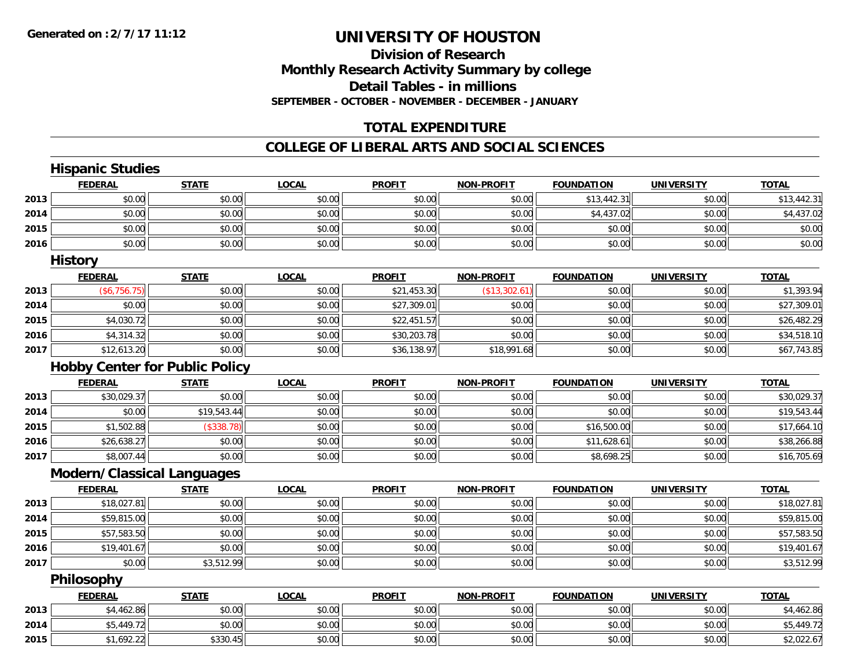### **Division of Research Monthly Research Activity Summary by college Detail Tables - in millions SEPTEMBER - OCTOBER - NOVEMBER - DECEMBER - JANUARY**

# **TOTAL EXPENDITURE**

#### **COLLEGE OF LIBERAL ARTS AND SOCIAL SCIENCES**

|      | <b>Hispanic Studies</b>               |              |              |               |                   |                   |                   |              |
|------|---------------------------------------|--------------|--------------|---------------|-------------------|-------------------|-------------------|--------------|
|      | <b>FEDERAL</b>                        | <b>STATE</b> | <b>LOCAL</b> | <b>PROFIT</b> | <b>NON-PROFIT</b> | <b>FOUNDATION</b> | <b>UNIVERSITY</b> | <b>TOTAL</b> |
| 2013 | \$0.00                                | \$0.00       | \$0.00       | \$0.00        | \$0.00            | \$13,442.31       | \$0.00            | \$13,442.31  |
| 2014 | \$0.00                                | \$0.00       | \$0.00       | \$0.00        | \$0.00            | \$4,437.02        | \$0.00            | \$4,437.02   |
| 2015 | \$0.00                                | \$0.00       | \$0.00       | \$0.00        | \$0.00            | \$0.00            | \$0.00            | \$0.00       |
| 2016 | \$0.00                                | \$0.00       | \$0.00       | \$0.00        | \$0.00            | \$0.00            | \$0.00            | \$0.00       |
|      | <b>History</b>                        |              |              |               |                   |                   |                   |              |
|      | <b>FEDERAL</b>                        | <b>STATE</b> | <b>LOCAL</b> | <b>PROFIT</b> | <b>NON-PROFIT</b> | <b>FOUNDATION</b> | <b>UNIVERSITY</b> | <b>TOTAL</b> |
| 2013 | (\$6,756.75)                          | \$0.00       | \$0.00       | \$21,453.30   | (\$13,302.61)     | \$0.00            | \$0.00            | \$1,393.94   |
| 2014 | \$0.00                                | \$0.00       | \$0.00       | \$27,309.01   | \$0.00            | \$0.00            | \$0.00            | \$27,309.01  |
| 2015 | \$4,030.72                            | \$0.00       | \$0.00       | \$22,451.57   | \$0.00            | \$0.00            | \$0.00            | \$26,482.29  |
| 2016 | \$4,314.32                            | \$0.00       | \$0.00       | \$30,203.78   | \$0.00            | \$0.00            | \$0.00            | \$34,518.10  |
| 2017 | \$12,613.20                           | \$0.00       | \$0.00       | \$36,138.97   | \$18,991.68       | \$0.00            | \$0.00            | \$67,743.85  |
|      | <b>Hobby Center for Public Policy</b> |              |              |               |                   |                   |                   |              |
|      | <b>FEDERAL</b>                        | <b>STATE</b> | <b>LOCAL</b> | <b>PROFIT</b> | <b>NON-PROFIT</b> | <b>FOUNDATION</b> | <b>UNIVERSITY</b> | <b>TOTAL</b> |
| 2013 | \$30,029.37                           | \$0.00       | \$0.00       | \$0.00        | \$0.00            | \$0.00            | \$0.00            | \$30,029.37  |
| 2014 | \$0.00                                | \$19,543.44  | \$0.00       | \$0.00        | \$0.00            | \$0.00            | \$0.00            | \$19,543.44  |
| 2015 | \$1,502.88                            | (\$338.78)   | \$0.00       | \$0.00        | \$0.00            | \$16,500.00       | \$0.00            | \$17,664.10  |
| 2016 | \$26,638.27                           | \$0.00       | \$0.00       | \$0.00        | \$0.00            | \$11,628.61       | \$0.00            | \$38,266.88  |
| 2017 | \$8,007.44                            | \$0.00       | \$0.00       | \$0.00        | \$0.00            | \$8,698.25        | \$0.00            | \$16,705.69  |
|      | <b>Modern/Classical Languages</b>     |              |              |               |                   |                   |                   |              |
|      | <b>FEDERAL</b>                        | <b>STATE</b> | <b>LOCAL</b> | <b>PROFIT</b> | <b>NON-PROFIT</b> | <b>FOUNDATION</b> | <b>UNIVERSITY</b> | <b>TOTAL</b> |
| 2013 | \$18,027.81                           | \$0.00       | \$0.00       | \$0.00        | \$0.00            | \$0.00            | \$0.00            | \$18,027.81  |
| 2014 | \$59,815.00                           | \$0.00       | \$0.00       | \$0.00        | \$0.00            | \$0.00            | \$0.00            | \$59,815.00  |
| 2015 | \$57,583.50                           | \$0.00       | \$0.00       | \$0.00        | \$0.00            | \$0.00            | \$0.00            | \$57,583.50  |
| 2016 | \$19,401.67                           | \$0.00       | \$0.00       | \$0.00        | \$0.00            | \$0.00            | \$0.00            | \$19,401.67  |
| 2017 | \$0.00                                | \$3,512.99   | \$0.00       | \$0.00        | \$0.00            | \$0.00            | \$0.00            | \$3,512.99   |
|      | Philosophy                            |              |              |               |                   |                   |                   |              |
|      | <b>FEDERAL</b>                        | <b>STATE</b> | <b>LOCAL</b> | <b>PROFIT</b> | NON-PROFIT        | <b>FOUNDATION</b> | <b>UNIVERSITY</b> | <b>TOTAL</b> |
| 2013 | \$4,462.86                            | \$0.00       | \$0.00       | \$0.00        | \$0.00            | \$0.00            | \$0.00            | \$4,462.86   |
| 2014 | \$5,449.72                            | \$0.00       | \$0.00       | \$0.00        | \$0.00            | \$0.00            | \$0.00            | \$5,449.72   |
| 2015 | \$1,692.22                            | \$330.45     | \$0.00       | \$0.00        | \$0.00            | \$0.00            | \$0.00            | \$2,022.67   |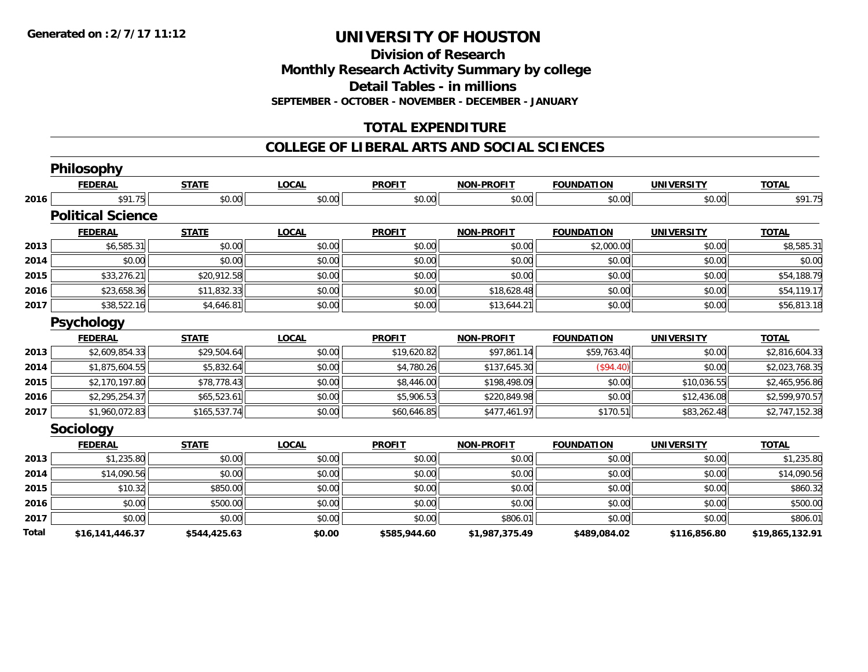**Division of Research**

**Monthly Research Activity Summary by college**

**Detail Tables - in millions**

**SEPTEMBER - OCTOBER - NOVEMBER - DECEMBER - JANUARY**

# **TOTAL EXPENDITURE**

#### **COLLEGE OF LIBERAL ARTS AND SOCIAL SCIENCES**

|       | <b>Philosophy</b>        |              |              |               |                   |                   |                   |                 |
|-------|--------------------------|--------------|--------------|---------------|-------------------|-------------------|-------------------|-----------------|
|       | <b>FEDERAL</b>           | <b>STATE</b> | <b>LOCAL</b> | <b>PROFIT</b> | <b>NON-PROFIT</b> | <b>FOUNDATION</b> | <b>UNIVERSITY</b> | <b>TOTAL</b>    |
| 2016  | \$91.75                  | \$0.00       | \$0.00       | \$0.00        | \$0.00            | \$0.00            | \$0.00            | \$91.75         |
|       | <b>Political Science</b> |              |              |               |                   |                   |                   |                 |
|       | <b>FEDERAL</b>           | <b>STATE</b> | <b>LOCAL</b> | <b>PROFIT</b> | <b>NON-PROFIT</b> | <b>FOUNDATION</b> | <b>UNIVERSITY</b> | <b>TOTAL</b>    |
| 2013  | \$6,585.31               | \$0.00       | \$0.00       | \$0.00        | \$0.00            | \$2,000.00        | \$0.00            | \$8,585.31      |
| 2014  | \$0.00                   | \$0.00       | \$0.00       | \$0.00        | \$0.00            | \$0.00            | \$0.00            | \$0.00          |
| 2015  | \$33,276.21              | \$20,912.58  | \$0.00       | \$0.00        | \$0.00            | \$0.00            | \$0.00            | \$54,188.79     |
| 2016  | \$23,658.36              | \$11,832.33  | \$0.00       | \$0.00        | \$18,628.48       | \$0.00            | \$0.00            | \$54,119.17     |
| 2017  | \$38,522.16              | \$4,646.81   | \$0.00       | \$0.00        | \$13,644.21       | \$0.00            | \$0.00            | \$56,813.18     |
|       | <b>Psychology</b>        |              |              |               |                   |                   |                   |                 |
|       | <b>FEDERAL</b>           | <b>STATE</b> | <b>LOCAL</b> | <b>PROFIT</b> | <b>NON-PROFIT</b> | <b>FOUNDATION</b> | <b>UNIVERSITY</b> | <b>TOTAL</b>    |
| 2013  | \$2,609,854.33           | \$29,504.64  | \$0.00       | \$19,620.82   | \$97,861.14       | \$59,763.40       | \$0.00            | \$2,816,604.33  |
| 2014  | \$1,875,604.55           | \$5,832.64   | \$0.00       | \$4,780.26    | \$137,645.30      | (S94.40)          | \$0.00            | \$2,023,768.35  |
| 2015  | \$2,170,197.80           | \$78,778.43  | \$0.00       | \$8,446.00    | \$198,498.09      | \$0.00            | \$10,036.55       | \$2,465,956.86  |
| 2016  | \$2,295,254.37           | \$65,523.61  | \$0.00       | \$5,906.53    | \$220,849.98      | \$0.00            | \$12,436.08       | \$2,599,970.57  |
| 2017  | \$1,960,072.83           | \$165,537.74 | \$0.00       | \$60,646.85   | \$477,461.97      | \$170.51          | \$83,262.48       | \$2,747,152.38  |
|       | Sociology                |              |              |               |                   |                   |                   |                 |
|       | <b>FEDERAL</b>           | <b>STATE</b> | <b>LOCAL</b> | <b>PROFIT</b> | <b>NON-PROFIT</b> | <b>FOUNDATION</b> | <b>UNIVERSITY</b> | <b>TOTAL</b>    |
| 2013  | \$1,235.80               | \$0.00       | \$0.00       | \$0.00        | \$0.00            | \$0.00            | \$0.00            | \$1,235.80      |
| 2014  | \$14,090.56              | \$0.00       | \$0.00       | \$0.00        | \$0.00            | \$0.00            | \$0.00            | \$14,090.56     |
| 2015  | \$10.32                  | \$850.00     | \$0.00       | \$0.00        | \$0.00            | \$0.00            | \$0.00            | \$860.32        |
| 2016  | \$0.00                   | \$500.00     | \$0.00       | \$0.00        | \$0.00            | \$0.00            | \$0.00            | \$500.00        |
| 2017  | \$0.00                   | \$0.00       | \$0.00       | \$0.00        | \$806.01          | \$0.00            | \$0.00            | \$806.01        |
| Total | \$16,141,446.37          | \$544,425.63 | \$0.00       | \$585,944.60  | \$1,987,375.49    | \$489,084.02      | \$116,856.80      | \$19,865,132.91 |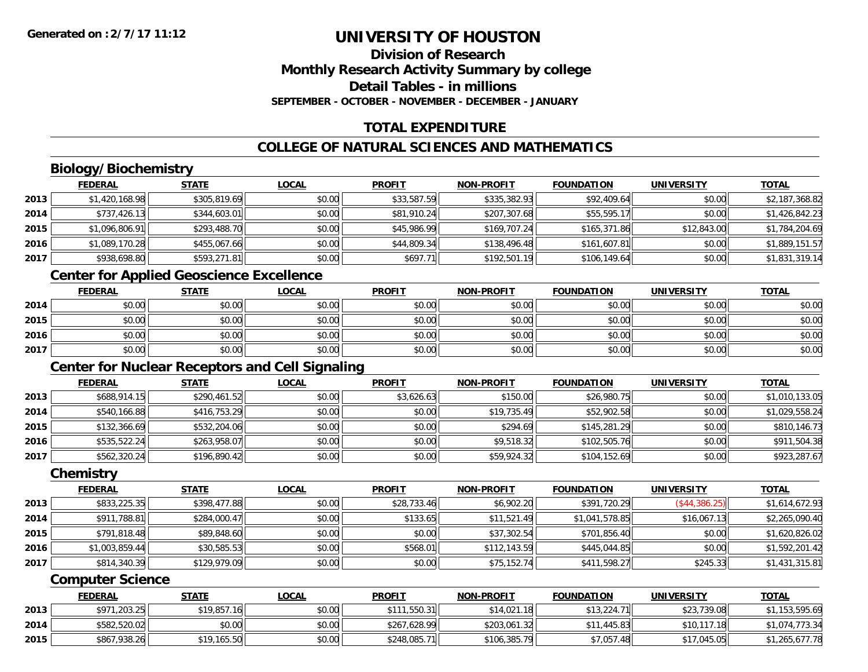# **Division of ResearchMonthly Research Activity Summary by college Detail Tables - in millionsSEPTEMBER - OCTOBER - NOVEMBER - DECEMBER - JANUARY**

# **TOTAL EXPENDITURE**

# **COLLEGE OF NATURAL SCIENCES AND MATHEMATICS**

# **Biology/Biochemistry**

|      | <b>FEDERAL</b> | <b>STATE</b> | <b>LOCAL</b> | <b>PROFIT</b> | <b>NON-PROFIT</b> | <b>FOUNDATION</b> | <b>UNIVERSITY</b> | <b>TOTAL</b>   |
|------|----------------|--------------|--------------|---------------|-------------------|-------------------|-------------------|----------------|
| 2013 | \$1,420,168.98 | \$305,819.69 | \$0.00       | \$33,587.59   | \$335,382.93      | \$92,409.64       | \$0.00            | \$2,187,368.82 |
| 2014 | \$737,426.13   | \$344,603.01 | \$0.00       | \$81,910.24   | \$207,307.68      | \$55,595.17       | \$0.00            | \$1,426,842.23 |
| 2015 | \$1,096,806.91 | \$293,488.70 | \$0.00       | \$45,986.99   | \$169,707.24      | \$165,371.86      | \$12,843.00       | \$1,784,204.69 |
| 2016 | \$1,089,170.28 | \$455,067.66 | \$0.00       | \$44,809.34   | \$138,496.48      | \$161,607.81      | \$0.00            | \$1,889,151.57 |
| 2017 | \$938,698.80   | \$593,271.81 | \$0.00       | \$697.71      | \$192,501.19      | \$106,149.64      | \$0.00            | \$1,831,319.14 |

# **Center for Applied Geoscience Excellence**

|      | <b>FEDERAL</b> | <b>STATE</b> | LOCAL  | <b>PROFIT</b> | <b>NON-PROFIT</b> | <b>FOUNDATION</b> | <b>UNIVERSITY</b> | <b>TOTAL</b> |
|------|----------------|--------------|--------|---------------|-------------------|-------------------|-------------------|--------------|
| 2014 | \$0.00         | \$0.00       | \$0.00 | \$0.00        | \$0.00            | \$0.00            | \$0.00            | \$0.00       |
| 2015 | \$0.00         | \$0.00       | \$0.00 | \$0.00        | \$0.00            | \$0.00            | \$0.00            | \$0.00       |
| 2016 | \$0.00         | \$0.00       | \$0.00 | \$0.00        | \$0.00            | \$0.00            | \$0.00            | \$0.00       |
| 2017 | \$0.00         | \$0.00       | \$0.00 | \$0.00        | \$0.00            | \$0.00            | \$0.00            | \$0.00       |

# **Center for Nuclear Receptors and Cell Signaling**

|      | <b>FEDERAL</b> | <b>STATE</b> | <b>LOCAL</b> | <b>PROFIT</b> | <b>NON-PROFIT</b> | <b>FOUNDATION</b> | <b>UNIVERSITY</b> | <b>TOTAL</b>   |
|------|----------------|--------------|--------------|---------------|-------------------|-------------------|-------------------|----------------|
| 2013 | \$688,914.15   | \$290,461.52 | \$0.00       | \$3,626.63    | \$150.00          | \$26,980.75       | \$0.00            | \$1,010,133.05 |
| 2014 | \$540,166.88   | \$416,753.29 | \$0.00       | \$0.00        | \$19,735.49       | \$52,902.58       | \$0.00            | \$1,029,558.24 |
| 2015 | \$132,366.69   | \$532,204.06 | \$0.00       | \$0.00        | \$294.69          | \$145,281.29      | \$0.00            | \$810,146.73   |
| 2016 | \$535,522.24   | \$263,958.07 | \$0.00       | \$0.00        | \$9,518.32        | \$102,505.76      | \$0.00            | \$911,504.38   |
| 2017 | \$562,320.24   | \$196,890.42 | \$0.00       | \$0.00        | \$59,924.32       | \$104,152.69      | \$0.00            | \$923,287.67   |

#### **Chemistry**

|      | <b>FEDERAL</b> | <b>STATE</b> | <b>LOCAL</b> | <b>PROFIT</b> | <b>NON-PROFIT</b> | <b>FOUNDATION</b> | <b>UNIVERSITY</b> | <u>TOTAL</u>   |
|------|----------------|--------------|--------------|---------------|-------------------|-------------------|-------------------|----------------|
| 2013 | \$833,225.35   | \$398,477.88 | \$0.00       | \$28,733.46   | \$6,902.20        | \$391,720.29      | (\$44,386.25)     | \$1,614,672.93 |
| 2014 | \$911,788.81   | \$284,000.47 | \$0.00       | \$133.65      | \$11,521.49       | \$1,041,578.85    | \$16,067.13       | \$2,265,090.40 |
| 2015 | \$791,818.48   | \$89,848.60  | \$0.00       | \$0.00        | \$37,302.54       | \$701,856.40      | \$0.00            | \$1,620,826.02 |
| 2016 | \$1,003,859.44 | \$30,585.53  | \$0.00       | \$568.01      | \$112,143.59      | \$445,044.85      | \$0.00            | \$1,592,201.42 |
| 2017 | \$814,340.39   | \$129,979.09 | \$0.00       | \$0.00        | \$75,152.74       | \$411,598.27      | \$245.33          | \$1,431,315.81 |

### **Computer Science**

|      | <b>FEDERAL</b> | <u>STATE</u> | <u>LOCAL</u> | <b>PROFIT</b>           | <b>NON-PROFIT</b> | <b>FOUNDATION</b> | UNIVERSITY  | <b>TOTAL</b>   |
|------|----------------|--------------|--------------|-------------------------|-------------------|-------------------|-------------|----------------|
| 2013 | \$971,203.25   | \$19,857.16  | \$0.00       | 1,550.31<br><b>¢111</b> | \$14,021.18       | \$13,224.71       | \$23,739.08 | \$1,153,595.69 |
| 2014 | \$582,520.02   | \$0.00       | \$0.00       | \$267,628.99            | \$203,061.32      | \$11,445.83       | \$10,117.18 | \$1,074,773.34 |
| 2015 | \$867,938.26   | \$19,165.50  | \$0.00       | \$248,085.71            | \$106,385.79      | \$7,057.48        | \$17,045.05 | \$1,265,677.78 |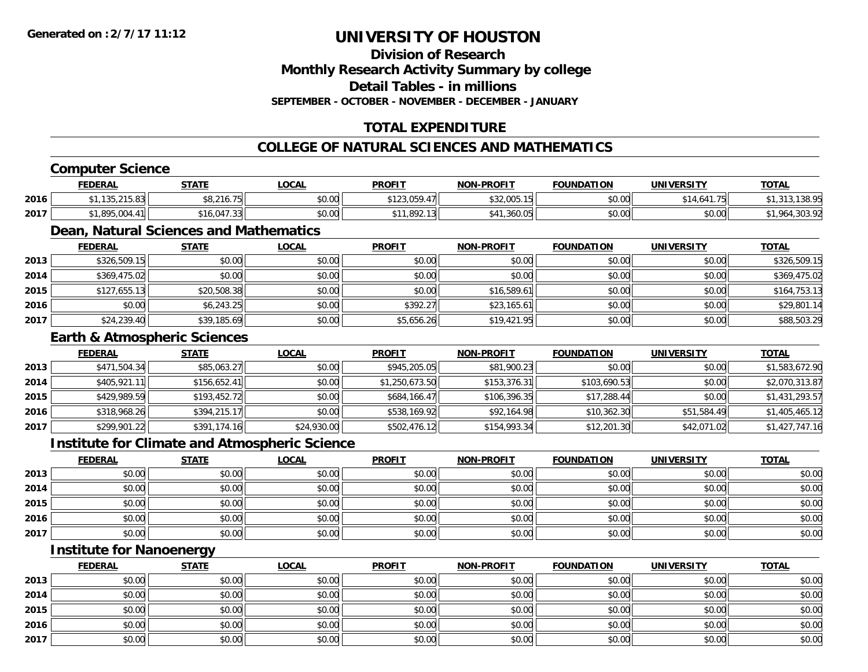**Division of ResearchMonthly Research Activity Summary by college Detail Tables - in millions**

**SEPTEMBER - OCTOBER - NOVEMBER - DECEMBER - JANUARY**

### **TOTAL EXPENDITURE**

### **COLLEGE OF NATURAL SCIENCES AND MATHEMATICS**

### **Computer Science**

|      | <b>FEDERAL</b>                                      | <b>STATE</b>               | LOCAL                                 | <b>PROFIT</b>                                     | <b>NON-PROFIT</b> | <b>FOUNDATION</b> | <b>UNIVERSITY</b>                     | <u>TOTAL</u> |
|------|-----------------------------------------------------|----------------------------|---------------------------------------|---------------------------------------------------|-------------------|-------------------|---------------------------------------|--------------|
| 2016 | $A$ $A$ $E$ $A$ $E$ $A$ $A$<br>1 J J . Z . J . U JI | $0.216$ $75$<br>\$8,216.75 | $\mathsf{A} \cap \mathsf{A}$<br>JU.UU | 0.400000<br>$\overline{A}$<br>$-12,009.4$ / $\pm$ | DOZ,UUJ. IC       | \$0.00            | <b>641 75  </b><br>$A - A$<br>$+0.01$ | 12000        |
| 2017 | .895.004                                            | \$16.047.33                | $\mathsf{A} \cap \mathsf{A}$<br>JU.UU | \$11,892.13                                       | \$41<br>,360.05   | \$0.00            | \$0.00                                | $\sim$       |

### **Dean, Natural Sciences and Mathematics**

|      | <b>FEDERAL</b> | <b>STATE</b> | <b>LOCAL</b> | <b>PROFIT</b> | <b>NON-PROFIT</b> | <b>FOUNDATION</b> | <b>UNIVERSITY</b> | <b>TOTAL</b> |
|------|----------------|--------------|--------------|---------------|-------------------|-------------------|-------------------|--------------|
| 2013 | \$326,509.15   | \$0.00       | \$0.00       | \$0.00        | \$0.00            | \$0.00            | \$0.00            | \$326,509.15 |
| 2014 | \$369,475.02   | \$0.00       | \$0.00       | \$0.00        | \$0.00            | \$0.00            | \$0.00            | \$369,475.02 |
| 2015 | \$127,655.13   | \$20,508.38  | \$0.00       | \$0.00        | \$16,589.61       | \$0.00            | \$0.00            | \$164,753.13 |
| 2016 | \$0.00         | \$6,243.25   | \$0.00       | \$392.27      | \$23,165.61       | \$0.00            | \$0.00            | \$29,801.14  |
| 2017 | \$24,239.40    | \$39,185.69  | \$0.00       | \$5,656.26    | \$19,421.95       | \$0.00            | \$0.00            | \$88,503.29  |

#### **Earth & Atmospheric Sciences**

|      | <b>FEDERAL</b> | <b>STATE</b> | <b>LOCAL</b> | <b>PROFIT</b>  | <b>NON-PROFIT</b> | <b>FOUNDATION</b> | <b>UNIVERSITY</b> | <b>TOTAL</b>   |
|------|----------------|--------------|--------------|----------------|-------------------|-------------------|-------------------|----------------|
| 2013 | \$471,504.34   | \$85,063.27  | \$0.00       | \$945,205.05   | \$81,900.23       | \$0.00            | \$0.00            | \$1,583,672.90 |
| 2014 | \$405,921.11   | \$156,652.41 | \$0.00       | \$1,250,673.50 | \$153,376.31      | \$103,690.53      | \$0.00            | \$2,070,313.87 |
| 2015 | \$429,989.59   | \$193,452.72 | \$0.00       | \$684,166.47   | \$106,396.35      | \$17,288.44       | \$0.00            | \$1,431,293.57 |
| 2016 | \$318,968.26   | \$394,215.17 | \$0.00       | \$538,169.92   | \$92,164.98       | \$10,362.30       | \$51,584.49       | \$1,405,465.12 |
| 2017 | \$299,901.22   | \$391,174.16 | \$24,930.00  | \$502,476.12   | \$154,993.34      | \$12,201.30       | \$42,071.02       | \$1,427,747.16 |

### **Institute for Climate and Atmospheric Science**

|      | <u>FEDERAL</u> | <b>STATE</b> | <u>LOCAL</u> | <b>PROFIT</b> | <b>NON-PROFIT</b> | <b>FOUNDATION</b> | <b>UNIVERSITY</b> | <b>TOTAL</b> |
|------|----------------|--------------|--------------|---------------|-------------------|-------------------|-------------------|--------------|
| 2013 | \$0.00         | \$0.00       | \$0.00       | \$0.00        | \$0.00            | \$0.00            | \$0.00            | \$0.00       |
| 2014 | \$0.00         | \$0.00       | \$0.00       | \$0.00        | \$0.00            | \$0.00            | \$0.00            | \$0.00       |
| 2015 | \$0.00         | \$0.00       | \$0.00       | \$0.00        | \$0.00            | \$0.00            | \$0.00            | \$0.00       |
| 2016 | \$0.00         | \$0.00       | \$0.00       | \$0.00        | \$0.00            | \$0.00            | \$0.00            | \$0.00       |
| 2017 | \$0.00         | \$0.00       | \$0.00       | \$0.00        | \$0.00            | \$0.00            | \$0.00            | \$0.00       |

### **Institute for Nanoenergy**

|      | <b>FEDERAL</b> | <b>STATE</b> | <u>LOCAL</u> | <b>PROFIT</b> | <b>NON-PROFIT</b> | <b>FOUNDATION</b> | <b>UNIVERSITY</b> | <b>TOTAL</b> |
|------|----------------|--------------|--------------|---------------|-------------------|-------------------|-------------------|--------------|
| 2013 | \$0.00         | \$0.00       | \$0.00       | \$0.00        | \$0.00            | \$0.00            | \$0.00            | \$0.00       |
| 2014 | \$0.00         | \$0.00       | \$0.00       | \$0.00        | \$0.00            | \$0.00            | \$0.00            | \$0.00       |
| 2015 | \$0.00         | \$0.00       | \$0.00       | \$0.00        | \$0.00            | \$0.00            | \$0.00            | \$0.00       |
| 2016 | \$0.00         | \$0.00       | \$0.00       | \$0.00        | \$0.00            | \$0.00            | \$0.00            | \$0.00       |
| 2017 | \$0.00         | \$0.00       | \$0.00       | \$0.00        | \$0.00            | \$0.00            | \$0.00            | \$0.00       |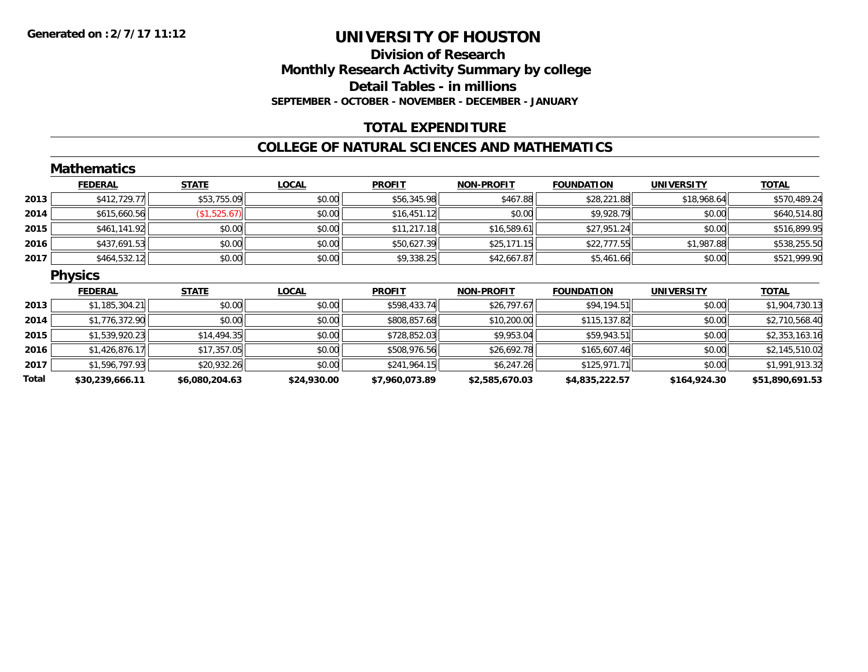### **Division of Research Monthly Research Activity Summary by college Detail Tables - in millions SEPTEMBER - OCTOBER - NOVEMBER - DECEMBER - JANUARY**

### **TOTAL EXPENDITURE**

#### **COLLEGE OF NATURAL SCIENCES AND MATHEMATICS**

|       | <b>Mathematics</b> |                |              |                |                   |                   |                   |                 |
|-------|--------------------|----------------|--------------|----------------|-------------------|-------------------|-------------------|-----------------|
|       | <b>FEDERAL</b>     | <b>STATE</b>   | <b>LOCAL</b> | <b>PROFIT</b>  | <b>NON-PROFIT</b> | <b>FOUNDATION</b> | <b>UNIVERSITY</b> | <b>TOTAL</b>    |
| 2013  | \$412,729.77       | \$53,755.09    | \$0.00       | \$56,345.98    | \$467.88          | \$28,221.88       | \$18,968.64       | \$570,489.24    |
| 2014  | \$615,660.56       | (\$1,525.67)   | \$0.00       | \$16,451.12    | \$0.00            | \$9,928.79        | \$0.00            | \$640,514.80    |
| 2015  | \$461,141.92       | \$0.00         | \$0.00       | \$11,217.18    | \$16,589.61       | \$27,951.24       | \$0.00            | \$516,899.95    |
| 2016  | \$437,691.53       | \$0.00         | \$0.00       | \$50,627.39    | \$25,171.15       | \$22,777.55       | \$1,987.88        | \$538,255.50    |
| 2017  | \$464,532.12       | \$0.00         | \$0.00       | \$9,338.25     | \$42,667.87       | \$5,461.66        | \$0.00            | \$521,999.90    |
|       | <b>Physics</b>     |                |              |                |                   |                   |                   |                 |
|       | <b>FEDERAL</b>     | <b>STATE</b>   | <b>LOCAL</b> | <b>PROFIT</b>  | <b>NON-PROFIT</b> | <b>FOUNDATION</b> | <b>UNIVERSITY</b> | <b>TOTAL</b>    |
| 2013  | \$1,185,304.21     | \$0.00         | \$0.00       | \$598,433.74   | \$26,797.67       | \$94,194.51       | \$0.00            | \$1,904,730.13  |
| 2014  | \$1,776,372.90     | \$0.00         | \$0.00       | \$808,857.68   | \$10,200.00       | \$115,137.82      | \$0.00            | \$2,710,568.40  |
| 2015  | \$1,539,920.23     | \$14,494.35    | \$0.00       | \$728,852.03   | \$9,953.04        | \$59,943.51       | \$0.00            | \$2,353,163.16  |
| 2016  | \$1,426,876.17     | \$17,357.05    | \$0.00       | \$508,976.56   | \$26,692.78       | \$165,607.46      | \$0.00            | \$2,145,510.02  |
| 2017  | \$1,596,797.93     | \$20,932.26    | \$0.00       | \$241,964.15   | \$6,247.26        | \$125,971.71      | \$0.00            | \$1,991,913.32  |
| Total | \$30,239,666.11    | \$6,080,204.63 | \$24,930.00  | \$7,960,073.89 | \$2,585,670.03    | \$4,835,222.57    | \$164,924.30      | \$51,890,691.53 |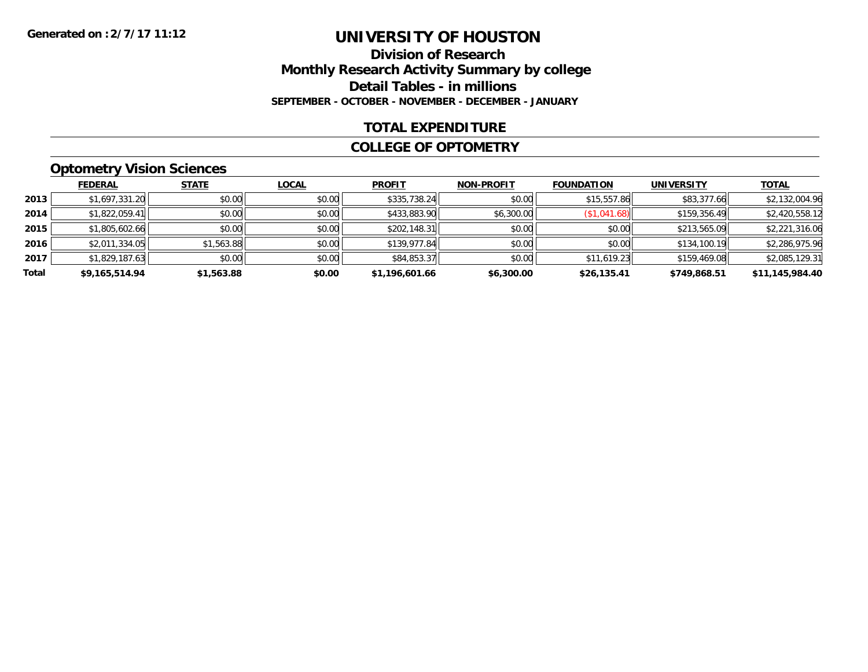### **Division of Research Monthly Research Activity Summary by college Detail Tables - in millions SEPTEMBER - OCTOBER - NOVEMBER - DECEMBER - JANUARY**

### **TOTAL EXPENDITURE**

#### **COLLEGE OF OPTOMETRY**

### **Optometry Vision Sciences**

|       | <b>FEDERAL</b> | <b>STATE</b> | <b>LOCAL</b> | <b>PROFIT</b>  | <b>NON-PROFIT</b> | <b>FOUNDATION</b> | <b>UNIVERSITY</b> | <u>TOTAL</u>    |
|-------|----------------|--------------|--------------|----------------|-------------------|-------------------|-------------------|-----------------|
| 2013  | \$1,697,331.20 | \$0.00       | \$0.00       | \$335,738.24   | \$0.00            | \$15,557.86       | \$83,377.66       | \$2,132,004.96  |
| 2014  | \$1,822,059.41 | \$0.00       | \$0.00       | \$433,883.90   | \$6,300.00        | \$1,041.68        | \$159,356.49      | \$2,420,558.12  |
| 2015  | \$1,805,602.66 | \$0.00       | \$0.00       | \$202,148.31   | \$0.00            | \$0.00            | \$213,565.09      | \$2,221,316.06  |
| 2016  | \$2,011,334.05 | \$1,563.88   | \$0.00       | \$139,977.84   | \$0.00            | \$0.00            | \$134,100.19      | \$2,286,975.96  |
| 2017  | \$1,829,187.63 | \$0.00       | \$0.00       | \$84,853.37    | \$0.00            | \$11,619.23       | \$159,469.08      | \$2,085,129.31  |
| Total | \$9,165,514.94 | \$1,563.88   | \$0.00       | \$1,196,601.66 | \$6,300.00        | \$26,135.41       | \$749,868.51      | \$11,145,984.40 |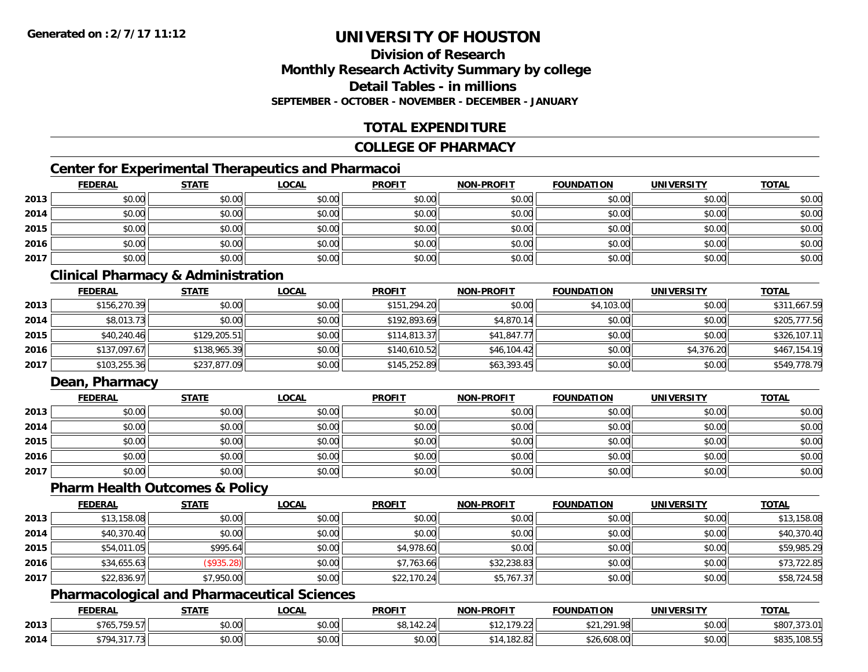### **Division of ResearchMonthly Research Activity Summary by college Detail Tables - in millionsSEPTEMBER - OCTOBER - NOVEMBER - DECEMBER - JANUARY**

### **TOTAL EXPENDITURE**

### **COLLEGE OF PHARMACY**

### **Center for Experimental Therapeutics and Pharmacoi**

|      | <b>FEDERAL</b> | <b>STATE</b> | <b>LOCAL</b> | <b>PROFIT</b> | <b>NON-PROFIT</b> | <b>FOUNDATION</b> | <b>UNIVERSITY</b> | <b>TOTAL</b> |
|------|----------------|--------------|--------------|---------------|-------------------|-------------------|-------------------|--------------|
| 2013 | \$0.00         | \$0.00       | \$0.00       | \$0.00        | \$0.00            | \$0.00            | \$0.00            | \$0.00       |
| 2014 | \$0.00         | \$0.00       | \$0.00       | \$0.00        | \$0.00            | \$0.00            | \$0.00            | \$0.00       |
| 2015 | \$0.00         | \$0.00       | \$0.00       | \$0.00        | \$0.00            | \$0.00            | \$0.00            | \$0.00       |
| 2016 | \$0.00         | \$0.00       | \$0.00       | \$0.00        | \$0.00            | \$0.00            | \$0.00            | \$0.00       |
| 2017 | \$0.00         | \$0.00       | \$0.00       | \$0.00        | \$0.00            | \$0.00            | \$0.00            | \$0.00       |

### **Clinical Pharmacy & Administration**

|      | <b>FEDERAL</b> | <b>STATE</b> | <u>LOCAL</u> | <b>PROFIT</b> | <b>NON-PROFIT</b> | <b>FOUNDATION</b> | <b>UNIVERSITY</b> | <b>TOTAL</b> |
|------|----------------|--------------|--------------|---------------|-------------------|-------------------|-------------------|--------------|
| 2013 | \$156,270.39   | \$0.00       | \$0.00       | \$151,294.20  | \$0.00            | \$4,103.00        | \$0.00            | \$311,667.59 |
| 2014 | \$8,013.73     | \$0.00       | \$0.00       | \$192,893.69  | \$4.870.14        | \$0.00            | \$0.00            | \$205,777.56 |
| 2015 | \$40,240.46    | \$129,205.51 | \$0.00       | \$114,813.37  | \$41,847.77       | \$0.00            | \$0.00            | \$326,107.11 |
| 2016 | \$137,097.67   | \$138,965.39 | \$0.00       | \$140,610.52  | \$46,104.42       | \$0.00            | \$4,376.20        | \$467,154.19 |
| 2017 | \$103,255.36   | \$237,877.09 | \$0.00       | \$145,252.89  | \$63,393.45       | \$0.00            | \$0.00            | \$549,778.79 |

### **Dean, Pharmacy**

|      | <b>FEDERAL</b> | <b>STATE</b> | <u>LOCAL</u> | <b>PROFIT</b> | <b>NON-PROFIT</b> | <b>FOUNDATION</b> | <b>UNIVERSITY</b> | <b>TOTAL</b> |
|------|----------------|--------------|--------------|---------------|-------------------|-------------------|-------------------|--------------|
| 2013 | \$0.00         | \$0.00       | \$0.00       | \$0.00        | \$0.00            | \$0.00            | \$0.00            | \$0.00       |
| 2014 | \$0.00         | \$0.00       | \$0.00       | \$0.00        | \$0.00            | \$0.00            | \$0.00            | \$0.00       |
| 2015 | \$0.00         | \$0.00       | \$0.00       | \$0.00        | \$0.00            | \$0.00            | \$0.00            | \$0.00       |
| 2016 | \$0.00         | \$0.00       | \$0.00       | \$0.00        | \$0.00            | \$0.00            | \$0.00            | \$0.00       |
| 2017 | \$0.00         | \$0.00       | \$0.00       | \$0.00        | \$0.00            | \$0.00            | \$0.00            | \$0.00       |

### **Pharm Health Outcomes & Policy**

|      | <b>FEDERAL</b> | <b>STATE</b> | <u>LOCAL</u> | <b>PROFIT</b> | <b>NON-PROFIT</b> | <b>FOUNDATION</b> | <b>UNIVERSITY</b> | <b>TOTAL</b> |
|------|----------------|--------------|--------------|---------------|-------------------|-------------------|-------------------|--------------|
| 2013 | \$13,158.08    | \$0.00       | \$0.00       | \$0.00        | \$0.00            | \$0.00            | \$0.00            | \$13,158.08  |
| 2014 | \$40,370.40    | \$0.00       | \$0.00       | \$0.00        | \$0.00            | \$0.00            | \$0.00            | \$40,370.40  |
| 2015 | \$54,011.05    | \$995.64     | \$0.00       | \$4,978.60    | \$0.00            | \$0.00            | \$0.00            | \$59,985.29  |
| 2016 | \$34,655.63    | (\$935.28)   | \$0.00       | \$7,763.66    | \$32,238.83       | \$0.00            | \$0.00            | \$73,722.85  |
| 2017 | \$22,836.97    | \$7,950.00   | \$0.00       | \$22,170.24   | \$5,767.37        | \$0.00            | \$0.00            | \$58,724.58  |

### **Pharmacological and Pharmaceutical Sciences**

|      | <b>FEDERAL</b>                                            | <b>STATE</b>  | LOCAL  | <b>PROFIT</b> | <b>NON-PROFIT</b> | <b>FOUNDATION</b>                                       | <b>UNIVERSITY</b> | <b>TOTAL</b>    |
|------|-----------------------------------------------------------|---------------|--------|---------------|-------------------|---------------------------------------------------------|-------------------|-----------------|
| 2013 | \$765,759.57                                              | 0000<br>DU.UU | \$0.00 | \$8,142.24    | 170.00<br>17.ZZ   | າດ1<br>$\mathbf{A} \cap \mathbf{A}$<br>11.98<br>94 I .A | \$0.00            | \$80<br>.373.01 |
| 2014 | $\sim$ $\sim$ $\sim$ $\sim$ $\sim$ $\sim$ $\sim$<br>\$794 | 0000<br>JU.UU | \$0.00 | \$0.00        | .182.82<br>.      | \$26,608.00                                             | \$0.00            | \$835,108.55    |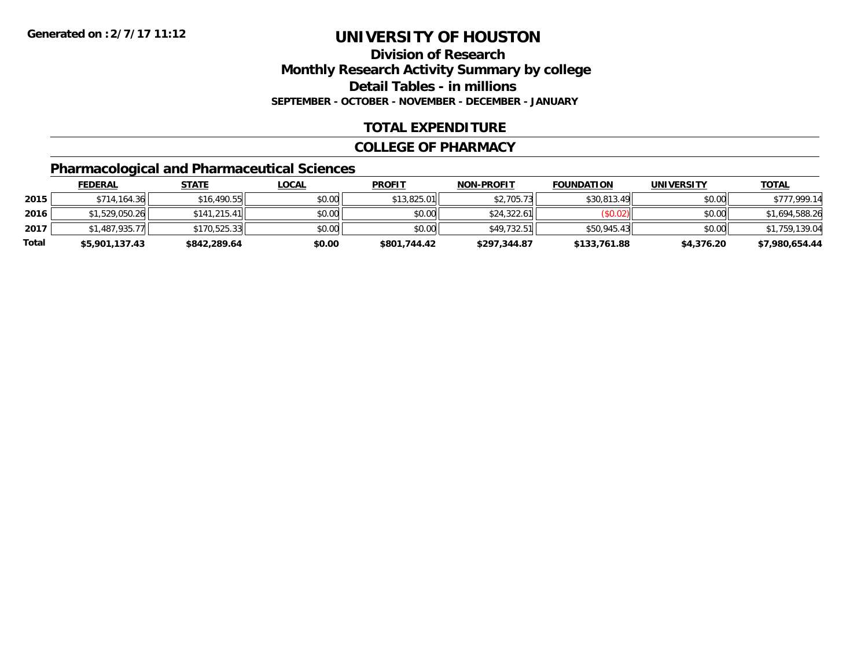### **Division of ResearchMonthly Research Activity Summary by college Detail Tables - in millions SEPTEMBER - OCTOBER - NOVEMBER - DECEMBER - JANUARY**

### **TOTAL EXPENDITURE**

#### **COLLEGE OF PHARMACY**

### **Pharmacological and Pharmaceutical Sciences**

|       | <u>FEDERAL</u> | <u>STATE</u> | <u>LOCAL</u> | <b>PROFIT</b> | <b>NON-PROFIT</b> | <b>FOUNDATION</b> | <b>UNIVERSITY</b> | <b>TOTAL</b>   |
|-------|----------------|--------------|--------------|---------------|-------------------|-------------------|-------------------|----------------|
| 2015  | \$714,164.36   | \$16,490.55  | \$0.00       | \$13,825.01   | \$2,705.73        | \$30,813.49       | \$0.00            | \$777,999.14   |
| 2016  | \$1,529,050.26 | \$141.215.41 | \$0.00       | \$0.00        | \$24.322.61       | (S0.02)           | \$0.00            | \$1,694,588.26 |
| 2017  | \$1,487,935.77 | \$170,525.33 | \$0.00       | \$0.00        | \$49.732.51       | \$50,945.43       | \$0.00            | \$1,759,139.04 |
| Total | \$5,901,137.43 | \$842,289.64 | \$0.00       | \$801,744.42  | \$297,344.87      | \$133,761.88      | \$4,376.20        | \$7,980,654.44 |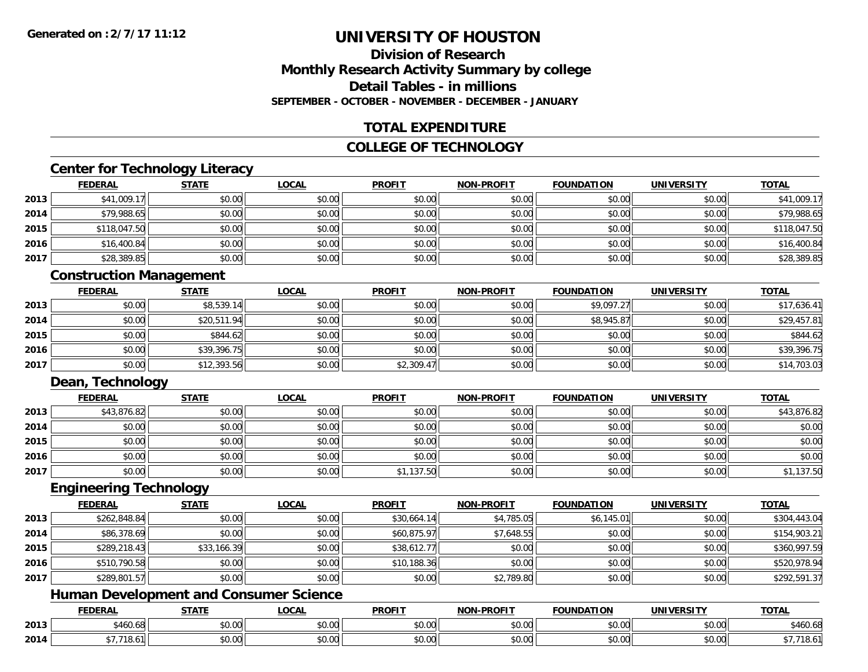### **Division of ResearchMonthly Research Activity Summary by college Detail Tables - in millionsSEPTEMBER - OCTOBER - NOVEMBER - DECEMBER - JANUARY**

### **TOTAL EXPENDITURE**

### **COLLEGE OF TECHNOLOGY**

### **Center for Technology Literacy**

|      | <b>FEDERAL</b> | <b>STATE</b> | <b>LOCAL</b> | <b>PROFIT</b> | <b>NON-PROFIT</b> | <b>FOUNDATION</b> | <b>UNIVERSITY</b> | <b>TOTAL</b> |
|------|----------------|--------------|--------------|---------------|-------------------|-------------------|-------------------|--------------|
| 2013 | \$41,009.17    | \$0.00       | \$0.00       | \$0.00        | \$0.00            | \$0.00            | \$0.00            | \$41,009.17  |
| 2014 | \$79,988.65    | \$0.00       | \$0.00       | \$0.00        | \$0.00            | \$0.00            | \$0.00            | \$79,988.65  |
| 2015 | \$118,047.50   | \$0.00       | \$0.00       | \$0.00        | \$0.00            | \$0.00            | \$0.00            | \$118,047.50 |
| 2016 | \$16,400.84    | \$0.00       | \$0.00       | \$0.00        | \$0.00            | \$0.00            | \$0.00            | \$16,400.84  |
| 2017 | \$28,389.85    | \$0.00       | \$0.00       | \$0.00        | \$0.00            | \$0.00            | \$0.00            | \$28,389.85  |

### **Construction Management**

|      | <u>FEDERAL</u> | <b>STATE</b> | <b>LOCAL</b> | <b>PROFIT</b> | <b>NON-PROFIT</b> | <b>FOUNDATION</b> | <b>UNIVERSITY</b> | <b>TOTAL</b> |
|------|----------------|--------------|--------------|---------------|-------------------|-------------------|-------------------|--------------|
| 2013 | \$0.00         | \$8,539.14   | \$0.00       | \$0.00        | \$0.00            | \$9,097.27        | \$0.00            | \$17,636.41  |
| 2014 | \$0.00         | \$20,511.94  | \$0.00       | \$0.00        | \$0.00            | \$8,945.87        | \$0.00            | \$29,457.81  |
| 2015 | \$0.00         | \$844.62     | \$0.00       | \$0.00        | \$0.00            | \$0.00            | \$0.00            | \$844.62     |
| 2016 | \$0.00         | \$39,396.75  | \$0.00       | \$0.00        | \$0.00            | \$0.00            | \$0.00            | \$39,396.75  |
| 2017 | \$0.00         | \$12,393.56  | \$0.00       | \$2,309.47    | \$0.00            | \$0.00            | \$0.00            | \$14,703.03  |

### **Dean, Technology**

|      | <b>FEDERAL</b> | <b>STATE</b> | <u>LOCAL</u> | <b>PROFIT</b> | <b>NON-PROFIT</b> | <b>FOUNDATION</b> | <b>UNIVERSITY</b> | <b>TOTAL</b> |
|------|----------------|--------------|--------------|---------------|-------------------|-------------------|-------------------|--------------|
| 2013 | \$43,876.82    | \$0.00       | \$0.00       | \$0.00        | \$0.00            | \$0.00            | \$0.00            | \$43,876.82  |
| 2014 | \$0.00         | \$0.00       | \$0.00       | \$0.00        | \$0.00            | \$0.00            | \$0.00            | \$0.00       |
| 2015 | \$0.00         | \$0.00       | \$0.00       | \$0.00        | \$0.00            | \$0.00            | \$0.00            | \$0.00       |
| 2016 | \$0.00         | \$0.00       | \$0.00       | \$0.00        | \$0.00            | \$0.00            | \$0.00            | \$0.00       |
| 2017 | \$0.00         | \$0.00       | \$0.00       | \$1,137.50    | \$0.00            | \$0.00            | \$0.00            | ,137.50      |

#### **Engineering Technology**

|      | <b>FEDERAL</b> | <b>STATE</b> | <u>LOCAL</u> | <b>PROFIT</b> | <b>NON-PROFIT</b> | <b>FOUNDATION</b> | <b>UNIVERSITY</b> | <b>TOTAL</b> |
|------|----------------|--------------|--------------|---------------|-------------------|-------------------|-------------------|--------------|
| 2013 | \$262,848.84   | \$0.00       | \$0.00       | \$30,664.14   | \$4,785.05        | \$6,145.01        | \$0.00            | \$304,443.04 |
| 2014 | \$86,378.69    | \$0.00       | \$0.00       | \$60,875.97   | \$7,648.55        | \$0.00            | \$0.00            | \$154,903.21 |
| 2015 | \$289,218.43   | \$33,166.39  | \$0.00       | \$38,612.77   | \$0.00            | \$0.00            | \$0.00            | \$360,997.59 |
| 2016 | \$510,790.58   | \$0.00       | \$0.00       | \$10,188.36   | \$0.00            | \$0.00            | \$0.00            | \$520,978.94 |
| 2017 | \$289,801.57   | \$0.00       | \$0.00       | \$0.00        | \$2,789.80        | \$0.00            | \$0.00            | \$292,591.37 |

### **Human Development and Consumer Science**

|      | <b>FEDERAL</b>    | CFTATF                 | <b>_OCAI</b>       | <b>PROFIT</b> | <b>LPROFIT</b><br>NON | <b>FOUNDATION</b> | <b>WIVERS.</b><br>.  | <b>TOTAL</b> |
|------|-------------------|------------------------|--------------------|---------------|-----------------------|-------------------|----------------------|--------------|
| 2013 | 1 1 1<br>1460.681 | ሖ ∩<br>$\sim$<br>JU.UU | $\sim$ 00<br>PU.UU | 0.00<br>DU.UU | \$0.00                | JU.UU             | 0.00<br><b>PU.UU</b> | \$460.68     |
| 2014 |                   | 0000<br>PU.UU          | $\sim$ 00<br>PO.OO | 0.00<br>DU.UU | \$0.00                | JU.UU             | 0.00<br>JU.UU        | 10.U         |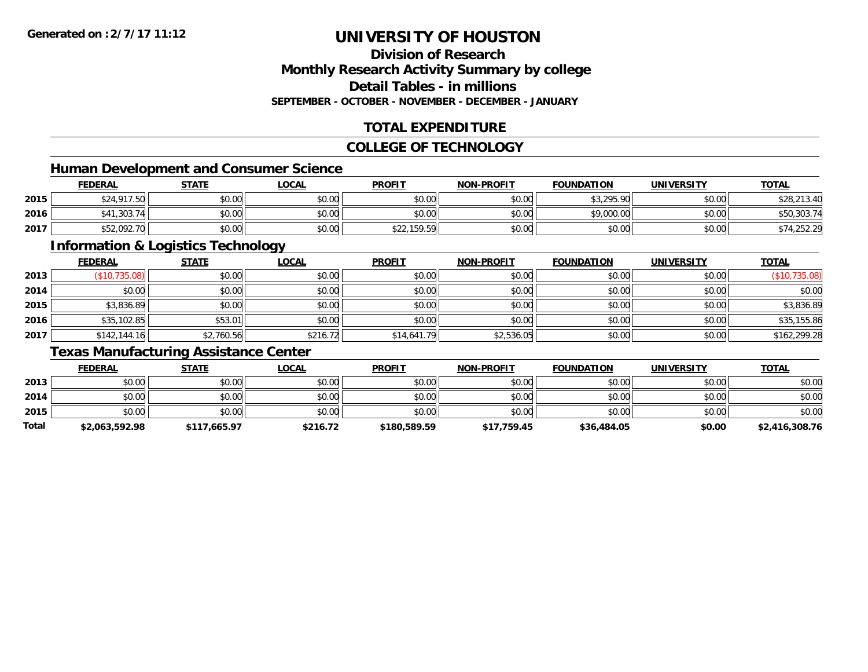### **Division of ResearchMonthly Research Activity Summary by college Detail Tables - in millionsSEPTEMBER - OCTOBER - NOVEMBER - DECEMBER - JANUARY**

### **TOTAL EXPENDITURE**

### **COLLEGE OF TECHNOLOGY**

### **Human Development and Consumer Science**

|      | <b>FEDERAL</b>                                                           | <b>STATE</b> | _OCAL  | <b>PROFIT</b> | <b>NON-PROFIT</b> | <b>FOUNDATION</b> | UNIVERSITY | T <u>OTAL</u> |
|------|--------------------------------------------------------------------------|--------------|--------|---------------|-------------------|-------------------|------------|---------------|
| 2015 | $\begin{array}{c} \uparrow \\ \uparrow \\ \downarrow \end{array}$<br>. ت | \$0.00       | \$0.00 | \$0.00        | \$0.00            | \$3.295.90        | \$0.00     | \$28,213.40   |
| 2016 | 0.303.7                                                                  | \$0.00       | \$0.00 | \$0.00        | \$0.00            | \$9,000.00        | \$0.00     | \$50,303.74   |
| 2017 | \$52,092.70                                                              | \$0.00       | \$0.00 | \$22,159.59   | \$0.00            | \$0.00            | \$0.00     | \$74,252.29   |

<u> 1989 - Johann Stoff, deutscher Stoffen und der Stoffen und der Stoffen und der Stoffen und der Stoffen und der</u>

### **Information & Logistics Technology**

|      | <b>FEDERAL</b> | <b>STATE</b> | <b>LOCAL</b> | <b>PROFIT</b> | <b>NON-PROFIT</b> | <b>FOUNDATION</b> | <b>UNIVERSITY</b> | <b>TOTAL</b>  |
|------|----------------|--------------|--------------|---------------|-------------------|-------------------|-------------------|---------------|
| 2013 | (\$10,735.08)  | \$0.00       | \$0.00       | \$0.00        | \$0.00            | \$0.00            | \$0.00            | (\$10,735.08) |
| 2014 | \$0.00         | \$0.00       | \$0.00       | \$0.00        | \$0.00            | \$0.00            | \$0.00            | \$0.00        |
| 2015 | \$3,836.89     | \$0.00       | \$0.00       | \$0.00        | \$0.00            | \$0.00            | \$0.00            | \$3,836.89    |
| 2016 | \$35,102.85    | \$53.01      | \$0.00       | \$0.00        | \$0.00            | \$0.00            | \$0.00            | \$35,155.86   |
| 2017 | \$142,144.16   | \$2,760.56   | \$216.72     | \$14,641.79   | \$2,536.05        | \$0.00            | \$0.00            | \$162,299.28  |

### **Texas Manufacturing Assistance Center**

|       | <b>FEDERAL</b> | STATE        | <u>LOCAL</u> | <b>PROFIT</b> | <b>NON-PROFIT</b> | <b>FOUNDATION</b> | <b>UNIVERSITY</b> | <b>TOTAL</b>   |
|-------|----------------|--------------|--------------|---------------|-------------------|-------------------|-------------------|----------------|
| 2013  | \$0.00         | \$0.00       | \$0.00       | \$0.00        | \$0.00            | \$0.00            | \$0.00            | \$0.00         |
| 2014  | \$0.00         | \$0.00       | \$0.00       | \$0.00        | \$0.00            | \$0.00            | \$0.00            | \$0.00         |
| 2015  | \$0.00         | \$0.00       | \$0.00       | \$0.00        | \$0.00            | \$0.00            | \$0.00            | \$0.00         |
| Total | \$2,063,592.98 | \$117,665.97 | \$216.72     | \$180,589.59  | \$17.759.45       | \$36,484.05       | \$0.00            | \$2,416,308.76 |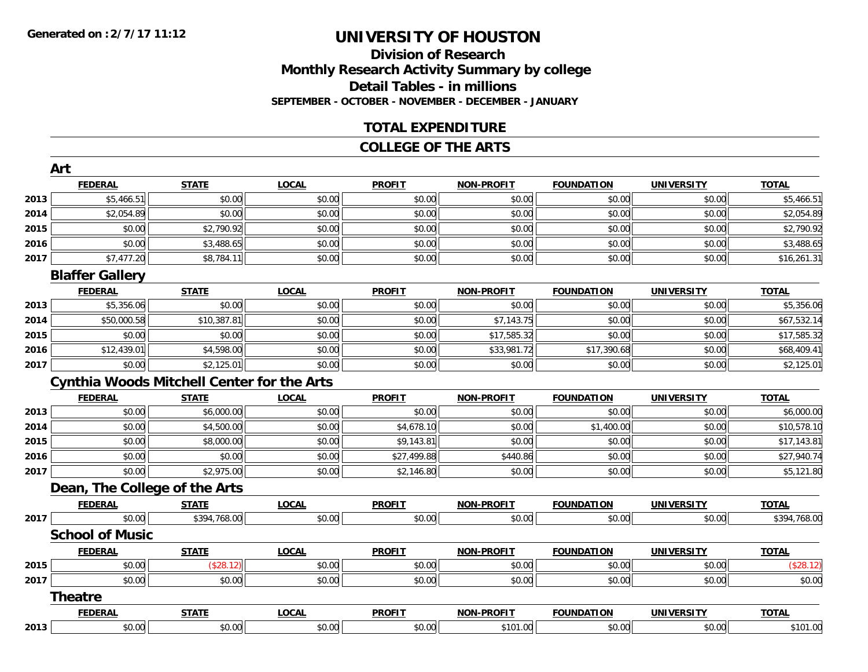### **Division of ResearchMonthly Research Activity Summary by college Detail Tables - in millions SEPTEMBER - OCTOBER - NOVEMBER - DECEMBER - JANUARY**

### **TOTAL EXPENDITURE**

#### **COLLEGE OF THE ARTS**

|      | Art                                               |              |              |               |                   |                   |                   |              |
|------|---------------------------------------------------|--------------|--------------|---------------|-------------------|-------------------|-------------------|--------------|
|      | <b>FEDERAL</b>                                    | <b>STATE</b> | <b>LOCAL</b> | <b>PROFIT</b> | <b>NON-PROFIT</b> | <b>FOUNDATION</b> | <b>UNIVERSITY</b> | <b>TOTAL</b> |
| 2013 | \$5,466.51                                        | \$0.00       | \$0.00       | \$0.00        | \$0.00            | \$0.00            | \$0.00            | \$5,466.51   |
| 2014 | \$2,054.89                                        | \$0.00       | \$0.00       | \$0.00        | \$0.00            | \$0.00            | \$0.00            | \$2,054.89   |
| 2015 | \$0.00                                            | \$2,790.92   | \$0.00       | \$0.00        | \$0.00            | \$0.00            | \$0.00            | \$2,790.92   |
| 2016 | \$0.00                                            | \$3,488.65   | \$0.00       | \$0.00        | \$0.00            | \$0.00            | \$0.00            | \$3,488.65   |
| 2017 | \$7,477.20                                        | \$8,784.11   | \$0.00       | \$0.00        | \$0.00            | \$0.00            | \$0.00            | \$16,261.31  |
|      | <b>Blaffer Gallery</b>                            |              |              |               |                   |                   |                   |              |
|      | <b>FEDERAL</b>                                    | <b>STATE</b> | <b>LOCAL</b> | <b>PROFIT</b> | <b>NON-PROFIT</b> | <b>FOUNDATION</b> | <b>UNIVERSITY</b> | <b>TOTAL</b> |
| 2013 | \$5,356.06                                        | \$0.00       | \$0.00       | \$0.00        | \$0.00            | \$0.00            | \$0.00            | \$5,356.06   |
| 2014 | \$50,000.58                                       | \$10,387.81  | \$0.00       | \$0.00        | \$7,143.75        | \$0.00            | \$0.00            | \$67,532.14  |
| 2015 | \$0.00                                            | \$0.00       | \$0.00       | \$0.00        | \$17,585.32       | \$0.00            | \$0.00            | \$17,585.32  |
| 2016 | \$12,439.01                                       | \$4,598.00   | \$0.00       | \$0.00        | \$33,981.72       | \$17,390.68       | \$0.00            | \$68,409.41  |
| 2017 | \$0.00                                            | \$2,125.01   | \$0.00       | \$0.00        | \$0.00            | \$0.00            | \$0.00            | \$2,125.01   |
|      | <b>Cynthia Woods Mitchell Center for the Arts</b> |              |              |               |                   |                   |                   |              |
|      | <b>FEDERAL</b>                                    | <b>STATE</b> | <b>LOCAL</b> | <b>PROFIT</b> | <b>NON-PROFIT</b> | <b>FOUNDATION</b> | <b>UNIVERSITY</b> | <b>TOTAL</b> |
| 2013 | \$0.00                                            | \$6,000.00   | \$0.00       | \$0.00        | \$0.00            | \$0.00            | \$0.00            | \$6,000.00   |
| 2014 | \$0.00                                            | \$4,500.00   | \$0.00       | \$4,678.10    | \$0.00            | \$1,400.00        | \$0.00            | \$10,578.10  |
| 2015 | \$0.00                                            | \$8,000.00   | \$0.00       | \$9,143.81    | \$0.00            | \$0.00            | \$0.00            | \$17,143.81  |
| 2016 | \$0.00                                            | \$0.00       | \$0.00       | \$27,499.88   | \$440.86          | \$0.00            | \$0.00            | \$27,940.74  |
| 2017 | \$0.00                                            | \$2,975.00   | \$0.00       | \$2,146.80    | \$0.00            | \$0.00            | \$0.00            | \$5,121.80   |
|      | Dean, The College of the Arts                     |              |              |               |                   |                   |                   |              |
|      | <b>FEDERAL</b>                                    | <b>STATE</b> | <b>LOCAL</b> | <b>PROFIT</b> | <b>NON-PROFIT</b> | <b>FOUNDATION</b> | <b>UNIVERSITY</b> | <b>TOTAL</b> |
| 2017 | \$0.00                                            | \$394,768.00 | \$0.00       | \$0.00        | \$0.00            | \$0.00            | \$0.00            | \$394,768.00 |
|      | <b>School of Music</b>                            |              |              |               |                   |                   |                   |              |
|      | <b>FEDERAL</b>                                    | <b>STATE</b> | <b>LOCAL</b> | <b>PROFIT</b> | <b>NON-PROFIT</b> | <b>FOUNDATION</b> | <b>UNIVERSITY</b> | <b>TOTAL</b> |
| 2015 | \$0.00                                            | (\$28.12)    | \$0.00       | \$0.00        | \$0.00            | \$0.00            | \$0.00            | (\$28.12)    |
| 2017 | \$0.00                                            | \$0.00       | \$0.00       | \$0.00        | \$0.00            | \$0.00            | \$0.00            | \$0.00       |
|      | <b>Theatre</b>                                    |              |              |               |                   |                   |                   |              |
|      | <b>FEDERAL</b>                                    | <b>STATE</b> | <b>LOCAL</b> | <b>PROFIT</b> | <b>NON-PROFIT</b> | <b>FOUNDATION</b> | <b>UNIVERSITY</b> | <b>TOTAL</b> |
| 2013 | \$0.00                                            | \$0.00       | \$0.00       | \$0.00        | \$101.00          | \$0.00            | \$0.00            | \$101.00     |
|      |                                                   |              |              |               |                   |                   |                   |              |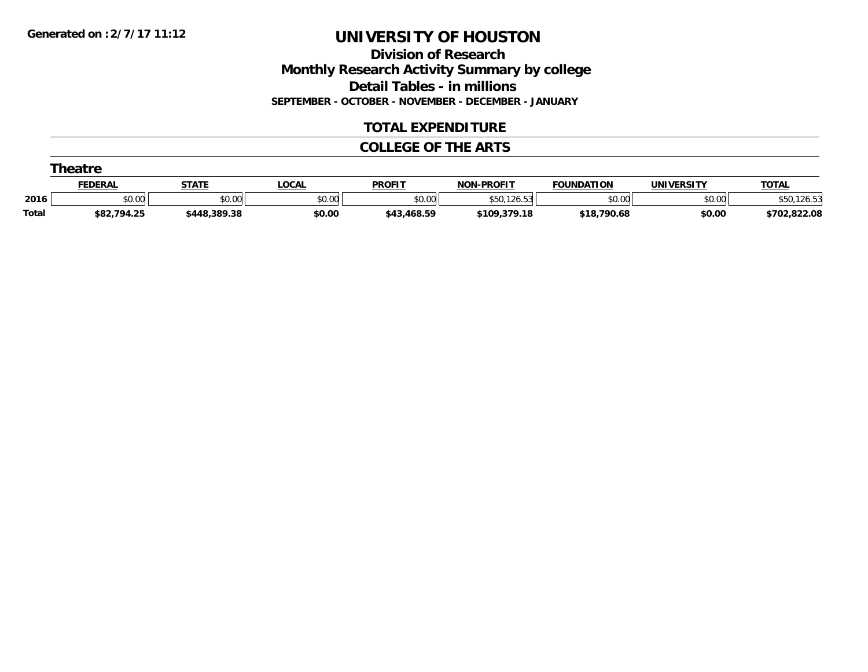**Division of Research Monthly Research Activity Summary by college Detail Tables - in millions SEPTEMBER - OCTOBER - NOVEMBER - DECEMBER - JANUARY**

### **TOTAL EXPENDITURE**

#### **COLLEGE OF THE ARTS**

|              | Theatre        |              |              |               |                   |                   |            |              |  |  |  |
|--------------|----------------|--------------|--------------|---------------|-------------------|-------------------|------------|--------------|--|--|--|
|              | <b>FEDERAL</b> | <b>STATE</b> | <u>_OCAL</u> | <b>PROFIT</b> | <b>NON-PROFIT</b> | <b>FOUNDATION</b> | UNIVERSITY | <b>TOTAL</b> |  |  |  |
| 2016         | \$0.00         | \$0.00       | \$0.00       | \$0.00        | .126.53<br>\$50   | \$0.00            | \$0.00     |              |  |  |  |
| <b>Total</b> | \$82,794.25    | \$448,389.38 | \$0.00       | \$43,468.59   | \$109,379.18      | \$18,790.68       | \$0.00     | \$702,822.08 |  |  |  |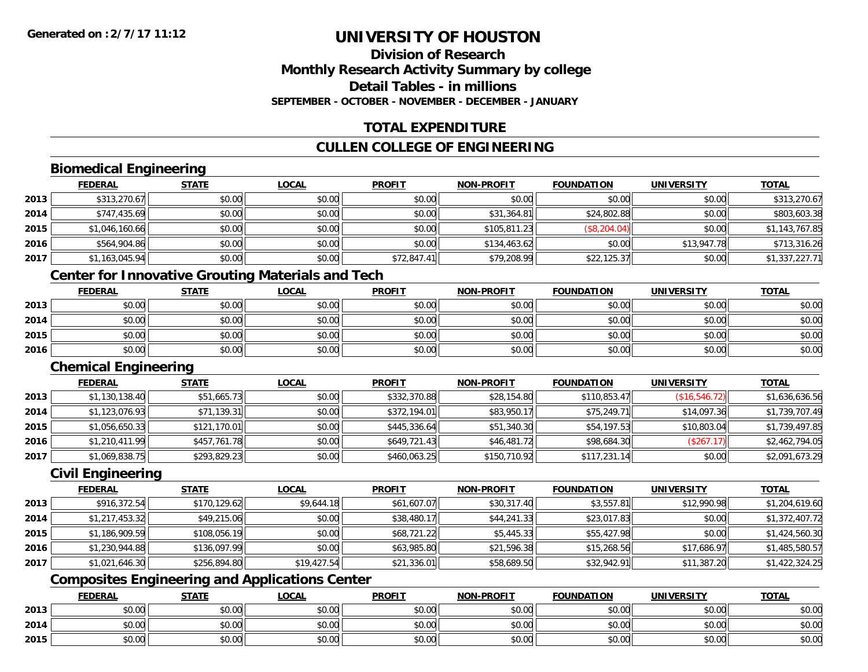### **Division of ResearchMonthly Research Activity Summary by college Detail Tables - in millionsSEPTEMBER - OCTOBER - NOVEMBER - DECEMBER - JANUARY**

### **TOTAL EXPENDITURE**

### **CULLEN COLLEGE OF ENGINEERING**

### **Biomedical Engineering**

|      | <u>FEDERAL</u> | <b>STATE</b> | <b>LOCAL</b> | <b>PROFIT</b> | <b>NON-PROFIT</b> | <b>FOUNDATION</b> | <b>UNIVERSITY</b> | <b>TOTAL</b>   |
|------|----------------|--------------|--------------|---------------|-------------------|-------------------|-------------------|----------------|
| 2013 | \$313,270.67   | \$0.00       | \$0.00       | \$0.00        | \$0.00            | \$0.00            | \$0.00            | \$313,270.67   |
| 2014 | \$747,435.69   | \$0.00       | \$0.00       | \$0.00        | \$31,364.81       | \$24,802.88       | \$0.00            | \$803,603.38   |
| 2015 | \$1,046,160.66 | \$0.00       | \$0.00       | \$0.00        | \$105,811.23      | (\$8, 204.04)     | \$0.00            | \$1,143,767.85 |
| 2016 | \$564,904.86   | \$0.00       | \$0.00       | \$0.00        | \$134,463.62      | \$0.00            | \$13,947.78       | \$713,316.26   |
| 2017 | \$1,163,045.94 | \$0.00       | \$0.00       | \$72,847.41   | \$79,208.99       | \$22,125.37       | \$0.00            | \$1,337,227.71 |

### **Center for Innovative Grouting Materials and Tech**

|      | <b>FEDERAL</b> | <b>STATE</b> | <u>LOCAL</u> | <b>PROFIT</b> | <b>NON-PROFIT</b> | <b>FOUNDATION</b> | <b>UNIVERSITY</b> | <b>TOTAL</b> |
|------|----------------|--------------|--------------|---------------|-------------------|-------------------|-------------------|--------------|
| 2013 | \$0.00         | \$0.00       | \$0.00       | \$0.00        | \$0.00            | \$0.00            | \$0.00            | \$0.00       |
| 2014 | \$0.00         | \$0.00       | \$0.00       | \$0.00        | \$0.00            | \$0.00            | \$0.00            | \$0.00       |
| 2015 | \$0.00         | \$0.00       | \$0.00       | \$0.00        | \$0.00            | \$0.00            | \$0.00            | \$0.00       |
| 2016 | \$0.00         | \$0.00       | \$0.00       | \$0.00        | \$0.00            | \$0.00            | \$0.00            | \$0.00       |

### **Chemical Engineering**

|      | <b>FEDERAL</b> | <b>STATE</b> | <b>LOCAL</b> | <b>PROFIT</b> | <b>NON-PROFIT</b> | <b>FOUNDATION</b> | <b>UNIVERSITY</b> | <b>TOTAL</b>   |
|------|----------------|--------------|--------------|---------------|-------------------|-------------------|-------------------|----------------|
| 2013 | \$1,130,138.40 | \$51,665.73  | \$0.00       | \$332,370.88  | \$28,154.80       | \$110,853.47      | (S16, 546.72)     | \$1,636,636.56 |
| 2014 | \$1,123,076.93 | \$71,139.31  | \$0.00       | \$372,194.01  | \$83,950.17       | \$75,249.71       | \$14,097.36       | \$1,739,707.49 |
| 2015 | \$1,056,650.33 | \$121,170.01 | \$0.00       | \$445,336.64  | \$51,340.30       | \$54,197.53       | \$10,803.04       | \$1,739,497.85 |
| 2016 | \$1,210,411.99 | \$457,761.78 | \$0.00       | \$649,721.43  | \$46,481.72       | \$98,684.30       | (\$267.17)        | \$2,462,794.05 |
| 2017 | \$1,069,838.75 | \$293,829.23 | \$0.00       | \$460,063.25  | \$150,710.92      | \$117,231.14      | \$0.00            | \$2,091,673.29 |

#### **Civil Engineering**

|      | <b>FEDERAL</b> | <b>STATE</b> | <u>LOCAL</u> | <b>PROFIT</b> | <b>NON-PROFIT</b> | <b>FOUNDATION</b> | <b>UNIVERSITY</b> | <b>TOTAL</b>   |
|------|----------------|--------------|--------------|---------------|-------------------|-------------------|-------------------|----------------|
| 2013 | \$916,372.54   | \$170,129.62 | \$9,644.18   | \$61,607.07   | \$30,317.40       | \$3,557.81        | \$12,990.98       | \$1,204,619.60 |
| 2014 | \$1,217,453.32 | \$49,215.06  | \$0.00       | \$38,480.17   | \$44,241.33       | \$23,017.83       | \$0.00            | \$1,372,407.72 |
| 2015 | \$1,186,909.59 | \$108,056.19 | \$0.00       | \$68,721.22   | \$5,445.33        | \$55,427.98       | \$0.00            | \$1,424,560.30 |
| 2016 | \$1,230,944.88 | \$136,097.99 | \$0.00       | \$63,985.80   | \$21,596.38       | \$15,268.56       | \$17,686.97       | \$1,485,580.57 |
| 2017 | \$1,021,646.30 | \$256,894.80 | \$19,427.54  | \$21,336.01   | \$58,689.50       | \$32,942.91       | \$11,387.20       | \$1,422,324.25 |

### **Composites Engineering and Applications Center**

|      | <b>FEDERAL</b> | <b>STATE</b>   | <u>LOCAL</u> | <b>PROFIT</b> | <b>NON-PROFIT</b> | <b>FOUNDATION</b> | <b>UNIVERSITY</b> | <b>TOTAL</b> |
|------|----------------|----------------|--------------|---------------|-------------------|-------------------|-------------------|--------------|
| 2013 | \$0.00         | 40.00<br>JU.UU | \$0.00       | \$0.00        | \$0.00            | \$0.00            | \$0.00            | \$0.00       |
| 2014 | \$0.00         | \$0.00         | \$0.00       | \$0.00        | \$0.00            | \$0.00            | \$0.00            | \$0.00       |
| 2015 | \$0.00         | 40.00<br>DU.UU | \$0.00       | \$0.00        | \$0.00            | \$0.00            | \$0.00            | \$0.00       |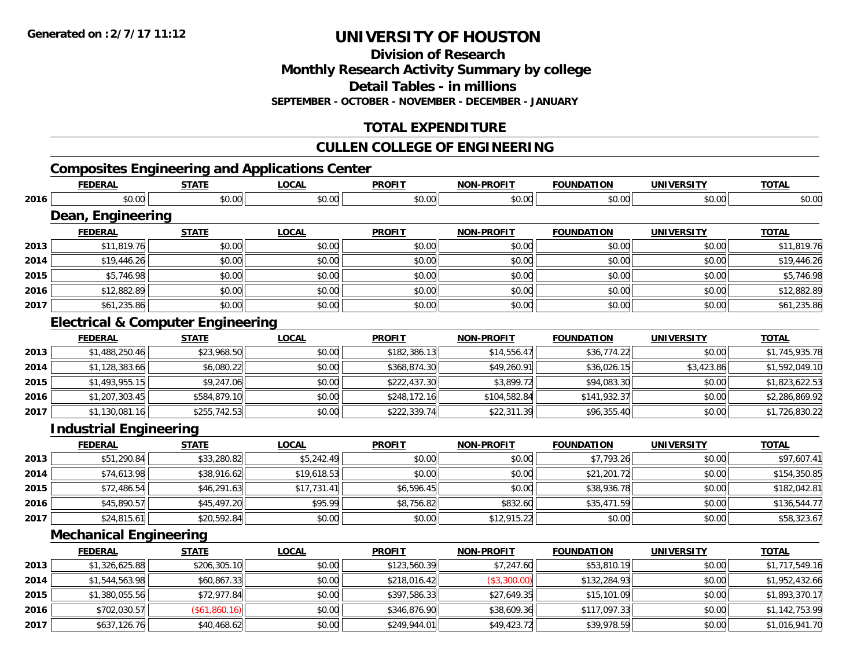**Division of Research**

**Monthly Research Activity Summary by college**

**Detail Tables - in millions**

**SEPTEMBER - OCTOBER - NOVEMBER - DECEMBER - JANUARY**

### **TOTAL EXPENDITURE**

### **CULLEN COLLEGE OF ENGINEERING**

### **Composites Engineering and Applications Center**

|      | <b>FEDERAL</b>                               | <b>STATE</b>  | <b>LOCAL</b> | <b>PROFIT</b> | <b>NON-PROFIT</b> | <b>FOUNDATION</b> | <b>UNIVERSITY</b> | <b>TOTAL</b>   |
|------|----------------------------------------------|---------------|--------------|---------------|-------------------|-------------------|-------------------|----------------|
| 2016 | \$0.00                                       | \$0.00        | \$0.00       | \$0.00        | \$0.00            | \$0.00            | \$0.00            | \$0.00         |
|      | Dean, Engineering                            |               |              |               |                   |                   |                   |                |
|      | <b>FEDERAL</b>                               | <b>STATE</b>  | <b>LOCAL</b> | <b>PROFIT</b> | <b>NON-PROFIT</b> | <b>FOUNDATION</b> | <b>UNIVERSITY</b> | <b>TOTAL</b>   |
| 2013 | \$11,819.76                                  | \$0.00        | \$0.00       | \$0.00        | \$0.00            | \$0.00            | \$0.00            | \$11,819.76    |
| 2014 | \$19,446.26                                  | \$0.00        | \$0.00       | \$0.00        | \$0.00            | \$0.00            | \$0.00            | \$19,446.26    |
| 2015 | \$5,746.98                                   | \$0.00        | \$0.00       | \$0.00        | \$0.00            | \$0.00            | \$0.00            | \$5,746.98     |
| 2016 | \$12,882.89                                  | \$0.00        | \$0.00       | \$0.00        | \$0.00            | \$0.00            | \$0.00            | \$12,882.89    |
| 2017 | \$61,235.86                                  | \$0.00        | \$0.00       | \$0.00        | \$0.00            | \$0.00            | \$0.00            | \$61,235.86    |
|      | <b>Electrical &amp; Computer Engineering</b> |               |              |               |                   |                   |                   |                |
|      | <b>FEDERAL</b>                               | <b>STATE</b>  | <b>LOCAL</b> | <b>PROFIT</b> | <b>NON-PROFIT</b> | <b>FOUNDATION</b> | <b>UNIVERSITY</b> | <b>TOTAL</b>   |
| 2013 | \$1,488,250.46                               | \$23,968.50   | \$0.00       | \$182,386.13  | \$14,556.47       | \$36,774.22       | \$0.00            | \$1,745,935.78 |
| 2014 | \$1,128,383.66                               | \$6,080.22    | \$0.00       | \$368,874.30  | \$49,260.91       | \$36,026.15       | \$3,423.86        | \$1,592,049.10 |
| 2015 | \$1,493,955.15                               | \$9,247.06    | \$0.00       | \$222,437.30  | \$3,899.72        | \$94,083.30       | \$0.00            | \$1,823,622.53 |
| 2016 | \$1,207,303.45                               | \$584,879.10  | \$0.00       | \$248,172.16  | \$104,582.84      | \$141,932.37      | \$0.00            | \$2,286,869.92 |
| 2017 | \$1,130,081.16                               | \$255,742.53  | \$0.00       | \$222,339.74  | \$22,311.39       | \$96,355.40       | \$0.00            | \$1,726,830.22 |
|      | <b>Industrial Engineering</b>                |               |              |               |                   |                   |                   |                |
|      | <b>FEDERAL</b>                               | <b>STATE</b>  | <b>LOCAL</b> | <b>PROFIT</b> | <b>NON-PROFIT</b> | <b>FOUNDATION</b> | <b>UNIVERSITY</b> | <b>TOTAL</b>   |
| 2013 | \$51,290.84                                  | \$33,280.82   | \$5,242.49   | \$0.00        | \$0.00            | \$7,793.26        | \$0.00            | \$97,607.41    |
| 2014 | \$74,613.98                                  | \$38,916.62   | \$19,618.53  | \$0.00        | \$0.00            | \$21,201.72       | \$0.00            | \$154,350.85   |
| 2015 | \$72,486.54                                  | \$46,291.63   | \$17,731.41  | \$6,596.45    | \$0.00            | \$38,936.78       | \$0.00            | \$182,042.81   |
| 2016 | \$45,890.57                                  | \$45,497.20   | \$95.99      | \$8,756.82    | \$832.60          | \$35,471.59       | \$0.00            | \$136,544.77   |
| 2017 | \$24,815.61                                  | \$20,592.84   | \$0.00       | \$0.00        | \$12,915.22       | \$0.00            | \$0.00            | \$58,323.67    |
|      | <b>Mechanical Engineering</b>                |               |              |               |                   |                   |                   |                |
|      | <b>FEDERAL</b>                               | <b>STATE</b>  | <b>LOCAL</b> | <b>PROFIT</b> | <b>NON-PROFIT</b> | <b>FOUNDATION</b> | <b>UNIVERSITY</b> | <b>TOTAL</b>   |
| 2013 | \$1,326,625.88                               | \$206,305.10  | \$0.00       | \$123,560.39  | \$7,247.60        | \$53,810.19       | \$0.00            | \$1,717,549.16 |
| 2014 | \$1,544,563.98                               | \$60,867.33   | \$0.00       | \$218,016.42  | (\$3,300.00)      | \$132,284.93      | \$0.00            | \$1,952,432.66 |
| 2015 | \$1,380,055.56                               | \$72,977.84   | \$0.00       | \$397,586.33  | \$27,649.35       | \$15,101.09       | \$0.00            | \$1,893,370.17 |
| 2016 | \$702,030.57                                 | (\$61,860.16) | \$0.00       | \$346,876.90  | \$38,609.36       | \$117,097.33      | \$0.00            | \$1,142,753.99 |
| 2017 | \$637,126.76                                 | \$40,468.62   | \$0.00       | \$249,944.01  | \$49,423.72       | \$39,978.59       | \$0.00            | \$1,016,941.70 |

7 | \$637,126.76|| \$40,468.62|| \$0.00|| \$249,944.01|| \$49,423.72|| \$39,978.59|| \$0.00|| \$1,016,941.70|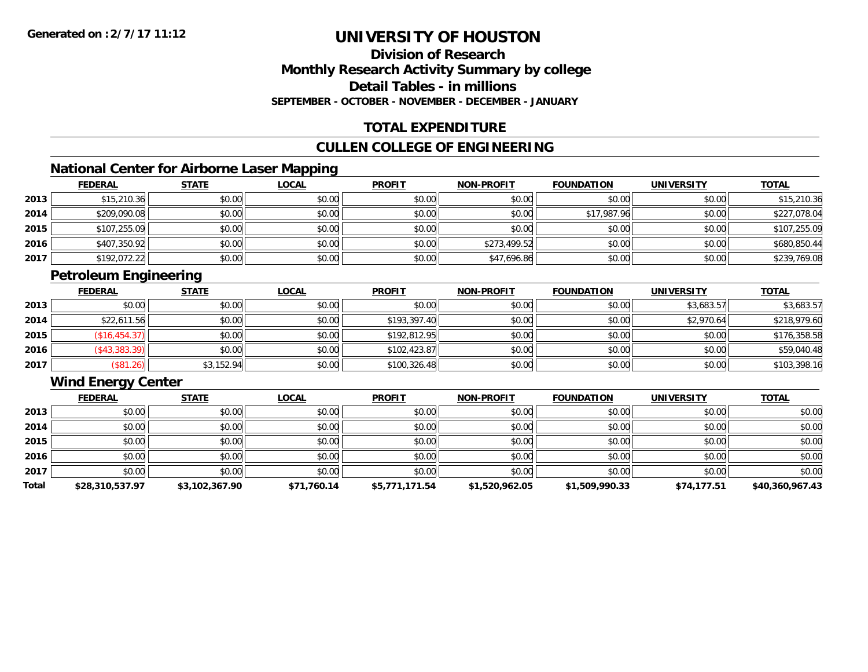### **Division of ResearchMonthly Research Activity Summary by college Detail Tables - in millionsSEPTEMBER - OCTOBER - NOVEMBER - DECEMBER - JANUARY**

### **TOTAL EXPENDITURE**

### **CULLEN COLLEGE OF ENGINEERING**

### **National Center for Airborne Laser Mapping**

|      | <b>FEDERAL</b> | <b>STATE</b> | <u>LOCAL</u> | <b>PROFIT</b> | <b>NON-PROFIT</b> | <b>FOUNDATION</b> | <b>UNIVERSITY</b> | <b>TOTAL</b> |
|------|----------------|--------------|--------------|---------------|-------------------|-------------------|-------------------|--------------|
| 2013 | \$15,210.36    | \$0.00       | \$0.00       | \$0.00        | \$0.00            | \$0.00            | \$0.00            | \$15,210.36  |
| 2014 | \$209,090.08   | \$0.00       | \$0.00       | \$0.00        | \$0.00            | \$17,987.96       | \$0.00            | \$227,078.04 |
| 2015 | \$107,255.09   | \$0.00       | \$0.00       | \$0.00        | \$0.00            | \$0.00            | \$0.00            | \$107,255.09 |
| 2016 | \$407,350.92   | \$0.00       | \$0.00       | \$0.00        | \$273,499.52      | \$0.00            | \$0.00            | \$680,850.44 |
| 2017 | \$192,072.22   | \$0.00       | \$0.00       | \$0.00        | \$47,696.86       | \$0.00            | \$0.00            | \$239,769.08 |

## **Petroleum Engineering**

|      | <b>FEDERAL</b> | <b>STATE</b> | <u>LOCAL</u> | <b>PROFIT</b> | <b>NON-PROFIT</b> | <b>FOUNDATION</b> | <b>UNIVERSITY</b> | <b>TOTAL</b> |
|------|----------------|--------------|--------------|---------------|-------------------|-------------------|-------------------|--------------|
| 2013 | \$0.00         | \$0.00       | \$0.00       | \$0.00        | \$0.00            | \$0.00            | \$3,683.57        | \$3,683.57   |
| 2014 | \$22,611.56    | \$0.00       | \$0.00       | \$193,397.40  | \$0.00            | \$0.00            | \$2,970.64        | \$218,979.60 |
| 2015 | (\$16, 454.37) | \$0.00       | \$0.00       | \$192.812.95  | \$0.00            | \$0.00            | \$0.00            | \$176,358.58 |
| 2016 | $(*43,383.39)$ | \$0.00       | \$0.00       | \$102,423.87  | \$0.00            | \$0.00            | \$0.00            | \$59,040.48  |
| 2017 | (\$81.26)      | \$3,152.94   | \$0.00       | \$100,326.48  | \$0.00            | \$0.00            | \$0.00            | \$103,398.16 |

### **Wind Energy Center**

|       | <b>FEDERAL</b>  | <b>STATE</b>   | <u>LOCAL</u> | <b>PROFIT</b>  | <b>NON-PROFIT</b> | <b>FOUNDATION</b> | <b>UNIVERSITY</b> | <b>TOTAL</b>    |
|-------|-----------------|----------------|--------------|----------------|-------------------|-------------------|-------------------|-----------------|
| 2013  | \$0.00          | \$0.00         | \$0.00       | \$0.00         | \$0.00            | \$0.00            | \$0.00            | \$0.00          |
| 2014  | \$0.00          | \$0.00         | \$0.00       | \$0.00         | \$0.00            | \$0.00            | \$0.00            | \$0.00          |
| 2015  | \$0.00          | \$0.00         | \$0.00       | \$0.00         | \$0.00            | \$0.00            | \$0.00            | \$0.00          |
| 2016  | \$0.00          | \$0.00         | \$0.00       | \$0.00         | \$0.00            | \$0.00            | \$0.00            | \$0.00          |
| 2017  | \$0.00          | \$0.00         | \$0.00       | \$0.00         | \$0.00            | \$0.00            | \$0.00            | \$0.00          |
| Total | \$28,310,537.97 | \$3,102,367.90 | \$71,760.14  | \$5,771,171.54 | \$1,520,962.05    | \$1,509,990.33    | \$74,177.51       | \$40,360,967.43 |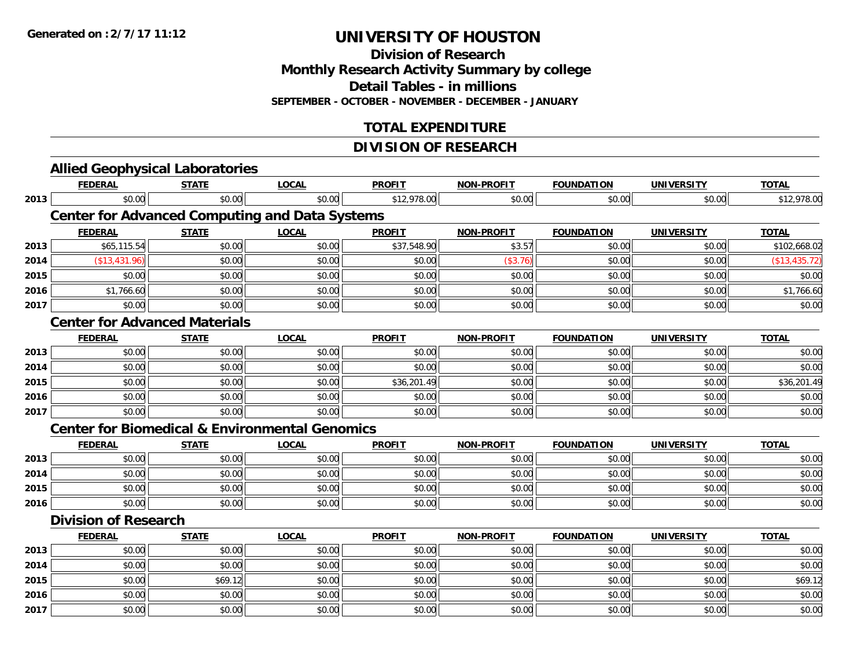**Division of Research**

**Monthly Research Activity Summary by college**

**Detail Tables - in millions**

**SEPTEMBER - OCTOBER - NOVEMBER - DECEMBER - JANUARY**

### **TOTAL EXPENDITURE**

### **DIVISION OF RESEARCH**

|      |                             | <b>Allied Geophysical Laboratories</b> |                                                           |               |                   |                   |                   |               |
|------|-----------------------------|----------------------------------------|-----------------------------------------------------------|---------------|-------------------|-------------------|-------------------|---------------|
|      | <b>FEDERAL</b>              | <b>STATE</b>                           | <b>LOCAL</b>                                              | <b>PROFIT</b> | <b>NON-PROFIT</b> | <b>FOUNDATION</b> | <b>UNIVERSITY</b> | <b>TOTAL</b>  |
| 2013 | \$0.00                      | \$0.00                                 | \$0.00                                                    | \$12,978.00   | \$0.00            | \$0.00            | \$0.00            | \$12,978.00   |
|      |                             |                                        | <b>Center for Advanced Computing and Data Systems</b>     |               |                   |                   |                   |               |
|      | <b>FEDERAL</b>              | <b>STATE</b>                           | <b>LOCAL</b>                                              | <b>PROFIT</b> | <b>NON-PROFIT</b> | <b>FOUNDATION</b> | <b>UNIVERSITY</b> | <b>TOTAL</b>  |
| 2013 | \$65,115.54                 | \$0.00                                 | \$0.00                                                    | \$37,548.90   | \$3.57            | \$0.00            | \$0.00            | \$102,668.02  |
| 2014 | (\$13,431.96)               | \$0.00                                 | \$0.00                                                    | \$0.00        | (\$3.76)          | \$0.00            | \$0.00            | (\$13,435.72) |
| 2015 | \$0.00                      | \$0.00                                 | \$0.00                                                    | \$0.00        | \$0.00            | \$0.00            | \$0.00            | \$0.00        |
| 2016 | \$1,766.60                  | \$0.00                                 | \$0.00                                                    | \$0.00        | \$0.00            | \$0.00            | \$0.00            | \$1,766.60    |
| 2017 | \$0.00                      | \$0.00                                 | \$0.00                                                    | \$0.00        | \$0.00            | \$0.00            | \$0.00            | \$0.00        |
|      |                             | <b>Center for Advanced Materials</b>   |                                                           |               |                   |                   |                   |               |
|      | <b>FEDERAL</b>              | <b>STATE</b>                           | <b>LOCAL</b>                                              | <b>PROFIT</b> | <b>NON-PROFIT</b> | <b>FOUNDATION</b> | <b>UNIVERSITY</b> | <b>TOTAL</b>  |
| 2013 | \$0.00                      | \$0.00                                 | \$0.00                                                    | \$0.00        | \$0.00            | \$0.00            | \$0.00            | \$0.00        |
| 2014 | \$0.00                      | \$0.00                                 | \$0.00                                                    | \$0.00        | \$0.00            | \$0.00            | \$0.00            | \$0.00        |
| 2015 | \$0.00                      | \$0.00                                 | \$0.00                                                    | \$36,201.49   | \$0.00            | \$0.00            | \$0.00            | \$36,201.49   |
| 2016 | \$0.00                      | \$0.00                                 | \$0.00                                                    | \$0.00        | \$0.00            | \$0.00            | \$0.00            | \$0.00        |
| 2017 | \$0.00                      | \$0.00                                 | \$0.00                                                    | \$0.00        | \$0.00            | \$0.00            | \$0.00            | \$0.00        |
|      |                             |                                        | <b>Center for Biomedical &amp; Environmental Genomics</b> |               |                   |                   |                   |               |
|      | <b>FEDERAL</b>              | <b>STATE</b>                           | <b>LOCAL</b>                                              | <b>PROFIT</b> | <b>NON-PROFIT</b> | <b>FOUNDATION</b> | <b>UNIVERSITY</b> | <b>TOTAL</b>  |
| 2013 | \$0.00                      | \$0.00                                 | \$0.00                                                    | \$0.00        | \$0.00            | \$0.00            | \$0.00            | \$0.00        |
| 2014 | \$0.00                      | \$0.00                                 | \$0.00                                                    | \$0.00        | \$0.00            | \$0.00            | \$0.00            | \$0.00        |
| 2015 | \$0.00                      | \$0.00                                 | \$0.00                                                    | \$0.00        | \$0.00            | \$0.00            | \$0.00            | \$0.00        |
| 2016 | \$0.00                      | \$0.00                                 | \$0.00                                                    | \$0.00        | \$0.00            | \$0.00            | \$0.00            | \$0.00        |
|      | <b>Division of Research</b> |                                        |                                                           |               |                   |                   |                   |               |
|      | <b>FEDERAL</b>              | <b>STATE</b>                           | <b>LOCAL</b>                                              | <b>PROFIT</b> | <b>NON-PROFIT</b> | <b>FOUNDATION</b> | <b>UNIVERSITY</b> | <b>TOTAL</b>  |
| 2013 | \$0.00                      | \$0.00                                 | \$0.00                                                    | \$0.00        | \$0.00            | \$0.00            | \$0.00            | \$0.00        |
| 2014 | \$0.00                      | \$0.00                                 | \$0.00                                                    | \$0.00        | \$0.00            | \$0.00            | \$0.00            | \$0.00        |
| 2015 | \$0.00                      | \$69.12                                | \$0.00                                                    | \$0.00        | \$0.00            | \$0.00            | \$0.00            | \$69.12       |
| 2016 | \$0.00                      | \$0.00                                 | \$0.00                                                    | \$0.00        | \$0.00            | \$0.00            | \$0.00            | \$0.00        |
| 2017 | \$0.00                      | \$0.00                                 | \$0.00                                                    | \$0.00        | \$0.00            | \$0.00            | \$0.00            | \$0.00        |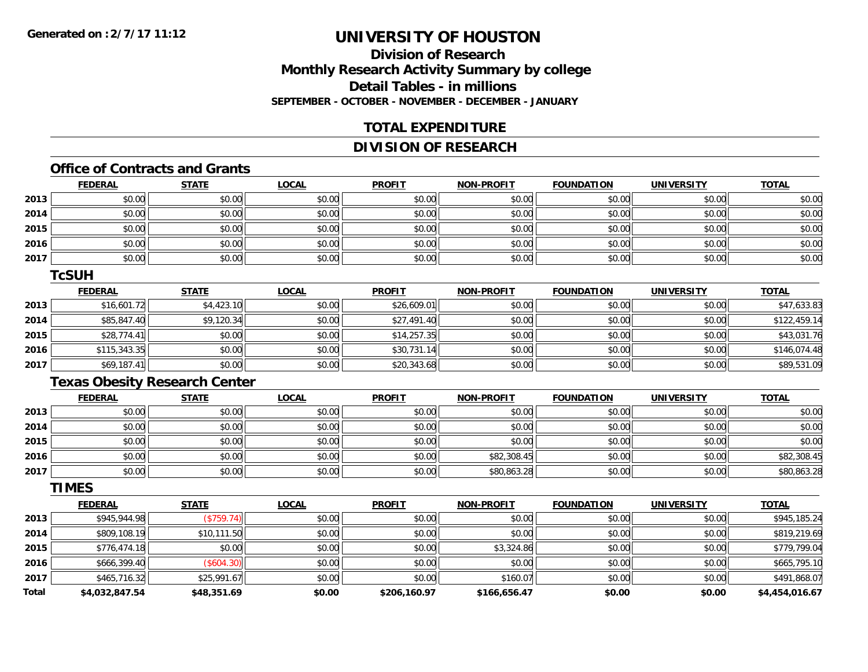### **Division of ResearchMonthly Research Activity Summary by college Detail Tables - in millionsSEPTEMBER - OCTOBER - NOVEMBER - DECEMBER - JANUARY**

### **TOTAL EXPENDITURE**

### **DIVISION OF RESEARCH**

## **Office of Contracts and Grants**

|      | <b>FEDERAL</b> | <b>STATE</b> | <u>LOCAL</u> | <b>PROFIT</b> | <b>NON-PROFIT</b> | <b>FOUNDATION</b> | <b>UNIVERSITY</b> | <b>TOTAL</b> |
|------|----------------|--------------|--------------|---------------|-------------------|-------------------|-------------------|--------------|
| 2013 | \$0.00         | \$0.00       | \$0.00       | \$0.00        | \$0.00            | \$0.00            | \$0.00            | \$0.00       |
| 2014 | \$0.00         | \$0.00       | \$0.00       | \$0.00        | \$0.00            | \$0.00            | \$0.00            | \$0.00       |
| 2015 | \$0.00         | \$0.00       | \$0.00       | \$0.00        | \$0.00            | \$0.00            | \$0.00            | \$0.00       |
| 2016 | \$0.00         | \$0.00       | \$0.00       | \$0.00        | \$0.00            | \$0.00            | \$0.00            | \$0.00       |
| 2017 | \$0.00         | \$0.00       | \$0.00       | \$0.00        | \$0.00            | \$0.00            | \$0.00            | \$0.00       |

#### **TcSUH**

|      | <b>FEDERAL</b> | <u>STATE</u> | <u>LOCAL</u> | <b>PROFIT</b> | <b>NON-PROFIT</b> | <b>FOUNDATION</b> | <b>UNIVERSITY</b> | <b>TOTAL</b> |
|------|----------------|--------------|--------------|---------------|-------------------|-------------------|-------------------|--------------|
| 2013 | \$16,601.72    | \$4,423.10   | \$0.00       | \$26,609.01   | \$0.00            | \$0.00            | \$0.00            | \$47,633.83  |
| 2014 | \$85,847.40    | \$9,120.34   | \$0.00       | \$27,491.40   | \$0.00            | \$0.00            | \$0.00            | \$122,459.14 |
| 2015 | \$28,774.41    | \$0.00       | \$0.00       | \$14,257.35   | \$0.00            | \$0.00            | \$0.00            | \$43,031.76  |
| 2016 | \$115,343.35   | \$0.00       | \$0.00       | \$30,731.14   | \$0.00            | \$0.00            | \$0.00            | \$146,074.48 |
| 2017 | \$69,187.41    | \$0.00       | \$0.00       | \$20,343.68   | \$0.00            | \$0.00            | \$0.00            | \$89,531.09  |

### **Texas Obesity Research Center**

|      | <u>FEDERAL</u> | <u>STATE</u> | <u>LOCAL</u> | <b>PROFIT</b> | <b>NON-PROFIT</b> | <b>FOUNDATION</b> | <b>UNIVERSITY</b> | <b>TOTAL</b> |
|------|----------------|--------------|--------------|---------------|-------------------|-------------------|-------------------|--------------|
| 2013 | \$0.00         | \$0.00       | \$0.00       | \$0.00        | \$0.00            | \$0.00            | \$0.00            | \$0.00       |
| 2014 | \$0.00         | \$0.00       | \$0.00       | \$0.00        | \$0.00            | \$0.00            | \$0.00            | \$0.00       |
| 2015 | \$0.00         | \$0.00       | \$0.00       | \$0.00        | \$0.00            | \$0.00            | \$0.00            | \$0.00       |
| 2016 | \$0.00         | \$0.00       | \$0.00       | \$0.00        | \$82,308.45       | \$0.00            | \$0.00            | \$82,308.45  |
| 2017 | \$0.00         | \$0.00       | \$0.00       | \$0.00        | \$80,863.28       | \$0.00            | \$0.00            | \$80,863.28  |

#### **TIMES**

|              | <b>FEDERAL</b> | <b>STATE</b> | <b>LOCAL</b> | <b>PROFIT</b> | <b>NON-PROFIT</b> | <b>FOUNDATION</b> | <b>UNIVERSITY</b> | <b>TOTAL</b>   |
|--------------|----------------|--------------|--------------|---------------|-------------------|-------------------|-------------------|----------------|
| 2013         | \$945,944.98   | (S759.74)    | \$0.00       | \$0.00        | \$0.00            | \$0.00            | \$0.00            | \$945,185.24   |
| 2014         | \$809,108.19   | \$10,111.50  | \$0.00       | \$0.00        | \$0.00            | \$0.00            | \$0.00            | \$819,219.69   |
| 2015         | \$776,474.18   | \$0.00       | \$0.00       | \$0.00        | \$3,324.86        | \$0.00            | \$0.00            | \$779,799.04   |
| 2016         | \$666,399.40   | (\$604.30)   | \$0.00       | \$0.00        | \$0.00            | \$0.00            | \$0.00            | \$665,795.10   |
| 2017         | \$465,716.32   | \$25,991.67  | \$0.00       | \$0.00        | \$160.07          | \$0.00            | \$0.00            | \$491,868.07   |
| <b>Total</b> | \$4,032,847.54 | \$48,351.69  | \$0.00       | \$206,160.97  | \$166,656.47      | \$0.00            | \$0.00            | \$4,454,016.67 |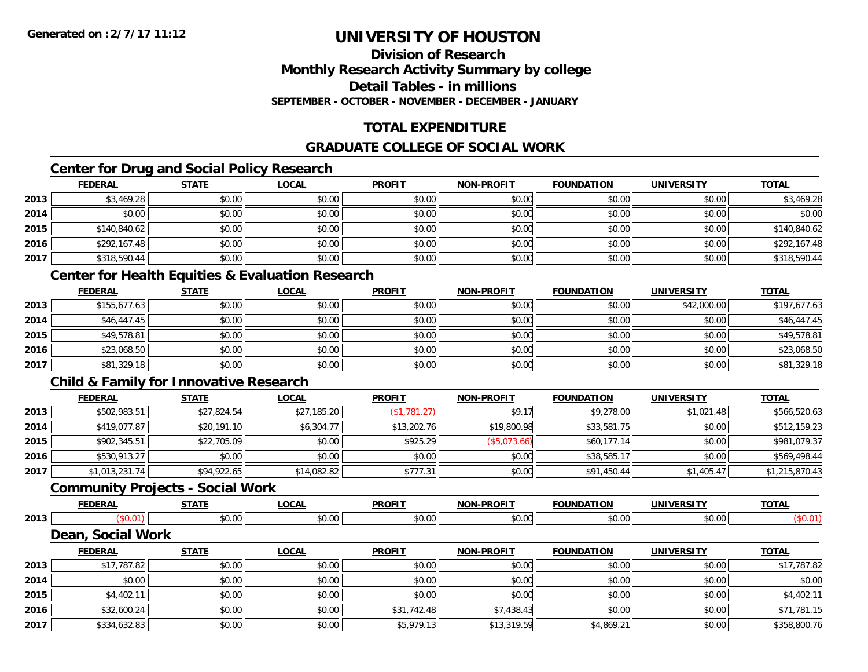### **Division of ResearchMonthly Research Activity Summary by college Detail Tables - in millionsSEPTEMBER - OCTOBER - NOVEMBER - DECEMBER - JANUARY**

### **TOTAL EXPENDITURE**

### **GRADUATE COLLEGE OF SOCIAL WORK**

### **Center for Drug and Social Policy Research**

|      | <b>FEDERAL</b> | <b>STATE</b> | <u>LOCAL</u> | <b>PROFIT</b> | <b>NON-PROFIT</b> | <b>FOUNDATION</b> | <b>UNIVERSITY</b> | <b>TOTAL</b> |
|------|----------------|--------------|--------------|---------------|-------------------|-------------------|-------------------|--------------|
| 2013 | \$3,469.28     | \$0.00       | \$0.00       | \$0.00        | \$0.00            | \$0.00            | \$0.00            | \$3,469.28   |
| 2014 | \$0.00         | \$0.00       | \$0.00       | \$0.00        | \$0.00            | \$0.00            | \$0.00            | \$0.00       |
| 2015 | \$140,840.62   | \$0.00       | \$0.00       | \$0.00        | \$0.00            | \$0.00            | \$0.00            | \$140,840.62 |
| 2016 | \$292,167.48   | \$0.00       | \$0.00       | \$0.00        | \$0.00            | \$0.00            | \$0.00            | \$292,167.48 |
| 2017 | \$318,590.44   | \$0.00       | \$0.00       | \$0.00        | \$0.00            | \$0.00            | \$0.00            | \$318,590.44 |

### **Center for Health Equities & Evaluation Research**

|      | <b>FEDERAL</b> | <b>STATE</b> | <u>LOCAL</u> | <b>PROFIT</b> | <b>NON-PROFIT</b> | <b>FOUNDATION</b> | <b>UNIVERSITY</b> | <b>TOTAL</b> |
|------|----------------|--------------|--------------|---------------|-------------------|-------------------|-------------------|--------------|
| 2013 | \$155,677.63   | \$0.00       | \$0.00       | \$0.00        | \$0.00            | \$0.00            | \$42,000.00       | \$197,677.63 |
| 2014 | \$46,447.45    | \$0.00       | \$0.00       | \$0.00        | \$0.00            | \$0.00            | \$0.00            | \$46,447.45  |
| 2015 | \$49,578.81    | \$0.00       | \$0.00       | \$0.00        | \$0.00            | \$0.00            | \$0.00            | \$49,578.81  |
| 2016 | \$23,068.50    | \$0.00       | \$0.00       | \$0.00        | \$0.00            | \$0.00            | \$0.00            | \$23,068.50  |
| 2017 | \$81,329.18    | \$0.00       | \$0.00       | \$0.00        | \$0.00            | \$0.00            | \$0.00            | \$81,329.18  |

### **Child & Family for Innovative Research**

|      | <b>FEDERAL</b> | <b>STATE</b> | <u>LOCAL</u> | <b>PROFIT</b> | <b>NON-PROFIT</b> | <b>FOUNDATION</b> | <b>UNIVERSITY</b> | <b>TOTAL</b>   |
|------|----------------|--------------|--------------|---------------|-------------------|-------------------|-------------------|----------------|
| 2013 | \$502,983.51   | \$27,824.54  | \$27,185.20  | (\$1,781.27)  | \$9.1             | \$9,278.00        | \$1,021.48        | \$566,520.63   |
| 2014 | \$419,077.87   | \$20,191.10  | \$6,304.77   | \$13,202.76   | \$19,800.98       | \$33,581.75       | \$0.00            | \$512,159.23   |
| 2015 | \$902,345.51   | \$22,705.09  | \$0.00       | \$925.29      | (\$5.073.66)      | \$60,177.14       | \$0.00            | \$981,079.37   |
| 2016 | \$530,913.27   | \$0.00       | \$0.00       | \$0.00        | \$0.00            | \$38,585.17       | \$0.00            | \$569,498.44   |
| 2017 | \$1,013,231.74 | \$94,922.65  | \$14,082.82  | \$777.31      | \$0.00            | \$91,450.44       | \$1,405.47        | \$1,215,870.43 |

#### **Community Projects - Social Work**

|      | <b>FEDERAL</b>                                  | <b>STATI</b> | <u>LOCAI</u> | <b>PROFIT</b>   | <b>NON-PROFIT</b> | <b>FOUNDATION</b> | UNIVERSITY        | <b>TOTAL</b> |
|------|-------------------------------------------------|--------------|--------------|-----------------|-------------------|-------------------|-------------------|--------------|
| 2013 | JU.U                                            | \$0.00       | \$0.00       | $\sim$<br>JU.UU | \$0.00            | \$0.00            | \$0.00            | \$0.01       |
|      | <b>Social Work</b><br>$\boldsymbol{\omega}$ ear |              |              |                 |                   |                   |                   |              |
|      | <b>FEDERAL</b>                                  | <b>STATE</b> | LOCAL        | <b>PROFIT</b>   | <b>NON-PROFIT</b> | <b>FOUNDATION</b> | <b>UNIVERSITY</b> | <b>TOTAL</b> |

|      | <b>FEDERAL</b> | JIMIL  | <u>LUUNL</u> | <b>FRUFII</b> | <b>IVON-FROFII</b> | <b><i>FUUNDATIUN</i></b> | UNIVERSITI | <u>IUIAL</u> |
|------|----------------|--------|--------------|---------------|--------------------|--------------------------|------------|--------------|
| 2013 | \$17,787.82    | \$0.00 | \$0.00       | \$0.00        | \$0.00             | \$0.00                   | \$0.00     | \$17,787.82  |
| 2014 | \$0.00         | \$0.00 | \$0.00       | \$0.00        | \$0.00             | \$0.00                   | \$0.00     | \$0.00       |
| 2015 | \$4,402.11     | \$0.00 | \$0.00       | \$0.00        | \$0.00             | \$0.00                   | \$0.00     | \$4,402.11   |
| 2016 | \$32,600.24    | \$0.00 | \$0.00       | \$31,742.48   | \$7,438.43         | \$0.00                   | \$0.00     | \$71,781.15  |
| 2017 | \$334,632.83   | \$0.00 | \$0.00       | \$5,979.13    | \$13,319.59        | \$4,869.21               | \$0.00     | \$358,800.76 |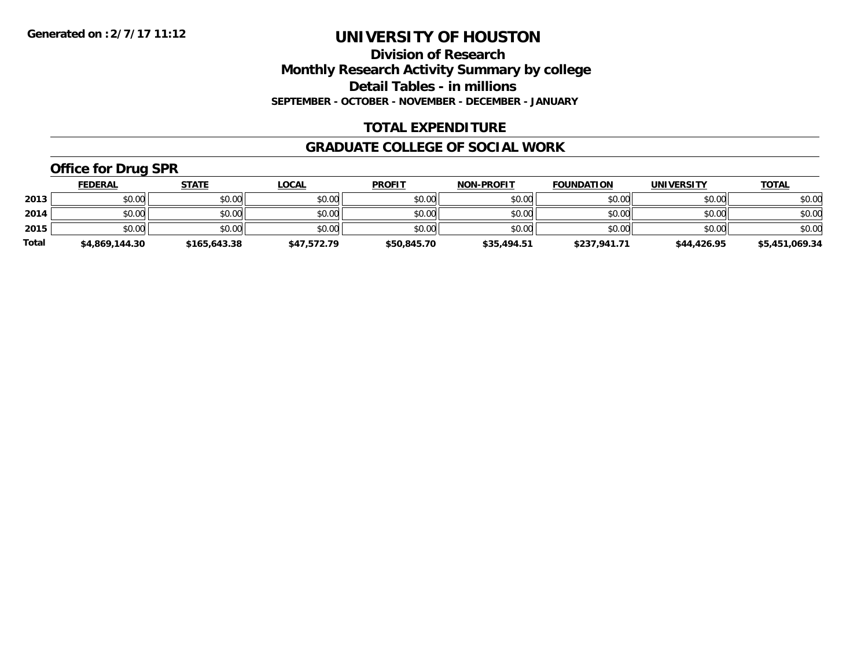**Division of Research Monthly Research Activity Summary by college Detail Tables - in millions SEPTEMBER - OCTOBER - NOVEMBER - DECEMBER - JANUARY**

### **TOTAL EXPENDITURE**

#### **GRADUATE COLLEGE OF SOCIAL WORK**

## **Office for Drug SPR**

|              | <b>FEDERAL</b> | <u>STATE</u> | <u>LOCAL</u> | <b>PROFIT</b> | <b>NON-PROFIT</b> | <b>FOUNDATION</b> | <b>UNIVERSITY</b> | <b>TOTAL</b>   |
|--------------|----------------|--------------|--------------|---------------|-------------------|-------------------|-------------------|----------------|
| 2013         | \$0.00         | \$0.00       | \$0.00       | \$0.00        | \$0.00            | \$0.00            | \$0.00            | \$0.00         |
| 2014         | \$0.00         | \$0.00       | \$0.00       | \$0.00        | \$0.00            | \$0.00            | \$0.00            | \$0.00         |
| 2015         | \$0.00         | \$0.00       | \$0.00       | \$0.00        | \$0.00            | \$0.00            | \$0.00            | \$0.00         |
| <b>Total</b> | \$4,869,144.30 | \$165,643.38 | \$47,572.79  | \$50,845.70   | \$35,494.51       | \$237,941.71      | \$44,426.95       | \$5,451,069.34 |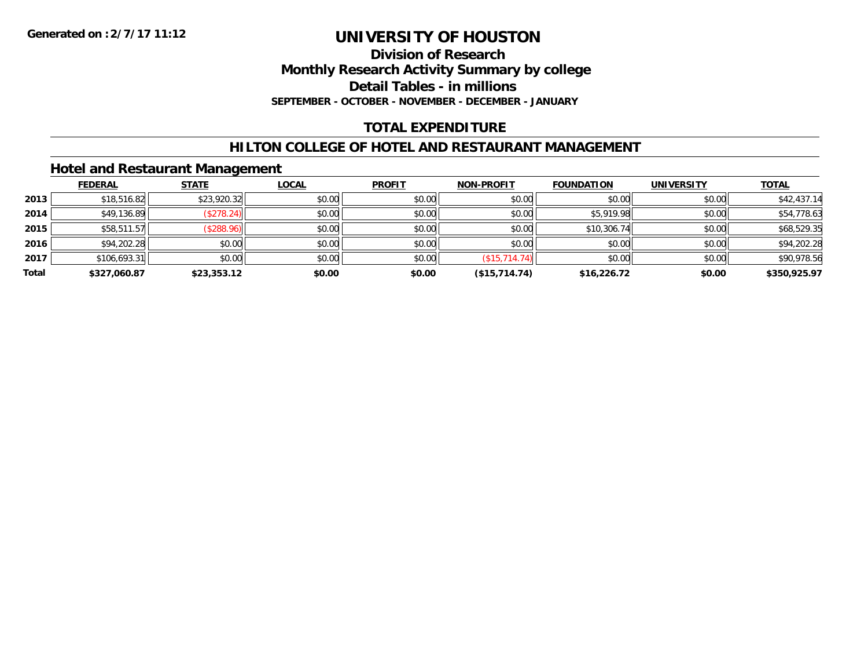**Division of Research Monthly Research Activity Summary by college Detail Tables - in millions SEPTEMBER - OCTOBER - NOVEMBER - DECEMBER - JANUARY**

### **TOTAL EXPENDITURE**

### **HILTON COLLEGE OF HOTEL AND RESTAURANT MANAGEMENT**

### **Hotel and Restaurant Management**

|       | <b>FEDERAL</b> | <b>STATE</b> | <b>LOCAL</b> | <b>PROFIT</b> | <b>NON-PROFIT</b> | <b>FOUNDATION</b> | <b>UNIVERSITY</b> | <b>TOTAL</b> |
|-------|----------------|--------------|--------------|---------------|-------------------|-------------------|-------------------|--------------|
| 2013  | \$18,516.82    | \$23,920.32  | \$0.00       | \$0.00        | \$0.00            | \$0.00            | \$0.00            | \$42,437.14  |
| 2014  | \$49,136.89    | (\$278.24)   | \$0.00       | \$0.00        | \$0.00            | \$5,919.98        | \$0.00            | \$54,778.63  |
| 2015  | \$58,511.57    | (\$288.96)   | \$0.00       | \$0.00        | \$0.00            | \$10,306.74       | \$0.00            | \$68,529.35  |
| 2016  | \$94,202.28    | \$0.00       | \$0.00       | \$0.00        | \$0.00            | \$0.00            | \$0.00            | \$94,202.28  |
| 2017  | \$106,693.31   | \$0.00       | \$0.00       | \$0.00        | (\$15,714.74)     | \$0.00            | \$0.00            | \$90,978.56  |
| Total | \$327,060.87   | \$23,353.12  | \$0.00       | \$0.00        | (\$15,714.74)     | \$16,226.72       | \$0.00            | \$350,925.97 |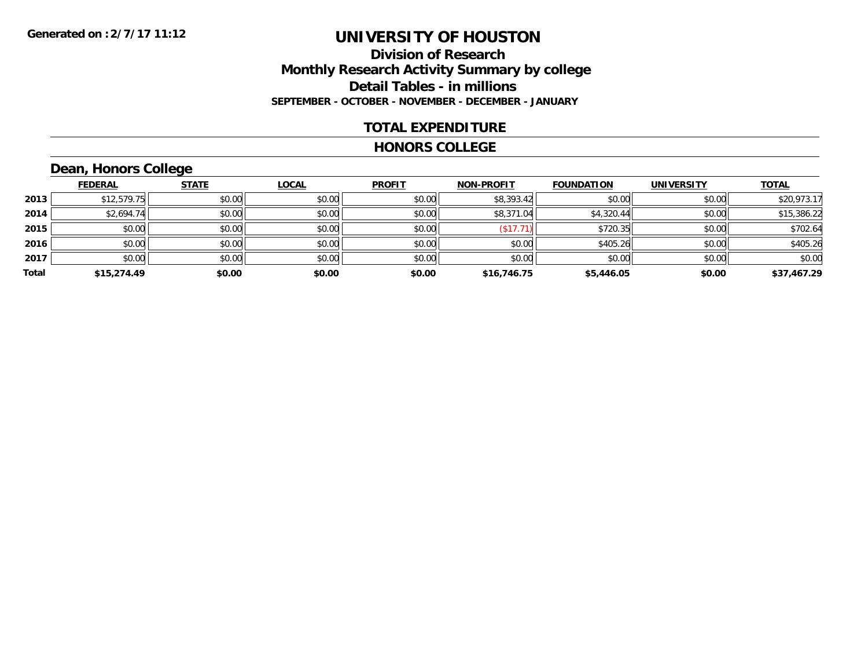### **Division of Research Monthly Research Activity Summary by college Detail Tables - in millions SEPTEMBER - OCTOBER - NOVEMBER - DECEMBER - JANUARY**

### **TOTAL EXPENDITURE**

#### **HONORS COLLEGE**

## **Dean, Honors College**

|       |                | $\sim$       |              |               |                   |                   |                   |              |
|-------|----------------|--------------|--------------|---------------|-------------------|-------------------|-------------------|--------------|
|       | <b>FEDERAL</b> | <b>STATE</b> | <b>LOCAL</b> | <b>PROFIT</b> | <b>NON-PROFIT</b> | <b>FOUNDATION</b> | <b>UNIVERSITY</b> | <b>TOTAL</b> |
| 2013  | \$12,579.75    | \$0.00       | \$0.00       | \$0.00        | \$8,393.42        | \$0.00            | \$0.00            | \$20,973.17  |
| 2014  | \$2,694.74     | \$0.00       | \$0.00       | \$0.00        | \$8,371.04        | \$4,320.44        | \$0.00            | \$15,386.22  |
| 2015  | \$0.00         | \$0.00       | \$0.00       | \$0.00        | \$17.71           | \$720.35          | \$0.00            | \$702.64     |
| 2016  | \$0.00         | \$0.00       | \$0.00       | \$0.00        | \$0.00            | \$405.26          | \$0.00            | \$405.26     |
| 2017  | \$0.00         | \$0.00       | \$0.00       | \$0.00        | \$0.00            | \$0.00            | \$0.00            | \$0.00       |
| Total | \$15,274.49    | \$0.00       | \$0.00       | \$0.00        | \$16,746.75       | \$5,446.05        | \$0.00            | \$37,467.29  |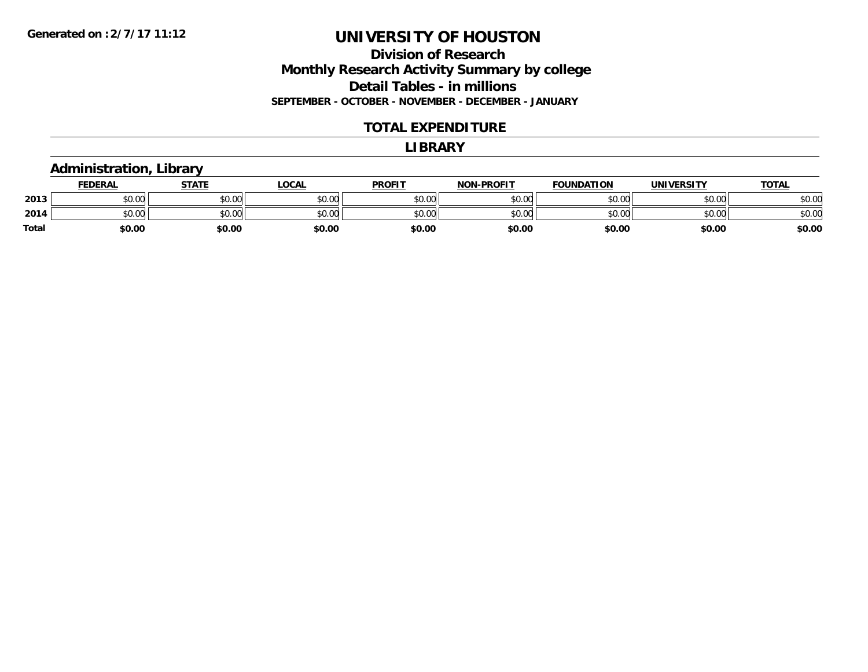**Division of Research Monthly Research Activity Summary by college Detail Tables - in millions SEPTEMBER - OCTOBER - NOVEMBER - DECEMBER - JANUARY**

#### **TOTAL EXPENDITURE**

#### **LIBRARY**

### **Administration, Library**

|       | <b>FEDERAL</b> | <b>STATE</b> | LOCAL  | <b>PROFIT</b> | <b>NON-PROFIT</b> | <b>FOUNDATION</b> | <b>UNIVERSITY</b> | <u>TOTAL</u> |
|-------|----------------|--------------|--------|---------------|-------------------|-------------------|-------------------|--------------|
| 2013  | en uu<br>DU.UU | \$0.00       | \$0.00 | \$0.00        | \$0.00            | \$0.00            | \$0.00            | \$0.00       |
| 2014  | \$0.00         | \$0.00       | \$0.00 | \$0.00        | \$0.00            | \$0.00            | \$0.00            | \$0.00       |
| Total | \$0.00         | \$0.00       | \$0.00 | \$0.00        | \$0.00            | \$0.00            | \$0.00            | \$0.00       |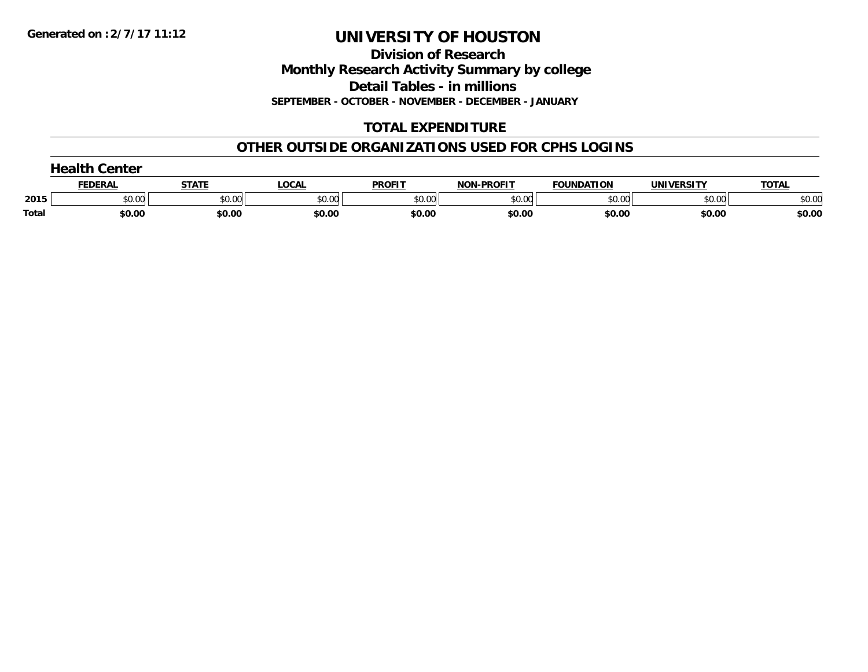**Division of Research Monthly Research Activity Summary by college Detail Tables - in millions SEPTEMBER - OCTOBER - NOVEMBER - DECEMBER - JANUARY**

### **TOTAL EXPENDITURE**

### **OTHER OUTSIDE ORGANIZATIONS USED FOR CPHS LOGINS**

|       | Center  |        |        |               |                   |                   |                   |               |  |  |
|-------|---------|--------|--------|---------------|-------------------|-------------------|-------------------|---------------|--|--|
|       | FEDERAL | STATI  | _OCAI  | <b>PROFIT</b> | <b>NON-PROFIT</b> | <b>FOUNDATION</b> | <b>UNIVERSITY</b> | T <u>OTAL</u> |  |  |
| 2015  | \$0.00  | \$0.00 | \$0.00 | \$0.00        | \$0.00            | \$0.00            | \$0.00            | \$0.00        |  |  |
| Total | \$0.00  | \$0.00 | \$0.00 | \$0.00        | \$0.00            | \$0.00            | \$0.00            | \$0.00        |  |  |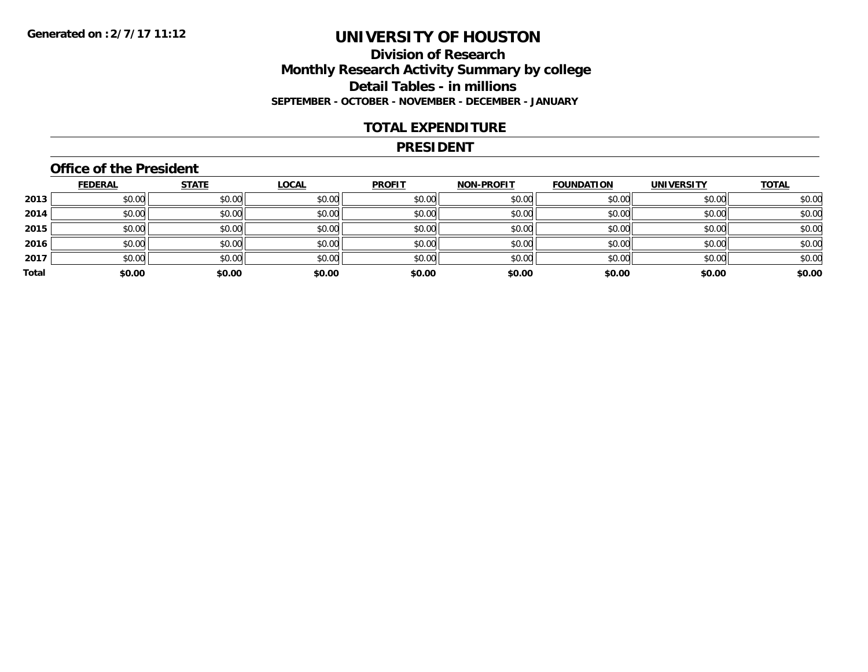### **Division of Research Monthly Research Activity Summary by college Detail Tables - in millions SEPTEMBER - OCTOBER - NOVEMBER - DECEMBER - JANUARY**

### **TOTAL EXPENDITURE**

#### **PRESIDENT**

### **Office of the President**

|       | <b>FEDERAL</b> | <b>STATE</b> | <b>LOCAL</b> | <b>PROFIT</b> | <b>NON-PROFIT</b> | <b>FOUNDATION</b> | <b>UNIVERSITY</b> | <b>TOTAL</b> |
|-------|----------------|--------------|--------------|---------------|-------------------|-------------------|-------------------|--------------|
| 2013  | \$0.00         | \$0.00       | \$0.00       | \$0.00        | \$0.00            | \$0.00            | \$0.00            | \$0.00       |
| 2014  | \$0.00         | \$0.00       | \$0.00       | \$0.00        | \$0.00            | \$0.00            | \$0.00            | \$0.00       |
| 2015  | \$0.00         | \$0.00       | \$0.00       | \$0.00        | \$0.00            | \$0.00            | \$0.00            | \$0.00       |
| 2016  | \$0.00         | \$0.00       | \$0.00       | \$0.00        | \$0.00            | \$0.00            | \$0.00            | \$0.00       |
| 2017  | \$0.00         | \$0.00       | \$0.00       | \$0.00        | \$0.00            | \$0.00            | \$0.00            | \$0.00       |
| Total | \$0.00         | \$0.00       | \$0.00       | \$0.00        | \$0.00            | \$0.00            | \$0.00            | \$0.00       |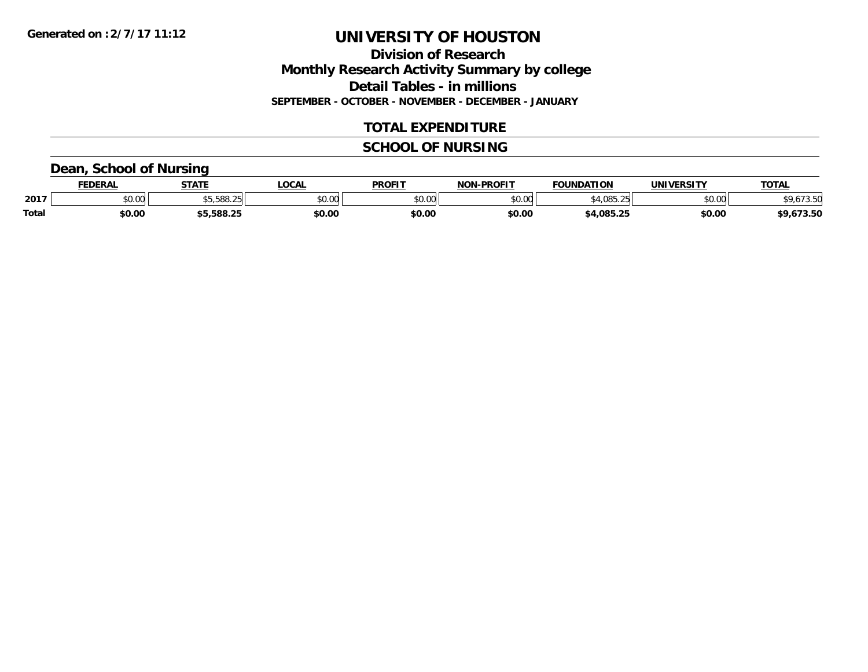**Division of Research Monthly Research Activity Summary by college Detail Tables - in millions SEPTEMBER - OCTOBER - NOVEMBER - DECEMBER - JANUARY**

### **TOTAL EXPENDITURE**

### **SCHOOL OF NURSING**

### **Dean, School of Nursing**

|              | <b>FEDERAL</b> | <b>STATE</b>     | <b>OCAL</b>    | <b>PROFIT</b> | <b>DDAEIT</b><br>81 A B | <b>FOUNDATION</b> | UNIVERSITY | TOTAL |
|--------------|----------------|------------------|----------------|---------------|-------------------------|-------------------|------------|-------|
| 2017         | 0.00<br>DU.UU  | \$5.588.25       | ტი იი<br>JU.UL | 0000<br>JU.UU | ልስ ሀህ<br>ט.טע           | OOE OF            | \$0.00     |       |
| <b>Total</b> | \$0.00         | EOO JE<br>ວoo.∠: | \$0.00         | \$0.00        | \$0.00                  | 4,085.25؍         | \$0.00     | 73.JU |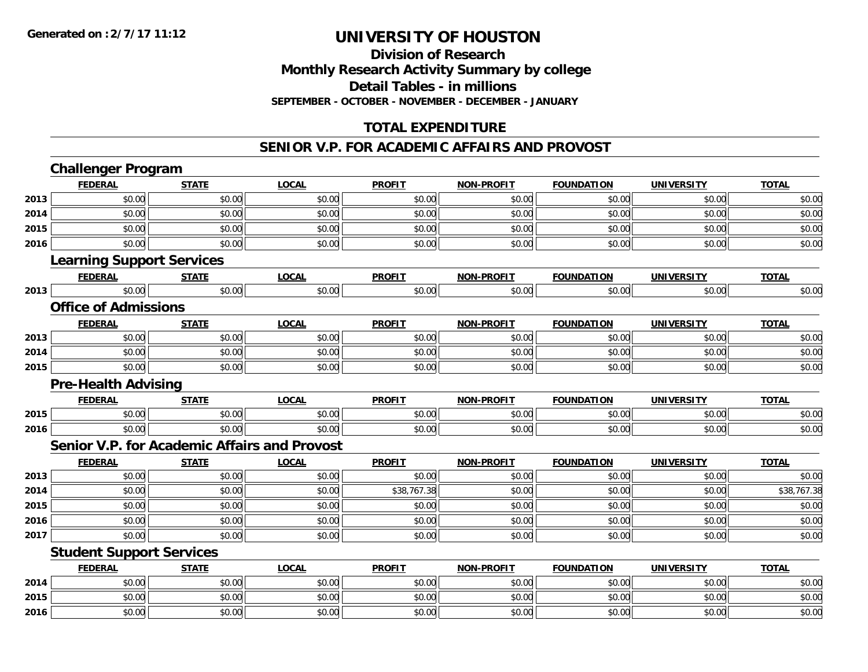**2016**

## **UNIVERSITY OF HOUSTON**

### **Division of ResearchMonthly Research Activity Summary by college Detail Tables - in millions SEPTEMBER - OCTOBER - NOVEMBER - DECEMBER - JANUARY**

### **TOTAL EXPENDITURE**

#### **SENIOR V.P. FOR ACADEMIC AFFAIRS AND PROVOST**

|      | <b>Challenger Program</b>        |              |                                              |               |                   |                   |                   |              |
|------|----------------------------------|--------------|----------------------------------------------|---------------|-------------------|-------------------|-------------------|--------------|
|      | <b>FEDERAL</b>                   | <b>STATE</b> | <b>LOCAL</b>                                 | <b>PROFIT</b> | <b>NON-PROFIT</b> | <b>FOUNDATION</b> | <b>UNIVERSITY</b> | <b>TOTAL</b> |
| 2013 | \$0.00                           | \$0.00       | \$0.00                                       | \$0.00        | \$0.00            | \$0.00            | \$0.00            | \$0.00       |
| 2014 | \$0.00                           | \$0.00       | \$0.00                                       | \$0.00        | \$0.00            | \$0.00            | \$0.00            | \$0.00       |
| 2015 | \$0.00                           | \$0.00       | \$0.00                                       | \$0.00        | \$0.00            | \$0.00            | \$0.00            | \$0.00       |
| 2016 | \$0.00                           | \$0.00       | \$0.00                                       | \$0.00        | \$0.00            | \$0.00            | \$0.00            | \$0.00       |
|      | <b>Learning Support Services</b> |              |                                              |               |                   |                   |                   |              |
|      | <b>FEDERAL</b>                   | <b>STATE</b> | <b>LOCAL</b>                                 | <b>PROFIT</b> | <b>NON-PROFIT</b> | <b>FOUNDATION</b> | <b>UNIVERSITY</b> | <b>TOTAL</b> |
| 2013 | \$0.00                           | \$0.00       | \$0.00                                       | \$0.00        | \$0.00            | \$0.00            | \$0.00            | \$0.00       |
|      | <b>Office of Admissions</b>      |              |                                              |               |                   |                   |                   |              |
|      | <b>FEDERAL</b>                   | <b>STATE</b> | <b>LOCAL</b>                                 | <b>PROFIT</b> | <b>NON-PROFIT</b> | <b>FOUNDATION</b> | <b>UNIVERSITY</b> | <b>TOTAL</b> |
| 2013 | \$0.00                           | \$0.00       | \$0.00                                       | \$0.00        | \$0.00            | \$0.00            | \$0.00            | \$0.00       |
| 2014 | \$0.00                           | \$0.00       | \$0.00                                       | \$0.00        | \$0.00            | \$0.00            | \$0.00            | \$0.00       |
| 2015 | \$0.00                           | \$0.00       | \$0.00                                       | \$0.00        | \$0.00            | \$0.00            | \$0.00            | \$0.00       |
|      | <b>Pre-Health Advising</b>       |              |                                              |               |                   |                   |                   |              |
|      | <b>FEDERAL</b>                   | <b>STATE</b> | <b>LOCAL</b>                                 | <b>PROFIT</b> | <b>NON-PROFIT</b> | <b>FOUNDATION</b> | <b>UNIVERSITY</b> | <b>TOTAL</b> |
| 2015 | \$0.00                           | \$0.00       | \$0.00                                       | \$0.00        | \$0.00            | \$0.00            | \$0.00            | \$0.00       |
| 2016 | \$0.00                           | \$0.00       | \$0.00                                       | \$0.00        | \$0.00            | \$0.00            | \$0.00            | \$0.00       |
|      |                                  |              | Senior V.P. for Academic Affairs and Provost |               |                   |                   |                   |              |
|      | <b>FEDERAL</b>                   | <b>STATE</b> | <b>LOCAL</b>                                 | <b>PROFIT</b> | <b>NON-PROFIT</b> | <b>FOUNDATION</b> | <b>UNIVERSITY</b> | <b>TOTAL</b> |
| 2013 | \$0.00                           | \$0.00       | \$0.00                                       | \$0.00        | \$0.00            | \$0.00            | \$0.00            | \$0.00       |
| 2014 | \$0.00                           | \$0.00       | \$0.00                                       | \$38,767.38   | \$0.00            | \$0.00            | \$0.00            | \$38,767.38  |
| 2015 | \$0.00                           | \$0.00       | \$0.00                                       | \$0.00        | \$0.00            | \$0.00            | \$0.00            | \$0.00       |
| 2016 | \$0.00                           | \$0.00       | \$0.00                                       | \$0.00        | \$0.00            | \$0.00            | \$0.00            | \$0.00       |
| 2017 | \$0.00                           | \$0.00       | \$0.00                                       | \$0.00        | \$0.00            | \$0.00            | \$0.00            | \$0.00       |
|      | <b>Student Support Services</b>  |              |                                              |               |                   |                   |                   |              |
|      | <b>FEDERAL</b>                   | <b>STATE</b> | <b>LOCAL</b>                                 | <b>PROFIT</b> | <b>NON-PROFIT</b> | <b>FOUNDATION</b> | <b>UNIVERSITY</b> | <b>TOTAL</b> |
| 2014 | \$0.00                           | \$0.00       | \$0.00                                       | \$0.00        | \$0.00            | \$0.00            | \$0.00            | \$0.00       |
| 2015 | \$0.00                           | \$0.00       | \$0.00                                       | \$0.00        | \$0.00            | \$0.00            | \$0.00            | \$0.00       |

 $\mathbf{6} \mid 50.00 \mid 50.00 \mid 50.00 \mid 50.00 \mid 50.00 \mid 50.00 \mid 50.00 \mid 50.00 \mid 50.00 \mid 50.00 \mid 50.00 \mid 50.00 \mid 50.00 \mid 50.00 \mid 50.00 \mid 50.00 \mid 50.00 \mid 50.00 \mid 50.00 \mid 50.00 \mid 50.00 \mid 50.00 \mid 50.00 \mid 50.00 \mid 50.00 \mid 50.00 \mid 50.$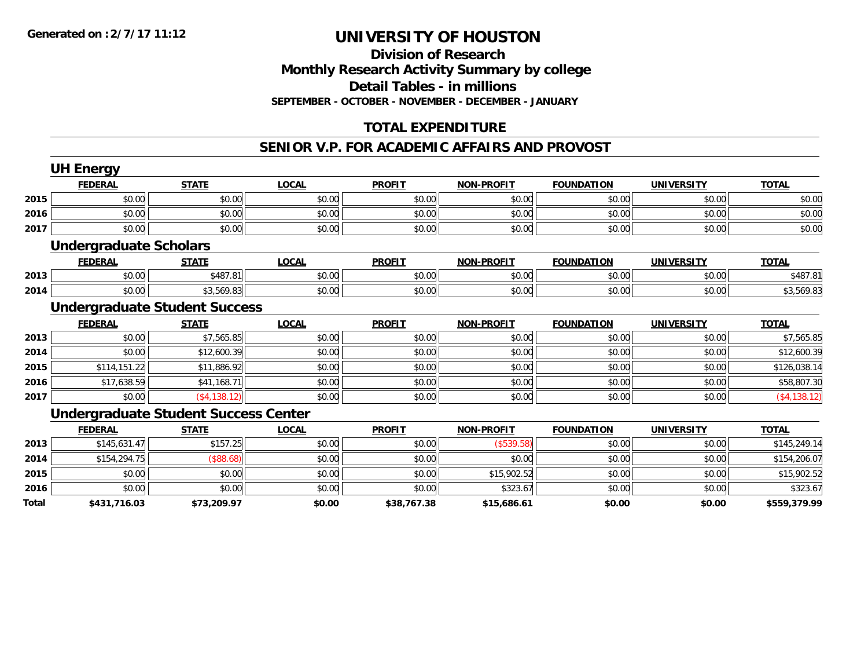### **Division of Research Monthly Research Activity Summary by college Detail Tables - in millions SEPTEMBER - OCTOBER - NOVEMBER - DECEMBER - JANUARY**

### **TOTAL EXPENDITURE**

#### **SENIOR V.P. FOR ACADEMIC AFFAIRS AND PROVOST**

|       | <b>UH Energy</b>              |                                             |              |               |                   |                   |                   |                |
|-------|-------------------------------|---------------------------------------------|--------------|---------------|-------------------|-------------------|-------------------|----------------|
|       | <b>FEDERAL</b>                | <b>STATE</b>                                | <b>LOCAL</b> | <b>PROFIT</b> | <b>NON-PROFIT</b> | <b>FOUNDATION</b> | <b>UNIVERSITY</b> | <b>TOTAL</b>   |
| 2015  | \$0.00                        | \$0.00                                      | \$0.00       | \$0.00        | \$0.00            | \$0.00            | \$0.00            | \$0.00         |
| 2016  | \$0.00                        | \$0.00                                      | \$0.00       | \$0.00        | \$0.00            | \$0.00            | \$0.00            | \$0.00         |
| 2017  | \$0.00                        | \$0.00                                      | \$0.00       | \$0.00        | \$0.00            | \$0.00            | \$0.00            | \$0.00         |
|       | <b>Undergraduate Scholars</b> |                                             |              |               |                   |                   |                   |                |
|       | <b>FEDERAL</b>                | <b>STATE</b>                                | <b>LOCAL</b> | <b>PROFIT</b> | <b>NON-PROFIT</b> | <b>FOUNDATION</b> | <b>UNIVERSITY</b> | <b>TOTAL</b>   |
| 2013  | \$0.00                        | \$487.81                                    | \$0.00       | \$0.00        | \$0.00            | \$0.00            | \$0.00            | \$487.81       |
| 2014  | \$0.00                        | \$3,569.83                                  | \$0.00       | \$0.00        | \$0.00            | \$0.00            | \$0.00            | \$3,569.83     |
|       |                               | <b>Undergraduate Student Success</b>        |              |               |                   |                   |                   |                |
|       | <b>FEDERAL</b>                | <b>STATE</b>                                | <b>LOCAL</b> | <b>PROFIT</b> | <b>NON-PROFIT</b> | <b>FOUNDATION</b> | <b>UNIVERSITY</b> | <b>TOTAL</b>   |
| 2013  | \$0.00                        | \$7,565.85                                  | \$0.00       | \$0.00        | \$0.00            | \$0.00            | \$0.00            | \$7,565.85     |
| 2014  | \$0.00                        | \$12,600.39                                 | \$0.00       | \$0.00        | \$0.00            | \$0.00            | \$0.00            | \$12,600.39    |
| 2015  | \$114,151.22                  | \$11,886.92                                 | \$0.00       | \$0.00        | \$0.00            | \$0.00            | \$0.00            | \$126,038.14   |
| 2016  | \$17,638.59                   | \$41,168.71                                 | \$0.00       | \$0.00        | \$0.00            | \$0.00            | \$0.00            | \$58,807.30    |
| 2017  | \$0.00                        | ( \$4, 138.12)                              | \$0.00       | \$0.00        | \$0.00            | \$0.00            | \$0.00            | ( \$4, 138.12) |
|       |                               | <b>Undergraduate Student Success Center</b> |              |               |                   |                   |                   |                |
|       | <b>FEDERAL</b>                | <b>STATE</b>                                | <b>LOCAL</b> | <b>PROFIT</b> | <b>NON-PROFIT</b> | <b>FOUNDATION</b> | <b>UNIVERSITY</b> | <b>TOTAL</b>   |
| 2013  | \$145,631.47                  | \$157.25                                    | \$0.00       | \$0.00        | (\$539.58)        | \$0.00            | \$0.00            | \$145,249.14   |
| 2014  | \$154,294.75                  | (\$88.68)                                   | \$0.00       | \$0.00        | \$0.00            | \$0.00            | \$0.00            | \$154,206.07   |
| 2015  | \$0.00                        | \$0.00                                      | \$0.00       | \$0.00        | \$15,902.52       | \$0.00            | \$0.00            | \$15,902.52    |
| 2016  | \$0.00                        | \$0.00                                      | \$0.00       | \$0.00        | \$323.67          | \$0.00            | \$0.00            | \$323.67       |
| Total | \$431,716.03                  | \$73,209.97                                 | \$0.00       | \$38,767.38   | \$15,686.61       | \$0.00            | \$0.00            | \$559,379.99   |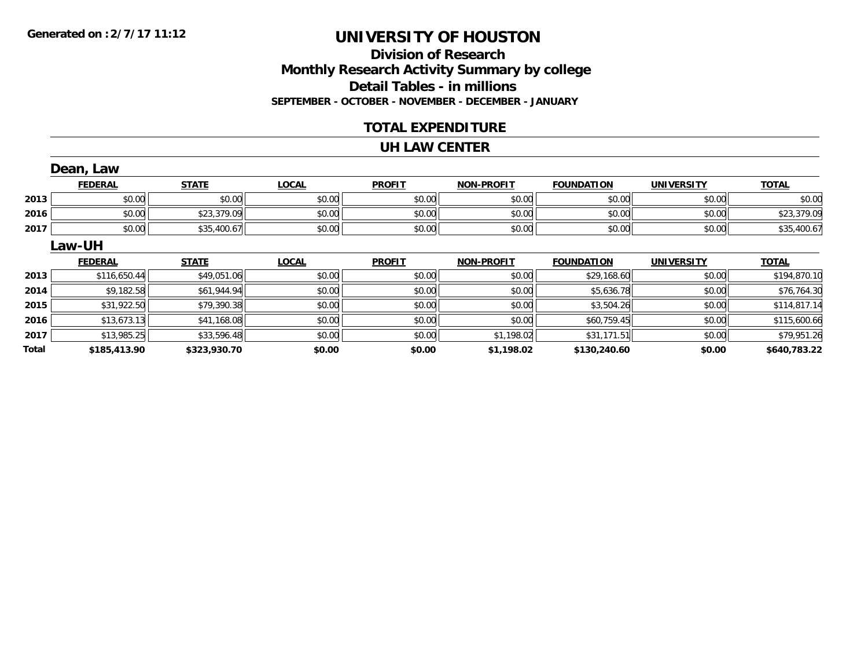### **Division of ResearchMonthly Research Activity Summary by college Detail Tables - in millions SEPTEMBER - OCTOBER - NOVEMBER - DECEMBER - JANUARY**

### **TOTAL EXPENDITURE**

#### **UH LAW CENTER**

|       | Dean, Law      |              |              |               |                   |                   |                   |              |
|-------|----------------|--------------|--------------|---------------|-------------------|-------------------|-------------------|--------------|
|       | <b>FEDERAL</b> | <b>STATE</b> | <b>LOCAL</b> | <b>PROFIT</b> | <b>NON-PROFIT</b> | <b>FOUNDATION</b> | <b>UNIVERSITY</b> | <b>TOTAL</b> |
| 2013  | \$0.00         | \$0.00       | \$0.00       | \$0.00        | \$0.00            | \$0.00            | \$0.00            | \$0.00       |
| 2016  | \$0.00         | \$23,379.09  | \$0.00       | \$0.00        | \$0.00            | \$0.00            | \$0.00            | \$23,379.09  |
| 2017  | \$0.00         | \$35,400.67  | \$0.00       | \$0.00        | \$0.00            | \$0.00            | \$0.00            | \$35,400.67  |
|       | Law-UH         |              |              |               |                   |                   |                   |              |
|       | <b>FEDERAL</b> | <b>STATE</b> | <b>LOCAL</b> | <b>PROFIT</b> | <b>NON-PROFIT</b> | <b>FOUNDATION</b> | <b>UNIVERSITY</b> | <b>TOTAL</b> |
| 2013  | \$116,650.44   | \$49,051.06  | \$0.00       | \$0.00        | \$0.00            | \$29,168.60       | \$0.00            | \$194,870.10 |
| 2014  | \$9,182.58     | \$61,944.94  | \$0.00       | \$0.00        | \$0.00            | \$5,636.78        | \$0.00            | \$76,764.30  |
| 2015  | \$31,922.50    | \$79,390.38  | \$0.00       | \$0.00        | \$0.00            | \$3,504.26        | \$0.00            | \$114,817.14 |
| 2016  | \$13,673.13    | \$41,168.08  | \$0.00       | \$0.00        | \$0.00            | \$60,759.45       | \$0.00            | \$115,600.66 |
| 2017  | \$13,985.25    | \$33,596.48  | \$0.00       | \$0.00        | \$1,198.02        | \$31,171.51       | \$0.00            | \$79,951.26  |
| Total | \$185,413.90   | \$323,930.70 | \$0.00       | \$0.00        | \$1,198.02        | \$130,240.60      | \$0.00            | \$640,783.22 |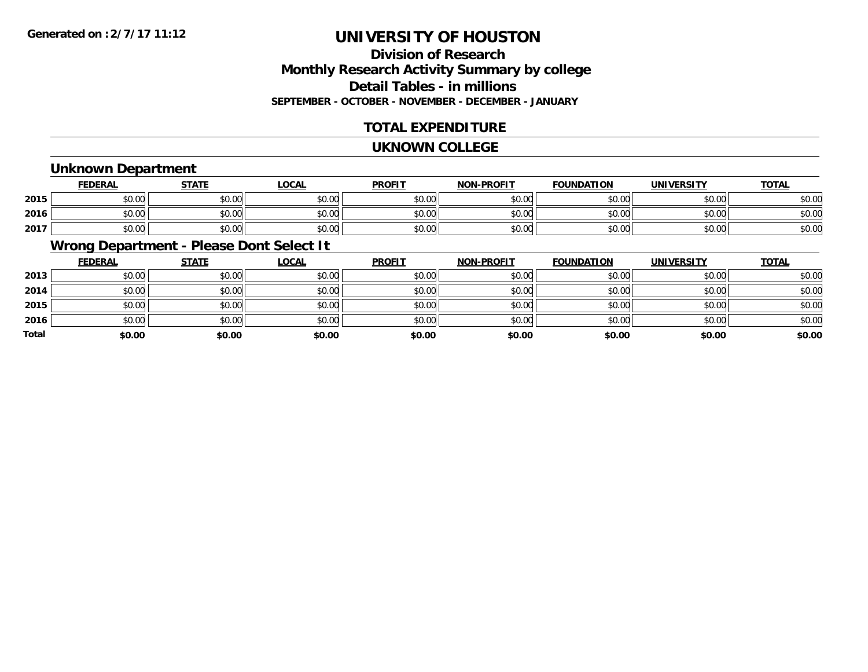### **Division of ResearchMonthly Research Activity Summary by college Detail Tables - in millions SEPTEMBER - OCTOBER - NOVEMBER - DECEMBER - JANUARY**

### **TOTAL EXPENDITURE**

#### **UKNOWN COLLEGE**

### **Unknown Department**

|      | <b>FEDERAL</b> | <b>STATE</b> | LOCAL  | <b>PROFIT</b> | <b>NON-PROFIT</b> | <b>FOUNDATION</b> | <b>UNIVERSITY</b> | <u>TOTAL</u> |
|------|----------------|--------------|--------|---------------|-------------------|-------------------|-------------------|--------------|
| 2015 | \$0.00         | \$0.00       | \$0.00 | \$0.00        | \$0.00            | \$0.00            | \$0.00            | \$0.00       |
| 2016 | \$0.00         | \$0.00       | \$0.00 | \$0.00        | \$0.00            | \$0.00            | \$0.00            | \$0.00       |
| 2017 | \$0.00         | \$0.00       | \$0.00 | \$0.00        | \$0.00            | \$0.00            | \$0.00            | \$0.00       |

### **Wrong Department - Please Dont Select It**

|       | <b>FEDERAL</b> | <b>STATE</b> | <b>LOCAL</b> | <b>PROFIT</b> | <b>NON-PROFIT</b> | <b>FOUNDATION</b> | <b>UNIVERSITY</b> | <b>TOTAL</b> |
|-------|----------------|--------------|--------------|---------------|-------------------|-------------------|-------------------|--------------|
| 2013  | \$0.00         | \$0.00       | \$0.00       | \$0.00        | \$0.00            | \$0.00            | \$0.00            | \$0.00       |
| 2014  | \$0.00         | \$0.00       | \$0.00       | \$0.00        | \$0.00            | \$0.00            | \$0.00            | \$0.00       |
| 2015  | \$0.00         | \$0.00       | \$0.00       | \$0.00        | \$0.00            | \$0.00            | \$0.00            | \$0.00       |
| 2016  | \$0.00         | \$0.00       | \$0.00       | \$0.00        | \$0.00            | \$0.00            | \$0.00            | \$0.00       |
| Total | \$0.00         | \$0.00       | \$0.00       | \$0.00        | \$0.00            | \$0.00            | \$0.00            | \$0.00       |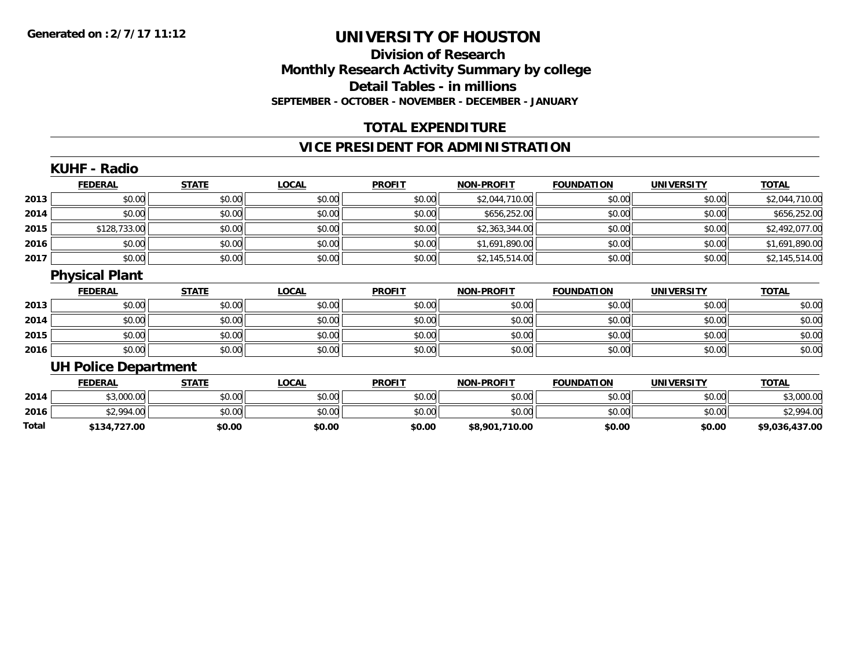### **Division of Research Monthly Research Activity Summary by college Detail Tables - in millions SEPTEMBER - OCTOBER - NOVEMBER - DECEMBER - JANUARY**

### **TOTAL EXPENDITURE**

### **VICE PRESIDENT FOR ADMINISTRATION**

|       | <b>KUHF - Radio</b>         |              |              |               |                   |                   |                   |                |
|-------|-----------------------------|--------------|--------------|---------------|-------------------|-------------------|-------------------|----------------|
|       | <b>FEDERAL</b>              | <b>STATE</b> | <b>LOCAL</b> | <b>PROFIT</b> | <b>NON-PROFIT</b> | <b>FOUNDATION</b> | <b>UNIVERSITY</b> | <b>TOTAL</b>   |
| 2013  | \$0.00                      | \$0.00       | \$0.00       | \$0.00        | \$2,044,710.00    | \$0.00            | \$0.00            | \$2,044,710.00 |
| 2014  | \$0.00                      | \$0.00       | \$0.00       | \$0.00        | \$656,252.00      | \$0.00            | \$0.00            | \$656,252.00   |
| 2015  | \$128,733.00                | \$0.00       | \$0.00       | \$0.00        | \$2,363,344.00    | \$0.00            | \$0.00            | \$2,492,077.00 |
| 2016  | \$0.00                      | \$0.00       | \$0.00       | \$0.00        | \$1,691,890.00    | \$0.00            | \$0.00            | \$1,691,890.00 |
| 2017  | \$0.00                      | \$0.00       | \$0.00       | \$0.00        | \$2,145,514.00    | \$0.00            | \$0.00            | \$2,145,514.00 |
|       | <b>Physical Plant</b>       |              |              |               |                   |                   |                   |                |
|       | <b>FEDERAL</b>              | <b>STATE</b> | <b>LOCAL</b> | <b>PROFIT</b> | <b>NON-PROFIT</b> | <b>FOUNDATION</b> | <b>UNIVERSITY</b> | <b>TOTAL</b>   |
| 2013  | \$0.00                      | \$0.00       | \$0.00       | \$0.00        | \$0.00            | \$0.00            | \$0.00            | \$0.00         |
| 2014  | \$0.00                      | \$0.00       | \$0.00       | \$0.00        | \$0.00            | \$0.00            | \$0.00            | \$0.00         |
| 2015  | \$0.00                      | \$0.00       | \$0.00       | \$0.00        | \$0.00            | \$0.00            | \$0.00            | \$0.00         |
| 2016  | \$0.00                      | \$0.00       | \$0.00       | \$0.00        | \$0.00            | \$0.00            | \$0.00            | \$0.00         |
|       | <b>UH Police Department</b> |              |              |               |                   |                   |                   |                |
|       | <b>FEDERAL</b>              | <b>STATE</b> | <b>LOCAL</b> | <b>PROFIT</b> | <b>NON-PROFIT</b> | <b>FOUNDATION</b> | <b>UNIVERSITY</b> | <b>TOTAL</b>   |
| 2014  | \$3,000.00                  | \$0.00       | \$0.00       | \$0.00        | \$0.00            | \$0.00            | \$0.00            | \$3,000.00     |
| 2016  | \$2,994.00                  | \$0.00       | \$0.00       | \$0.00        | \$0.00            | \$0.00            | \$0.00            | \$2,994.00     |
| Total | \$134,727.00                | \$0.00       | \$0.00       | \$0.00        | \$8,901,710.00    | \$0.00            | \$0.00            | \$9,036,437.00 |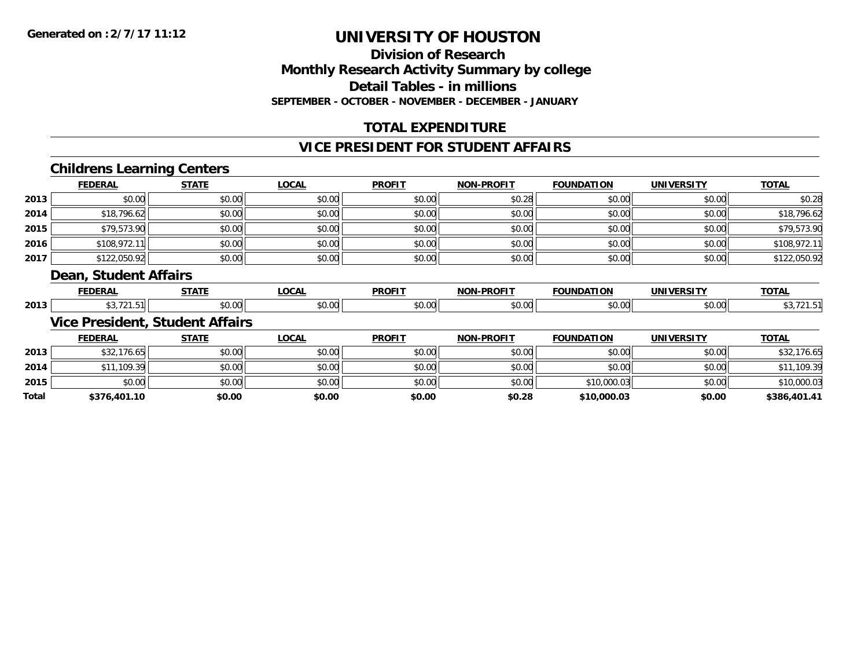**Total**

# **UNIVERSITY OF HOUSTON**

### **Division of ResearchMonthly Research Activity Summary by college Detail Tables - in millions SEPTEMBER - OCTOBER - NOVEMBER - DECEMBER - JANUARY**

### **TOTAL EXPENDITURE**

### **VICE PRESIDENT FOR STUDENT AFFAIRS**

### **Childrens Learning Centers**

|      | <b>FEDERAL</b>        | <b>STATE</b>                           | <b>LOCAL</b> | <b>PROFIT</b> | <b>NON-PROFIT</b> | <b>FOUNDATION</b> | <b>UNIVERSITY</b> | <b>TOTAL</b> |
|------|-----------------------|----------------------------------------|--------------|---------------|-------------------|-------------------|-------------------|--------------|
| 2013 | \$0.00                | \$0.00                                 | \$0.00       | \$0.00        | \$0.28            | \$0.00            | \$0.00            | \$0.28       |
| 2014 | \$18,796.62           | \$0.00                                 | \$0.00       | \$0.00        | \$0.00            | \$0.00            | \$0.00            | \$18,796.62  |
| 2015 | \$79,573.90           | \$0.00                                 | \$0.00       | \$0.00        | \$0.00            | \$0.00            | \$0.00            | \$79,573.90  |
| 2016 | \$108,972.11          | \$0.00                                 | \$0.00       | \$0.00        | \$0.00            | \$0.00            | \$0.00            | \$108,972.11 |
| 2017 | \$122,050.92          | \$0.00                                 | \$0.00       | \$0.00        | \$0.00            | \$0.00            | \$0.00            | \$122,050.92 |
|      | Dean, Student Affairs |                                        |              |               |                   |                   |                   |              |
|      |                       |                                        |              |               |                   |                   |                   |              |
|      | <b>FEDERAL</b>        | <b>STATE</b>                           | <b>LOCAL</b> | <b>PROFIT</b> | <b>NON-PROFIT</b> | <b>FOUNDATION</b> | <b>UNIVERSITY</b> | <b>TOTAL</b> |
| 2013 | \$3,721.51            | \$0.00                                 | \$0.00       | \$0.00        | \$0.00            | \$0.00            | \$0.00            | \$3,721.51   |
|      |                       | <b>Vice President, Student Affairs</b> |              |               |                   |                   |                   |              |
|      | <b>FEDERAL</b>        | <b>STATE</b>                           | <b>LOCAL</b> | <b>PROFIT</b> | <b>NON-PROFIT</b> | <b>FOUNDATION</b> | <b>UNIVERSITY</b> | <b>TOTAL</b> |
| 2013 | \$32,176.65           | \$0.00                                 | \$0.00       | \$0.00        | \$0.00            | \$0.00            | \$0.00            | \$32,176.65  |
| 2014 | \$11,109.39           | \$0.00                                 | \$0.00       | \$0.00        | \$0.00            | \$0.00            | \$0.00            | \$11,109.39  |

\$0.00 \$0.00 \$0.00 \$0.00 \$0.00 \$10,000.03 \$0.00 \$10,000.03

**\$376,401.10 \$0.00 \$0.00 \$0.00 \$0.28 \$10,000.03 \$0.00 \$386,401.41**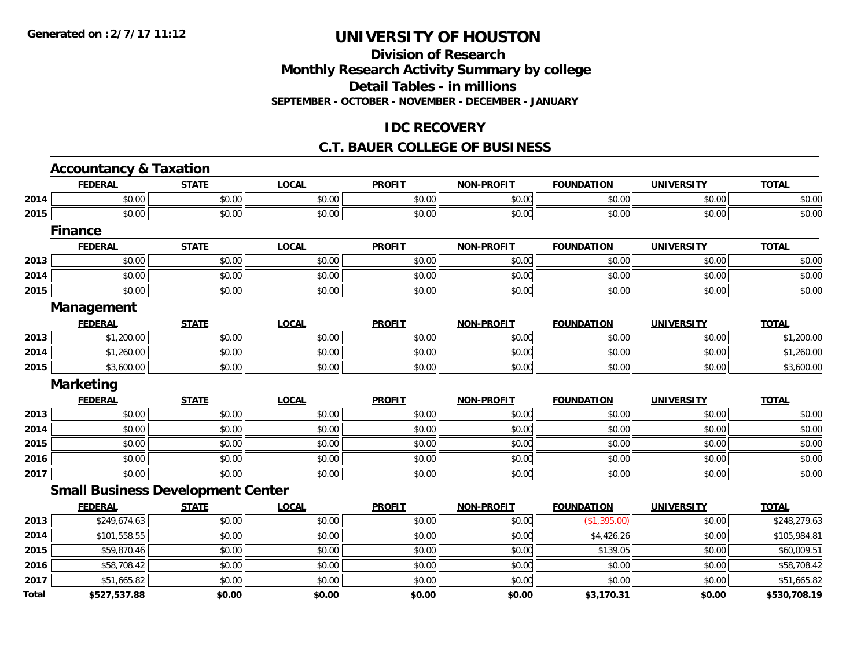### **Division of Research Monthly Research Activity Summary by college Detail Tables - in millions SEPTEMBER - OCTOBER - NOVEMBER - DECEMBER - JANUARY**

### **IDC RECOVERY**

#### **C.T. BAUER COLLEGE OF BUSINESS**

|       | <b>Accountancy &amp; Taxation</b>        |              |              |               |                   |                   |                   |              |
|-------|------------------------------------------|--------------|--------------|---------------|-------------------|-------------------|-------------------|--------------|
|       | <b>FEDERAL</b>                           | <b>STATE</b> | <b>LOCAL</b> | <b>PROFIT</b> | NON-PROFIT        | <b>FOUNDATION</b> | <b>UNIVERSITY</b> | <b>TOTAL</b> |
| 2014  | \$0.00                                   | \$0.00       | \$0.00       | \$0.00        | \$0.00            | \$0.00            | \$0.00            | \$0.00       |
| 2015  | \$0.00                                   | \$0.00       | \$0.00       | \$0.00        | \$0.00            | \$0.00            | \$0.00            | \$0.00       |
|       | <b>Finance</b>                           |              |              |               |                   |                   |                   |              |
|       | <b>FEDERAL</b>                           | <b>STATE</b> | <b>LOCAL</b> | <b>PROFIT</b> | <b>NON-PROFIT</b> | <b>FOUNDATION</b> | <b>UNIVERSITY</b> | <b>TOTAL</b> |
| 2013  | \$0.00                                   | \$0.00       | \$0.00       | \$0.00        | \$0.00            | \$0.00            | \$0.00            | \$0.00       |
| 2014  | \$0.00                                   | \$0.00       | \$0.00       | \$0.00        | \$0.00            | \$0.00            | \$0.00            | \$0.00       |
| 2015  | \$0.00                                   | \$0.00       | \$0.00       | \$0.00        | \$0.00            | \$0.00            | \$0.00            | \$0.00       |
|       | Management                               |              |              |               |                   |                   |                   |              |
|       | <b>FEDERAL</b>                           | <b>STATE</b> | <b>LOCAL</b> | <b>PROFIT</b> | <b>NON-PROFIT</b> | <b>FOUNDATION</b> | <b>UNIVERSITY</b> | <b>TOTAL</b> |
| 2013  | \$1,200.00                               | \$0.00       | \$0.00       | \$0.00        | \$0.00            | \$0.00            | \$0.00            | \$1,200.00   |
| 2014  | \$1,260.00                               | \$0.00       | \$0.00       | \$0.00        | \$0.00            | \$0.00            | \$0.00            | \$1,260.00   |
| 2015  | \$3,600.00                               | \$0.00       | \$0.00       | \$0.00        | \$0.00            | \$0.00            | \$0.00            | \$3,600.00   |
|       | <b>Marketing</b>                         |              |              |               |                   |                   |                   |              |
|       | <b>FEDERAL</b>                           | <b>STATE</b> | <b>LOCAL</b> | <b>PROFIT</b> | <b>NON-PROFIT</b> | <b>FOUNDATION</b> | <b>UNIVERSITY</b> | <b>TOTAL</b> |
| 2013  | \$0.00                                   | \$0.00       | \$0.00       | \$0.00        | \$0.00            | \$0.00            | \$0.00            | \$0.00       |
| 2014  | \$0.00                                   | \$0.00       | \$0.00       | \$0.00        | \$0.00            | \$0.00            | \$0.00            | \$0.00       |
| 2015  | \$0.00                                   | \$0.00       | \$0.00       | \$0.00        | \$0.00            | \$0.00            | \$0.00            | \$0.00       |
| 2016  | \$0.00                                   | \$0.00       | \$0.00       | \$0.00        | \$0.00            | \$0.00            | \$0.00            | \$0.00       |
| 2017  | \$0.00                                   | \$0.00       | \$0.00       | \$0.00        | \$0.00            | \$0.00            | \$0.00            | \$0.00       |
|       | <b>Small Business Development Center</b> |              |              |               |                   |                   |                   |              |
|       | <b>FEDERAL</b>                           | <b>STATE</b> | <b>LOCAL</b> | <b>PROFIT</b> | <b>NON-PROFIT</b> | <b>FOUNDATION</b> | <b>UNIVERSITY</b> | <b>TOTAL</b> |
| 2013  | \$249,674.63                             | \$0.00       | \$0.00       | \$0.00        | \$0.00            | (\$1,395.00)      | \$0.00            | \$248,279.63 |
| 2014  | \$101,558.55                             | \$0.00       | \$0.00       | \$0.00        | \$0.00            | \$4,426.26        | \$0.00            | \$105,984.81 |
| 2015  | \$59,870.46                              | \$0.00       | \$0.00       | \$0.00        | \$0.00            | \$139.05          | \$0.00            | \$60,009.51  |
| 2016  | \$58,708.42                              | \$0.00       | \$0.00       | \$0.00        | \$0.00            | \$0.00            | \$0.00            | \$58,708.42  |
| 2017  | \$51,665.82                              | \$0.00       | \$0.00       | \$0.00        | \$0.00            | \$0.00            | \$0.00            | \$51,665.82  |
| Total | \$527,537.88                             | \$0.00       | \$0.00       | \$0.00        | \$0.00            | \$3,170.31        | \$0.00            | \$530,708.19 |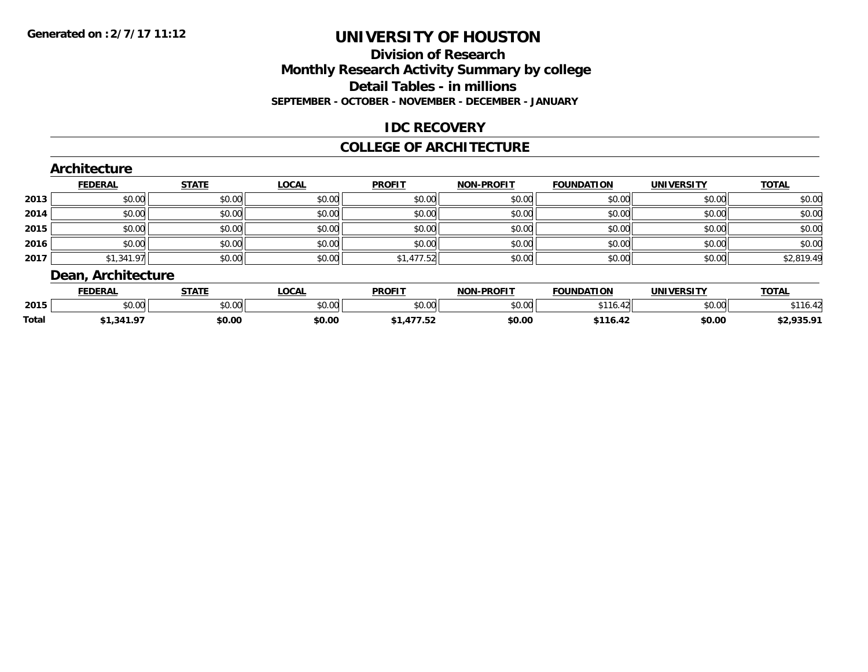### **Division of ResearchMonthly Research Activity Summary by college Detail Tables - in millionsSEPTEMBER - OCTOBER - NOVEMBER - DECEMBER - JANUARY**

### **IDC RECOVERY**

#### **COLLEGE OF ARCHITECTURE**

#### **Architecture FEDERAL STATE LOCAL PROFIT NON-PROFIT FOUNDATION UNIVERSITY TOTALTOTAL 2013** $\textbf{3} \quad \textbf{\textcolor{blue}{\textbf{50.00}}} \quad \textbf{\textcolor{blue}{\textbf{50.00}}} \quad \textbf{\textcolor{blue}{\textbf{50.00}}} \quad \textbf{\textcolor{blue}{\textbf{50.00}}} \quad \textbf{\textcolor{blue}{\textbf{50.00}}} \quad \textbf{\textcolor{blue}{\textbf{50.00}}} \quad \textbf{\textcolor{blue}{\textbf{50.00}}} \quad \textbf{\textcolor{blue}{\textbf{50.00}}} \quad \textbf{\textcolor{blue}{\textbf{50.00}}} \quad \textbf{\textcolor{blue}{\textbf{50.00}}} \quad \text$ **2014**4 \$0.00 | \$0.00 | \$0.00 | \$0.00 | \$0.00 | \$0.00 | \$0.00 | \$0 **2015** \$0.00 \$0.00 \$0.00 \$0.00 \$0.00 \$0.00 \$0.00 \$0.00 **2016** \$0.00 \$0.00 \$0.00 \$0.00 \$0.00 \$0.00 \$0.00 \$0.00 **2017**7 | \$1,341.97|| \$0.00|| \$0.00|| \$0.00|| \$1,477.52|| \$0.00|| \$0.00|| \$0.00|| \$0.00|| \$2,819.49| **Dean, Architecture**

|              | <b>FEDERAL</b>         | <b>CTATE</b>           | <b>OCAL</b>    | <b>PROFIT</b>           | <b>LDDOFIT</b><br><b>ארות</b> | <b>FOUNDATION</b> | <b>UNIVERSITY</b>     | <b>TOTAL</b>                    |
|--------------|------------------------|------------------------|----------------|-------------------------|-------------------------------|-------------------|-----------------------|---------------------------------|
| 2015         | $\sim$ $\sim$<br>וטטוע | $n \cap \neg$<br>DU.UU | ტი იი<br>JU.UU | 0 <sub>n</sub><br>JU.UU | 0000<br>v.vu                  | ***<br>$\sim$     | 0.001<br><b>DU.UU</b> | ***<br>$\overline{\phantom{a}}$ |
| <b>Total</b> | .                      | \$0.00                 | \$0.00         | .                       | \$0.00                        |                   | \$0.00                | *^ ^^r ^4<br>32.73J.            |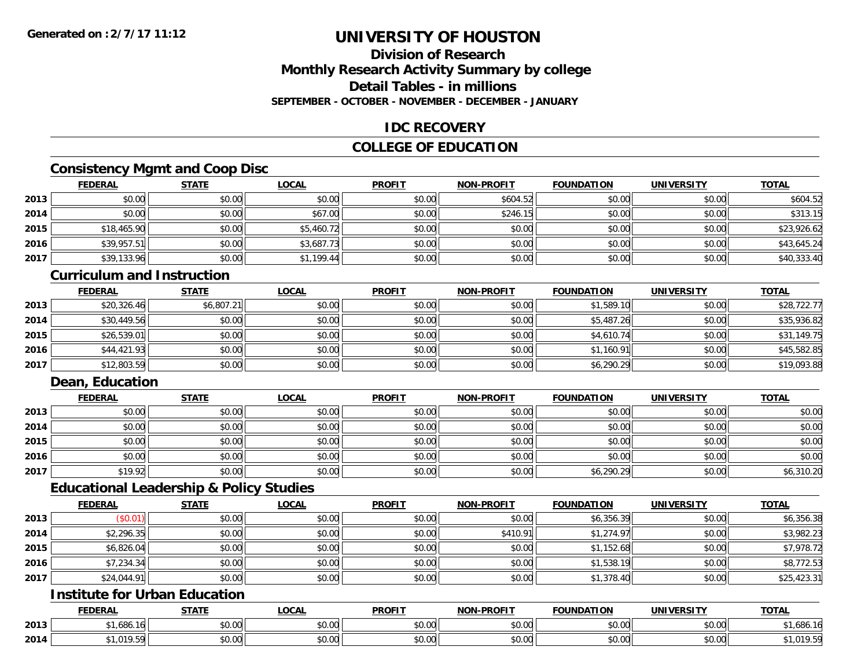### **Division of ResearchMonthly Research Activity Summary by college Detail Tables - in millionsSEPTEMBER - OCTOBER - NOVEMBER - DECEMBER - JANUARY**

### **IDC RECOVERY**

### **COLLEGE OF EDUCATION**

### **Consistency Mgmt and Coop Disc**

|      | <u>FEDERAL</u> | <b>STATE</b> | <b>LOCAL</b> | <b>PROFIT</b> | <b>NON-PROFIT</b> | <b>FOUNDATION</b> | <b>UNIVERSITY</b> | <b>TOTAL</b> |
|------|----------------|--------------|--------------|---------------|-------------------|-------------------|-------------------|--------------|
| 2013 | \$0.00         | \$0.00       | \$0.00       | \$0.00        | \$604.52          | \$0.00            | \$0.00            | \$604.52     |
| 2014 | \$0.00         | \$0.00       | \$67.00      | \$0.00        | \$246.15          | \$0.00            | \$0.00            | \$313.15     |
| 2015 | \$18,465.90    | \$0.00       | \$5,460.72   | \$0.00        | \$0.00            | \$0.00            | \$0.00            | \$23,926.62  |
| 2016 | \$39,957.51    | \$0.00       | \$3,687.73   | \$0.00        | \$0.00            | \$0.00            | \$0.00            | \$43,645.24  |
| 2017 | \$39,133.96    | \$0.00       | \$1,199.44   | \$0.00        | \$0.00            | \$0.00            | \$0.00            | \$40,333.40  |

#### **Curriculum and Instruction**

|      | <u>FEDERAL</u> | <b>STATE</b> | <u>LOCAL</u> | <b>PROFIT</b> | <b>NON-PROFIT</b> | <b>FOUNDATION</b> | <b>UNIVERSITY</b> | <b>TOTAL</b> |
|------|----------------|--------------|--------------|---------------|-------------------|-------------------|-------------------|--------------|
| 2013 | \$20,326.46    | \$6,807.21   | \$0.00       | \$0.00        | \$0.00            | \$1,589.10        | \$0.00            | \$28,722.77  |
| 2014 | \$30,449.56    | \$0.00       | \$0.00       | \$0.00        | \$0.00            | \$5,487.26        | \$0.00            | \$35,936.82  |
| 2015 | \$26,539.01    | \$0.00       | \$0.00       | \$0.00        | \$0.00            | \$4,610.74        | \$0.00            | \$31,149.75  |
| 2016 | \$44,421.93    | \$0.00       | \$0.00       | \$0.00        | \$0.00            | \$1,160.91        | \$0.00            | \$45,582.85  |
| 2017 | \$12,803.59    | \$0.00       | \$0.00       | \$0.00        | \$0.00            | \$6,290.29        | \$0.00            | \$19,093.88  |

### **Dean, Education**

|      | <b>FEDERAL</b> | <u>STATE</u> | <u>LOCAL</u> | <b>PROFIT</b> | <b>NON-PROFIT</b> | <b>FOUNDATION</b> | <b>UNIVERSITY</b> | <b>TOTAL</b> |
|------|----------------|--------------|--------------|---------------|-------------------|-------------------|-------------------|--------------|
| 2013 | \$0.00         | \$0.00       | \$0.00       | \$0.00        | \$0.00            | \$0.00            | \$0.00            | \$0.00       |
| 2014 | \$0.00         | \$0.00       | \$0.00       | \$0.00        | \$0.00            | \$0.00            | \$0.00            | \$0.00       |
| 2015 | \$0.00         | \$0.00       | \$0.00       | \$0.00        | \$0.00            | \$0.00            | \$0.00            | \$0.00       |
| 2016 | \$0.00         | \$0.00       | \$0.00       | \$0.00        | \$0.00            | \$0.00            | \$0.00            | \$0.00       |
| 2017 | \$19.92        | \$0.00       | \$0.00       | \$0.00        | \$0.00            | \$6,290.29        | \$0.00            | \$6,310.20   |

### **Educational Leadership & Policy Studies**

|      | <b>FEDERAL</b> | <b>STATE</b> | <u>LOCAL</u> | <b>PROFIT</b> | <b>NON-PROFIT</b> | <b>FOUNDATION</b> | <b>UNIVERSITY</b> | <b>TOTAL</b> |
|------|----------------|--------------|--------------|---------------|-------------------|-------------------|-------------------|--------------|
| 2013 | (\$0.01)       | \$0.00       | \$0.00       | \$0.00        | \$0.00            | \$6,356.39        | \$0.00            | \$6,356.38   |
| 2014 | \$2,296.35     | \$0.00       | \$0.00       | \$0.00        | \$410.91          | \$1,274.97        | \$0.00            | \$3,982.23   |
| 2015 | \$6,826.04     | \$0.00       | \$0.00       | \$0.00        | \$0.00            | \$1,152.68        | \$0.00            | \$7,978.72   |
| 2016 | \$7,234.34     | \$0.00       | \$0.00       | \$0.00        | \$0.00            | \$1,538.19        | \$0.00            | \$8,772.53   |
| 2017 | \$24,044.91    | \$0.00       | \$0.00       | \$0.00        | \$0.00            | \$1,378.40        | \$0.00            | \$25,423.31  |

## **Institute for Urban Education**

|      | <b>FEDERAL</b>               | <b>CTATE</b>  | <b>_OCAL</b>          | <b>PROFIT</b>                        | <b>-PROFIT</b><br><b>BIABI</b> | <b>FOUNDATION</b> | <b>UNIVERSITY</b>         | <b>TOTAL</b> |
|------|------------------------------|---------------|-----------------------|--------------------------------------|--------------------------------|-------------------|---------------------------|--------------|
| 2013 | $\sqrt{2}$<br>. 10<br>000. ' | 0000<br>DU.UU | $\sim$<br>0 t<br>וטט. | $*$ $\circ$ $\circ$ $\circ$<br>DU.UU | 0.00<br>JU.UU                  | \$0.00            | $\sim$ 00<br><b>JU.UU</b> | 1,686.16     |
| 2014 | 010E<br>$\cdot$ .            | 0.00<br>ט.טע  | $\sim$ 00<br>vv.vv    | $*$ $\cap$ $\cap$<br>DU.UU           | 0.00<br>JU.UU                  | \$0.00            | $\sim$ 00<br>JU.UU        | $1,019.5$ °  |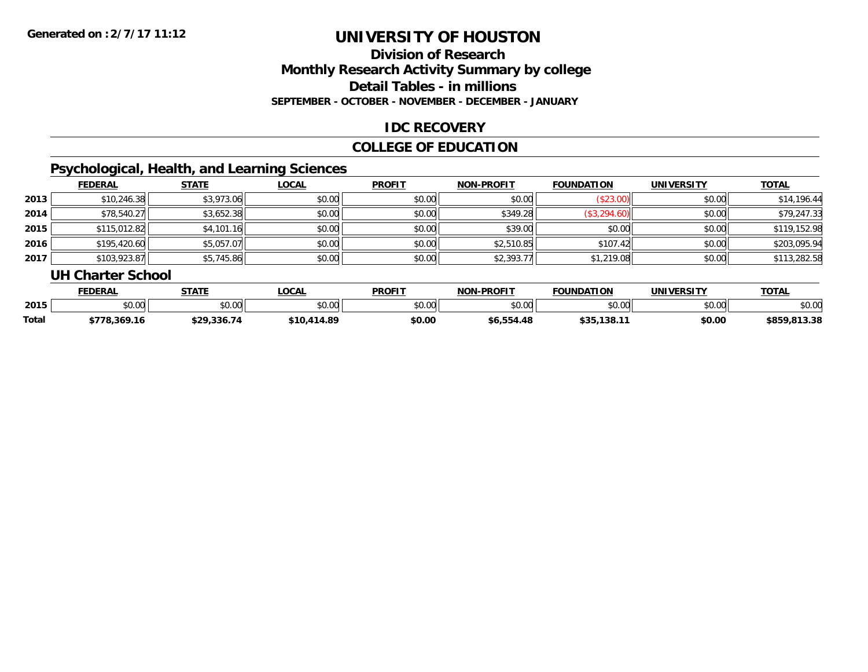### **Division of ResearchMonthly Research Activity Summary by college Detail Tables - in millions SEPTEMBER - OCTOBER - NOVEMBER - DECEMBER - JANUARY**

### **IDC RECOVERY**

### **COLLEGE OF EDUCATION**

## **Psychological, Health, and Learning Sciences**

|      | <b>FEDERAL</b> | <b>STATE</b> | <b>LOCAL</b> | <b>PROFIT</b> | <b>NON-PROFIT</b> | <b>FOUNDATION</b> | <b>UNIVERSITY</b> | <b>TOTAL</b> |
|------|----------------|--------------|--------------|---------------|-------------------|-------------------|-------------------|--------------|
| 2013 | \$10,246.38    | \$3,973.06   | \$0.00       | \$0.00        | \$0.00            | (\$23.00)         | \$0.00            | \$14,196.44  |
| 2014 | \$78,540.27    | \$3,652.38   | \$0.00       | \$0.00        | \$349.28          | \$3,294.60        | \$0.00            | \$79,247.33  |
| 2015 | \$115,012.82   | \$4,101.16   | \$0.00       | \$0.00        | \$39.00           | \$0.00            | \$0.00            | \$119,152.98 |
| 2016 | \$195,420.60   | \$5,057.07   | \$0.00       | \$0.00        | \$2,510.85        | \$107.42          | \$0.00            | \$203,095.94 |
| 2017 | \$103,923.87   | \$5,745.86   | \$0.00       | \$0.00        | \$2,393.77        | \$1,219.08        | \$0.00            | \$113,282.58 |

#### **UH Charter School**

|       | <b>FEDERAL</b>               | <b>STATE</b>  | <b>OCAL</b>     | <b>PROFIT</b> | <b>NON-PROFIT</b> | <b>FOUNDATION</b>       | UNIVERSITY | <b>TOTAL</b>     |
|-------|------------------------------|---------------|-----------------|---------------|-------------------|-------------------------|------------|------------------|
| 2015  | <b>00</b><br>$\cap$<br>טט.טע | 0000<br>JU.UU | \$0.00          | 0000<br>JU.UU | 0000<br>\$U.UU    | \$0.00                  | \$0.00     | \$0.00           |
| Total | 78.369.16                    | \$29.336.74   | 414.89<br>\$10. | \$0.00        | \$6.554.48        | ぐつに<br>. 1201<br>.<br>. | \$0.00     | .813.38<br>\$859 |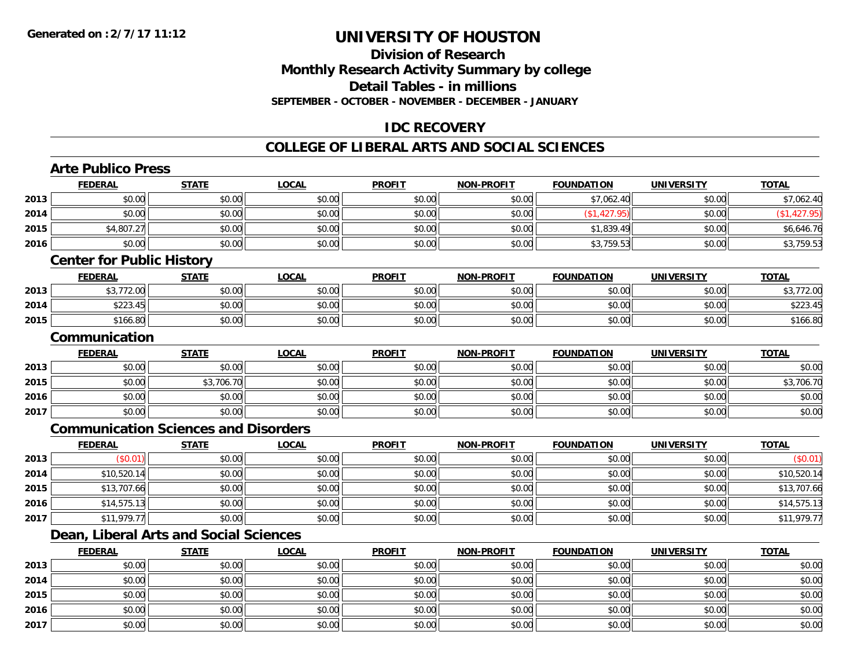### **Division of ResearchMonthly Research Activity Summary by college Detail Tables - in millionsSEPTEMBER - OCTOBER - NOVEMBER - DECEMBER - JANUARY**

### **IDC RECOVERY**

### **COLLEGE OF LIBERAL ARTS AND SOCIAL SCIENCES**

## **Arte Publico Press**

**2016**

**2017**

|      | <b>FEDERAL</b>                   | <b>STATE</b>                                | <b>LOCAL</b> | <b>PROFIT</b> | <b>NON-PROFIT</b> | <b>FOUNDATION</b> | <b>UNIVERSITY</b> | <b>TOTAL</b> |
|------|----------------------------------|---------------------------------------------|--------------|---------------|-------------------|-------------------|-------------------|--------------|
| 2013 | \$0.00                           | \$0.00                                      | \$0.00       | \$0.00        | \$0.00            | \$7,062.40        | \$0.00            | \$7,062.40   |
| 2014 | \$0.00                           | \$0.00                                      | \$0.00       | \$0.00        | \$0.00            | (\$1,427.95)      | \$0.00            | (\$1,427.95) |
| 2015 | \$4,807.27                       | \$0.00                                      | \$0.00       | \$0.00        | \$0.00            | \$1,839.49        | \$0.00            | \$6,646.76   |
| 2016 | \$0.00                           | \$0.00                                      | \$0.00       | \$0.00        | \$0.00            | \$3,759.53        | \$0.00            | \$3,759.53   |
|      | <b>Center for Public History</b> |                                             |              |               |                   |                   |                   |              |
|      | <b>FEDERAL</b>                   | <b>STATE</b>                                | <b>LOCAL</b> | <b>PROFIT</b> | <b>NON-PROFIT</b> | <b>FOUNDATION</b> | <b>UNIVERSITY</b> | <b>TOTAL</b> |
| 2013 | \$3,772.00                       | \$0.00                                      | \$0.00       | \$0.00        | \$0.00            | \$0.00            | \$0.00            | \$3,772.00   |
| 2014 | \$223.45                         | \$0.00                                      | \$0.00       | \$0.00        | \$0.00            | \$0.00            | \$0.00            | \$223.45     |
| 2015 | \$166.80                         | \$0.00                                      | \$0.00       | \$0.00        | \$0.00            | \$0.00            | \$0.00            | \$166.80     |
|      | Communication                    |                                             |              |               |                   |                   |                   |              |
|      | <b>FEDERAL</b>                   | <b>STATE</b>                                | <b>LOCAL</b> | <b>PROFIT</b> | <b>NON-PROFIT</b> | <b>FOUNDATION</b> | <b>UNIVERSITY</b> | <b>TOTAL</b> |
| 2013 | \$0.00                           | \$0.00                                      | \$0.00       | \$0.00        | \$0.00            | \$0.00            | \$0.00            | \$0.00       |
| 2015 | \$0.00                           | \$3,706.70                                  | \$0.00       | \$0.00        | \$0.00            | \$0.00            | \$0.00            | \$3,706.70   |
| 2016 | \$0.00                           | \$0.00                                      | \$0.00       | \$0.00        | \$0.00            | \$0.00            | \$0.00            | \$0.00       |
| 2017 | \$0.00                           | \$0.00                                      | \$0.00       | \$0.00        | \$0.00            | \$0.00            | \$0.00            | \$0.00       |
|      |                                  | <b>Communication Sciences and Disorders</b> |              |               |                   |                   |                   |              |
|      | <b>FEDERAL</b>                   | <b>STATE</b>                                | <b>LOCAL</b> | <b>PROFIT</b> | <b>NON-PROFIT</b> | <b>FOUNDATION</b> | <b>UNIVERSITY</b> | <b>TOTAL</b> |
| 2013 | (\$0.01)                         | \$0.00                                      | \$0.00       | \$0.00        | \$0.00            | \$0.00            | \$0.00            | (\$0.01)     |
| 2014 | \$10,520.14                      | \$0.00                                      | \$0.00       | \$0.00        | \$0.00            | \$0.00            | \$0.00            | \$10,520.14  |
| 2015 | \$13,707.66                      | \$0.00                                      | \$0.00       | \$0.00        | \$0.00            | \$0.00            | \$0.00            | \$13,707.66  |
| 2016 | \$14,575.13                      | \$0.00                                      | \$0.00       | \$0.00        | \$0.00            | \$0.00            | \$0.00            | \$14,575.13  |
| 2017 | \$11,979.77                      | \$0.00                                      | \$0.00       | \$0.00        | \$0.00            | \$0.00            | \$0.00            | \$11,979.77  |
|      |                                  | Dean, Liberal Arts and Social Sciences      |              |               |                   |                   |                   |              |
|      | <b>FEDERAL</b>                   | <b>STATE</b>                                | <b>LOCAL</b> | <b>PROFIT</b> | <b>NON-PROFIT</b> | <b>FOUNDATION</b> | <b>UNIVERSITY</b> | <b>TOTAL</b> |
| 2013 | \$0.00                           | \$0.00                                      | \$0.00       | \$0.00        | \$0.00            | \$0.00            | \$0.00            | \$0.00       |
| 2014 | \$0.00                           | \$0.00                                      | \$0.00       | \$0.00        | \$0.00            | \$0.00            | \$0.00            | \$0.00       |
| 2015 | \$0.00                           | \$0.00                                      | \$0.00       | \$0.00        | \$0.00            | \$0.00            | \$0.00            | \$0.00       |

\$0.00 \$0.00 \$0.00 \$0.00 \$0.00 \$0.00 \$0.00 \$0.00

7 | \$0.00 \$0.00 \$0.00 \$0.00 \$0.00 \$0.00 \$0.00 \$0.00 \$0.00 \$0.00 \$0.00 \$0.00 \$0.00 \$0.00 \$0.00 \$0.00 \$0.00 \$0.00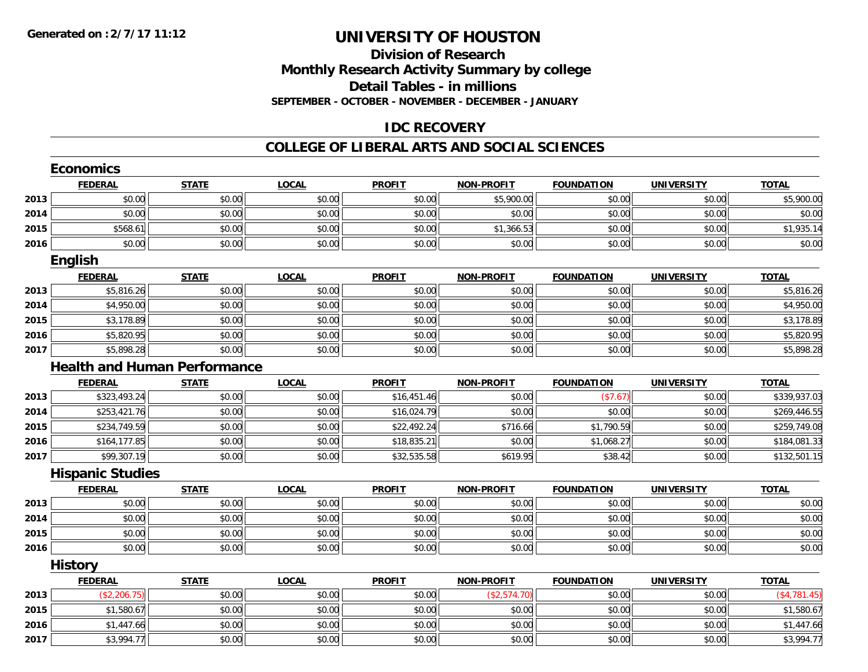### **Division of ResearchMonthly Research Activity Summary by college Detail Tables - in millions SEPTEMBER - OCTOBER - NOVEMBER - DECEMBER - JANUARY**

### **IDC RECOVERY**

#### **COLLEGE OF LIBERAL ARTS AND SOCIAL SCIENCES**

|      | <b>Economics</b>        |                                     |              |               |                   |                   |                   |              |
|------|-------------------------|-------------------------------------|--------------|---------------|-------------------|-------------------|-------------------|--------------|
|      | <b>FEDERAL</b>          | <b>STATE</b>                        | <b>LOCAL</b> | <b>PROFIT</b> | <b>NON-PROFIT</b> | <b>FOUNDATION</b> | <b>UNIVERSITY</b> | <b>TOTAL</b> |
| 2013 | \$0.00                  | \$0.00                              | \$0.00       | \$0.00        | \$5,900.00        | \$0.00            | \$0.00            | \$5,900.00   |
| 2014 | \$0.00                  | \$0.00                              | \$0.00       | \$0.00        | \$0.00            | \$0.00            | \$0.00            | \$0.00       |
| 2015 | \$568.61                | \$0.00                              | \$0.00       | \$0.00        | \$1,366.53        | \$0.00            | \$0.00            | \$1,935.14   |
| 2016 | \$0.00                  | \$0.00                              | \$0.00       | \$0.00        | \$0.00            | \$0.00            | \$0.00            | \$0.00       |
|      | <b>English</b>          |                                     |              |               |                   |                   |                   |              |
|      | <b>FEDERAL</b>          | <b>STATE</b>                        | <b>LOCAL</b> | <b>PROFIT</b> | <b>NON-PROFIT</b> | <b>FOUNDATION</b> | <b>UNIVERSITY</b> | <b>TOTAL</b> |
| 2013 | \$5,816.26              | \$0.00                              | \$0.00       | \$0.00        | \$0.00            | \$0.00            | \$0.00            | \$5,816.26   |
| 2014 | \$4,950.00              | \$0.00                              | \$0.00       | \$0.00        | \$0.00            | \$0.00            | \$0.00            | \$4,950.00   |
| 2015 | \$3,178.89              | \$0.00                              | \$0.00       | \$0.00        | \$0.00            | \$0.00            | \$0.00            | \$3,178.89   |
| 2016 | \$5,820.95              | \$0.00                              | \$0.00       | \$0.00        | \$0.00            | \$0.00            | \$0.00            | \$5,820.95   |
| 2017 | \$5,898.28              | \$0.00                              | \$0.00       | \$0.00        | \$0.00            | \$0.00            | \$0.00            | \$5,898.28   |
|      |                         | <b>Health and Human Performance</b> |              |               |                   |                   |                   |              |
|      | <b>FEDERAL</b>          | <b>STATE</b>                        | <b>LOCAL</b> | <b>PROFIT</b> | <b>NON-PROFIT</b> | <b>FOUNDATION</b> | <b>UNIVERSITY</b> | <b>TOTAL</b> |
| 2013 | \$323,493.24            | \$0.00                              | \$0.00       | \$16,451.46   | \$0.00            | (\$7.67)          | \$0.00            | \$339,937.03 |
| 2014 | \$253,421.76            | \$0.00                              | \$0.00       | \$16,024.79   | \$0.00            | \$0.00            | \$0.00            | \$269,446.55 |
| 2015 | \$234,749.59            | \$0.00                              | \$0.00       | \$22,492.24   | \$716.66          | \$1,790.59        | \$0.00            | \$259,749.08 |
| 2016 | \$164,177.85            | \$0.00                              | \$0.00       | \$18,835.21   | \$0.00            | \$1,068.27        | \$0.00            | \$184,081.33 |
| 2017 | \$99,307.19             | \$0.00                              | \$0.00       | \$32,535.58   | \$619.95          | \$38.42           | \$0.00            | \$132,501.15 |
|      | <b>Hispanic Studies</b> |                                     |              |               |                   |                   |                   |              |
|      | <b>FEDERAL</b>          | <b>STATE</b>                        | <b>LOCAL</b> | <b>PROFIT</b> | <b>NON-PROFIT</b> | <b>FOUNDATION</b> | <b>UNIVERSITY</b> | <b>TOTAL</b> |
| 2013 | \$0.00                  | \$0.00                              | \$0.00       | \$0.00        | \$0.00            | \$0.00            | \$0.00            | \$0.00       |
| 2014 | \$0.00                  | \$0.00                              | \$0.00       | \$0.00        | \$0.00            | \$0.00            | \$0.00            | \$0.00       |
| 2015 | \$0.00                  | \$0.00                              | \$0.00       | \$0.00        | \$0.00            | \$0.00            | \$0.00            | \$0.00       |
| 2016 | \$0.00                  | \$0.00                              | \$0.00       | \$0.00        | \$0.00            | \$0.00            | \$0.00            | \$0.00       |
|      | <b>History</b>          |                                     |              |               |                   |                   |                   |              |
|      | <b>FEDERAL</b>          | <b>STATE</b>                        | <b>LOCAL</b> | <b>PROFIT</b> | <b>NON-PROFIT</b> | <b>FOUNDATION</b> | <b>UNIVERSITY</b> | <b>TOTAL</b> |
| 2013 | (\$2,206.75)            | \$0.00                              | \$0.00       | \$0.00        | (\$2,574.70)      | \$0.00            | \$0.00            | (\$4,781.45) |
| 2015 | \$1,580.67              | \$0.00                              | \$0.00       | \$0.00        | \$0.00            | \$0.00            | \$0.00            | \$1,580.67   |
| 2016 | \$1,447.66              | \$0.00                              | \$0.00       | \$0.00        | \$0.00            | \$0.00            | \$0.00            | \$1,447.66   |
| 2017 | \$3,994.77              | \$0.00                              | \$0.00       | \$0.00        | \$0.00            | \$0.00            | \$0.00            | \$3,994.77   |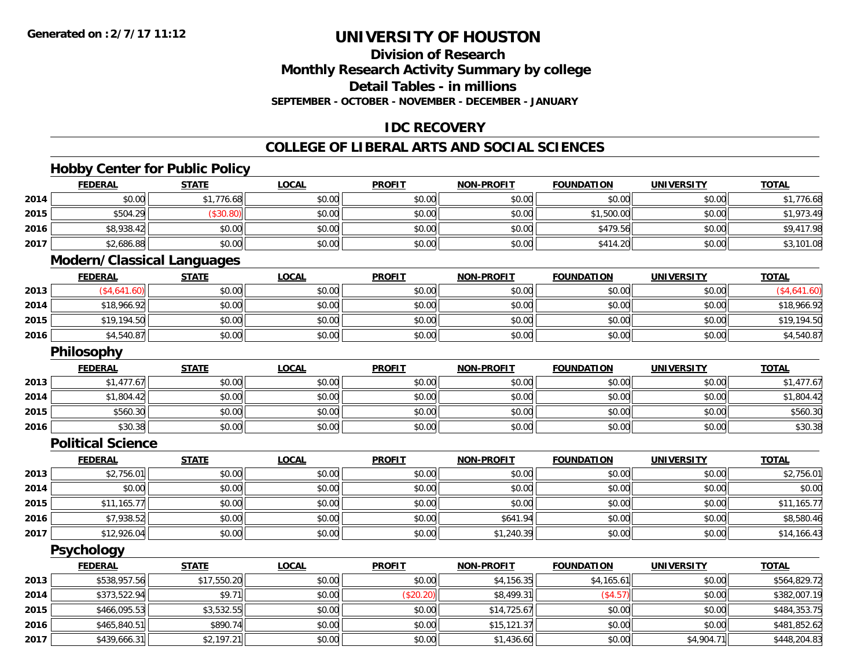**2017**

## **UNIVERSITY OF HOUSTON**

### **Division of ResearchMonthly Research Activity Summary by college Detail Tables - in millions SEPTEMBER - OCTOBER - NOVEMBER - DECEMBER - JANUARY**

### **IDC RECOVERY**

### **COLLEGE OF LIBERAL ARTS AND SOCIAL SCIENCES**

### **Hobby Center for Public Policy**

|      | <b>FEDERAL</b>                    | <b>STATE</b> | <b>LOCAL</b> | <b>PROFIT</b> | <b>NON-PROFIT</b> | <b>FOUNDATION</b> | <b>UNIVERSITY</b> | <b>TOTAL</b> |
|------|-----------------------------------|--------------|--------------|---------------|-------------------|-------------------|-------------------|--------------|
| 2014 | \$0.00                            | \$1,776.68   | \$0.00       | \$0.00        | \$0.00            | \$0.00            | \$0.00            | \$1,776.68   |
| 2015 | \$504.29                          | (\$30.80)    | \$0.00       | \$0.00        | \$0.00            | \$1,500.00        | \$0.00            | \$1,973.49   |
| 2016 | \$8,938.42                        | \$0.00       | \$0.00       | \$0.00        | \$0.00            | \$479.56          | \$0.00            | \$9,417.98   |
| 2017 | \$2,686.88                        | \$0.00       | \$0.00       | \$0.00        | \$0.00            | \$414.20          | \$0.00            | \$3,101.08   |
|      | <b>Modern/Classical Languages</b> |              |              |               |                   |                   |                   |              |
|      | <b>FEDERAL</b>                    | <b>STATE</b> | <b>LOCAL</b> | <b>PROFIT</b> | <b>NON-PROFIT</b> | <b>FOUNDATION</b> | <b>UNIVERSITY</b> | <b>TOTAL</b> |
| 2013 | (\$4,641.60)                      | \$0.00       | \$0.00       | \$0.00        | \$0.00            | \$0.00            | \$0.00            | (\$4,641.60) |
| 2014 | \$18,966.92                       | \$0.00       | \$0.00       | \$0.00        | \$0.00            | \$0.00            | \$0.00            | \$18,966.92  |
| 2015 | \$19,194.50                       | \$0.00       | \$0.00       | \$0.00        | \$0.00            | \$0.00            | \$0.00            | \$19,194.50  |
| 2016 | \$4,540.87                        | \$0.00       | \$0.00       | \$0.00        | \$0.00            | \$0.00            | \$0.00            | \$4,540.87   |
|      | <b>Philosophy</b>                 |              |              |               |                   |                   |                   |              |
|      | <b>FEDERAL</b>                    | <b>STATE</b> | <b>LOCAL</b> | <b>PROFIT</b> | <b>NON-PROFIT</b> | <b>FOUNDATION</b> | <b>UNIVERSITY</b> | <b>TOTAL</b> |
| 2013 | \$1,477.67                        | \$0.00       | \$0.00       | \$0.00        | \$0.00            | \$0.00            | \$0.00            | \$1,477.67   |
| 2014 | \$1,804.42                        | \$0.00       | \$0.00       | \$0.00        | \$0.00            | \$0.00            | \$0.00            | \$1,804.42   |
| 2015 | \$560.30                          | \$0.00       | \$0.00       | \$0.00        | \$0.00            | \$0.00            | \$0.00            | \$560.30     |
| 2016 | \$30.38                           | \$0.00       | \$0.00       | \$0.00        | \$0.00            | \$0.00            | \$0.00            | \$30.38      |
|      | <b>Political Science</b>          |              |              |               |                   |                   |                   |              |
|      | <b>FEDERAL</b>                    | <b>STATE</b> | <b>LOCAL</b> | <b>PROFIT</b> | <b>NON-PROFIT</b> | <b>FOUNDATION</b> | <b>UNIVERSITY</b> | <b>TOTAL</b> |
| 2013 | \$2,756.01                        | \$0.00       | \$0.00       | \$0.00        | \$0.00            | \$0.00            | \$0.00            | \$2,756.01   |
| 2014 | \$0.00                            | \$0.00       | \$0.00       | \$0.00        | \$0.00            | \$0.00            | \$0.00            | \$0.00       |
| 2015 | \$11,165.77                       | \$0.00       | \$0.00       | \$0.00        | \$0.00            | \$0.00            | \$0.00            | \$11,165.77  |
| 2016 | \$7,938.52                        | \$0.00       | \$0.00       | \$0.00        | \$641.94          | \$0.00            | \$0.00            | \$8,580.46   |
| 2017 | \$12,926.04                       | \$0.00       | \$0.00       | \$0.00        | \$1,240.39        | \$0.00            | \$0.00            | \$14,166.43  |
|      | <b>Psychology</b>                 |              |              |               |                   |                   |                   |              |
|      | <b>FEDERAL</b>                    | <b>STATE</b> | <b>LOCAL</b> | <b>PROFIT</b> | <b>NON-PROFIT</b> | <b>FOUNDATION</b> | <b>UNIVERSITY</b> | <b>TOTAL</b> |
| 2013 | \$538,957.56                      | \$17,550.20  | \$0.00       | \$0.00        | \$4,156.35        | \$4,165.61        | \$0.00            | \$564,829.72 |
| 2014 | \$373,522.94                      | \$9.71       | \$0.00       | (\$20.20)     | \$8,499.31        | (\$4.57)          | \$0.00            | \$382,007.19 |
| 2015 | \$466,095.53                      | \$3,532.55   | \$0.00       | \$0.00        | \$14,725.67       | \$0.00            | \$0.00            | \$484,353.75 |
| 2016 | \$465,840.51                      | \$890.74     | \$0.00       | \$0.00        | \$15,121.37       | \$0.00            | \$0.00            | \$481,852.62 |

7 | \$439,666.31| \$2,197.21| \$0.00| \$0.00| \$0.00| \$0.00| \$1,436.60 \$1,400.00| \$0.00| \$4,904.71| \$448,204.83|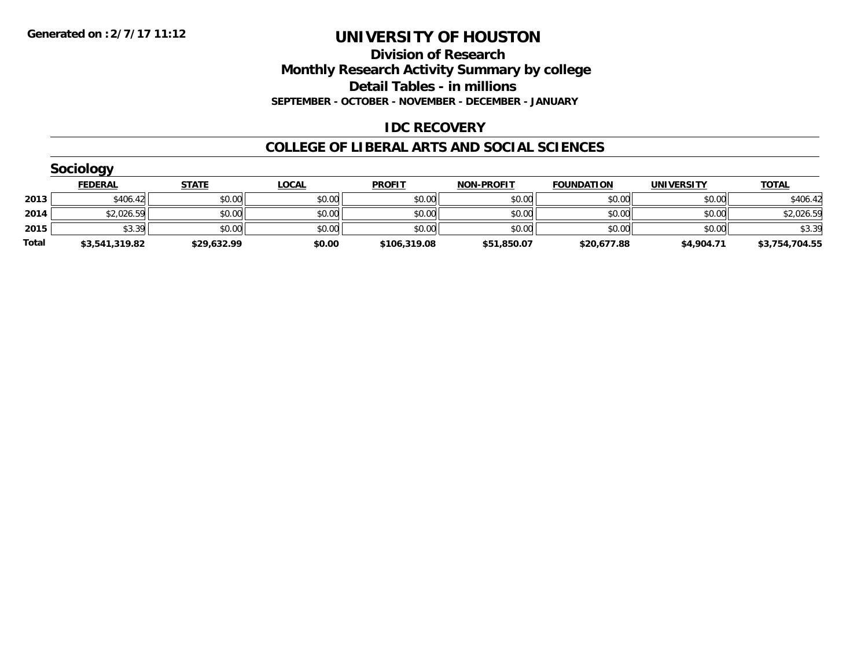**Division of Research Monthly Research Activity Summary by college Detail Tables - in millions SEPTEMBER - OCTOBER - NOVEMBER - DECEMBER - JANUARY**

### **IDC RECOVERY**

#### **COLLEGE OF LIBERAL ARTS AND SOCIAL SCIENCES**

| <b>Sociology</b> |                |              |              |               |                   |                   |                   |                |  |  |
|------------------|----------------|--------------|--------------|---------------|-------------------|-------------------|-------------------|----------------|--|--|
|                  | <b>FEDERAL</b> | <b>STATE</b> | <b>LOCAL</b> | <b>PROFIT</b> | <b>NON-PROFIT</b> | <b>FOUNDATION</b> | <b>UNIVERSITY</b> | <b>TOTAL</b>   |  |  |
| 2013             | \$406.42       | \$0.00       | \$0.00       | \$0.00        | \$0.00            | \$0.00            | \$0.00            | \$406.42       |  |  |
| 2014             | \$2,026.59     | \$0.00       | \$0.00       | \$0.00        | \$0.00            | \$0.00            | \$0.00            | \$2,026.59     |  |  |
| 2015             | \$3.39         | \$0.00       | \$0.00       | \$0.00        | \$0.00            | \$0.00            | \$0.00            | \$3.39         |  |  |
| Total            | \$3,541,319.82 | \$29,632.99  | \$0.00       | \$106,319.08  | \$51,850.07       | \$20,677.88       | \$4,904.71        | \$3,754,704.55 |  |  |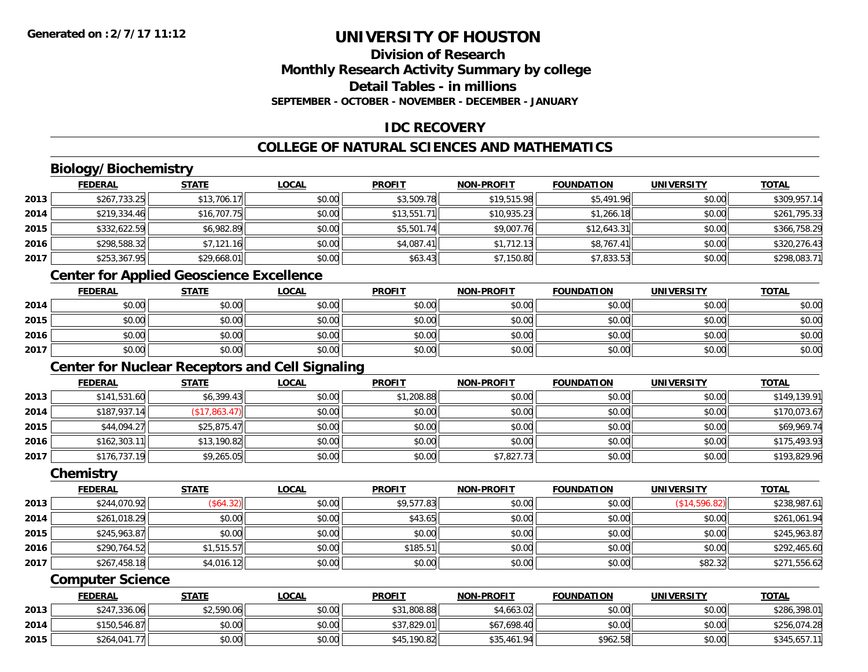### **Division of ResearchMonthly Research Activity Summary by college Detail Tables - in millionsSEPTEMBER - OCTOBER - NOVEMBER - DECEMBER - JANUARY**

### **IDC RECOVERY**

### **COLLEGE OF NATURAL SCIENCES AND MATHEMATICS**

### **Biology/Biochemistry**

|      | <b>FEDERAL</b> | <b>STATE</b> | <b>LOCAL</b> | <b>PROFIT</b> | <b>NON-PROFIT</b> | <b>FOUNDATION</b> | <b>UNIVERSITY</b> | <b>TOTAL</b> |
|------|----------------|--------------|--------------|---------------|-------------------|-------------------|-------------------|--------------|
| 2013 | \$267,733.25   | \$13,706.17  | \$0.00       | \$3,509.78    | \$19,515.98       | \$5,491.96        | \$0.00            | \$309,957.14 |
| 2014 | \$219,334.46   | \$16,707.75  | \$0.00       | \$13,551.71   | \$10,935.23       | \$1,266.18        | \$0.00            | \$261,795.33 |
| 2015 | \$332,622.59   | \$6,982.89   | \$0.00       | \$5,501.74    | \$9,007.76        | \$12,643.31       | \$0.00            | \$366,758.29 |
| 2016 | \$298,588.32   | \$7,121.16   | \$0.00       | \$4,087.41    | \$1,712.13        | \$8,767.41        | \$0.00            | \$320,276.43 |
| 2017 | \$253,367.95   | \$29,668.01  | \$0.00       | \$63.43       | \$7,150.80        | \$7,833.53        | \$0.00            | \$298,083.71 |

### **Center for Applied Geoscience Excellence**

|      | <b>FEDERAL</b> | <b>STATE</b> | <b>LOCAL</b> | <b>PROFIT</b> | <b>NON-PROFIT</b> | <b>FOUNDATION</b> | UNIVERSITY | <b>TOTAL</b> |
|------|----------------|--------------|--------------|---------------|-------------------|-------------------|------------|--------------|
| 2014 | \$0.00         | \$0.00       | \$0.00       | \$0.00        | \$0.00            | \$0.00            | \$0.00     | \$0.00       |
| 2015 | \$0.00         | \$0.00       | \$0.00       | \$0.00        | \$0.00            | \$0.00            | \$0.00     | \$0.00       |
| 2016 | \$0.00         | \$0.00       | \$0.00       | \$0.00        | \$0.00            | \$0.00            | \$0.00     | \$0.00       |
| 2017 | \$0.00         | \$0.00       | \$0.00       | \$0.00        | \$0.00            | \$0.00            | \$0.00     | \$0.00       |

### **Center for Nuclear Receptors and Cell Signaling**

|      | <b>FEDERAL</b> | <b>STATE</b>     | <u>LOCAL</u> | <b>PROFIT</b> | <b>NON-PROFIT</b> | <b>FOUNDATION</b> | <b>UNIVERSITY</b> | <b>TOTAL</b> |
|------|----------------|------------------|--------------|---------------|-------------------|-------------------|-------------------|--------------|
| 2013 | \$141,531.60   | \$6,399.43       | \$0.00       | \$1,208.88    | \$0.00            | \$0.00            | \$0.00            | \$149,139.91 |
| 2014 | \$187,937.14   | $($ \$17,863.47) | \$0.00       | \$0.00        | \$0.00            | \$0.00            | \$0.00            | \$170,073.67 |
| 2015 | \$44,094.27    | \$25,875.47      | \$0.00       | \$0.00        | \$0.00            | \$0.00            | \$0.00            | \$69,969.74  |
| 2016 | \$162,303.11   | \$13,190.82      | \$0.00       | \$0.00        | \$0.00            | \$0.00            | \$0.00            | \$175,493.93 |
| 2017 | \$176,737.19   | \$9,265.05       | \$0.00       | \$0.00        | \$7,827.73        | \$0.00            | \$0.00            | \$193,829.96 |

#### **Chemistry**

|      | <b>FEDERAL</b> | <u>STATE</u> | <b>LOCAL</b> | <b>PROFIT</b> | <b>NON-PROFIT</b> | <b>FOUNDATION</b> | <b>UNIVERSITY</b> | <b>TOTAL</b> |
|------|----------------|--------------|--------------|---------------|-------------------|-------------------|-------------------|--------------|
| 2013 | \$244,070.92   | (\$64.32)    | \$0.00       | \$9,577.83    | \$0.00            | \$0.00            | (\$14,596.82)     | \$238,987.61 |
| 2014 | \$261,018.29   | \$0.00       | \$0.00       | \$43.65       | \$0.00            | \$0.00            | \$0.00            | \$261,061.94 |
| 2015 | \$245,963.87   | \$0.00       | \$0.00       | \$0.00        | \$0.00            | \$0.00            | \$0.00            | \$245,963.87 |
| 2016 | \$290,764.52   | \$1,515.57   | \$0.00       | \$185.51      | \$0.00            | \$0.00            | \$0.00            | \$292,465.60 |
| 2017 | \$267,458.18   | \$4,016.12   | \$0.00       | \$0.00        | \$0.00            | \$0.00            | \$82.32           | \$271,556.62 |

#### **Computer Science**

|      | <b>FEDERAL</b> | <u>STATE</u> | <u>LOCAL</u> | <b>PROFIT</b> | <b>NON-PROFIT</b> | <b>FOUNDATION</b> | UNIVERSITY | <b>TOTAL</b> |
|------|----------------|--------------|--------------|---------------|-------------------|-------------------|------------|--------------|
| 2013 | \$247,336.06   | \$2,590.06   | \$0.00       | \$31,808.88   | \$4,663.02        | \$0.00            | \$0.00     | \$286,398.01 |
| 2014 | \$150,546.87   | \$0.00       | \$0.00       | \$37,829.01   | \$67,698.40       | \$0.00            | \$0.00     | \$256,074.28 |
| 2015 | \$264,041.77   | \$0.00       | \$0.00       | \$45,190.82   | \$35,461.94       | \$962.58          | \$0.00     | \$345,657.11 |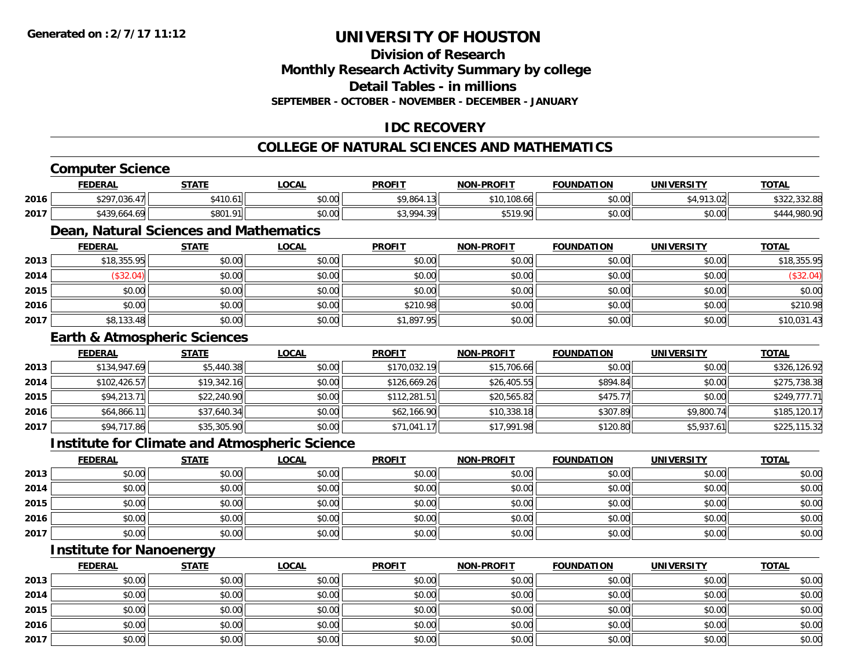**Division of Research**

**Monthly Research Activity Summary by college**

**Detail Tables - in millions**

**SEPTEMBER - OCTOBER - NOVEMBER - DECEMBER - JANUARY**

### **IDC RECOVERY**

### **COLLEGE OF NATURAL SCIENCES AND MATHEMATICS**

### **Computer Science**

|      | <b>FEDERAL</b>           | <b>STATE</b>             | $\sim$<br>.UUAL    | <b>PROFIT</b>             | <b>NON-PROFIT</b>    | <b>FOUNDATION</b> | <b>UNIVERSITY</b> | <b>TOTAL</b>                   |
|------|--------------------------|--------------------------|--------------------|---------------------------|----------------------|-------------------|-------------------|--------------------------------|
| 2016 | \$297.036<br>.U36.       | 410.6                    | $\sim$ 00<br>pu.uu | \$9,864.13                | \$10,108.<br>TU8.00. | \$0.00            | \$4,913.02        | 0.0000<br>$\sim$ $\sim$ $\sim$ |
| 2017 | <b>\$130</b><br>004.<br> | \$801.<br>O <sub>1</sub> | $\sim$ 00<br>pu.uu | 43.994<br>$\sim$<br>╯<br> | \$519.90             | \$0.00            | mn n¢<br>JU.UU    |                                |

### **Dean, Natural Sciences and Mathematics**

|      | <b>FEDERAL</b> | <u>STATE</u> | <b>LOCAL</b> | <b>PROFIT</b> | NON-PROFIT | <b>FOUNDATION</b> | <b>UNIVERSITY</b> | <b>TOTAL</b> |
|------|----------------|--------------|--------------|---------------|------------|-------------------|-------------------|--------------|
| 2013 | \$18,355.95    | \$0.00       | \$0.00       | \$0.00        | \$0.00     | \$0.00            | \$0.00            | \$18,355.95  |
| 2014 | \$32.04)       | \$0.00       | \$0.00       | \$0.00        | \$0.00     | \$0.00            | \$0.00            | \$32.04)     |
| 2015 | \$0.00         | \$0.00       | \$0.00       | \$0.00        | \$0.00     | \$0.00            | \$0.00            | \$0.00       |
| 2016 | \$0.00         | \$0.00       | \$0.00       | \$210.98      | \$0.00     | \$0.00            | \$0.00            | \$210.98     |
| 2017 | \$8,133.48     | \$0.00       | \$0.00       | \$1,897.95    | \$0.00     | \$0.00            | \$0.00            | \$10,031.43  |

#### **Earth & Atmospheric Sciences**

|      | <b>FEDERAL</b> | <b>STATE</b> | <u>LOCAL</u> | <b>PROFIT</b> | <b>NON-PROFIT</b> | <b>FOUNDATION</b> | <b>UNIVERSITY</b> | <b>TOTAL</b> |
|------|----------------|--------------|--------------|---------------|-------------------|-------------------|-------------------|--------------|
| 2013 | \$134,947.69   | \$5,440.38   | \$0.00       | \$170,032.19  | \$15,706.66       | \$0.00            | \$0.00            | \$326,126.92 |
| 2014 | \$102,426.57   | \$19,342.16  | \$0.00       | \$126,669.26  | \$26,405.55       | \$894.84          | \$0.00            | \$275,738.38 |
| 2015 | \$94,213.71    | \$22,240.90  | \$0.00       | \$112,281.51  | \$20,565.82       | \$475.77          | \$0.00            | \$249,777.71 |
| 2016 | \$64,866.11    | \$37,640.34  | \$0.00       | \$62,166.90   | \$10,338.18       | \$307.89          | \$9,800.74        | \$185,120.17 |
| 2017 | \$94,717.86    | \$35,305.90  | \$0.00       | \$71,041.17   | \$17,991.98       | \$120.80          | \$5,937.61        | \$225,115.32 |

### **Institute for Climate and Atmospheric Science**

|      | <u>FEDERAL</u> | <u>STATE</u> | <u>LOCAL</u> | <b>PROFIT</b> | <b>NON-PROFIT</b> | <b>FOUNDATION</b> | <b>UNIVERSITY</b> | <b>TOTAL</b> |
|------|----------------|--------------|--------------|---------------|-------------------|-------------------|-------------------|--------------|
| 2013 | \$0.00         | \$0.00       | \$0.00       | \$0.00        | \$0.00            | \$0.00            | \$0.00            | \$0.00       |
| 2014 | \$0.00         | \$0.00       | \$0.00       | \$0.00        | \$0.00            | \$0.00            | \$0.00            | \$0.00       |
| 2015 | \$0.00         | \$0.00       | \$0.00       | \$0.00        | \$0.00            | \$0.00            | \$0.00            | \$0.00       |
| 2016 | \$0.00         | \$0.00       | \$0.00       | \$0.00        | \$0.00            | \$0.00            | \$0.00            | \$0.00       |
| 2017 | \$0.00         | \$0.00       | \$0.00       | \$0.00        | \$0.00            | \$0.00            | \$0.00            | \$0.00       |

### **Institute for Nanoenergy**

|      | <b>FEDERAL</b> | <b>STATE</b> | <u>LOCAL</u> | <b>PROFIT</b> | <b>NON-PROFIT</b> | <b>FOUNDATION</b> | <b>UNIVERSITY</b> | <b>TOTAL</b> |
|------|----------------|--------------|--------------|---------------|-------------------|-------------------|-------------------|--------------|
| 2013 | \$0.00         | \$0.00       | \$0.00       | \$0.00        | \$0.00            | \$0.00            | \$0.00            | \$0.00       |
| 2014 | \$0.00         | \$0.00       | \$0.00       | \$0.00        | \$0.00            | \$0.00            | \$0.00            | \$0.00       |
| 2015 | \$0.00         | \$0.00       | \$0.00       | \$0.00        | \$0.00            | \$0.00            | \$0.00            | \$0.00       |
| 2016 | \$0.00         | \$0.00       | \$0.00       | \$0.00        | \$0.00            | \$0.00            | \$0.00            | \$0.00       |
| 2017 | \$0.00         | \$0.00       | \$0.00       | \$0.00        | \$0.00            | \$0.00            | \$0.00            | \$0.00       |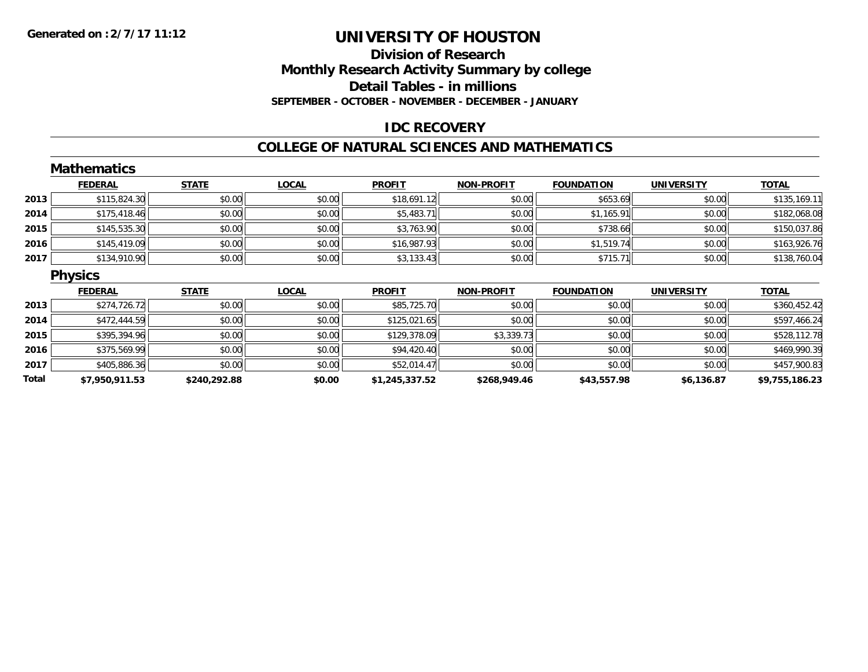### **Division of Research Monthly Research Activity Summary by college Detail Tables - in millions SEPTEMBER - OCTOBER - NOVEMBER - DECEMBER - JANUARY**

### **IDC RECOVERY**

#### **COLLEGE OF NATURAL SCIENCES AND MATHEMATICS**

|       | <b>Mathematics</b> |              |              |                |                   |                   |                   |                |
|-------|--------------------|--------------|--------------|----------------|-------------------|-------------------|-------------------|----------------|
|       | <b>FEDERAL</b>     | <b>STATE</b> | <b>LOCAL</b> | <b>PROFIT</b>  | <b>NON-PROFIT</b> | <b>FOUNDATION</b> | <b>UNIVERSITY</b> | <b>TOTAL</b>   |
| 2013  | \$115,824.30       | \$0.00       | \$0.00       | \$18,691.12    | \$0.00            | \$653.69          | \$0.00            | \$135,169.11   |
| 2014  | \$175,418.46       | \$0.00       | \$0.00       | \$5,483.71     | \$0.00            | \$1,165.91        | \$0.00            | \$182,068.08   |
| 2015  | \$145,535.30       | \$0.00       | \$0.00       | \$3,763.90     | \$0.00            | \$738.66          | \$0.00            | \$150,037.86   |
| 2016  | \$145,419.09       | \$0.00       | \$0.00       | \$16,987.93    | \$0.00            | \$1,519.74        | \$0.00            | \$163,926.76   |
| 2017  | \$134,910.90       | \$0.00       | \$0.00       | \$3,133.43     | \$0.00            | \$715.71          | \$0.00            | \$138,760.04   |
|       | <b>Physics</b>     |              |              |                |                   |                   |                   |                |
|       | <b>FEDERAL</b>     | <b>STATE</b> | <b>LOCAL</b> | <b>PROFIT</b>  | <b>NON-PROFIT</b> | <b>FOUNDATION</b> | <b>UNIVERSITY</b> | <b>TOTAL</b>   |
| 2013  | \$274,726.72       | \$0.00       | \$0.00       | \$85,725.70    | \$0.00            | \$0.00            | \$0.00            | \$360,452.42   |
| 2014  | \$472,444.59       | \$0.00       | \$0.00       | \$125,021.65   | \$0.00            | \$0.00            | \$0.00            | \$597,466.24   |
| 2015  | \$395,394.96       | \$0.00       | \$0.00       | \$129,378.09   | \$3,339.73        | \$0.00            | \$0.00            | \$528,112.78   |
| 2016  | \$375,569.99       | \$0.00       | \$0.00       | \$94,420.40    | \$0.00            | \$0.00            | \$0.00            | \$469,990.39   |
| 2017  | \$405,886.36       | \$0.00       | \$0.00       | \$52,014.47    | \$0.00            | \$0.00            | \$0.00            | \$457,900.83   |
| Total | \$7,950,911.53     | \$240,292.88 | \$0.00       | \$1,245,337.52 | \$268,949.46      | \$43,557.98       | \$6,136.87        | \$9,755,186.23 |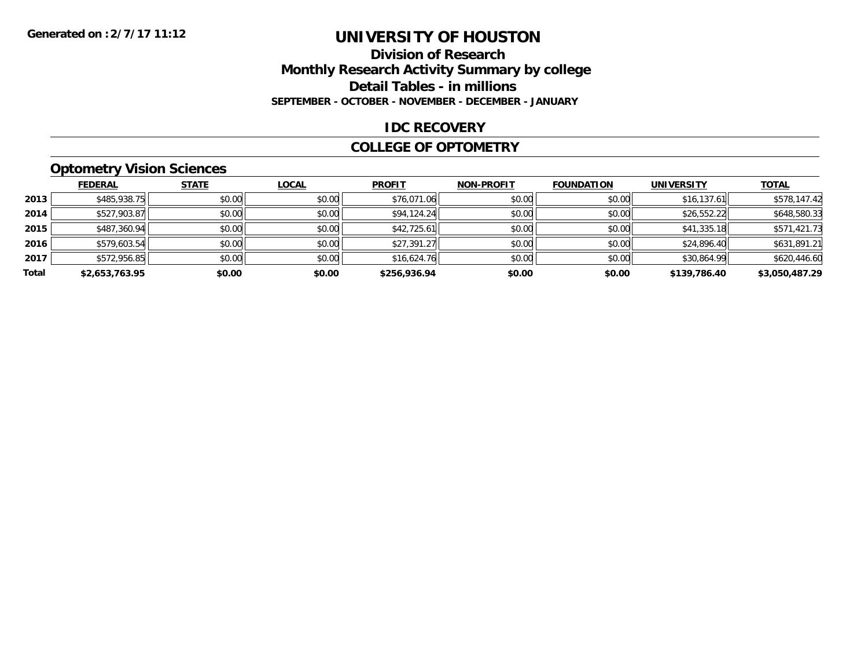### **Division of Research Monthly Research Activity Summary by college Detail Tables - in millions SEPTEMBER - OCTOBER - NOVEMBER - DECEMBER - JANUARY**

#### **IDC RECOVERY**

#### **COLLEGE OF OPTOMETRY**

### **Optometry Vision Sciences**

|       | <b>FEDERAL</b> | <b>STATE</b> | <b>LOCAL</b> | <b>PROFIT</b> | <b>NON-PROFIT</b> | <b>FOUNDATION</b> | <b>UNIVERSITY</b> | <b>TOTAL</b>   |
|-------|----------------|--------------|--------------|---------------|-------------------|-------------------|-------------------|----------------|
| 2013  | \$485,938.75   | \$0.00       | \$0.00       | \$76,071.06   | \$0.00            | \$0.00            | \$16, 137.61      | \$578,147.42   |
| 2014  | \$527,903.87   | \$0.00       | \$0.00       | \$94,124.24   | \$0.00            | \$0.00            | \$26,552.22       | \$648,580.33   |
| 2015  | \$487,360.94   | \$0.00       | \$0.00       | \$42,725.61   | \$0.00            | \$0.00            | \$41,335.18       | \$571,421.73   |
| 2016  | \$579,603.54   | \$0.00       | \$0.00       | \$27,391.27   | \$0.00            | \$0.00            | \$24,896.40       | \$631,891.21   |
| 2017  | \$572,956.85   | \$0.00       | \$0.00       | \$16,624.76   | \$0.00            | \$0.00            | \$30,864.99       | \$620,446.60   |
| Total | \$2,653,763.95 | \$0.00       | \$0.00       | \$256,936.94  | \$0.00            | \$0.00            | \$139,786.40      | \$3,050,487.29 |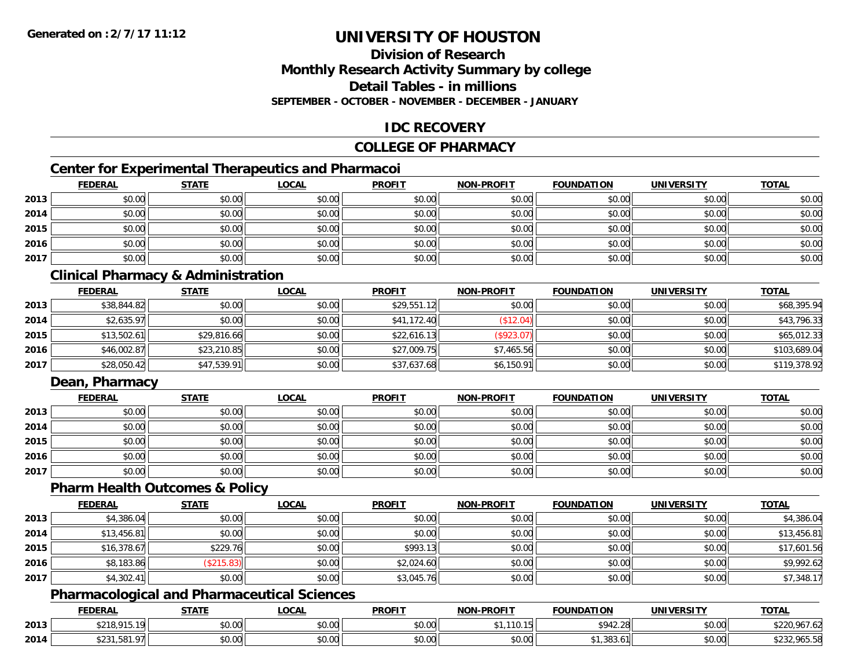### **Division of ResearchMonthly Research Activity Summary by college Detail Tables - in millionsSEPTEMBER - OCTOBER - NOVEMBER - DECEMBER - JANUARY**

### **IDC RECOVERY**

### **COLLEGE OF PHARMACY**

### **Center for Experimental Therapeutics and Pharmacoi**

|      | <b>FEDERAL</b> | <b>STATE</b> | <b>LOCAL</b> | <b>PROFIT</b> | <b>NON-PROFIT</b> | <b>FOUNDATION</b> | <b>UNIVERSITY</b> | <b>TOTAL</b> |
|------|----------------|--------------|--------------|---------------|-------------------|-------------------|-------------------|--------------|
| 2013 | \$0.00         | \$0.00       | \$0.00       | \$0.00        | \$0.00            | \$0.00            | \$0.00            | \$0.00       |
| 2014 | \$0.00         | \$0.00       | \$0.00       | \$0.00        | \$0.00            | \$0.00            | \$0.00            | \$0.00       |
| 2015 | \$0.00         | \$0.00       | \$0.00       | \$0.00        | \$0.00            | \$0.00            | \$0.00            | \$0.00       |
| 2016 | \$0.00         | \$0.00       | \$0.00       | \$0.00        | \$0.00            | \$0.00            | \$0.00            | \$0.00       |
| 2017 | \$0.00         | \$0.00       | \$0.00       | \$0.00        | \$0.00            | \$0.00            | \$0.00            | \$0.00       |

### **Clinical Pharmacy & Administration**

|      | <b>FEDERAL</b> | <b>STATE</b> | <u>LOCAL</u> | <b>PROFIT</b> | <b>NON-PROFIT</b> | <b>FOUNDATION</b> | <b>UNIVERSITY</b> | <b>TOTAL</b> |
|------|----------------|--------------|--------------|---------------|-------------------|-------------------|-------------------|--------------|
| 2013 | \$38,844.82    | \$0.00       | \$0.00       | \$29,551.12   | \$0.00            | \$0.00            | \$0.00            | \$68,395.94  |
| 2014 | \$2,635.97     | \$0.00       | \$0.00       | \$41,172.40   | \$12.04)          | \$0.00            | \$0.00            | \$43,796.33  |
| 2015 | \$13,502.61    | \$29,816.66  | \$0.00       | \$22,616.13   | (\$923.07)        | \$0.00            | \$0.00            | \$65,012.33  |
| 2016 | \$46,002.87    | \$23,210.85  | \$0.00       | \$27,009.75   | \$7,465.56        | \$0.00            | \$0.00            | \$103,689.04 |
| 2017 | \$28,050.42    | \$47,539.91  | \$0.00       | \$37,637.68   | \$6,150.91        | \$0.00            | \$0.00            | \$119,378.92 |

### **Dean, Pharmacy**

|      | <b>FEDERAL</b> | <b>STATE</b> | <u>LOCAL</u> | <b>PROFIT</b> | <b>NON-PROFIT</b> | <b>FOUNDATION</b> | <b>UNIVERSITY</b> | <b>TOTAL</b> |
|------|----------------|--------------|--------------|---------------|-------------------|-------------------|-------------------|--------------|
| 2013 | \$0.00         | \$0.00       | \$0.00       | \$0.00        | \$0.00            | \$0.00            | \$0.00            | \$0.00       |
| 2014 | \$0.00         | \$0.00       | \$0.00       | \$0.00        | \$0.00            | \$0.00            | \$0.00            | \$0.00       |
| 2015 | \$0.00         | \$0.00       | \$0.00       | \$0.00        | \$0.00            | \$0.00            | \$0.00            | \$0.00       |
| 2016 | \$0.00         | \$0.00       | \$0.00       | \$0.00        | \$0.00            | \$0.00            | \$0.00            | \$0.00       |
| 2017 | \$0.00         | \$0.00       | \$0.00       | \$0.00        | \$0.00            | \$0.00            | \$0.00            | \$0.00       |

#### **Pharm Health Outcomes & Policy**

|      | <b>FEDERAL</b> | <b>STATE</b> | <b>LOCAL</b> | <b>PROFIT</b> | <b>NON-PROFIT</b> | <b>FOUNDATION</b> | <b>UNIVERSITY</b> | <b>TOTAL</b> |
|------|----------------|--------------|--------------|---------------|-------------------|-------------------|-------------------|--------------|
| 2013 | \$4,386.04     | \$0.00       | \$0.00       | \$0.00        | \$0.00            | \$0.00            | \$0.00            | \$4,386.04   |
| 2014 | \$13,456.81    | \$0.00       | \$0.00       | \$0.00        | \$0.00            | \$0.00            | \$0.00            | \$13,456.81  |
| 2015 | \$16,378.67    | \$229.76     | \$0.00       | \$993.13      | \$0.00            | \$0.00            | \$0.00            | \$17,601.56  |
| 2016 | \$8,183.86     | \$215.83     | \$0.00       | \$2,024.60    | \$0.00            | \$0.00            | \$0.00            | \$9,992.62   |
| 2017 | \$4,302.41     | \$0.00       | \$0.00       | \$3,045.76    | \$0.00            | \$0.00            | \$0.00            | \$7,348.17   |

### **Pharmacological and Pharmaceutical Sciences**

|      | <b>FEDERAL</b>                       | <b>CTATE</b><br>3 I A I I | <b>OCAL</b>            | <b>PROFIT</b> | <b>LPROFIT</b><br><b>NIONI</b>             | <b>FOUNDATION</b> | UNIVERSITY           | <b>TOTAL</b>                                  |
|------|--------------------------------------|---------------------------|------------------------|---------------|--------------------------------------------|-------------------|----------------------|-----------------------------------------------|
| 2013 | 0.01C<br>0.4F<br>נו כ<br>22 I O<br>. | \$0.00                    | $\sim$ 00<br>40.00     | 0.00<br>DU.UG | .                                          | \$942.28          | 0000<br><b>DU.UG</b> | $\sim$ $\sim$<br>1057<br>707.0Z               |
| 2014 | .<br>ں ے ر                           | \$0.00                    | ሖ ∩<br>$\sim$<br>PU.UU | 0000<br>JU.UU | $\theta$ $\theta$ $\theta$<br><b>DU.UU</b> | 202<br>د. סכ      | 0000<br><b>DU.UU</b> | <b>OAE EQ</b><br>$\sim$ $\sim$<br>,,,,,,,,,,, |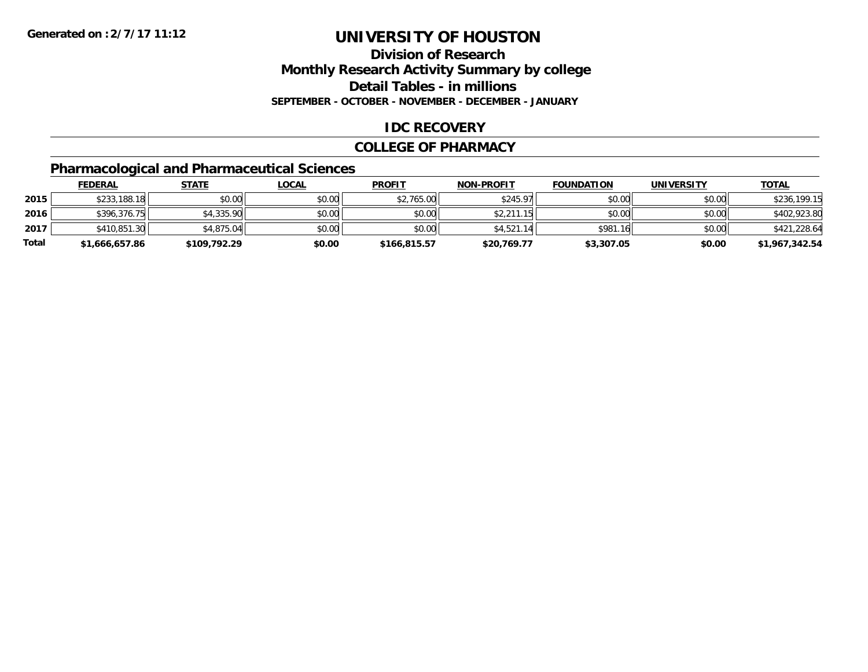### **Division of ResearchMonthly Research Activity Summary by college Detail Tables - in millions SEPTEMBER - OCTOBER - NOVEMBER - DECEMBER - JANUARY**

### **IDC RECOVERY**

#### **COLLEGE OF PHARMACY**

### **Pharmacological and Pharmaceutical Sciences**

|       | <b>FEDERAL</b> | <u>STATE</u> | <u>LOCAL</u> | <b>PROFIT</b> | <b>NON-PROFIT</b> | <b>FOUNDATION</b> | <b>UNIVERSITY</b> | <b>TOTAL</b>   |
|-------|----------------|--------------|--------------|---------------|-------------------|-------------------|-------------------|----------------|
| 2015  | \$233,188.18   | \$0.00       | \$0.00       | \$2,765.00    | \$245.97          | \$0.00            | \$0.00            | \$236,199.15   |
| 2016  | \$396,376.75   | \$4,335.90   | \$0.00       | \$0.00        | \$2,211.15        | \$0.00            | \$0.00            | \$402,923.80   |
| 2017  | \$410,851,30   | \$4,875.04   | \$0.00       | \$0.00        | \$4.521.14        | \$981.16          | \$0.00            | \$421,228.64   |
| Total | \$1,666,657.86 | \$109,792.29 | \$0.00       | \$166,815.57  | \$20,769.77       | \$3,307.05        | \$0.00            | \$1,967,342.54 |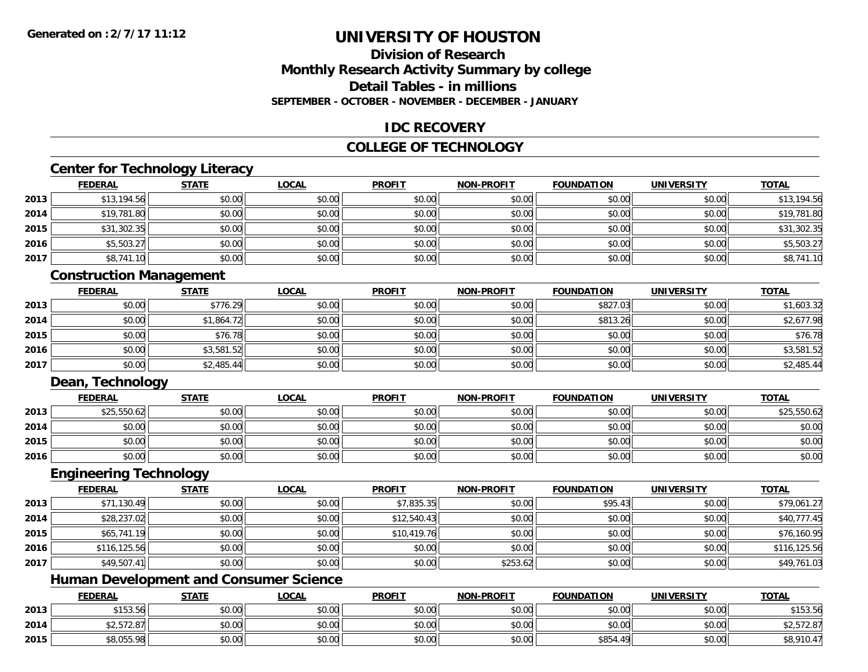### **Division of ResearchMonthly Research Activity Summary by college Detail Tables - in millionsSEPTEMBER - OCTOBER - NOVEMBER - DECEMBER - JANUARY**

### **IDC RECOVERY**

### **COLLEGE OF TECHNOLOGY**

### **Center for Technology Literacy**

|      | <b>FEDERAL</b> | <b>STATE</b> | <b>LOCAL</b> | <b>PROFIT</b> | <b>NON-PROFIT</b> | <b>FOUNDATION</b> | <b>UNIVERSITY</b> | <b>TOTAL</b> |
|------|----------------|--------------|--------------|---------------|-------------------|-------------------|-------------------|--------------|
| 2013 | \$13,194.56    | \$0.00       | \$0.00       | \$0.00        | \$0.00            | \$0.00            | \$0.00            | \$13,194.56  |
| 2014 | \$19,781.80    | \$0.00       | \$0.00       | \$0.00        | \$0.00            | \$0.00            | \$0.00            | \$19,781.80  |
| 2015 | \$31,302.35    | \$0.00       | \$0.00       | \$0.00        | \$0.00            | \$0.00            | \$0.00            | \$31,302.35  |
| 2016 | \$5,503.27     | \$0.00       | \$0.00       | \$0.00        | \$0.00            | \$0.00            | \$0.00            | \$5,503.27   |
| 2017 | \$8,741.10     | \$0.00       | \$0.00       | \$0.00        | \$0.00            | \$0.00            | \$0.00            | \$8,741.10   |

### **Construction Management**

|      | <u>FEDERAL</u> | <b>STATE</b> | <u>LOCAL</u> | <b>PROFIT</b> | <b>NON-PROFIT</b> | <b>FOUNDATION</b> | <b>UNIVERSITY</b> | <b>TOTAL</b> |
|------|----------------|--------------|--------------|---------------|-------------------|-------------------|-------------------|--------------|
| 2013 | \$0.00         | \$776.29     | \$0.00       | \$0.00        | \$0.00            | \$827.03          | \$0.00            | \$1,603.32   |
| 2014 | \$0.00         | \$1,864.72   | \$0.00       | \$0.00        | \$0.00            | \$813.26          | \$0.00            | \$2,677.98   |
| 2015 | \$0.00         | \$76.78      | \$0.00       | \$0.00        | \$0.00            | \$0.00            | \$0.00            | \$76.78      |
| 2016 | \$0.00         | \$3,581.52   | \$0.00       | \$0.00        | \$0.00            | \$0.00            | \$0.00            | \$3,581.52   |
| 2017 | \$0.00         | \$2,485.44   | \$0.00       | \$0.00        | \$0.00            | \$0.00            | \$0.00            | \$2,485.44   |

### **Dean, Technology**

|      | <b>FEDERAL</b> | <b>STATE</b> | <u>LOCAL</u> | <b>PROFIT</b> | <b>NON-PROFIT</b> | <b>FOUNDATION</b> | <b>UNIVERSITY</b> | <b>TOTAL</b> |
|------|----------------|--------------|--------------|---------------|-------------------|-------------------|-------------------|--------------|
| 2013 | \$25,550.62    | \$0.00       | \$0.00       | \$0.00        | \$0.00            | \$0.00            | \$0.00            | \$25,550.62  |
| 2014 | \$0.00         | \$0.00       | \$0.00       | \$0.00        | \$0.00            | \$0.00            | \$0.00            | \$0.00       |
| 2015 | \$0.00         | \$0.00       | \$0.00       | \$0.00        | \$0.00            | \$0.00            | \$0.00            | \$0.00       |
| 2016 | \$0.00         | \$0.00       | \$0.00       | \$0.00        | \$0.00            | \$0.00            | \$0.00            | \$0.00       |

### **Engineering Technology**

|      | <b>FEDERAL</b> | <b>STATE</b> | <u>LOCAL</u> | <b>PROFIT</b> | <b>NON-PROFIT</b> | <b>FOUNDATION</b> | <b>UNIVERSITY</b> | <b>TOTAL</b> |
|------|----------------|--------------|--------------|---------------|-------------------|-------------------|-------------------|--------------|
| 2013 | \$71,130.49    | \$0.00       | \$0.00       | \$7,835.35    | \$0.00            | \$95.43           | \$0.00            | \$79,061.27  |
| 2014 | \$28,237.02    | \$0.00       | \$0.00       | \$12,540.43   | \$0.00            | \$0.00            | \$0.00            | \$40,777.45  |
| 2015 | \$65,741.19    | \$0.00       | \$0.00       | \$10,419.76   | \$0.00            | \$0.00            | \$0.00            | \$76,160.95  |
| 2016 | \$116,125.56   | \$0.00       | \$0.00       | \$0.00        | \$0.00            | \$0.00            | \$0.00            | \$116,125.56 |
| 2017 | \$49,507.41    | \$0.00       | \$0.00       | \$0.00        | \$253.62          | \$0.00            | \$0.00            | \$49,761.03  |

### **Human Development and Consumer Science**

|      | <b>FEDERAL</b>            | <b>STATE</b> | <u>_OCAL</u> | <b>PROFIT</b> | <b>NON-PROFIT</b> | <b>FOUNDATION</b> | <b>UNIVERSITY</b> | <b>TOTAL</b> |
|------|---------------------------|--------------|--------------|---------------|-------------------|-------------------|-------------------|--------------|
| 2013 | \$15356<br><b>JIJJ.JU</b> | \$0.00       | \$0.00       | \$0.00        | \$0.00            | \$0.00            | \$0.00            | \$153.56     |
| 2014 | \$2,572.87                | \$0.00       | \$0.00       | \$0.00        | \$0.00            | \$0.00            | \$0.00            | \$2,572.87   |
| 2015 | \$8,055.98                | \$0.00       | \$0.00       | \$0.00        | \$0.00            | \$854.49          | \$0.00            | \$8,910.47   |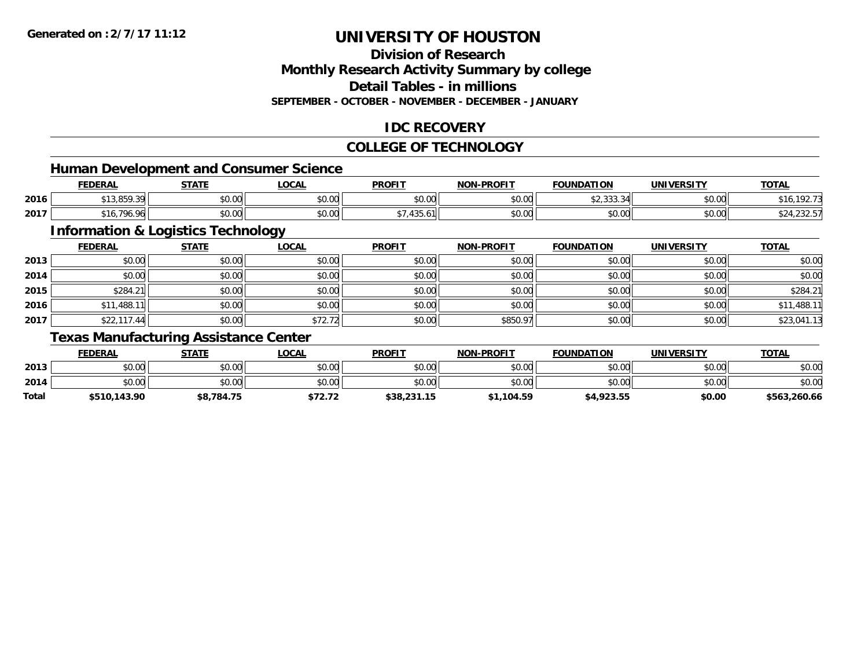# **Division of Research**

**Monthly Research Activity Summary by college**

**Detail Tables - in millions**

**SEPTEMBER - OCTOBER - NOVEMBER - DECEMBER - JANUARY**

### **IDC RECOVERY**

#### **COLLEGE OF TECHNOLOGY**

<u> 1980 - Johann Barbara, martxa alemaniar argametra (h. 1980).</u>

### **Human Development and Consumer Science**

|      | <b>FEDERAL</b>                       | <b>CTATE</b>       | <b>OCAL</b>   | <b>PROFIT</b> | <b>NON-PROFIT</b> | <b>FOUNDATION</b>          | UNIVERSITY | <b>TOTAL</b>                               |
|------|--------------------------------------|--------------------|---------------|---------------|-------------------|----------------------------|------------|--------------------------------------------|
| 2016 | $\sim$ $\sim$ $\sim$<br>,,,,,,,,,,,  | 0000<br>DU.UG      | 0.00<br>vu.vu | 0.00<br>vv.vv | 0000<br>vv.vv     | $\sim$ $\sim$<br>JZ,JJJ,J' | \$0.00     | 1007<br>. .<br><b>DIQ</b><br>. <i>.</i> 2. |
| 2017 | 706<br><u>т - т</u><br>$\sim$<br>,,, | $\sim$ 00<br>DU.UG | 0.00<br>JU.UU | T.J.J         | 0000<br>PO.OO     | \$0.00                     | \$0.00     | 924,232.3                                  |

### **Information & Logistics Technology**

|      | <b>FEDERAL</b> | <b>STATE</b> | <b>LOCAL</b> | <b>PROFIT</b> | <b>NON-PROFIT</b> | <b>FOUNDATION</b> | <b>UNIVERSITY</b> | <b>TOTAL</b> |
|------|----------------|--------------|--------------|---------------|-------------------|-------------------|-------------------|--------------|
| 2013 | \$0.00         | \$0.00       | \$0.00       | \$0.00        | \$0.00            | \$0.00            | \$0.00            | \$0.00       |
| 2014 | \$0.00         | \$0.00       | \$0.00       | \$0.00        | \$0.00            | \$0.00            | \$0.00            | \$0.00       |
| 2015 | \$284.21       | \$0.00       | \$0.00       | \$0.00        | \$0.00            | \$0.00            | \$0.00            | \$284.21     |
| 2016 | \$11,488.11    | \$0.00       | \$0.00       | \$0.00        | \$0.00            | \$0.00            | \$0.00            | \$11,488.11  |
| 2017 | \$22,117.44    | \$0.00       | \$72.72      | \$0.00        | \$850.97          | \$0.00            | \$0.00            | \$23,041.13  |

### **Texas Manufacturing Assistance Center**

|       | <b>FEDERAL</b> | STATE      | <b>LOCAL</b> | <b>PROFIT</b> | <b>NON-PROFIT</b> | <b>FOUNDATION</b> | <b>UNIVERSITY</b> | <b>TOTAL</b> |
|-------|----------------|------------|--------------|---------------|-------------------|-------------------|-------------------|--------------|
| 2013  | \$0.00         | \$0.00     | \$0.00       | \$0.00        | \$0.00            | \$0.00            | \$0.00            | \$0.00       |
| 2014  | \$0.00         | \$0.00     | \$0.00       | \$0.00        | \$0.00            | \$0.00            | \$0.00            | \$0.00       |
| Total | \$510,143.90   | \$8,784.75 | \$72.72      | \$38,231.15   | \$1,104.59        | \$4,923.55        | \$0.00            | \$563,260.66 |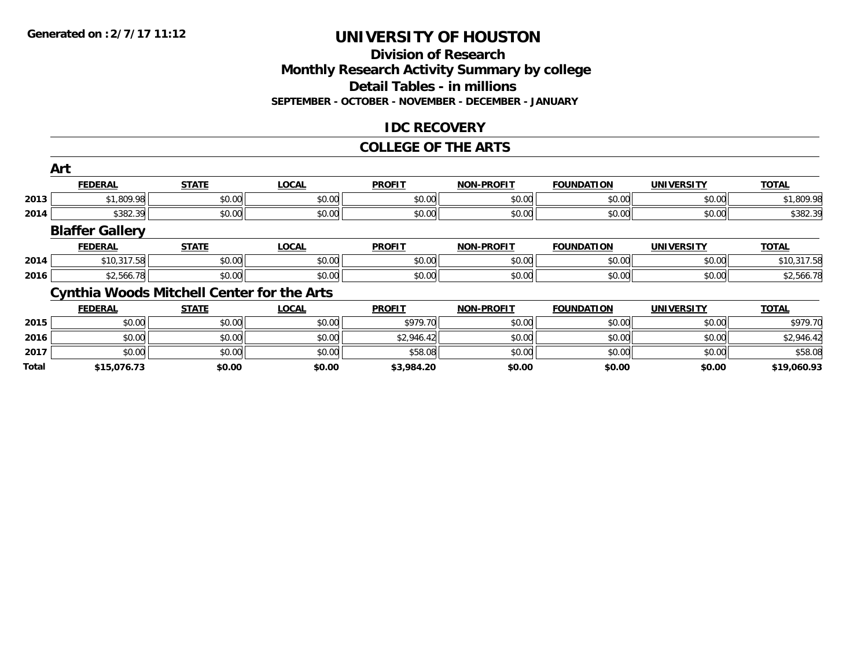### **Division of ResearchMonthly Research Activity Summary by college Detail Tables - in millions SEPTEMBER - OCTOBER - NOVEMBER - DECEMBER - JANUARY**

### **IDC RECOVERY**

#### **COLLEGE OF THE ARTS**

|       | Art                    |                                                   |              |               |                   |                   |                   |              |
|-------|------------------------|---------------------------------------------------|--------------|---------------|-------------------|-------------------|-------------------|--------------|
|       | <b>FEDERAL</b>         | <b>STATE</b>                                      | <b>LOCAL</b> | <b>PROFIT</b> | <b>NON-PROFIT</b> | <b>FOUNDATION</b> | <b>UNIVERSITY</b> | <b>TOTAL</b> |
| 2013  | \$1,809.98             | \$0.00                                            | \$0.00       | \$0.00        | \$0.00            | \$0.00            | \$0.00            | \$1,809.98   |
| 2014  | \$382.39               | \$0.00                                            | \$0.00       | \$0.00        | \$0.00            | \$0.00            | \$0.00            | \$382.39     |
|       | <b>Blaffer Gallery</b> |                                                   |              |               |                   |                   |                   |              |
|       | <b>FEDERAL</b>         | <b>STATE</b>                                      | <b>LOCAL</b> | <b>PROFIT</b> | <b>NON-PROFIT</b> | <b>FOUNDATION</b> | <b>UNIVERSITY</b> | <b>TOTAL</b> |
| 2014  | \$10,317.58            | \$0.00                                            | \$0.00       | \$0.00        | \$0.00            | \$0.00            | \$0.00            | \$10,317.58  |
| 2016  | \$2,566.78             | \$0.00                                            | \$0.00       | \$0.00        | \$0.00            | \$0.00            | \$0.00            | \$2,566.78   |
|       |                        | <b>Cynthia Woods Mitchell Center for the Arts</b> |              |               |                   |                   |                   |              |
|       | <b>FEDERAL</b>         | <b>STATE</b>                                      | <b>LOCAL</b> | <b>PROFIT</b> | <b>NON-PROFIT</b> | <b>FOUNDATION</b> | <b>UNIVERSITY</b> | <b>TOTAL</b> |
| 2015  | \$0.00                 | \$0.00                                            | \$0.00       | \$979.70      | \$0.00            | \$0.00            | \$0.00            | \$979.70     |
| 2016  | \$0.00                 | \$0.00                                            | \$0.00       | \$2,946.42    | \$0.00            | \$0.00            | \$0.00            | \$2,946.42   |
| 2017  | \$0.00                 | \$0.00                                            | \$0.00       | \$58.08       | \$0.00            | \$0.00            | \$0.00            | \$58.08      |
| Total | \$15.076.73            | \$0.00                                            | \$0.00       | \$3.984.20    | \$0.00            | \$0.00            | \$0.00            | \$19.060.93  |

**\$15,076.73 \$0.00 \$0.00 \$3,984.20 \$0.00 \$0.00 \$0.00 \$19,060.93**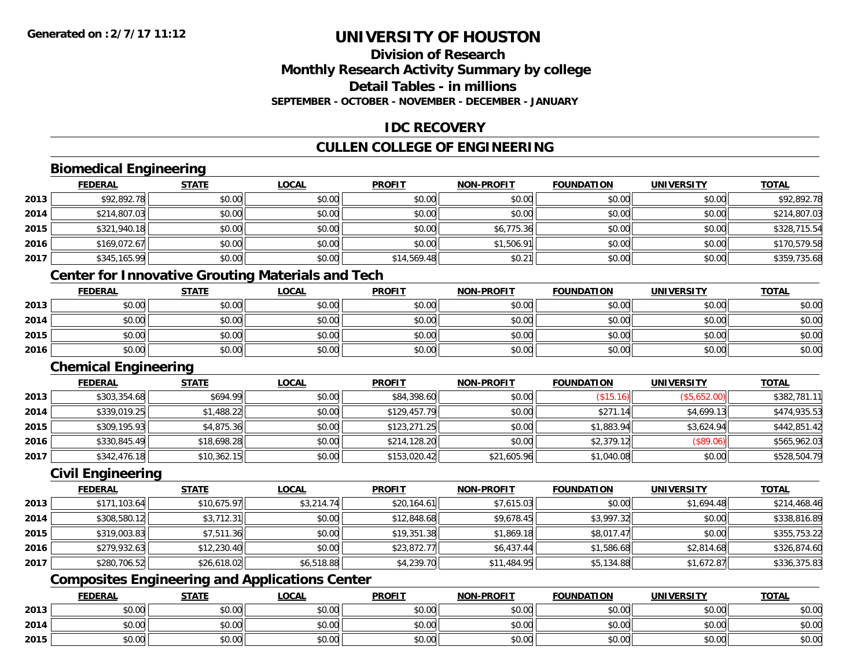### **Division of ResearchMonthly Research Activity Summary by college Detail Tables - in millionsSEPTEMBER - OCTOBER - NOVEMBER - DECEMBER - JANUARY**

### **IDC RECOVERY**

### **CULLEN COLLEGE OF ENGINEERING**

### **Biomedical Engineering**

|      | <u>FEDERAL</u> | <b>STATE</b> | <b>LOCAL</b> | <b>PROFIT</b> | <b>NON-PROFIT</b> | <b>FOUNDATION</b> | <b>UNIVERSITY</b> | <b>TOTAL</b> |
|------|----------------|--------------|--------------|---------------|-------------------|-------------------|-------------------|--------------|
| 2013 | \$92,892.78    | \$0.00       | \$0.00       | \$0.00        | \$0.00            | \$0.00            | \$0.00            | \$92,892.78  |
| 2014 | \$214,807.03   | \$0.00       | \$0.00       | \$0.00        | \$0.00            | \$0.00            | \$0.00            | \$214,807.03 |
| 2015 | \$321,940.18   | \$0.00       | \$0.00       | \$0.00        | \$6,775.36        | \$0.00            | \$0.00            | \$328,715.54 |
| 2016 | \$169,072.67   | \$0.00       | \$0.00       | \$0.00        | \$1,506.91        | \$0.00            | \$0.00            | \$170,579.58 |
| 2017 | \$345,165.99   | \$0.00       | \$0.00       | \$14,569.48   | \$0.21            | \$0.00            | \$0.00            | \$359,735.68 |

### **Center for Innovative Grouting Materials and Tech**

|      | <b>FEDERAL</b> | <b>STATE</b> | <b>LOCAL</b> | <b>PROFIT</b> | <b>NON-PROFIT</b> | <b>FOUNDATION</b> | UNIVERSITY | <b>TOTAL</b> |
|------|----------------|--------------|--------------|---------------|-------------------|-------------------|------------|--------------|
| 2013 | \$0.00         | \$0.00       | \$0.00       | \$0.00        | \$0.00            | \$0.00            | \$0.00     | \$0.00       |
| 2014 | \$0.00         | \$0.00       | \$0.00       | \$0.00        | \$0.00            | \$0.00            | \$0.00     | \$0.00       |
| 2015 | \$0.00         | \$0.00       | \$0.00       | \$0.00        | \$0.00            | \$0.00            | \$0.00     | \$0.00       |
| 2016 | \$0.00         | \$0.00       | \$0.00       | \$0.00        | \$0.00            | \$0.00            | \$0.00     | \$0.00       |

### **Chemical Engineering**

|      | <b>FEDERAL</b> | <b>STATE</b> | <b>LOCAL</b> | <b>PROFIT</b> | <b>NON-PROFIT</b> | <b>FOUNDATION</b> | UNIVERSITY   | <b>TOTAL</b> |
|------|----------------|--------------|--------------|---------------|-------------------|-------------------|--------------|--------------|
| 2013 | \$303,354.68   | \$694.99     | \$0.00       | \$84,398.60   | \$0.00            | (\$15.16)         | (\$5,652.00) | \$382,781.11 |
| 2014 | \$339,019.25   | \$1,488.22   | \$0.00       | \$129,457.79  | \$0.00            | \$271.14          | \$4,699.13   | \$474,935.53 |
| 2015 | \$309,195.93   | \$4,875.36   | \$0.00       | \$123,271.25  | \$0.00            | \$1,883.94        | \$3.624.94   | \$442,851.42 |
| 2016 | \$330,845.49   | \$18,698.28  | \$0.00       | \$214,128.20  | \$0.00            | \$2,379.12        | (S89.06)     | \$565,962.03 |
| 2017 | \$342,476.18   | \$10,362.15  | \$0.00       | \$153,020.42  | \$21,605.96       | \$1,040.08        | \$0.00       | \$528,504.79 |

#### **Civil Engineering**

|      | <b>FEDERAL</b> | <b>STATE</b> | <u>LOCAL</u> | <b>PROFIT</b> | <b>NON-PROFIT</b> | <b>FOUNDATION</b> | <b>UNIVERSITY</b> | <b>TOTAL</b> |
|------|----------------|--------------|--------------|---------------|-------------------|-------------------|-------------------|--------------|
| 2013 | \$171,103.64   | \$10,675.97  | \$3,214.74   | \$20,164.61   | \$7,615.03        | \$0.00            | \$1,694.48        | \$214,468.46 |
| 2014 | \$308,580.12   | \$3,712.31   | \$0.00       | \$12,848.68   | \$9.678.45        | \$3,997.32        | \$0.00            | \$338,816.89 |
| 2015 | \$319,003.83   | \$7,511.36   | \$0.00       | \$19,351.38   | \$1.869.18        | \$8,017.47        | \$0.00            | \$355,753.22 |
| 2016 | \$279,932.63   | \$12,230.40  | \$0.00       | \$23,872.77   | \$6,437.44        | \$1,586.68        | \$2,814.68        | \$326,874.60 |
| 2017 | \$280,706.52   | \$26,618.02  | \$6,518.88   | \$4,239.70    | \$11,484.95       | \$5,134.88        | \$1,672.87        | \$336,375.83 |

### **Composites Engineering and Applications Center**

|      | <b>FEDERAL</b>     | <b>STATE</b> | <u>LOCAL</u> | <b>PROFIT</b> | <b>I-PROFIT</b><br>NON- | <b>FOUNDATION</b> | <b>UNIVERSITY</b> | <b>TOTAL</b> |
|------|--------------------|--------------|--------------|---------------|-------------------------|-------------------|-------------------|--------------|
| 2013 | <b>00</b><br>JU.UU | \$0.00       | \$0.00       | \$0.00        | \$0.00                  | \$0.00            | \$0.00            | \$0.00       |
| 2014 | ሶስ ሰሰ<br>PU.UU     | \$0.00       | \$0.00       | \$0.00        | \$0.00                  | \$0.00            | \$0.00            | \$0.00       |
| 2015 | 0000<br>JU.UU      | \$0.00       | \$0.00       | \$0.00        | \$0.00                  | \$0.00            | \$0.00            | \$0.00       |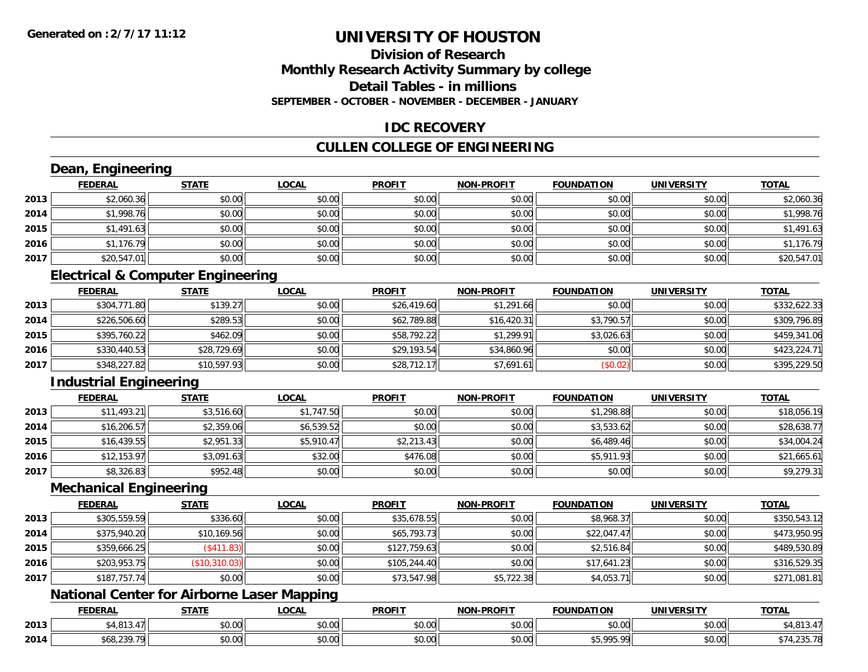### **Division of ResearchMonthly Research Activity Summary by college Detail Tables - in millionsSEPTEMBER - OCTOBER - NOVEMBER - DECEMBER - JANUARY**

### **IDC RECOVERY**

### **CULLEN COLLEGE OF ENGINEERING**

## **Dean, Engineering**

|      | <b>FEDERAL</b> | <b>STATE</b> | <u>LOCAL</u> | <b>PROFIT</b> | <b>NON-PROFIT</b> | <b>FOUNDATION</b> | <b>UNIVERSITY</b> | <b>TOTAL</b> |
|------|----------------|--------------|--------------|---------------|-------------------|-------------------|-------------------|--------------|
| 2013 | \$2,060.36     | \$0.00       | \$0.00       | \$0.00        | \$0.00            | \$0.00            | \$0.00            | \$2,060.36   |
| 2014 | \$1,998.76     | \$0.00       | \$0.00       | \$0.00        | \$0.00            | \$0.00            | \$0.00            | \$1,998.76   |
| 2015 | \$1,491.63     | \$0.00       | \$0.00       | \$0.00        | \$0.00            | \$0.00            | \$0.00            | \$1,491.63   |
| 2016 | \$1,176.79     | \$0.00       | \$0.00       | \$0.00        | \$0.00            | \$0.00            | \$0.00            | \$1,176.79   |
| 2017 | \$20,547.01    | \$0.00       | \$0.00       | \$0.00        | \$0.00            | \$0.00            | \$0.00            | \$20,547.01  |

### **Electrical & Computer Engineering**

|      | <b>FEDERAL</b> | <u>STATE</u> | <u>LOCAL</u> | <b>PROFIT</b> | <b>NON-PROFIT</b> | <b>FOUNDATION</b> | <b>UNIVERSITY</b> | <b>TOTAL</b> |
|------|----------------|--------------|--------------|---------------|-------------------|-------------------|-------------------|--------------|
| 2013 | \$304,771.80   | \$139.27     | \$0.00       | \$26,419.60   | \$1,291.66        | \$0.00            | \$0.00            | \$332,622.33 |
| 2014 | \$226,506.60   | \$289.53     | \$0.00       | \$62,789.88   | \$16,420.31       | \$3,790.57        | \$0.00            | \$309,796.89 |
| 2015 | \$395,760.22   | \$462.09     | \$0.00       | \$58,792.22   | \$1,299.91        | \$3,026.63        | \$0.00            | \$459,341.06 |
| 2016 | \$330,440.53   | \$28,729.69  | \$0.00       | \$29,193.54   | \$34,860.96       | \$0.00            | \$0.00            | \$423,224.71 |
| 2017 | \$348,227.82   | \$10,597.93  | \$0.00       | \$28,712.17   | \$7,691.61        | (S0.02)           | \$0.00            | \$395,229.50 |

### **Industrial Engineering**

|      | <b>FEDERAL</b> | <b>STATE</b> | <u>LOCAL</u> | <b>PROFIT</b> | <b>NON-PROFIT</b> | <b>FOUNDATION</b> | <b>UNIVERSITY</b> | <b>TOTAL</b> |
|------|----------------|--------------|--------------|---------------|-------------------|-------------------|-------------------|--------------|
| 2013 | \$11,493.21    | \$3,516.60   | \$1,747.50   | \$0.00        | \$0.00            | \$1,298.88        | \$0.00            | \$18,056.19  |
| 2014 | \$16,206.57    | \$2,359.06   | \$6,539.52   | \$0.00        | \$0.00            | \$3,533.62        | \$0.00            | \$28,638.77  |
| 2015 | \$16,439.55    | \$2,951.33   | \$5,910.47   | \$2,213.43    | \$0.00            | \$6,489.46        | \$0.00            | \$34,004.24  |
| 2016 | \$12,153.97    | \$3,091.63   | \$32.00      | \$476.08      | \$0.00            | \$5,911.93        | \$0.00            | \$21,665.61  |
| 2017 | \$8,326.83     | \$952.48     | \$0.00       | \$0.00        | \$0.00            | \$0.00            | \$0.00            | \$9,279.31   |

#### **Mechanical Engineering**

|      | <b>FEDERAL</b> | <b>STATE</b>  | <u>LOCAL</u> | <b>PROFIT</b> | <b>NON-PROFIT</b> | <b>FOUNDATION</b> | <b>UNIVERSITY</b> | <b>TOTAL</b> |
|------|----------------|---------------|--------------|---------------|-------------------|-------------------|-------------------|--------------|
| 2013 | \$305,559.59   | \$336.60      | \$0.00       | \$35,678.55   | \$0.00            | \$8,968.37        | \$0.00            | \$350,543.12 |
| 2014 | \$375,940.20   | \$10,169.56   | \$0.00       | \$65,793.73   | \$0.00            | \$22,047.47       | \$0.00            | \$473,950.95 |
| 2015 | \$359,666.25   | (\$411.83)    | \$0.00       | \$127,759.63  | \$0.00            | \$2,516.84        | \$0.00            | \$489,530.89 |
| 2016 | \$203,953.75   | (\$10,310.03) | \$0.00       | \$105,244.40  | \$0.00            | \$17,641.23       | \$0.00            | \$316,529.35 |
| 2017 | \$187,757.74   | \$0.00        | \$0.00       | \$73,547.98   | \$5,722.38        | \$4,053.71        | \$0.00            | \$271,081.81 |

### **National Center for Airborne Laser Mapping**

|      | <b>EEDEDA</b><br>CUCRA. | <b>STATE</b>               | .OCAI          | <b>PROFIT</b> | <b>DDAEIT</b><br><b>NION</b>               | FOUNDATION           | UNIVERSITY    | <b>TOTAL</b>         |
|------|-------------------------|----------------------------|----------------|---------------|--------------------------------------------|----------------------|---------------|----------------------|
| 2013 | $m + m + \tau$          | 0000<br>70.U               | ሶስ ሰሰ<br>pu.uu | 0.00<br>טט.טע | 0000<br>PO.OO                              | 0.00                 | 0000<br>⊅∪.∪U | 1019<br>≀ ن ۱        |
| 2014 | $-222 - 72$             | $\sim$ 0.0 $\sim$<br>JU.UU | ቀስ ስስ<br>JU.UU | 0000<br>JU.UU | $\theta$ $\theta$ $\theta$<br><b>JU.UU</b> | $\uparrow$ 0.05 0.01 | \$0.00        | ັ∾ ∤ ⊤≀ ( ບັບປີ / ຕະ |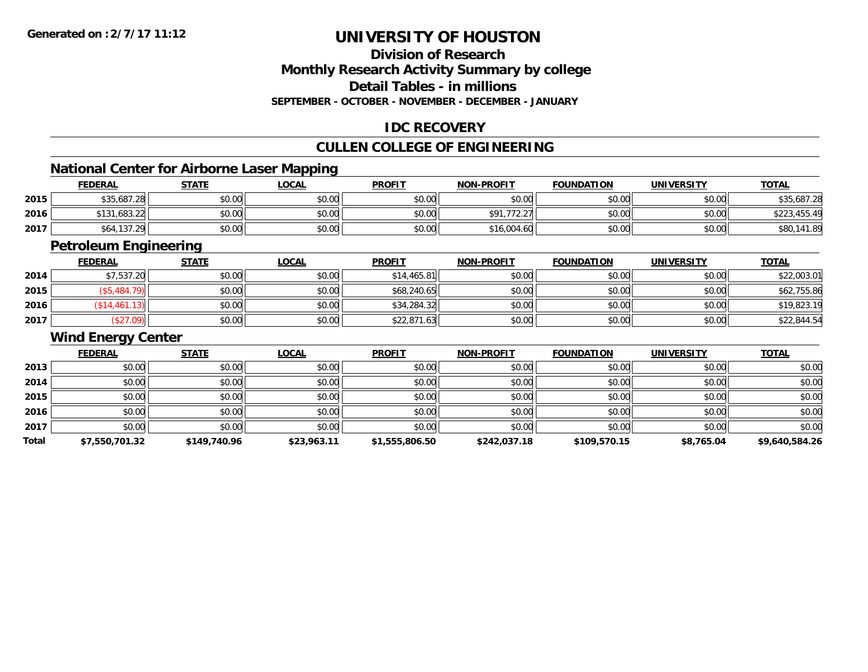### **Division of ResearchMonthly Research Activity Summary by college Detail Tables - in millions**

**SEPTEMBER - OCTOBER - NOVEMBER - DECEMBER - JANUARY**

### **IDC RECOVERY**

### **CULLEN COLLEGE OF ENGINEERING**

<u> 1989 - Johann Stoff, deutscher Stoff, der Stoff, der Stoff, der Stoff, der Stoff, der Stoff, der Stoff, der S</u>

### **National Center for Airborne Laser Mapping**

|      | <b>FEDERAL</b>    | <b>STATE</b> | <b>LOCAL</b> | <b>PROFIT</b> | <b>NON-PROFIT</b> | <b>FOUNDATION</b> | UNIVERSITY | <b>TOTAL</b> |
|------|-------------------|--------------|--------------|---------------|-------------------|-------------------|------------|--------------|
| 2015 | \$35,687.28       | \$0.00       | \$0.00       | \$0.00        | \$0.00            | \$0.00            | \$0.00     | \$35,687.28  |
| 2016 | \$131,683.22      | \$0.00       | \$0.00       | \$0.00        | \$91.77<br>12.2   | \$0.00            | \$0.00     | \$223,455.49 |
| 2017 | 64,137.29<br>ა64. | \$0.00       | \$0.00       | \$0.00        | \$16,004.60       | \$0.00            | \$0.00     | \$80,141.89  |

<u> 1989 - Johann Stoff, amerikansk politiker (d. 1989)</u>

## **Petroleum Engineering**

|      | <b>FEDERAL</b>   | <b>STATE</b> | <u>LOCAL</u> | <b>PROFIT</b> | <b>NON-PROFIT</b> | <b>FOUNDATION</b> | UNIVERSITY | <b>TOTAL</b> |
|------|------------------|--------------|--------------|---------------|-------------------|-------------------|------------|--------------|
| 2014 | \$7,537.20       | \$0.00       | \$0.00       | \$14,465.81   | \$0.00            | \$0.00            | \$0.00     | \$22,003.01  |
| 2015 | \$5,484.<br>79). | \$0.00       | \$0.00       | \$68,240.65   | \$0.00            | \$0.00            | \$0.00     | \$62,755.86  |
| 2016 | \$14,461.13      | \$0.00       | \$0.00       | \$34,284.32   | \$0.00            | \$0.00            | \$0.00     | \$19,823.19  |
| 2017 | (\$27.09)        | \$0.00       | \$0.00       | \$22,871.63   | \$0.00            | \$0.00            | \$0.00     | \$22,844.54  |

#### **Wind Energy Center**

|       | <b>FEDERAL</b> | <b>STATE</b> | <b>LOCAL</b> | <b>PROFIT</b>  | <b>NON-PROFIT</b> | <b>FOUNDATION</b> | <b>UNIVERSITY</b> | <b>TOTAL</b>   |
|-------|----------------|--------------|--------------|----------------|-------------------|-------------------|-------------------|----------------|
| 2013  | \$0.00         | \$0.00       | \$0.00       | \$0.00         | \$0.00            | \$0.00            | \$0.00            | \$0.00         |
| 2014  | \$0.00         | \$0.00       | \$0.00       | \$0.00         | \$0.00            | \$0.00            | \$0.00            | \$0.00         |
| 2015  | \$0.00         | \$0.00       | \$0.00       | \$0.00         | \$0.00            | \$0.00            | \$0.00            | \$0.00         |
| 2016  | \$0.00         | \$0.00       | \$0.00       | \$0.00         | \$0.00            | \$0.00            | \$0.00            | \$0.00         |
| 2017  | \$0.00         | \$0.00       | \$0.00       | \$0.00         | \$0.00            | \$0.00            | \$0.00            | \$0.00         |
| Total | \$7,550,701.32 | \$149,740.96 | \$23,963.11  | \$1,555,806.50 | \$242,037.18      | \$109,570.15      | \$8,765.04        | \$9,640,584.26 |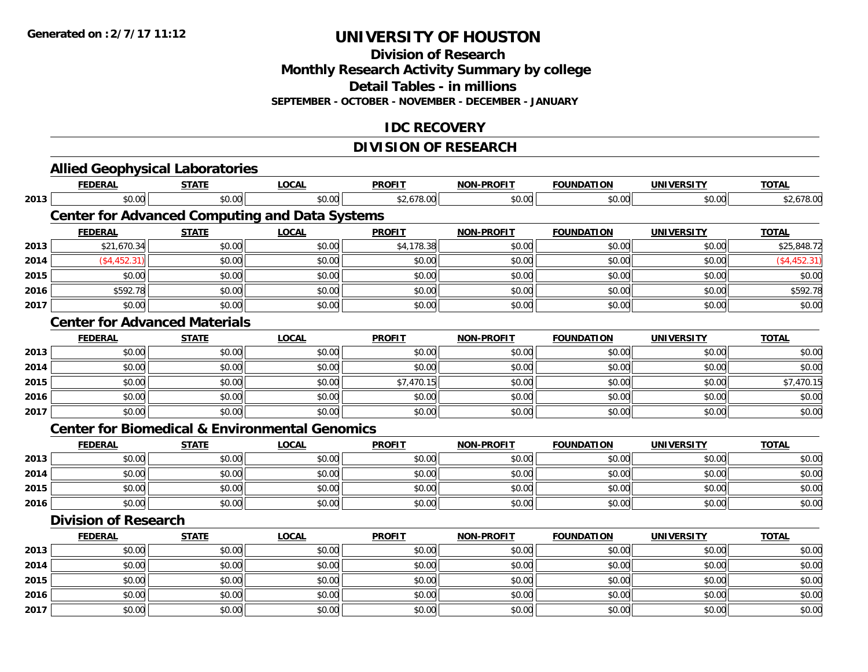**Division of Research**

**Monthly Research Activity Summary by college**

**Detail Tables - in millions**

**SEPTEMBER - OCTOBER - NOVEMBER - DECEMBER - JANUARY**

### **IDC RECOVERY**

### **DIVISION OF RESEARCH**

|      | <b>Allied Geophysical Laboratories</b>                    |              |              |               |                   |                   |                   |               |
|------|-----------------------------------------------------------|--------------|--------------|---------------|-------------------|-------------------|-------------------|---------------|
|      | <b>FEDERAL</b>                                            | <b>STATE</b> | <b>LOCAL</b> | <b>PROFIT</b> | NON-PROFIT        | <b>FOUNDATION</b> | <b>UNIVERSITY</b> | <b>TOTAL</b>  |
| 2013 | \$0.00                                                    | \$0.00       | \$0.00       | \$2,678.00    | \$0.00            | \$0.00            | \$0.00            | \$2,678.00    |
|      | <b>Center for Advanced Computing and Data Systems</b>     |              |              |               |                   |                   |                   |               |
|      | <b>FEDERAL</b>                                            | <b>STATE</b> | <b>LOCAL</b> | <b>PROFIT</b> | <b>NON-PROFIT</b> | <b>FOUNDATION</b> | <b>UNIVERSITY</b> | <b>TOTAL</b>  |
| 2013 | \$21,670.34                                               | \$0.00       | \$0.00       | \$4,178.38    | \$0.00            | \$0.00            | \$0.00            | \$25,848.72   |
| 2014 | (\$4,452.31)                                              | \$0.00       | \$0.00       | \$0.00        | \$0.00            | \$0.00            | \$0.00            | ( \$4,452.31) |
| 2015 | \$0.00                                                    | \$0.00       | \$0.00       | \$0.00        | \$0.00            | \$0.00            | \$0.00            | \$0.00        |
| 2016 | \$592.78                                                  | \$0.00       | \$0.00       | \$0.00        | \$0.00            | \$0.00            | \$0.00            | \$592.78      |
| 2017 | \$0.00                                                    | \$0.00       | \$0.00       | \$0.00        | \$0.00            | \$0.00            | \$0.00            | \$0.00        |
|      | <b>Center for Advanced Materials</b>                      |              |              |               |                   |                   |                   |               |
|      | <b>FEDERAL</b>                                            | <b>STATE</b> | <b>LOCAL</b> | <b>PROFIT</b> | NON-PROFIT        | <b>FOUNDATION</b> | <b>UNIVERSITY</b> | <b>TOTAL</b>  |
| 2013 | \$0.00                                                    | \$0.00       | \$0.00       | \$0.00        | \$0.00            | \$0.00            | \$0.00            | \$0.00        |
| 2014 | \$0.00                                                    | \$0.00       | \$0.00       | \$0.00        | \$0.00            | \$0.00            | \$0.00            | \$0.00        |
| 2015 | \$0.00                                                    | \$0.00       | \$0.00       | \$7,470.15    | \$0.00            | \$0.00            | \$0.00            | \$7,470.15    |
| 2016 | \$0.00                                                    | \$0.00       | \$0.00       | \$0.00        | \$0.00            | \$0.00            | \$0.00            | \$0.00        |
| 2017 | \$0.00                                                    | \$0.00       | \$0.00       | \$0.00        | \$0.00            | \$0.00            | \$0.00            | \$0.00        |
|      | <b>Center for Biomedical &amp; Environmental Genomics</b> |              |              |               |                   |                   |                   |               |
|      | <b>FEDERAL</b>                                            | <b>STATE</b> | <b>LOCAL</b> | <b>PROFIT</b> | <b>NON-PROFIT</b> | <b>FOUNDATION</b> | <b>UNIVERSITY</b> | <b>TOTAL</b>  |
| 2013 | \$0.00                                                    | \$0.00       | \$0.00       | \$0.00        | \$0.00            | \$0.00            | \$0.00            | \$0.00        |
| 2014 | \$0.00                                                    | \$0.00       | \$0.00       | \$0.00        | \$0.00            | \$0.00            | \$0.00            | \$0.00        |
| 2015 | \$0.00                                                    | \$0.00       | \$0.00       | \$0.00        | \$0.00            | \$0.00            | \$0.00            | \$0.00        |
| 2016 | \$0.00                                                    | \$0.00       | \$0.00       | \$0.00        | \$0.00            | \$0.00            | \$0.00            | \$0.00        |
|      | <b>Division of Research</b>                               |              |              |               |                   |                   |                   |               |
|      | <b>FEDERAL</b>                                            | <b>STATE</b> | <b>LOCAL</b> | <b>PROFIT</b> | <b>NON-PROFIT</b> | <b>FOUNDATION</b> | <b>UNIVERSITY</b> | <b>TOTAL</b>  |
| 2013 | \$0.00                                                    | \$0.00       | \$0.00       | \$0.00        | \$0.00            | \$0.00            | \$0.00            | \$0.00        |
| 2014 | \$0.00                                                    | \$0.00       | \$0.00       | \$0.00        | \$0.00            | \$0.00            | \$0.00            | \$0.00        |
| 2015 | \$0.00                                                    | \$0.00       | \$0.00       | \$0.00        | \$0.00            | \$0.00            | \$0.00            | \$0.00        |
| 2016 | \$0.00                                                    | \$0.00       | \$0.00       | \$0.00        | \$0.00            | \$0.00            | \$0.00            | \$0.00        |
| 2017 | \$0.00                                                    | \$0.00       | \$0.00       | \$0.00        | \$0.00            | \$0.00            | \$0.00            | \$0.00        |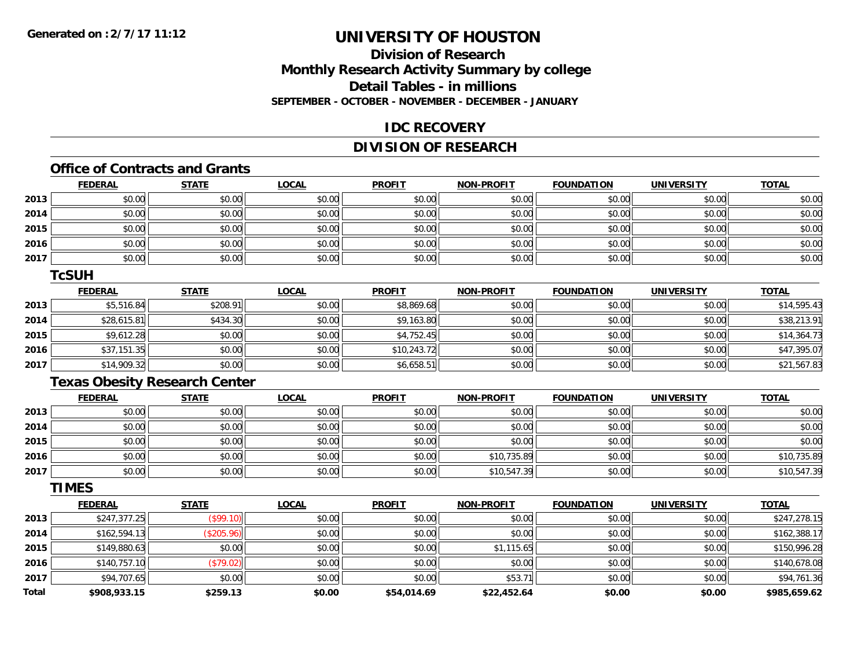### **Division of ResearchMonthly Research Activity Summary by college Detail Tables - in millions SEPTEMBER - OCTOBER - NOVEMBER - DECEMBER - JANUARY**

### **IDC RECOVERY**

### **DIVISION OF RESEARCH**

## **Office of Contracts and Grants**

|      | <b>FEDERAL</b> | <b>STATE</b> | <u>LOCAL</u> | <b>PROFIT</b> | <b>NON-PROFIT</b> | <b>FOUNDATION</b> | <b>UNIVERSITY</b> | <b>TOTAL</b> |
|------|----------------|--------------|--------------|---------------|-------------------|-------------------|-------------------|--------------|
| 2013 | \$0.00         | \$0.00       | \$0.00       | \$0.00        | \$0.00            | \$0.00            | \$0.00            | \$0.00       |
| 2014 | \$0.00         | \$0.00       | \$0.00       | \$0.00        | \$0.00            | \$0.00            | \$0.00            | \$0.00       |
| 2015 | \$0.00         | \$0.00       | \$0.00       | \$0.00        | \$0.00            | \$0.00            | \$0.00            | \$0.00       |
| 2016 | \$0.00         | \$0.00       | \$0.00       | \$0.00        | \$0.00            | \$0.00            | \$0.00            | \$0.00       |
| 2017 | \$0.00         | \$0.00       | \$0.00       | \$0.00        | \$0.00            | \$0.00            | \$0.00            | \$0.00       |

#### **TcSUH**

|      | <b>FEDERAL</b> | <b>STATE</b> | <u>LOCAL</u> | <b>PROFIT</b> | <b>NON-PROFIT</b> | <b>FOUNDATION</b> | <b>UNIVERSITY</b> | <b>TOTAL</b> |
|------|----------------|--------------|--------------|---------------|-------------------|-------------------|-------------------|--------------|
| 2013 | \$5,516.84     | \$208.91     | \$0.00       | \$8,869.68    | \$0.00            | \$0.00            | \$0.00            | \$14,595.43  |
| 2014 | \$28,615.81    | \$434.30     | \$0.00       | \$9,163.80    | \$0.00            | \$0.00            | \$0.00            | \$38,213.91  |
| 2015 | \$9,612.28     | \$0.00       | \$0.00       | \$4.752.45    | \$0.00            | \$0.00            | \$0.00            | \$14,364.73  |
| 2016 | \$37,151.35    | \$0.00       | \$0.00       | \$10,243.72   | \$0.00            | \$0.00            | \$0.00            | \$47,395.07  |
| 2017 | \$14,909.32    | \$0.00       | \$0.00       | \$6,658.51    | \$0.00            | \$0.00            | \$0.00            | \$21,567.83  |

## **Texas Obesity Research Center**

|      | <b>FEDERAL</b> | <u>STATE</u> | <u>LOCAL</u> | <b>PROFIT</b> | <b>NON-PROFIT</b> | <b>FOUNDATION</b> | <b>UNIVERSITY</b> | <b>TOTAL</b> |
|------|----------------|--------------|--------------|---------------|-------------------|-------------------|-------------------|--------------|
| 2013 | \$0.00         | \$0.00       | \$0.00       | \$0.00        | \$0.00            | \$0.00            | \$0.00            | \$0.00       |
| 2014 | \$0.00         | \$0.00       | \$0.00       | \$0.00        | \$0.00            | \$0.00            | \$0.00            | \$0.00       |
| 2015 | \$0.00         | \$0.00       | \$0.00       | \$0.00        | \$0.00            | \$0.00            | \$0.00            | \$0.00       |
| 2016 | \$0.00         | \$0.00       | \$0.00       | \$0.00        | \$10,735.89       | \$0.00            | \$0.00            | \$10,735.89  |
| 2017 | \$0.00         | \$0.00       | \$0.00       | \$0.00        | \$10,547.39       | \$0.00            | \$0.00            | \$10,547.39  |

#### **TIMES**

|              | <b>FEDERAL</b> | <b>STATE</b> | LOCAL  | <b>PROFIT</b> | <b>NON-PROFIT</b> | <b>FOUNDATION</b> | <b>UNIVERSITY</b> | <b>TOTAL</b> |
|--------------|----------------|--------------|--------|---------------|-------------------|-------------------|-------------------|--------------|
| 2013         | \$247,377.25   | (\$99.10)    | \$0.00 | \$0.00        | \$0.00            | \$0.00            | \$0.00            | \$247,278.15 |
| 2014         | \$162,594.13   | (\$205.96)   | \$0.00 | \$0.00        | \$0.00            | \$0.00            | \$0.00            | \$162,388.17 |
| 2015         | \$149,880.63   | \$0.00       | \$0.00 | \$0.00        | \$1,115.65        | \$0.00            | \$0.00            | \$150,996.28 |
| 2016         | \$140,757.10   | (\$79.02)    | \$0.00 | \$0.00        | \$0.00            | \$0.00            | \$0.00            | \$140,678.08 |
| 2017         | \$94,707.65    | \$0.00       | \$0.00 | \$0.00        | \$53.71           | \$0.00            | \$0.00            | \$94,761.36  |
| <b>Total</b> | \$908,933.15   | \$259.13     | \$0.00 | \$54,014.69   | \$22,452.64       | \$0.00            | \$0.00            | \$985,659.62 |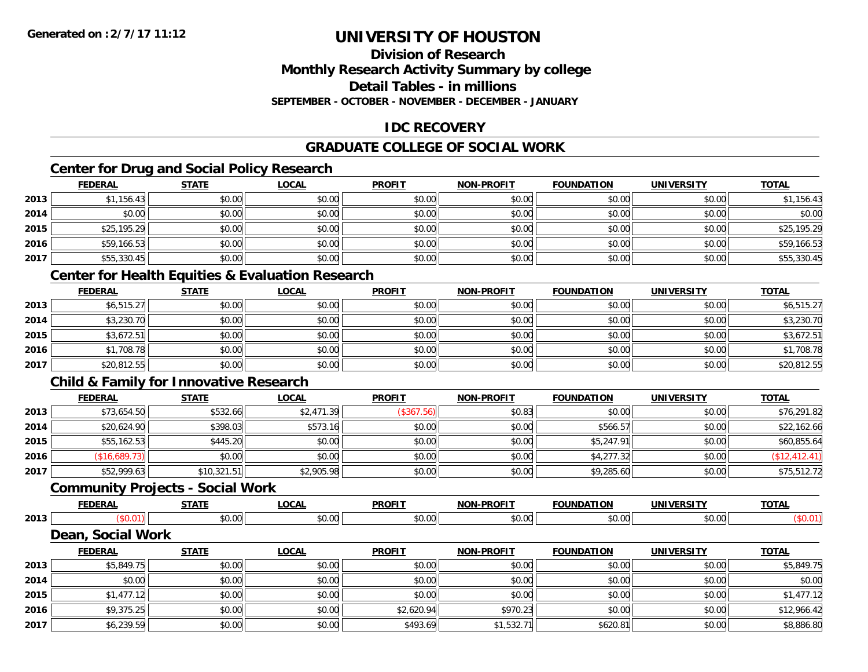### **Division of ResearchMonthly Research Activity Summary by college Detail Tables - in millionsSEPTEMBER - OCTOBER - NOVEMBER - DECEMBER - JANUARY**

### **IDC RECOVERY**

### **GRADUATE COLLEGE OF SOCIAL WORK**

### **Center for Drug and Social Policy Research**

|      | <b>FEDERAL</b> | <b>STATE</b> | <u>LOCAL</u> | <b>PROFIT</b> | <b>NON-PROFIT</b> | <b>FOUNDATION</b> | <b>UNIVERSITY</b> | <b>TOTAL</b> |
|------|----------------|--------------|--------------|---------------|-------------------|-------------------|-------------------|--------------|
| 2013 | \$1,156.43     | \$0.00       | \$0.00       | \$0.00        | \$0.00            | \$0.00            | \$0.00            | \$1,156.43   |
| 2014 | \$0.00         | \$0.00       | \$0.00       | \$0.00        | \$0.00            | \$0.00            | \$0.00            | \$0.00       |
| 2015 | \$25,195.29    | \$0.00       | \$0.00       | \$0.00        | \$0.00            | \$0.00            | \$0.00            | \$25,195.29  |
| 2016 | \$59,166.53    | \$0.00       | \$0.00       | \$0.00        | \$0.00            | \$0.00            | \$0.00            | \$59,166.53  |
| 2017 | \$55,330.45    | \$0.00       | \$0.00       | \$0.00        | \$0.00            | \$0.00            | \$0.00            | \$55,330.45  |

### **Center for Health Equities & Evaluation Research**

|      | <u>FEDERAL</u> | <b>STATE</b> | <u>LOCAL</u> | <b>PROFIT</b> | <b>NON-PROFIT</b> | <b>FOUNDATION</b> | <b>UNIVERSITY</b> | <b>TOTAL</b> |
|------|----------------|--------------|--------------|---------------|-------------------|-------------------|-------------------|--------------|
| 2013 | \$6,515.27     | \$0.00       | \$0.00       | \$0.00        | \$0.00            | \$0.00            | \$0.00            | \$6,515.27   |
| 2014 | \$3,230.70     | \$0.00       | \$0.00       | \$0.00        | \$0.00            | \$0.00            | \$0.00            | \$3,230.70   |
| 2015 | \$3,672.51     | \$0.00       | \$0.00       | \$0.00        | \$0.00            | \$0.00            | \$0.00            | \$3,672.51   |
| 2016 | \$1,708.78     | \$0.00       | \$0.00       | \$0.00        | \$0.00            | \$0.00            | \$0.00            | \$1,708.78   |
| 2017 | \$20,812.55    | \$0.00       | \$0.00       | \$0.00        | \$0.00            | \$0.00            | \$0.00            | \$20,812.55  |

### **Child & Family for Innovative Research**

|      | <b>FEDERAL</b> | <b>STATE</b> | <u>LOCAL</u> | <b>PROFIT</b> | <b>NON-PROFIT</b> | <b>FOUNDATION</b> | <b>UNIVERSITY</b> | <b>TOTAL</b>  |
|------|----------------|--------------|--------------|---------------|-------------------|-------------------|-------------------|---------------|
| 2013 | \$73,654.50    | \$532.66     | \$2,471.39   | (\$367.56)    | \$0.83            | \$0.00            | \$0.00            | \$76,291.82   |
| 2014 | \$20,624.90    | \$398.03     | \$573.16     | \$0.00        | \$0.00            | \$566.57          | \$0.00            | \$22,162.66   |
| 2015 | \$55,162.53    | \$445.20     | \$0.00       | \$0.00        | \$0.00            | \$5,247.91        | \$0.00            | \$60,855.64   |
| 2016 | \$16,689.73    | \$0.00       | \$0.00       | \$0.00        | \$0.00            | \$4,277.32        | \$0.00            | (\$12,412.41) |
| 2017 | \$52,999.63    | \$10,321.51  | \$2,905.98   | \$0.00        | \$0.00            | \$9,285.60        | \$0.00            | \$75,512.72   |

### **Community Projects - Social Work**

|      |                  | $C = 1$ | $\sim$ $\sim$ $\sim$ | <b>DDOEIT</b>                            | $\sim$        |               | <b>TOTAL</b> |
|------|------------------|---------|----------------------|------------------------------------------|---------------|---------------|--------------|
| 2013 |                  | $\sim$  | $\sim$ 00<br>vv.vv   | $\mathsf{A}\cap\mathsf{A}\cap\mathsf{A}$ | $\sim$ $\sim$ | 0.00<br>40.00 |              |
|      | .<br>---<br>---- | WARK    |                      |                                          |               |               |              |

| Dean, Social Work |  |  |
|-------------------|--|--|
|-------------------|--|--|

|      | <b>FEDERAL</b> | <b>STATE</b> | <u>LOCAL</u> | <b>PROFIT</b> | <b>NON-PROFIT</b> | <b>FOUNDATION</b> | UNIVERSITY | <b>TOTAL</b> |
|------|----------------|--------------|--------------|---------------|-------------------|-------------------|------------|--------------|
| 2013 | \$5,849.75     | \$0.00       | \$0.00       | \$0.00        | \$0.00            | \$0.00            | \$0.00     | \$5,849.75   |
| 2014 | \$0.00         | \$0.00       | \$0.00       | \$0.00        | \$0.00            | \$0.00            | \$0.00     | \$0.00       |
| 2015 | \$1,477.12     | \$0.00       | \$0.00       | \$0.00        | \$0.00            | \$0.00            | \$0.00     | \$1,477.12   |
| 2016 | \$9,375.25     | \$0.00       | \$0.00       | \$2,620.94    | \$970.23          | \$0.00            | \$0.00     | \$12,966.42  |
| 2017 | \$6,239.59     | \$0.00       | \$0.00       | \$493.69      | \$1,532.71        | \$620.81          | \$0.00     | \$8,886.80   |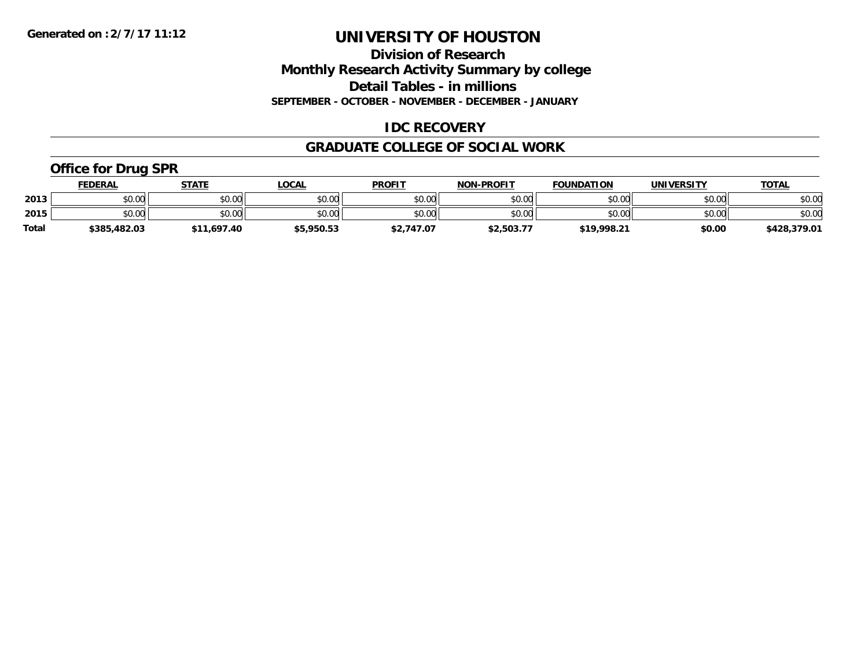**Division of Research Monthly Research Activity Summary by college Detail Tables - in millions SEPTEMBER - OCTOBER - NOVEMBER - DECEMBER - JANUARY**

### **IDC RECOVERY**

#### **GRADUATE COLLEGE OF SOCIAL WORK**

### **Office for Drug SPR**

|              | <u>FEDERAL</u> | <b>STATE</b>           | _OCAL      | <b>PROFIT</b> | <b>NON-PROFIT</b> | <b>FOUNDATION</b> | UNIVERSITY | <b>TOTAL</b> |
|--------------|----------------|------------------------|------------|---------------|-------------------|-------------------|------------|--------------|
| 2013         | ሶስ ሰስ<br>JU.UU | \$0.00                 | \$0.00     | \$0.00        | \$0.00            | \$0.00            | \$0.00     | \$0.00       |
| 2015         | ሶስ ሰስ<br>DU.UU | \$0.00                 | \$0.00     | \$0.00        | \$0.00            | \$0.00            | \$0.00     | \$0.00       |
| <b>Total</b> | \$385,482.03   | 1,697.40<br><b>¢11</b> | \$5,950.53 | \$2,747.07    | \$2,503.77        | \$19,998.21       | \$0.00     | \$428,379.01 |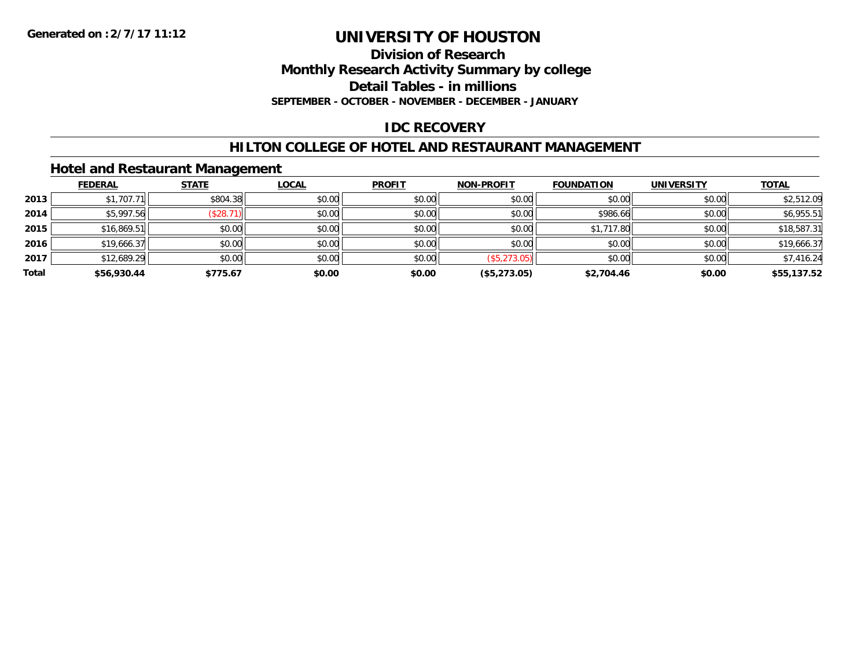**Division of Research**

**Monthly Research Activity Summary by college**

**Detail Tables - in millions**

**SEPTEMBER - OCTOBER - NOVEMBER - DECEMBER - JANUARY**

### **IDC RECOVERY**

### **HILTON COLLEGE OF HOTEL AND RESTAURANT MANAGEMENT**

### **Hotel and Restaurant Management**

|       | <b>FEDERAL</b> | <b>STATE</b> | <u>LOCAL</u> | <b>PROFIT</b> | <b>NON-PROFIT</b> | <b>FOUNDATION</b> | <b>UNIVERSITY</b> | <b>TOTAL</b> |
|-------|----------------|--------------|--------------|---------------|-------------------|-------------------|-------------------|--------------|
| 2013  | \$1,707.71     | \$804.38     | \$0.00       | \$0.00        | \$0.00            | \$0.00            | \$0.00            | \$2,512.09   |
| 2014  | \$5,997.56     | (\$28.7)     | \$0.00       | \$0.00        | \$0.00            | \$986.66          | \$0.00            | \$6,955.51   |
| 2015  | \$16,869.51    | \$0.00       | \$0.00       | \$0.00        | \$0.00            | \$1,717.80        | \$0.00            | \$18,587.31  |
| 2016  | \$19,666.37    | \$0.00       | \$0.00       | \$0.00        | \$0.00            | \$0.00            | \$0.00            | \$19,666.37  |
| 2017  | \$12,689.29    | \$0.00       | \$0.00       | \$0.00        | (\$5,273.05)      | \$0.00            | \$0.00            | \$7,416.24   |
| Total | \$56,930.44    | \$775.67     | \$0.00       | \$0.00        | (\$5,273.05)      | \$2,704.46        | \$0.00            | \$55,137.52  |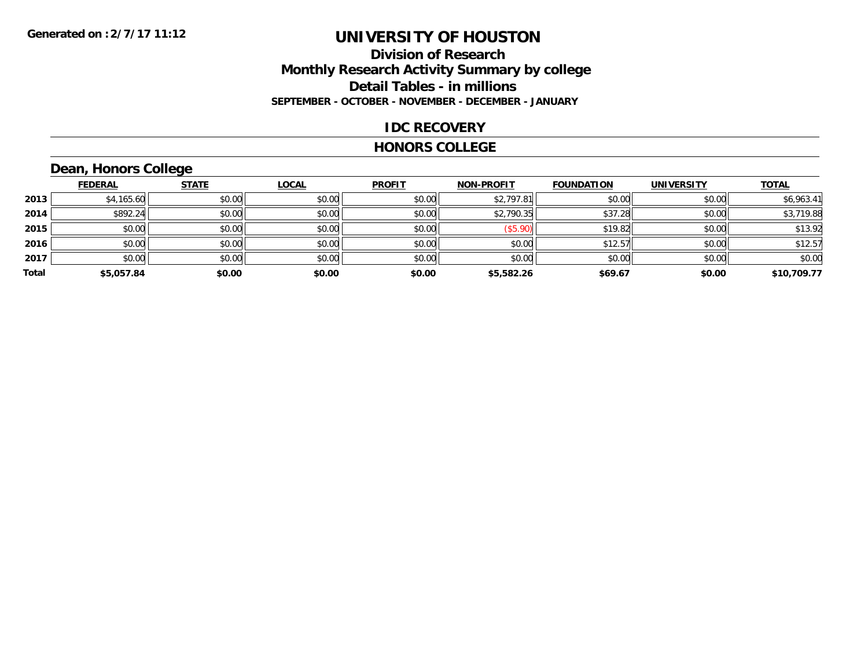### **Division of Research Monthly Research Activity Summary by college Detail Tables - in millions SEPTEMBER - OCTOBER - NOVEMBER - DECEMBER - JANUARY**

### **IDC RECOVERY**

#### **HONORS COLLEGE**

## **Dean, Honors College**

|       | <b>FEDERAL</b> | <b>STATE</b> | <b>LOCAL</b> | <b>PROFIT</b> | <b>NON-PROFIT</b> | <b>FOUNDATION</b> | <b>UNIVERSITY</b> | <b>TOTAL</b> |
|-------|----------------|--------------|--------------|---------------|-------------------|-------------------|-------------------|--------------|
| 2013  | \$4,165.60     | \$0.00       | \$0.00       | \$0.00        | \$2,797.81        | \$0.00            | \$0.00            | \$6,963.41   |
| 2014  | \$892.24       | \$0.00       | \$0.00       | \$0.00        | \$2,790.35        | \$37.28           | \$0.00            | \$3,719.88   |
| 2015  | \$0.00         | \$0.00       | \$0.00       | \$0.00        | (\$5.90)          | \$19.82           | \$0.00            | \$13.92      |
| 2016  | \$0.00         | \$0.00       | \$0.00       | \$0.00        | \$0.00            | \$12.57           | \$0.00            | \$12.57      |
| 2017  | \$0.00         | \$0.00       | \$0.00       | \$0.00        | \$0.00            | \$0.00            | \$0.00            | \$0.00       |
| Total | \$5,057.84     | \$0.00       | \$0.00       | \$0.00        | \$5,582.26        | \$69.67           | \$0.00            | \$10,709.77  |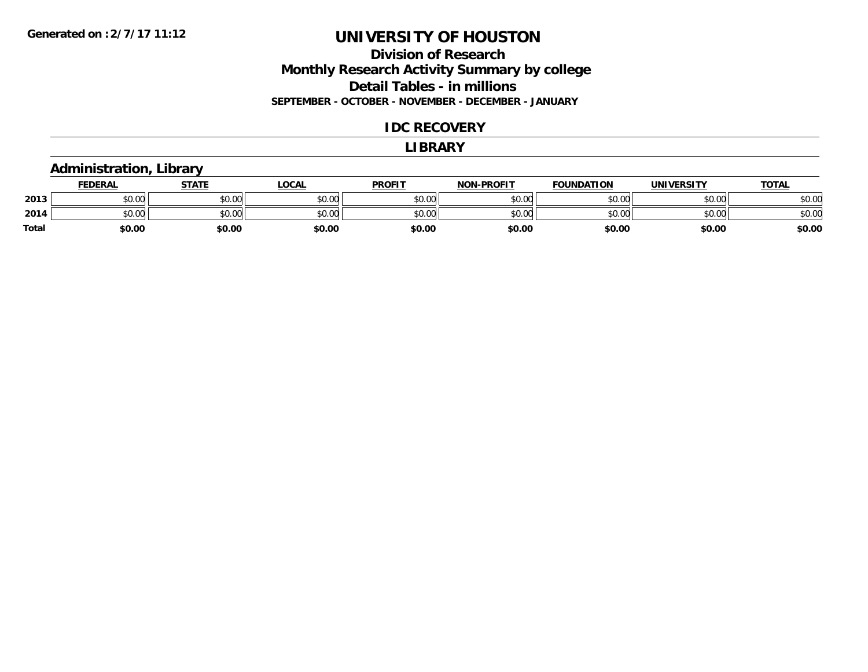### **Division of Research Monthly Research Activity Summary by college Detail Tables - in millions SEPTEMBER - OCTOBER - NOVEMBER - DECEMBER - JANUARY**

#### **IDC RECOVERY**

#### **LIBRARY**

### **Administration, Library**

|       | <b>FEDERAL</b> | STATE  | <u>LOCAL</u> | <b>PROFIT</b> | <b>NON-PROFIT</b> | <b>FOUNDATION</b> | <b>UNIVERSITY</b> | <u>TOTAL</u> |
|-------|----------------|--------|--------------|---------------|-------------------|-------------------|-------------------|--------------|
| 2013  | ሶስ ሰሰ<br>JU.UU | \$0.00 | \$0.00       | \$0.00        | \$0.00            | \$0.00            | \$0.00            | \$0.00       |
| 2014  | ስስ ስስ<br>JU.UU | \$0.00 | \$0.00       | \$0.00        | \$0.00            | \$0.00            | \$0.00            | \$0.00       |
| Total | \$0.00         | \$0.00 | \$0.00       | \$0.00        | \$0.00            | \$0.00            | \$0.00            | \$0.00       |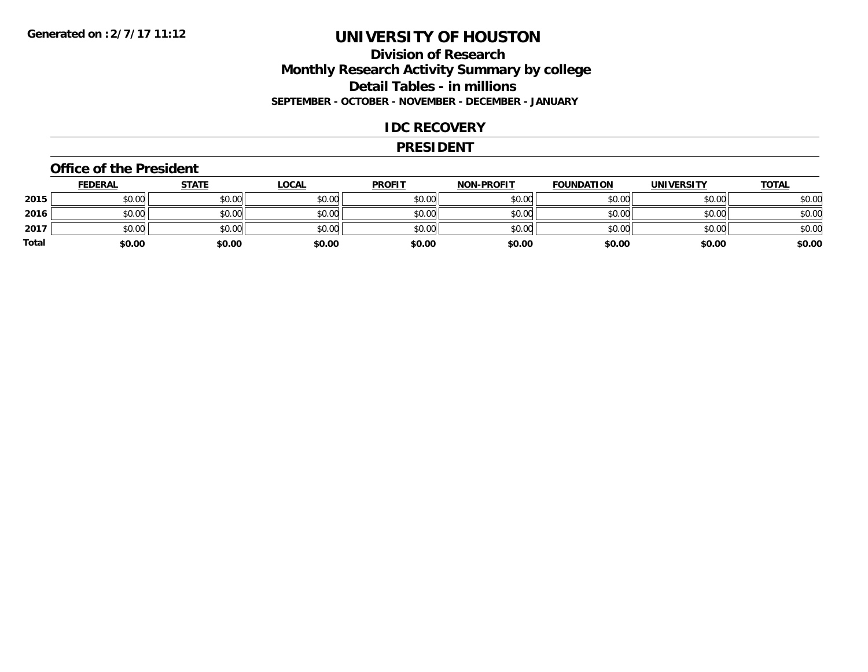### **Division of Research Monthly Research Activity Summary by college Detail Tables - in millions SEPTEMBER - OCTOBER - NOVEMBER - DECEMBER - JANUARY**

#### **IDC RECOVERY**

#### **PRESIDENT**

#### **Office of the President**

|       | <b>FEDERAL</b> | <u>STATE</u> | <b>LOCAL</b> | <b>PROFIT</b> | <b>NON-PROFIT</b> | <b>FOUNDATION</b> | <b>UNIVERSITY</b> | <b>TOTAL</b> |
|-------|----------------|--------------|--------------|---------------|-------------------|-------------------|-------------------|--------------|
| 2015  | \$0.00         | \$0.00       | \$0.00       | \$0.00        | \$0.00            | \$0.00            | \$0.00            | \$0.00       |
| 2016  | \$0.00         | \$0.00       | \$0.00       | \$0.00        | \$0.00            | \$0.00            | \$0.00            | \$0.00       |
| 2017  | \$0.00         | \$0.00       | \$0.00       | \$0.00        | \$0.00            | \$0.00            | \$0.00            | \$0.00       |
| Total | \$0.00         | \$0.00       | \$0.00       | \$0.00        | \$0.00            | \$0.00            | \$0.00            | \$0.00       |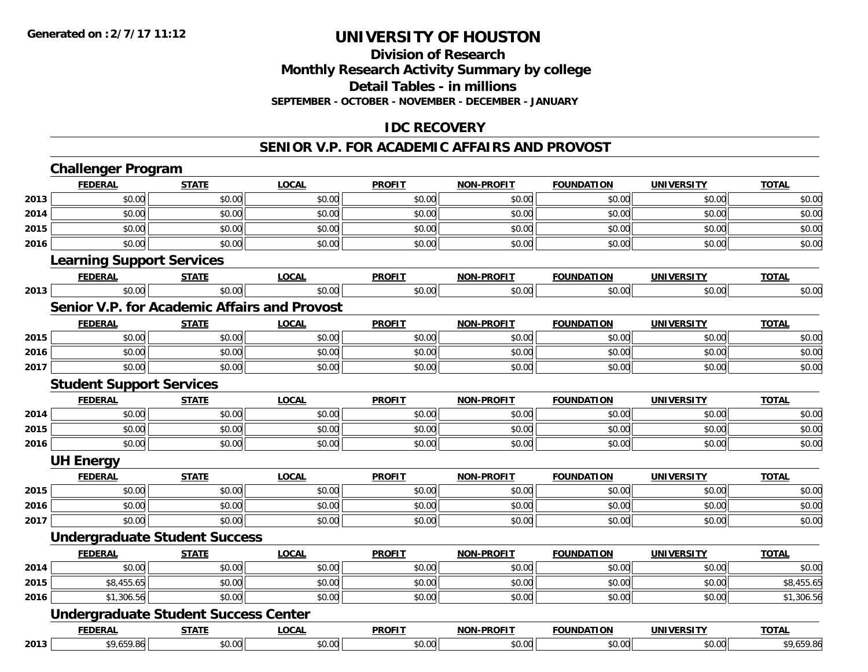### **Division of ResearchMonthly Research Activity Summary by college Detail Tables - in millions SEPTEMBER - OCTOBER - NOVEMBER - DECEMBER - JANUARY**

### **IDC RECOVERY**

#### **SENIOR V.P. FOR ACADEMIC AFFAIRS AND PROVOST**

|      | <b>Challenger Program</b>        |                                              |              |               |                   |                   |                   |              |
|------|----------------------------------|----------------------------------------------|--------------|---------------|-------------------|-------------------|-------------------|--------------|
|      | <b>FEDERAL</b>                   | <b>STATE</b>                                 | <b>LOCAL</b> | <b>PROFIT</b> | <b>NON-PROFIT</b> | <b>FOUNDATION</b> | <b>UNIVERSITY</b> | <b>TOTAL</b> |
| 2013 | \$0.00                           | \$0.00                                       | \$0.00       | \$0.00        | \$0.00            | \$0.00            | \$0.00            | \$0.00       |
| 2014 | \$0.00                           | \$0.00                                       | \$0.00       | \$0.00        | \$0.00            | \$0.00            | \$0.00            | \$0.00       |
| 2015 | \$0.00                           | \$0.00                                       | \$0.00       | \$0.00        | \$0.00            | \$0.00            | \$0.00            | \$0.00       |
| 2016 | \$0.00                           | \$0.00                                       | \$0.00       | \$0.00        | \$0.00            | \$0.00            | \$0.00            | \$0.00       |
|      | <b>Learning Support Services</b> |                                              |              |               |                   |                   |                   |              |
|      | <b>FEDERAL</b>                   | <b>STATE</b>                                 | <b>LOCAL</b> | <b>PROFIT</b> | <b>NON-PROFIT</b> | <b>FOUNDATION</b> | <b>UNIVERSITY</b> | <b>TOTAL</b> |
| 2013 | \$0.00                           | \$0.00                                       | \$0.00       | \$0.00        | \$0.00            | \$0.00            | \$0.00            | \$0.00       |
|      |                                  | Senior V.P. for Academic Affairs and Provost |              |               |                   |                   |                   |              |
|      | <b>FEDERAL</b>                   | <b>STATE</b>                                 | <b>LOCAL</b> | <b>PROFIT</b> | <b>NON-PROFIT</b> | <b>FOUNDATION</b> | <b>UNIVERSITY</b> | <b>TOTAL</b> |
| 2015 | \$0.00                           | \$0.00                                       | \$0.00       | \$0.00        | \$0.00            | \$0.00            | \$0.00            | \$0.00       |
| 2016 | \$0.00                           | \$0.00                                       | \$0.00       | \$0.00        | \$0.00            | \$0.00            | \$0.00            | \$0.00       |
| 2017 | \$0.00                           | \$0.00                                       | \$0.00       | \$0.00        | \$0.00            | \$0.00            | \$0.00            | \$0.00       |
|      | <b>Student Support Services</b>  |                                              |              |               |                   |                   |                   |              |
|      | <b>FEDERAL</b>                   | <b>STATE</b>                                 | <b>LOCAL</b> | <b>PROFIT</b> | <b>NON-PROFIT</b> | <b>FOUNDATION</b> | <b>UNIVERSITY</b> | <b>TOTAL</b> |
| 2014 | \$0.00                           | \$0.00                                       | \$0.00       | \$0.00        | \$0.00            | \$0.00            | \$0.00            | \$0.00       |
| 2015 | \$0.00                           | \$0.00                                       | \$0.00       | \$0.00        | \$0.00            | \$0.00            | \$0.00            | \$0.00       |
| 2016 | \$0.00                           | \$0.00                                       | \$0.00       | \$0.00        | \$0.00            | \$0.00            | \$0.00            | \$0.00       |
|      | <b>UH Energy</b>                 |                                              |              |               |                   |                   |                   |              |
|      | <b>FEDERAL</b>                   | <b>STATE</b>                                 | <b>LOCAL</b> | <b>PROFIT</b> | <b>NON-PROFIT</b> | <b>FOUNDATION</b> | <b>UNIVERSITY</b> | <b>TOTAL</b> |
| 2015 | \$0.00                           | \$0.00                                       | \$0.00       | \$0.00        | \$0.00            | \$0.00            | \$0.00            | \$0.00       |
| 2016 | \$0.00                           | \$0.00                                       | \$0.00       | \$0.00        | \$0.00            | \$0.00            | \$0.00            | \$0.00       |
| 2017 | \$0.00                           | \$0.00                                       | \$0.00       | \$0.00        | \$0.00            | \$0.00            | \$0.00            | \$0.00       |
|      |                                  | <b>Undergraduate Student Success</b>         |              |               |                   |                   |                   |              |
|      | <b>FEDERAL</b>                   | <b>STATE</b>                                 | <b>LOCAL</b> | <b>PROFIT</b> | <b>NON-PROFIT</b> | <b>FOUNDATION</b> | <b>UNIVERSITY</b> | <b>TOTAL</b> |
| 2014 | \$0.00                           | \$0.00                                       | \$0.00       | \$0.00        | \$0.00            | \$0.00            | \$0.00            | \$0.00       |
| 2015 | \$8,455.65                       | \$0.00                                       | \$0.00       | \$0.00        | \$0.00            | \$0.00            | \$0.00            | \$8,455.65   |
| 2016 | \$1,306.56                       | \$0.00                                       | \$0.00       | \$0.00        | \$0.00            | \$0.00            | \$0.00            | \$1,306.56   |
|      |                                  | <b>Undergraduate Student Success Center</b>  |              |               |                   |                   |                   |              |
|      | <b>FEDERAL</b>                   | <b>STATE</b>                                 | <b>LOCAL</b> | <b>PROFIT</b> | <b>NON-PROFIT</b> | <b>FOUNDATION</b> | <b>UNIVERSITY</b> | <b>TOTAL</b> |
| 2013 | \$9,659.86                       | \$0.00                                       | \$0.00       | \$0.00        | \$0.00            | \$0.00            | \$0.00            | \$9,659.86   |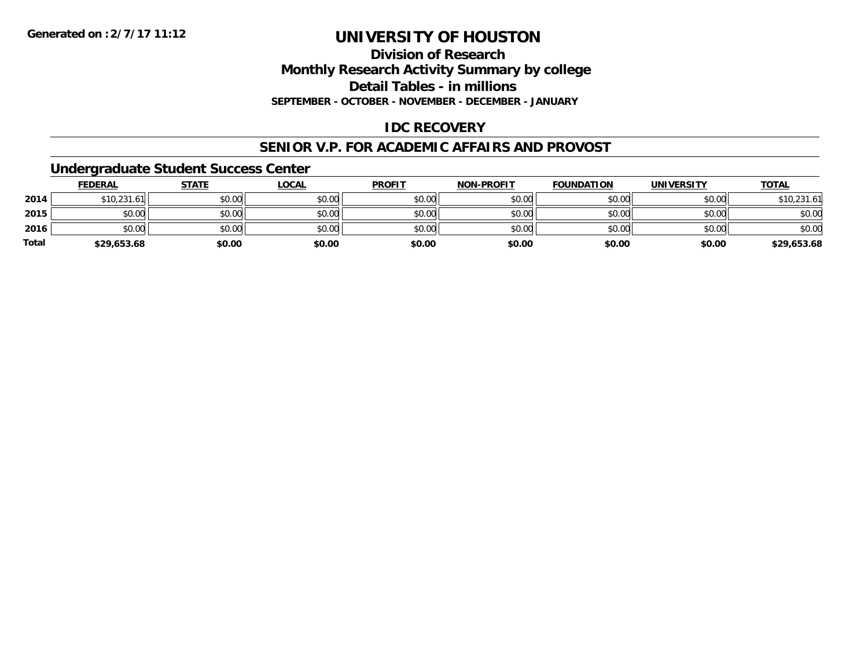**Division of ResearchMonthly Research Activity Summary by college Detail Tables - in millions**

**SEPTEMBER - OCTOBER - NOVEMBER - DECEMBER - JANUARY**

### **IDC RECOVERY**

#### **SENIOR V.P. FOR ACADEMIC AFFAIRS AND PROVOST**

#### **Undergraduate Student Success Center**

|              | <b>FEDERAL</b> | <b>STATE</b> | <b>LOCAL</b> | <b>PROFIT</b> | <b>NON-PROFIT</b> | <b>FOUNDATION</b> | <b>UNIVERSITY</b> | <b>TOTAL</b> |
|--------------|----------------|--------------|--------------|---------------|-------------------|-------------------|-------------------|--------------|
| 2014         | \$10,231.61    | \$0.00       | \$0.00       | \$0.00        | \$0.00            | \$0.00            | \$0.00            | \$10,231.61  |
| 2015         | \$0.00         | \$0.00       | \$0.00       | \$0.00        | \$0.00            | \$0.00            | \$0.00            | \$0.00       |
| 2016         | \$0.00         | \$0.00       | \$0.00       | \$0.00        | \$0.00            | \$0.00            | \$0.00            | \$0.00       |
| <b>Total</b> | \$29,653.68    | \$0.00       | \$0.00       | \$0.00        | \$0.00            | \$0.00            | \$0.00            | \$29,653.68  |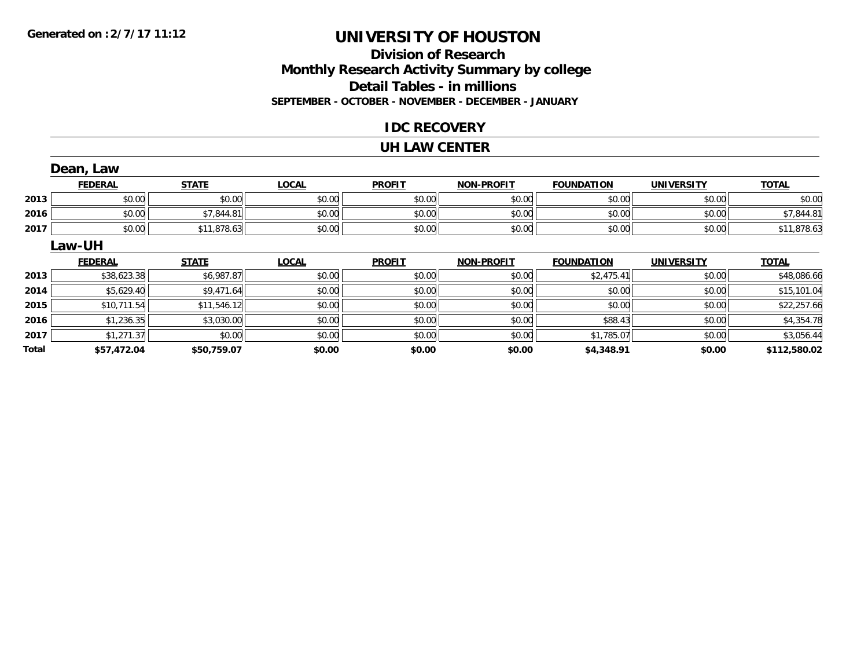### **Division of ResearchMonthly Research Activity Summary by college Detail Tables - in millions SEPTEMBER - OCTOBER - NOVEMBER - DECEMBER - JANUARY**

### **IDC RECOVERY**

#### **UH LAW CENTER**

|       | Dean, Law      |              |              |               |                   |                   |                   |              |
|-------|----------------|--------------|--------------|---------------|-------------------|-------------------|-------------------|--------------|
|       | <b>FEDERAL</b> | <b>STATE</b> | <b>LOCAL</b> | <b>PROFIT</b> | <b>NON-PROFIT</b> | <b>FOUNDATION</b> | <b>UNIVERSITY</b> | <b>TOTAL</b> |
| 2013  | \$0.00         | \$0.00       | \$0.00       | \$0.00        | \$0.00            | \$0.00            | \$0.00            | \$0.00       |
| 2016  | \$0.00         | \$7,844.81   | \$0.00       | \$0.00        | \$0.00            | \$0.00            | \$0.00            | \$7,844.81   |
| 2017  | \$0.00         | \$11,878.63  | \$0.00       | \$0.00        | \$0.00            | \$0.00            | \$0.00            | \$11,878.63  |
|       | Law-UH         |              |              |               |                   |                   |                   |              |
|       | <b>FEDERAL</b> | <b>STATE</b> | <b>LOCAL</b> | <b>PROFIT</b> | <b>NON-PROFIT</b> | <b>FOUNDATION</b> | <b>UNIVERSITY</b> | <b>TOTAL</b> |
| 2013  | \$38,623.38    | \$6,987.87   | \$0.00       | \$0.00        | \$0.00            | \$2,475.41        | \$0.00            | \$48,086.66  |
| 2014  | \$5,629.40     | \$9,471.64   | \$0.00       | \$0.00        | \$0.00            | \$0.00            | \$0.00            | \$15,101.04  |
| 2015  | \$10,711.54    | \$11,546.12  | \$0.00       | \$0.00        | \$0.00            | \$0.00            | \$0.00            | \$22,257.66  |
| 2016  | \$1,236.35     | \$3,030.00   | \$0.00       | \$0.00        | \$0.00            | \$88.43           | \$0.00            | \$4,354.78   |
| 2017  | \$1,271.37     | \$0.00       | \$0.00       | \$0.00        | \$0.00            | \$1,785.07        | \$0.00            | \$3,056.44   |
| Total | \$57,472.04    | \$50,759.07  | \$0.00       | \$0.00        | \$0.00            | \$4,348.91        | \$0.00            | \$112,580.02 |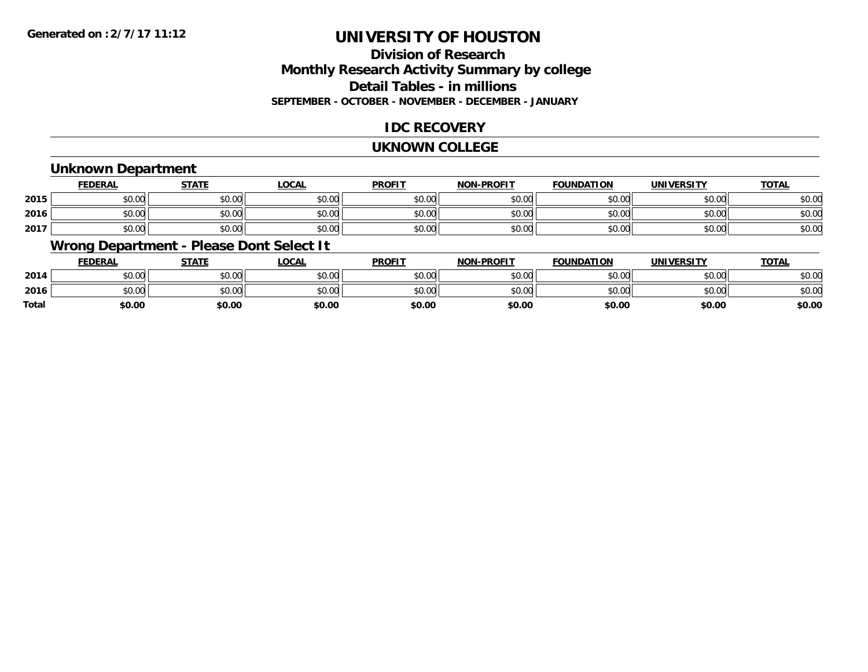### **Division of ResearchMonthly Research Activity Summary by college Detail Tables - in millions SEPTEMBER - OCTOBER - NOVEMBER - DECEMBER - JANUARY**

### **IDC RECOVERY**

#### **UKNOWN COLLEGE**

### **Unknown Department**

|      | FEDERAL | <b>STATE</b> | <u>LOCAI</u> | <b>PROFIT</b> | <b>NON-PROFIT</b> | <b>FOUNDATION</b> | <b>UNIVERSITY</b> | <b>TOTAL</b> |
|------|---------|--------------|--------------|---------------|-------------------|-------------------|-------------------|--------------|
| 2015 | \$0.00  | \$0.00       | \$0.00       | \$0.00        | ደሰ ሰሰ<br>JU.UU    | \$0.00            | \$0.00            | \$0.00       |
| 2016 | \$0.00  | \$0.00       | \$0.00       | \$0.00        | ku uy<br>ง∪.∪บ    | \$0.00            | \$0.00            | \$0.00       |
| 2017 | \$0.00  | \$0.00       | \$0.00       | \$0.00        | \$0.00            | \$0.00            | \$0.00            | \$0.00       |

### **Wrong Department - Please Dont Select It**

|              | <b>FEDERAL</b> | <b>STATE</b> | <u>LOCAL</u> | <b>PROFIT</b> | <b>NON-PROFIT</b> | <b>FOUNDATION</b> | <b>UNIVERSITY</b> | <u>TOTAL</u> |
|--------------|----------------|--------------|--------------|---------------|-------------------|-------------------|-------------------|--------------|
| 2014         | \$0.00         | \$0.00       | \$0.00       | \$0.00        | \$0.00            | \$0.00            | \$0.00            | \$0.00       |
| 2016         | \$0.00         | \$0.00       | \$0.00       | \$0.00        | \$0.00            | \$0.00            | \$0.00            | \$0.00       |
| <b>Total</b> | \$0.00         | \$0.00       | \$0.00       | \$0.00        | \$0.00            | \$0.00            | \$0.00            | \$0.00       |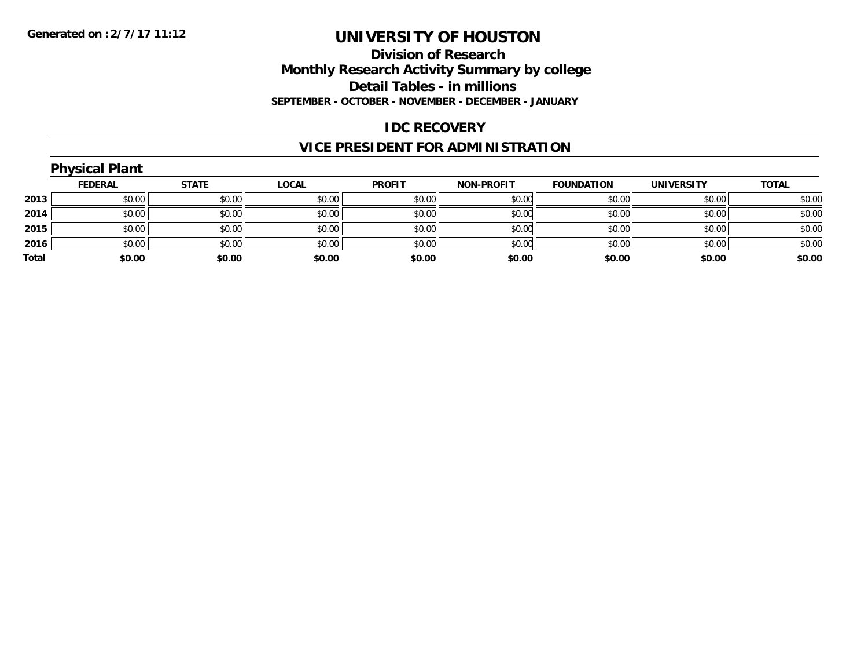### **Division of Research Monthly Research Activity Summary by college Detail Tables - in millions SEPTEMBER - OCTOBER - NOVEMBER - DECEMBER - JANUARY**

### **IDC RECOVERY**

## **VICE PRESIDENT FOR ADMINISTRATION**

|       | <b>Physical Plant</b> |              |              |               |                   |                   |                   |              |
|-------|-----------------------|--------------|--------------|---------------|-------------------|-------------------|-------------------|--------------|
|       | <b>FEDERAL</b>        | <b>STATE</b> | <b>LOCAL</b> | <b>PROFIT</b> | <b>NON-PROFIT</b> | <b>FOUNDATION</b> | <b>UNIVERSITY</b> | <b>TOTAL</b> |
| 2013  | \$0.00                | \$0.00       | \$0.00       | \$0.00        | \$0.00            | \$0.00            | \$0.00            | \$0.00       |
| 2014  | \$0.00                | \$0.00       | \$0.00       | \$0.00        | \$0.00            | \$0.00            | \$0.00            | \$0.00       |
| 2015  | \$0.00                | \$0.00       | \$0.00       | \$0.00        | \$0.00            | \$0.00            | \$0.00            | \$0.00       |
| 2016  | \$0.00                | \$0.00       | \$0.00       | \$0.00        | \$0.00            | \$0.00            | \$0.00            | \$0.00       |
| Total | \$0.00                | \$0.00       | \$0.00       | \$0.00        | \$0.00            | \$0.00            | \$0.00            | \$0.00       |